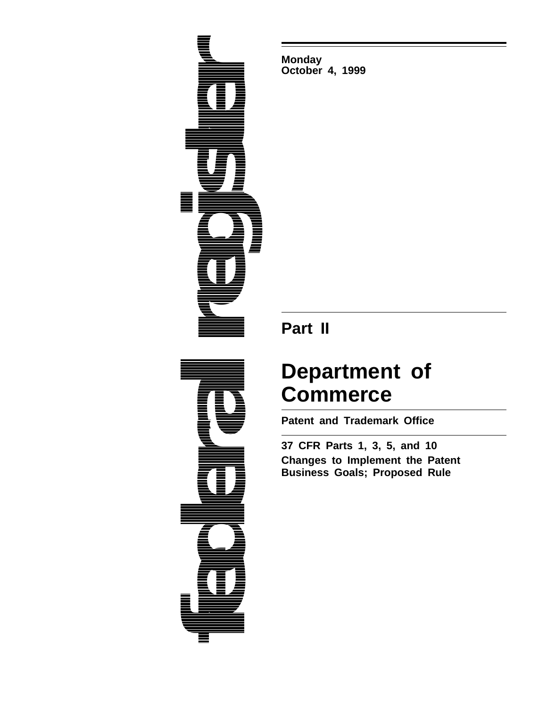

**Monday October 4, 1999**

## **Part II**

# **Department of Commerce**

**Patent and Trademark Office**

**37 CFR Parts 1, 3, 5, and 10 Changes to Implement the Patent Business Goals; Proposed Rule**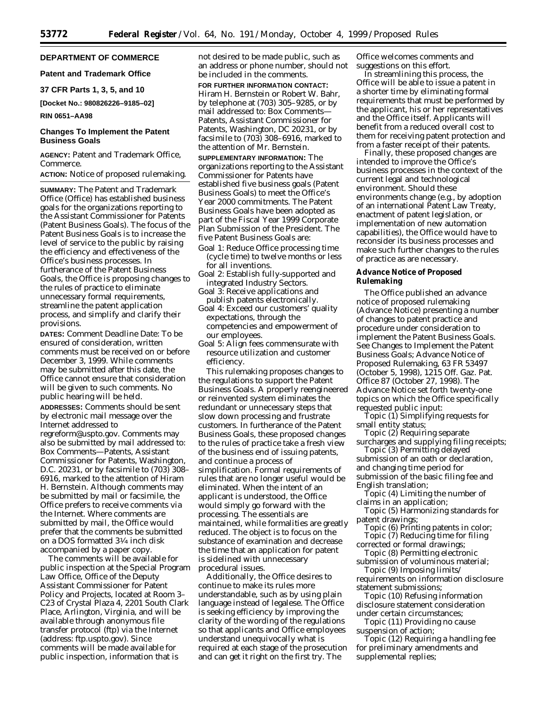## **DEPARTMENT OF COMMERCE**

## **Patent and Trademark Office**

#### **37 CFR Parts 1, 3, 5, and 10**

**[Docket No.: 980826226–9185–02]**

#### **RIN 0651–AA98**

## **Changes To Implement the Patent Business Goals**

**AGENCY:** Patent and Trademark Office, Commerce.

**ACTION:** Notice of proposed rulemaking.

**SUMMARY:** The Patent and Trademark Office (Office) has established business goals for the organizations reporting to the Assistant Commissioner for Patents (Patent Business Goals). The focus of the Patent Business Goals is to increase the level of service to the public by raising the efficiency and effectiveness of the Office's business processes. In furtherance of the Patent Business Goals, the Office is proposing changes to the rules of practice to eliminate unnecessary formal requirements, streamline the patent application process, and simplify and clarify their provisions.

**DATES:** *Comment Deadline Date:* To be ensured of consideration, written comments must be received on or before December 3, 1999. While comments may be submitted after this date, the Office cannot ensure that consideration will be given to such comments. No public hearing will be held.

**ADDRESSES:** Comments should be sent by electronic mail message over the Internet addressed to regreform@uspto.gov. Comments may also be submitted by mail addressed to: Box Comments—Patents, Assistant Commissioner for Patents, Washington, D.C. 20231, or by facsimile to (703) 308– 6916, marked to the attention of Hiram H. Bernstein. Although comments may be submitted by mail or facsimile, the Office prefers to receive comments via the Internet. Where comments are submitted by mail, the Office would prefer that the comments be submitted on a DOS formatted 31⁄4 inch disk accompanied by a paper copy.

The comments will be available for public inspection at the Special Program Law Office, Office of the Deputy Assistant Commissioner for Patent Policy and Projects, located at Room 3– C23 of Crystal Plaza 4, 2201 South Clark Place, Arlington, Virginia, and will be available through anonymous file transfer protocol (ftp) via the Internet (address: ftp.uspto.gov). Since comments will be made available for public inspection, information that is

not desired to be made public, such as an address or phone number, should not be included in the comments.

**FOR FURTHER INFORMATION CONTACT:** Hiram H. Bernstein or Robert W. Bahr, by telephone at (703) 305–9285, or by mail addressed to: Box Comments— Patents, Assistant Commissioner for Patents, Washington, DC 20231, or by facsimile to (703) 308–6916, marked to the attention of Mr. Bernstein.

**SUPPLEMENTARY INFORMATION:** The organizations reporting to the Assistant Commissioner for Patents have established five business goals (Patent Business Goals) to meet the Office's Year 2000 commitments. The Patent Business Goals have been adopted as part of the Fiscal Year 1999 Corporate Plan Submission of the President. The five Patent Business Goals are:

- Goal 1: Reduce Office processing time (cycle time) to twelve months or less for all inventions
- Goal 2: Establish fully-supported and integrated Industry Sectors.
- Goal 3: Receive applications and publish patents electronically.
- Goal 4: Exceed our customers' quality expectations, through the competencies and empowerment of our employees.
- Goal 5: Align fees commensurate with resource utilization and customer efficiency.

This rulemaking proposes changes to the regulations to support the Patent Business Goals. A properly reengineered or reinvented system eliminates the redundant or unnecessary steps that slow down processing and frustrate customers. In furtherance of the Patent Business Goals, these proposed changes to the rules of practice take a fresh view of the business end of issuing patents, and continue a process of simplification. Formal requirements of rules that are no longer useful would be eliminated. When the intent of an applicant is understood, the Office would simply go forward with the processing. The essentials are maintained, while formalities are greatly reduced. The object is to focus on the substance of examination and decrease the time that an application for patent is sidelined with unnecessary procedural issues.

Additionally, the Office desires to continue to make its rules more understandable, such as by using plain language instead of legalese. The Office is seeking efficiency by improving the clarity of the wording of the regulations so that applicants and Office employees understand unequivocally what is required at each stage of the prosecution and can get it right on the first try. The

Office welcomes comments and suggestions on this effort.

In streamlining this process, the Office will be able to issue a patent in a shorter time by eliminating formal requirements that must be performed by the applicant, his or her representatives and the Office itself. Applicants will benefit from a reduced overall cost to them for receiving patent protection and from a faster receipt of their patents.

Finally, these proposed changes are intended to improve the Office's business processes in the context of the current legal and technological environment. Should these environments change (*e.g.,* by adoption of an international Patent Law Treaty, enactment of patent legislation, or implementation of new automation capabilities), the Office would have to reconsider its business processes and make such further changes to the rules of practice as are necessary.

#### **Advance Notice of Proposed Rulemaking**

The Office published an advance notice of proposed rulemaking (Advance Notice) presenting a number of changes to patent practice and procedure under consideration to implement the Patent Business Goals. See Changes to Implement the Patent Business Goals; Advance Notice of Proposed Rulemaking, 63 FR 53497 (October 5, 1998), 1215 Off. Gaz. Pat. Office 87 (October 27, 1998). The Advance Notice set forth twenty-one topics on which the Office specifically requested public input:

Topic (1) Simplifying requests for small entity status;

Topic (2) Requiring separate surcharges and supplying filing receipts;

Topic (3) Permitting delayed submission of an oath or declaration, and changing time period for submission of the basic filing fee and English translation;

Topic (4) Limiting the number of claims in an application;

Topic (5) Harmonizing standards for patent drawings;

- Topic (6) Printing patents in color; Topic (7) Reducing time for filing
- corrected or formal drawings; Topic (8) Permitting electronic
- submission of voluminous material; Topic (9) Imposing limits/

requirements on information disclosure statement submissions;

Topic (10) Refusing information disclosure statement consideration under certain circumstances;

Topic (11) Providing no cause suspension of action;

Topic (12) Requiring a handling fee for preliminary amendments and supplemental replies;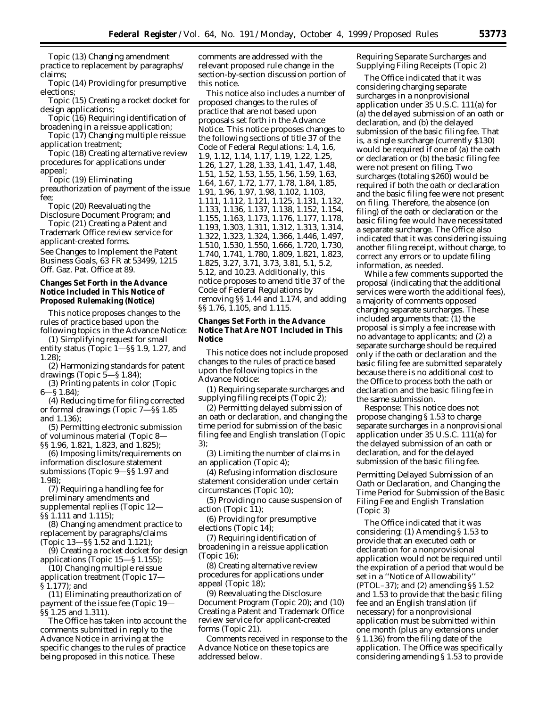Topic (13) Changing amendment practice to replacement by paragraphs/ claims;

Topic (14) Providing for presumptive elections;

Topic (15) Creating a rocket docket for design applications;

Topic (16) Requiring identification of broadening in a reissue application;

Topic (17) Changing multiple reissue application treatment;

Topic (18) Creating alternative review procedures for applications under appeal;

Topic (19) Eliminating

preauthorization of payment of the issue fee;

Topic (20) Reevaluating the Disclosure Document Program; and

Topic (21) Creating a Patent and Trademark Office review service for applicant-created forms.

See Changes to Implement the Patent Business Goals, 63 FR at 53499, 1215 Off. Gaz. Pat. Office at 89.

## **Changes Set Forth in the Advance Notice Included in This Notice of Proposed Rulemaking (Notice)**

This notice proposes changes to the rules of practice based upon the

following topics in the Advance Notice: (1) Simplifying request for small entity status (Topic 1—§§ 1.9, 1.27, and 1.28);

(2) Harmonizing standards for patent drawings (Topic 5—§ 1.84);

(3) Printing patents in color (Topic 6—§ 1.84);

(4) Reducing time for filing corrected or formal drawings (Topic 7—§§ 1.85 and 1.136);

(5) Permitting electronic submission of voluminous material (Topic 8— §§ 1.96, 1.821, 1.823, and 1.825);

(6) Imposing limits/requirements on information disclosure statement submissions (Topic 9—§§ 1.97 and 1.98);

(7) Requiring a handling fee for preliminary amendments and supplemental replies (Topic 12— §§ 1.111 and 1.115);

(8) Changing amendment practice to replacement by paragraphs/claims (Topic 13—§§ 1.52 and 1.121);

(9) Creating a rocket docket for design

applications (Topic 15—§ 1.155); (10) Changing multiple reissue

application treatment (Topic 17— § 1.177); and

(11) Eliminating preauthorization of payment of the issue fee (Topic 19— §§ 1.25 and 1.311).

The Office has taken into account the comments submitted in reply to the Advance Notice in arriving at the specific changes to the rules of practice being proposed in this notice. These

comments are addressed with the relevant proposed rule change in the section-by-section discussion portion of this notice.

This notice also includes a number of proposed changes to the rules of practice that are not based upon proposals set forth in the Advance Notice. This notice proposes changes to the following sections of title 37 of the Code of Federal Regulations: 1.4, 1.6, 1.9, 1.12, 1.14, 1.17, 1.19, 1.22, 1.25, 1.26, 1.27, 1.28, 1.33, 1.41, 1.47, 1.48, 1.51, 1.52, 1.53, 1.55, 1.56, 1.59, 1.63, 1.64, 1.67, 1.72, 1.77, 1.78, 1.84, 1.85, 1.91, 1.96, 1.97, 1.98, 1.102, 1.103, 1.111, 1.112, 1.121, 1.125, 1.131, 1.132, 1.133, 1.136, 1.137, 1.138, 1.152, 1.154, 1.155, 1.163, 1.173, 1.176, 1.177, 1.178, 1.193, 1.303, 1.311, 1.312, 1.313, 1.314, 1.322, 1.323, 1.324, 1.366, 1.446, 1.497, 1.510, 1.530, 1.550, 1.666, 1.720, 1.730, 1.740, 1.741, 1.780, 1.809, 1.821, 1.823, 1.825, 3.27, 3.71, 3.73, 3.81, 5.1, 5.2, 5.12, and 10.23. Additionally, this notice proposes to amend title 37 of the Code of Federal Regulations by removing §§ 1.44 and 1.174, and adding §§ 1.76, 1.105, and 1.115.

#### **Changes Set Forth in the Advance Notice That Are NOT Included in This Notice**

This notice does not include proposed changes to the rules of practice based upon the following topics in the Advance Notice:

(1) Requiring separate surcharges and supplying filing receipts (Topic 2);

(2) Permitting delayed submission of an oath or declaration, and changing the time period for submission of the basic filing fee and English translation (Topic 3);

(3) Limiting the number of claims in an application (Topic 4);

(4) Refusing information disclosure statement consideration under certain circumstances (Topic 10);

(5) Providing no cause suspension of action (Topic 11);

(6) Providing for presumptive elections (Topic 14);

(7) Requiring identification of broadening in a reissue application (Topic 16);

(8) Creating alternative review procedures for applications under appeal (Topic 18);

(9) Reevaluating the Disclosure Document Program (Topic 20); and (10) Creating a Patent and Trademark Office review service for applicant-created forms (Topic 21).

Comments received in response to the Advance Notice on these topics are addressed below.

## *Requiring Separate Surcharges and Supplying Filing Receipts (Topic 2)*

The Office indicated that it was considering charging separate surcharges in a nonprovisional application under 35 U.S.C. 111(a) for (a) the delayed submission of an oath or declaration, and (b) the delayed submission of the basic filing fee. That is, a single surcharge (currently \$130) would be required if one of (a) the oath or declaration or (b) the basic filing fee were not present on filing. Two surcharges (totaling \$260) would be required if both the oath or declaration and the basic filing fee were not present on filing. Therefore, the absence (on filing) of the oath or declaration or the basic filing fee would have necessitated a separate surcharge. The Office also indicated that it was considering issuing another filing receipt, without charge, to correct any errors or to update filing information, as needed.

While a few comments supported the proposal (indicating that the additional services were worth the additional fees), a majority of comments opposed charging separate surcharges. These included arguments that: (1) the proposal is simply a fee increase with no advantage to applicants; and (2) a separate surcharge should be required only if the oath or declaration and the basic filing fee are submitted separately because there is no additional cost to the Office to process both the oath or declaration and the basic filing fee in the same submission.

*Response:* This notice does not propose changing § 1.53 to charge separate surcharges in a nonprovisional application under 35 U.S.C. 111(a) for the delayed submission of an oath or declaration, and for the delayed submission of the basic filing fee.

*Permitting Delayed Submission of an Oath or Declaration, and Changing the Time Period for Submission of the Basic Filing Fee and English Translation (Topic 3)*

The Office indicated that it was considering: (1) Amending § 1.53 to provide that an executed oath or declaration for a nonprovisional application would not be required until the expiration of a period that would be set in a ''Notice of Allowability'' (PTOL–37); and (2) amending §§ 1.52 and 1.53 to provide that the basic filing fee and an English translation (if necessary) for a nonprovisional application must be submitted within one month (plus any extensions under § 1.136) from the filing date of the application. The Office was specifically considering amending § 1.53 to provide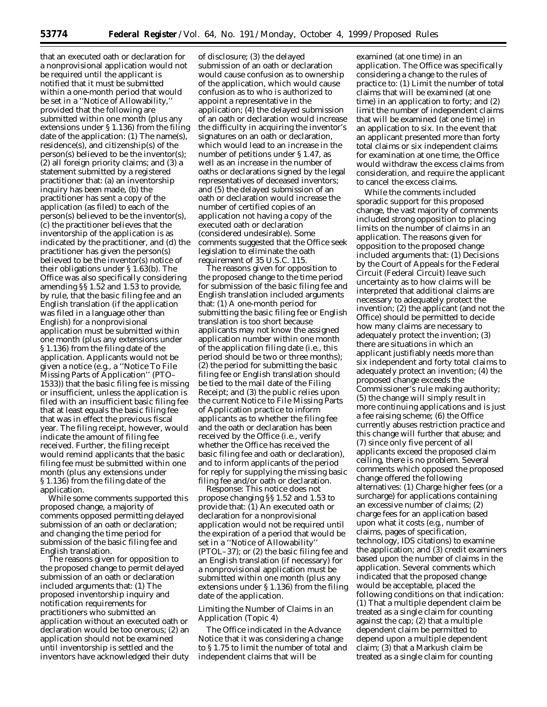that an executed oath or declaration for a nonprovisional application would not be required until the applicant is notified that it must be submitted within a one-month period that would be set in a ''Notice of Allowability,'' provided that the following are submitted within one month (plus any extensions under § 1.136) from the filing date of the application: (1) The name(s), residence(s), and citizenship(s) of the person(s) believed to be the inventor(s); (2) all foreign priority claims; and (3) a statement submitted by a registered practitioner that: (a) an inventorship inquiry has been made, (b) the practitioner has sent a copy of the application (as filed) to each of the person(s) believed to be the inventor(s), (c) the practitioner believes that the inventorship of the application is as indicated by the practitioner, and (d) the practitioner has given the person(s) believed to be the inventor(s) notice of their obligations under § 1.63(b). The Office was also specifically considering amending §§ 1.52 and 1.53 to provide, by rule, that the basic filing fee and an English translation (if the application was filed in a language other than English) for a nonprovisional application must be submitted within one month (plus any extensions under § 1.136) from the filing date of the application. Applicants would not be given a notice (*e.g.,* a ''Notice To File Missing Parts of Application'' (PTO– 1533)) that the basic filing fee is missing or insufficient, unless the application is filed with an insufficient basic filing fee that at least equals the basic filing fee that was in effect the previous fiscal year. The filing receipt, however, would indicate the amount of filing fee received. Further, the filing receipt would remind applicants that the basic filing fee must be submitted within one month (plus any extensions under § 1.136) from the filing date of the application.

While some comments supported this proposed change, a majority of comments opposed permitting delayed submission of an oath or declaration; and changing the time period for submission of the basic filing fee and English translation.

The reasons given for opposition to the proposed change to permit delayed submission of an oath or declaration included arguments that: (1) The proposed inventorship inquiry and notification requirements for practitioners who submitted an application without an executed oath or declaration would be too onerous; (2) an application should not be examined until inventorship is settled and the inventors have acknowledged their duty

of disclosure; (3) the delayed submission of an oath or declaration would cause confusion as to ownership of the application, which would cause confusion as to who is authorized to appoint a representative in the application; (4) the delayed submission of an oath or declaration would increase the difficulty in acquiring the inventor's signatures on an oath or declaration, which would lead to an increase in the number of petitions under § 1.47, as well as an increase in the number of oaths or declarations signed by the legal representatives of deceased inventors; and (5) the delayed submission of an oath or declaration would increase the number of certified copies of an application not having a copy of the executed oath or declaration (considered undesirable). Some comments suggested that the Office seek legislation to eliminate the oath requirement of 35 U.S.C. 115.

The reasons given for opposition to the proposed change to the time period for submission of the basic filing fee and English translation included arguments that: (1) A one-month period for submitting the basic filing fee or English translation is too short because applicants may not know the assigned application number within one month of the application filing date (*i.e.,* this period should be two or three months); (2) the period for submitting the basic filing fee or English translation should be tied to the mail date of the Filing Receipt; and (3) the public relies upon the current Notice to File Missing Parts of Application practice to inform applicants as to whether the filing fee and the oath or declaration has been received by the Office (*i.e.,* verify whether the Office has received the basic filing fee and oath or declaration), and to inform applicants of the period for reply for supplying the missing basic filing fee and/or oath or declaration.

*Response:* This notice does not propose changing §§ 1.52 and 1.53 to provide that: (1) An executed oath or declaration for a nonprovisional application would not be required until the expiration of a period that would be set in a ''Notice of Allowability'' (PTOL–37); or (2) the basic filing fee and an English translation (if necessary) for a nonprovisional application must be submitted within one month (plus any extensions under § 1.136) from the filing date of the application.

## *Limiting the Number of Claims in an Application (Topic 4)*

The Office indicated in the Advance Notice that it was considering a change to § 1.75 to limit the number of total and independent claims that will be

examined (at one time) in an application. The Office was specifically considering a change to the rules of practice to: (1) Limit the number of total claims that will be examined (at one time) in an application to forty; and (2) limit the number of independent claims that will be examined (at one time) in an application to six. In the event that an applicant presented more than forty total claims or six independent claims for examination at one time, the Office would withdraw the excess claims from consideration, and require the applicant to cancel the excess claims.

While the comments included sporadic support for this proposed change, the vast majority of comments included strong opposition to placing limits on the number of claims in an application. The reasons given for opposition to the proposed change included arguments that: (1) Decisions by the Court of Appeals for the Federal Circuit (Federal Circuit) leave such uncertainty as to how claims will be interpreted that additional claims are necessary to adequately protect the invention; (2) the applicant (and not the Office) should be permitted to decide how many claims are necessary to adequately protect the invention; (3) there are situations in which an applicant justifiably needs more than six independent and forty total claims to adequately protect an invention; (4) the proposed change exceeds the Commissioner's rule making authority; (5) the change will simply result in more continuing applications and is just a fee raising scheme; (6) the Office currently abuses restriction practice and this change will further that abuse; and (7) since only five percent of all applicants exceed the proposed claim ceiling, there is no problem. Several comments which opposed the proposed change offered the following alternatives: (1) Charge higher fees (or a surcharge) for applications containing an excessive number of claims; (2) charge fees for an application based upon what it costs (*e.g.,* number of claims, pages of specification, technology, IDS citations) to examine the application; and (3) credit examiners based upon the number of claims in the application. Several comments which indicated that the proposed change would be acceptable, placed the following conditions on that indication: (1) That a multiple dependent claim be treated as a single claim for counting against the cap; (2) that a multiple dependent claim be permitted to depend upon a multiple dependent claim; (3) that a Markush claim be treated as a single claim for counting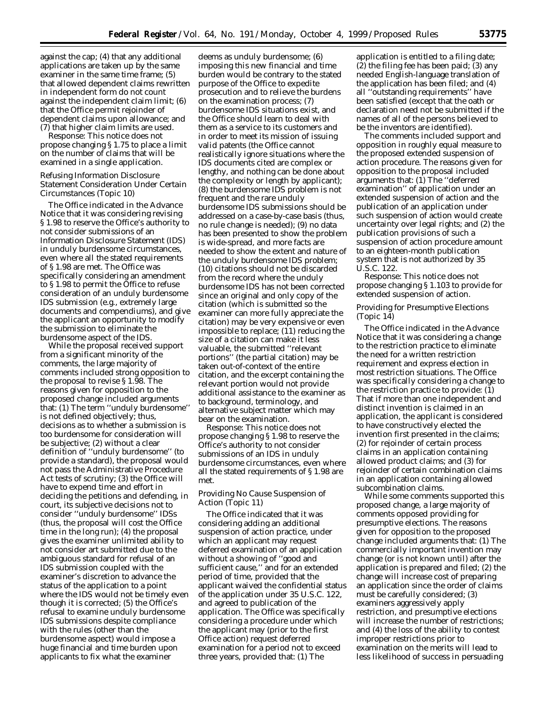against the cap; (4) that any additional applications are taken up by the same examiner in the same time frame; (5) that allowed dependent claims rewritten in independent form do not count against the independent claim limit; (6) that the Office permit rejoinder of dependent claims upon allowance; and (7) that higher claim limits are used.

*Response:* This notice does not propose changing § 1.75 to place a limit on the number of claims that will be examined in a single application.

## *Refusing Information Disclosure Statement Consideration Under Certain Circumstances (Topic 10)*

The Office indicated in the Advance Notice that it was considering revising § 1.98 to reserve the Office's authority to not consider submissions of an Information Disclosure Statement (IDS) in unduly burdensome circumstances, even where all the stated requirements of § 1.98 are met. The Office was specifically considering an amendment to § 1.98 to permit the Office to refuse consideration of an unduly burdensome IDS submission (*e.g.,* extremely large documents and compendiums), and give the applicant an opportunity to modify the submission to eliminate the burdensome aspect of the IDS

While the proposal received support from a significant minority of the comments, the large majority of comments included strong opposition to the proposal to revise § 1.98. The reasons given for opposition to the proposed change included arguments that: (1) The term ''unduly burdensome'' is not defined objectively; thus, decisions as to whether a submission is too burdensome for consideration will be subjective; (2) without a clear definition of ''unduly burdensome'' (to provide a standard), the proposal would not pass the Administrative Procedure Act tests of scrutiny; (3) the Office will have to expend time and effort in deciding the petitions and defending, in court, its subjective decisions not to consider ''unduly burdensome'' IDSs (thus, the proposal will cost the Office time in the long run); (4) the proposal gives the examiner unlimited ability to not consider art submitted due to the ambiguous standard for refusal of an IDS submission coupled with the examiner's discretion to advance the status of the application to a point where the IDS would not be timely even though it is corrected; (5) the Office's refusal to examine unduly burdensome IDS submissions despite compliance with the rules (other than the burdensome aspect) would impose a huge financial and time burden upon applicants to fix what the examiner

deems as unduly burdensome; (6) imposing this new financial and time burden would be contrary to the stated purpose of the Office to expedite prosecution and to relieve the burdens on the examination process; (7) burdensome IDS situations exist, and the Office should learn to deal with them as a service to its customers and in order to meet its mission of issuing valid patents (the Office cannot realistically ignore situations where the IDS documents cited are complex or lengthy, and nothing can be done about the complexity or length by applicant); (8) the burdensome IDS problem is not frequent and the rare unduly burdensome IDS submissions should be addressed on a case-by-case basis (thus, no rule change is needed); (9) no data has been presented to show the problem is wide-spread, and more facts are needed to show the extent and nature of the unduly burdensome IDS problem; (10) citations should not be discarded from the record where the unduly burdensome IDS has not been corrected since an original and only copy of the citation (which is submitted so the examiner can more fully appreciate the citation) may be very expensive or even impossible to replace; (11) reducing the size of a citation can make it less valuable, the submitted ''relevant portions'' (the partial citation) may be taken out-of-context of the entire citation, and the excerpt containing the relevant portion would not provide additional assistance to the examiner as to background, terminology, and alternative subject matter which may bear on the examination.

*Response:* This notice does not propose changing § 1.98 to reserve the Office's authority to not consider submissions of an IDS in unduly burdensome circumstances, even where all the stated requirements of § 1.98 are met.

## *Providing No Cause Suspension of Action (Topic 11)*

The Office indicated that it was considering adding an additional suspension of action practice, under which an applicant may request deferred examination of an application without a showing of ''good and sufficient cause,'' and for an extended period of time, provided that the applicant waived the confidential status of the application under 35 U.S.C. 122, and agreed to publication of the application. The Office was specifically considering a procedure under which the applicant may (prior to the first Office action) request deferred examination for a period not to exceed three years, provided that: (1) The

application is entitled to a filing date; (2) the filing fee has been paid; (3) any needed English-language translation of the application has been filed; and (4) all ''outstanding requirements'' have been satisfied (except that the oath or declaration need not be submitted if the names of all of the persons believed to be the inventors are identified).

The comments included support and opposition in roughly equal measure to the proposed extended suspension of action procedure. The reasons given for opposition to the proposal included arguments that: (1) The ''deferred examination'' of application under an extended suspension of action and the publication of an application under such suspension of action would create uncertainty over legal rights; and (2) the publication provisions of such a suspension of action procedure amount to an eighteen-month publication system that is not authorized by 35 U.S.C. 122.

*Response:* This notice does not propose changing § 1.103 to provide for extended suspension of action.

#### *Providing for Presumptive Elections (Topic 14)*

The Office indicated in the Advance Notice that it was considering a change to the restriction practice to eliminate the need for a written restriction requirement and express election in most restriction situations. The Office was specifically considering a change to the restriction practice to provide: (1) That if more than one independent and distinct invention is claimed in an application, the applicant is considered to have constructively elected the invention first presented in the claims; (2) for rejoinder of certain process claims in an application containing allowed product claims; and (3) for rejoinder of certain combination claims in an application containing allowed subcombination claims.

While some comments supported this proposed change, a large majority of comments opposed providing for presumptive elections. The reasons given for opposition to the proposed change included arguments that: (1) The commercially important invention may change (or is not known until) after the application is prepared and filed; (2) the change will increase cost of preparing an application since the order of claims must be carefully considered; (3) examiners aggressively apply restriction, and presumptive elections will increase the number of restrictions; and (4) the loss of the ability to contest improper restrictions prior to examination on the merits will lead to less likelihood of success in persuading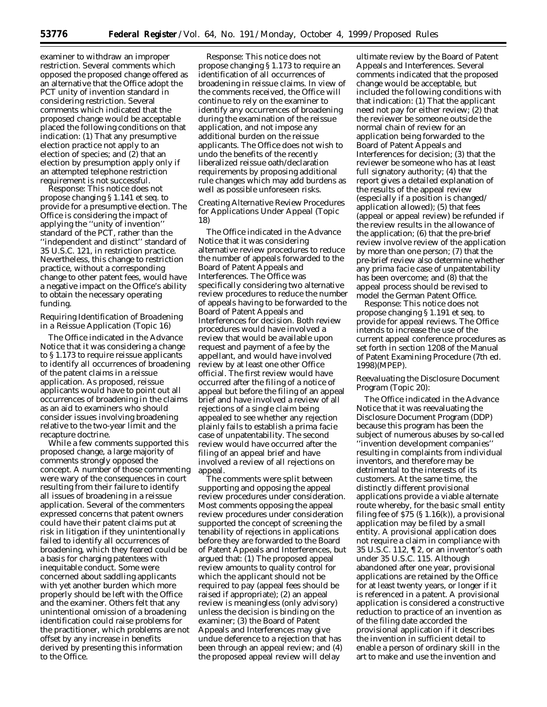examiner to withdraw an improper restriction. Several comments which opposed the proposed change offered as an alternative that the Office adopt the PCT unity of invention standard in considering restriction. Several comments which indicated that the proposed change would be acceptable placed the following conditions on that indication: (1) That any presumptive election practice not apply to an election of species; and (2) that an election by presumption apply only if an attempted telephone restriction requirement is not successful.

*Response:* This notice does not propose changing § 1.141 *et seq.* to provide for a presumptive election. The Office is considering the impact of applying the ''unity of invention'' standard of the PCT, rather than the ''independent and distinct'' standard of 35 U.S.C. 121, in restriction practice. Nevertheless, this change to restriction practice, without a corresponding change to other patent fees, would have a negative impact on the Office's ability to obtain the necessary operating funding.

## *Requiring Identification of Broadening in a Reissue Application (Topic 16)*

The Office indicated in the Advance Notice that it was considering a change to § 1.173 to require reissue applicants to identify all occurrences of broadening of the patent claims in a reissue application. As proposed, reissue applicants would have to point out all occurrences of broadening in the claims as an aid to examiners who should consider issues involving broadening relative to the two-year limit and the recapture doctrine.

While a few comments supported this proposed change, a large majority of comments strongly opposed the concept. A number of those commenting were wary of the consequences in court resulting from their failure to identify all issues of broadening in a reissue application. Several of the commenters expressed concerns that patent owners could have their patent claims put at risk in litigation if they unintentionally failed to identify all occurrences of broadening, which they feared could be a basis for charging patentees with inequitable conduct. Some were concerned about saddling applicants with yet another burden which more properly should be left with the Office and the examiner. Others felt that any unintentional omission of a broadening identification could raise problems for the practitioner, which problems are not offset by any increase in benefits derived by presenting this information to the Office.

*Response:* This notice does not propose changing § 1.173 to require an identification of all occurrences of broadening in reissue claims. In view of the comments received, the Office will continue to rely on the examiner to identify any occurrences of broadening during the examination of the reissue application, and not impose any additional burden on the reissue applicants. The Office does not wish to undo the benefits of the recently liberalized reissue oath/declaration requirements by proposing additional rule changes which may add burdens as well as possible unforeseen risks.

#### *Creating Alternative Review Procedures for Applications Under Appeal (Topic 18)*

The Office indicated in the Advance Notice that it was considering alternative review procedures to reduce the number of appeals forwarded to the Board of Patent Appeals and Interferences. The Office was specifically considering two alternative review procedures to reduce the number of appeals having to be forwarded to the Board of Patent Appeals and Interferences for decision. Both review procedures would have involved a review that would be available upon request and payment of a fee by the appellant, and would have involved review by at least one other Office official. The first review would have occurred after the filing of a notice of appeal but before the filing of an appeal brief and have involved a review of all rejections of a single claim being appealed to see whether any rejection plainly fails to establish a *prima facie* case of unpatentability. The second review would have occurred after the filing of an appeal brief and have involved a review of all rejections on appeal.

The comments were split between supporting and opposing the appeal review procedures under consideration. Most comments opposing the appeal review procedures under consideration supported the concept of screening the tenability of rejections in applications before they are forwarded to the Board of Patent Appeals and Interferences, but argued that: (1) The proposed appeal review amounts to quality control for which the applicant should not be required to pay (appeal fees should be raised if appropriate); (2) an appeal review is meaningless (only advisory) unless the decision is binding on the examiner; (3) the Board of Patent Appeals and Interferences may give undue deference to a rejection that has been through an appeal review; and (4) the proposed appeal review will delay

ultimate review by the Board of Patent Appeals and Interferences. Several comments indicated that the proposed change would be acceptable, but included the following conditions with that indication: (1) That the applicant need not pay for either review; (2) that the reviewer be someone outside the normal chain of review for an application being forwarded to the Board of Patent Appeals and Interferences for decision; (3) that the reviewer be someone who has at least full signatory authority; (4) that the report gives a detailed explanation of the results of the appeal review (especially if a position is changed/ application allowed); (5) that fees (appeal or appeal review) be refunded if the review results in the allowance of the application; (6) that the pre-brief review involve review of the application by more than one person; (7) that the pre-brief review also determine whether any *prima facie* case of unpatentability has been overcome; and (8) that the appeal process should be revised to model the German Patent Office.

*Response:* This notice does not propose changing § 1.191 *et seq.* to provide for appeal reviews. The Office intends to increase the use of the current appeal conference procedures as set forth in section 1208 of the Manual of Patent Examining Procedure (7th ed. 1998)(MPEP).

## *Reevaluating the Disclosure Document Program (Topic 20):*

The Office indicated in the Advance Notice that it was reevaluating the Disclosure Document Program (DDP) because this program has been the subject of numerous abuses by so-called ''invention development companies'' resulting in complaints from individual inventors, and therefore may be *detrimental* to the interests of its customers. At the same time, the distinctly different provisional applications provide a viable alternate route whereby, for the basic small entity filing fee of  $$75$  ( $$1.16(k)$ ), a provisional application may be filed by a small entity. A provisional application does not require a claim in compliance with 35 U.S.C. 112, ¶ 2, or an inventor's oath under 35 U.S.C. 115. Although abandoned after one year, provisional applications are retained by the Office for at least twenty years, or longer if it is referenced in a patent. A provisional application is considered a constructive reduction to practice of an invention as of the filing date accorded the provisional application if it describes the invention in sufficient detail to enable a person of ordinary skill in the art to make and use the invention and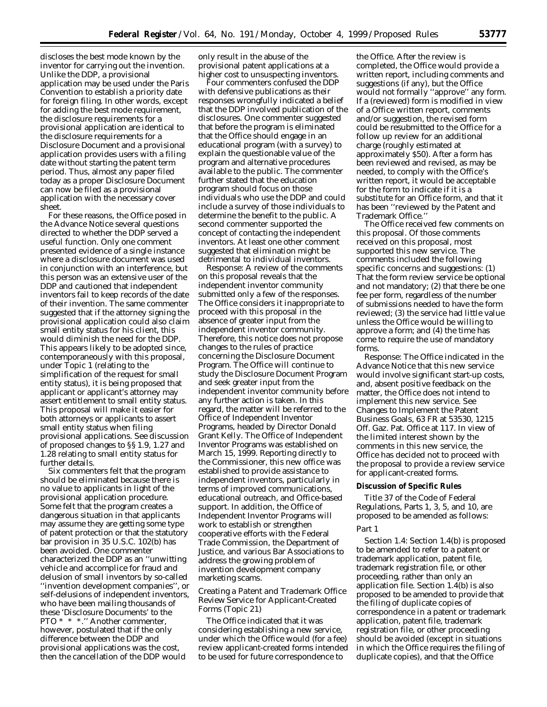discloses the best mode known by the inventor for carrying out the invention. Unlike the DDP, a provisional application may be used under the Paris Convention to establish a priority date for foreign filing. In other words, except for adding the best mode requirement, the disclosure requirements for a provisional application are identical to the disclosure requirements for a Disclosure Document and a provisional application provides users with a filing date without starting the patent term period. Thus, almost any paper filed today as a proper Disclosure Document can now be filed as a provisional application with the necessary cover sheet.

For these reasons, the Office posed in the Advance Notice several questions directed to whether the DDP served a useful function. Only one comment presented evidence of a single instance where a disclosure document was used in conjunction with an interference, but this person was an extensive user of the DDP and cautioned that independent inventors fail to keep records of the date of their invention. The same commenter suggested that if the attorney signing the provisional application could also claim small entity status for his client, this would diminish the need for the DDP. This appears likely to be adopted since, contemporaneously with this proposal, under Topic 1 (relating to the simplification of the request for small entity status), it is being proposed that applicant or applicant's attorney may assert entitlement to small entity status. This proposal will make it easier for both attorneys or applicants to assert small entity status when filing provisional applications. See discussion of proposed changes to §§ 1.9, 1.27 and 1.28 relating to small entity status for further details.

Six commenters felt that the program should be eliminated because there is no value to applicants in light of the provisional application procedure. Some felt that the program creates a dangerous situation in that applicants may assume they are getting some type of patent protection or that the statutory bar provision in 35 U.S.C. 102(b) has been avoided. One commenter characterized the DDP as an ''unwitting vehicle and accomplice for fraud and delusion of small inventors by so-called ''invention development companies'', or self-delusions of independent inventors, who have been mailing thousands of these 'Disclosure Documents' to the PTO \* \* \*.'' Another commenter, however, postulated that if the only difference between the DDP and provisional applications was the cost, then the cancellation of the DDP would

only result in the abuse of the provisional patent applications at a higher cost to unsuspecting inventors.

Four commenters confused the DDP with defensive publications as their responses wrongfully indicated a belief that the DDP involved publication of the disclosures. One commenter suggested that before the program is eliminated that the Office should engage in an educational program (with a survey) to explain the questionable value of the program and alternative procedures available to the public. The commenter further stated that the education program should focus on those individuals who use the DDP and could include a survey of those individuals to determine the benefit to the public. A second commenter supported the concept of contacting the independent inventors. At least one other comment suggested that elimination might be detrimental to individual inventors.

*Response:* A review of the comments on this proposal reveals that the independent inventor community submitted only a few of the responses. The Office considers it inappropriate to proceed with this proposal in the absence of greater input from the independent inventor community. Therefore, this notice does not propose changes to the rules of practice concerning the Disclosure Document Program. The Office will continue to study the Disclosure Document Program and seek greater input from the independent inventor community before any further action is taken. In this regard, the matter will be referred to the Office of Independent Inventor Programs, headed by Director Donald Grant Kelly. The Office of Independent Inventor Programs was established on March 15, 1999. Reporting directly to the Commissioner, this new office was established to provide assistance to independent inventors, particularly in terms of improved communications, educational outreach, and Office-based support. In addition, the Office of Independent Inventor Programs will work to establish or strengthen cooperative efforts with the Federal Trade Commission, the Department of Justice, and various Bar Associations to address the growing problem of invention development company marketing scams.

## *Creating a Patent and Trademark Office Review Service for Applicant-Created Forms (Topic 21)*

The Office indicated that it was considering establishing a new service, under which the Office would (for a fee) review applicant-created forms intended to be used for future correspondence to

the Office. After the review is completed, the Office would provide a written report, including comments and suggestions (if any), but the Office would not formally ''approve'' any form. If a (reviewed) form is modified in view of a Office written report, comments and/or suggestion, the revised form could be resubmitted to the Office for a follow up review for an additional charge (roughly estimated at approximately \$50). After a form has been reviewed and revised, as may be needed, to comply with the Office's written report, it would be acceptable for the form to indicate if it is a substitute for an Office form, and that it has been ''reviewed by the Patent and Trademark Office.''

The Office received few comments on this proposal. Of those comments received on this proposal, most supported this new service. The comments included the following specific concerns and suggestions: (1) That the form review service be optional and not mandatory; (2) that there be one fee per form, regardless of the number of submissions needed to have the form reviewed; (3) the service had little value unless the Office would be willing to approve a form; and (4) the time has come to require the use of mandatory forms.

*Response:* The Office indicated in the Advance Notice that this new service would involve significant start-up costs, and, absent positive feedback on the matter, the Office does not intend to implement this new service. See Changes to Implement the Patent Business Goals, 63 FR at 53530, 1215 Off. Gaz. Pat. Office at 117. In view of the limited interest shown by the comments in this new service, the Office has decided not to proceed with the proposal to provide a review service for applicant-created forms.

#### **Discussion of Specific Rules**

Title 37 of the Code of Federal Regulations, Parts 1, 3, 5, and 10, are proposed to be amended as follows:

## *Part 1*

*Section 1.4:* Section 1.4(b) is proposed to be amended to refer to a patent or trademark application, patent file, trademark registration file, or other proceeding, rather than only an application file. Section 1.4(b) is also proposed to be amended to provide that the filing of duplicate copies of correspondence in a patent or trademark application, patent file, trademark registration file, or other proceeding should be avoided (except in situations in which the Office requires the filing of duplicate copies), and that the Office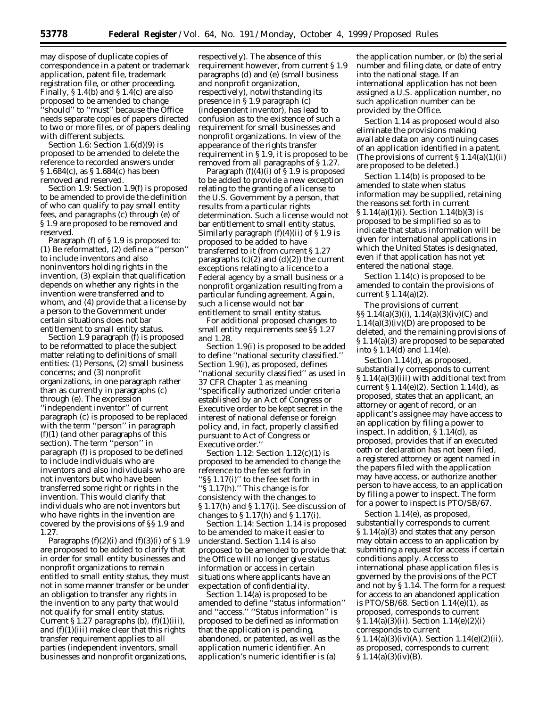may dispose of duplicate copies of correspondence in a patent or trademark application, patent file, trademark registration file, or other proceeding. Finally, § 1.4(b) and § 1.4(c) are also proposed to be amended to change ''should'' to ''must'' because the Office needs separate copies of papers directed to two or more files, or of papers dealing with different subjects.

*Section 1.6:* Section 1.6(d)(9) is proposed to be amended to delete the reference to recorded answers under § 1.684(c), as § 1.684(c) has been removed and reserved.

*Section 1.9:* Section 1.9(f) is proposed to be amended to provide the definition of who can qualify to pay small entity fees, and paragraphs (c) through (e) of § 1.9 are proposed to be removed and reserved.

Paragraph (f) of § 1.9 is proposed to: (1) Be reformatted, (2) define a ''person'' to include inventors and also noninventors holding rights in the invention, (3) explain that qualification depends on whether any rights in the invention were transferred and to whom, and (4) provide that a license by a person to the Government under certain situations does not bar entitlement to small entity status.

Section 1.9 paragraph (f) is proposed to be reformatted to place the subject matter relating to definitions of small entities: (1) Persons, (2) small business concerns; and (3) nonprofit organizations, in one paragraph rather than as currently in paragraphs (c) through (e). The expression ''independent inventor'' of current paragraph (c) is proposed to be replaced with the term ''person'' in paragraph  $(f)(1)$  (and other paragraphs of this section). The term ''person'' in paragraph (f) is proposed to be defined to include individuals who are inventors and also individuals who are not inventors but who have been transferred some right or rights in the invention. This would clarify that individuals who are not inventors but who have rights in the invention are covered by the provisions of §§ 1.9 and 1.27.

Paragraphs  $(f)(2)(i)$  and  $(f)(3)(i)$  of § 1.9 are proposed to be added to clarify that in order for small entity businesses and nonprofit organizations to remain entitled to small entity status, they must not in some manner transfer or be under an obligation to transfer any rights in the invention to any party that would not qualify for small entity status. Current § 1.27 paragraphs  $(b)$ ,  $(f)(1)(iii)$ , and  $(f)(1)(iii)$  make clear that this rights transfer requirement applies to all parties (independent inventors, small businesses and nonprofit organizations,

respectively). The absence of this requirement however, from current § 1.9 paragraphs (d) and (e) (small business and nonprofit organization, respectively), notwithstanding its presence in § 1.9 paragraph (c) (independent inventor), has lead to confusion as to the existence of such a requirement for small businesses and nonprofit organizations. In view of the appearance of the rights transfer requirement in § 1.9, it is proposed to be removed from all paragraphs of § 1.27.

Paragraph  $(f)(4)(i)$  of § 1.9 is proposed to be added to provide a new exception relating to the granting of a license to the U.S. Government by a person, that results from a particular rights determination. Such a license would not bar entitlement to small entity status. Similarly paragraph (f)(4)(ii) of § 1.9 is proposed to be added to have transferred to it (from current § 1.27 paragraphs  $(c)(2)$  and  $(d)(2)$ ) the current exceptions relating to a licence to a Federal agency by a small business or a nonprofit organization resulting from a particular funding agreement. Again, such a license would not bar entitlement to small entity status.

For additional proposed changes to small entity requirements see §§ 1.27 and 1.28.

Section 1.9(i) is proposed to be added to define ''national security classified.'' Section 1.9(i), as proposed, defines ''national security classified'' as used in 37 CFR Chapter 1 as meaning ''specifically authorized under criteria established by an Act of Congress or Executive order to be kept secret in the interest of national defense or foreign policy and, in fact, properly classified pursuant to Act of Congress or Executive order.''

*Section 1.12:* Section 1.12(c)(1) is proposed to be amended to change the reference to the fee set forth in ''§§ 1.17(i)'' to the fee set forth in ''§ 1.17(h).'' This change is for consistency with the changes to § 1.17(h) and § 1.17(i). See discussion of changes to § 1.17(h) and § 1.17(i).

*Section 1.14:* Section 1.14 is proposed to be amended to make it easier to understand. Section 1.14 is also proposed to be amended to provide that the Office will no longer give status information or access in certain situations where applicants have an expectation of confidentiality.

Section 1.14(a) is proposed to be amended to define ''status information'' and ''access.'' ''Status information'' is proposed to be defined as information that the application is pending, abandoned, or patented, as well as the application numeric identifier. An application's numeric identifier is (a)

the application number, or (b) the serial number and filing date, or date of entry into the national stage. If an international application has not been assigned a U.S. application number, no such application number can be provided by the Office.

Section 1.14 as proposed would also eliminate the provisions making available data on any continuing cases of an application identified in a patent. (The provisions of current  $\S 1.14(a)(1)(ii)$ ) are proposed to be deleted.)

Section 1.14(b) is proposed to be amended to state when status information may be supplied, retaining the reasons set forth in current § 1.14(a)(1)(i). Section 1.14(b)(3) is proposed to be simplified so as to indicate that status information will be given for international applications in which the United States is designated, even if that application has not yet entered the national stage.

Section 1.14(c) is proposed to be amended to contain the provisions of current § 1.14(a)(2).

The provisions of current §§ 1.14(a)(3)(i), 1.14(a)(3)(iv)(C) and  $1.14(a)(3)(iv)(D)$  are proposed to be deleted, and the remaining provisions of § 1.14(a)(3) are proposed to be separated into § 1.14(d) and 1.14(e).

Section 1.14(d), as proposed, substantially corresponds to current § 1.14(a)(3)(iii) with additional text from current § 1.14(e)(2). Section 1.14(d), as proposed, states that an applicant, an attorney or agent of record, or an applicant's assignee may have access to an application by filing a power to inspect. In addition, § 1.14(d), as proposed, provides that if an executed oath or declaration has not been filed, a registered attorney or agent named in the papers filed with the application may have access, or authorize another person to have access, to an application by filing a power to inspect. The form for a power to inspect is PTO/SB/67.

Section 1.14(e), as proposed, substantially corresponds to current § 1.14(a)(3) and states that any person may obtain access to an application by submitting a request for access if certain conditions apply. Access to international phase application files is governed by the provisions of the PCT and not by § 1.14. The form for a request for access to an abandoned application is PTO/SB/68. Section  $1.14(e)(1)$ , as proposed, corresponds to current § 1.14(a)(3)(ii). Section 1.14(e)(2)(i) corresponds to current § 1.14(a)(3)(iv)(A). Section 1.14(e)(2)(ii), as proposed, corresponds to current  $§ 1.14(a)(3)(iv)(B).$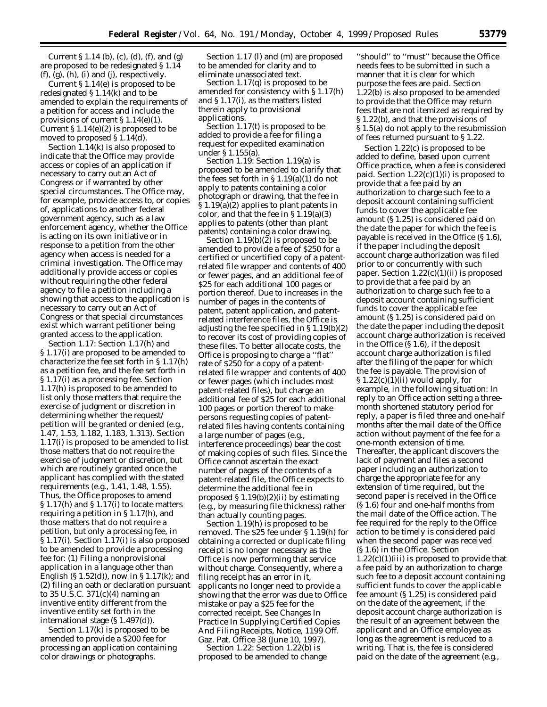Current § 1.14 (b), (c), (d), (f), and (g) are proposed to be redesignated § 1.14  $(f)$ ,  $(g)$ ,  $(h)$ ,  $(i)$  and  $(j)$ , respectively.

Current § 1.14(e) is proposed to be redesignated § 1.14(k) and to be amended to explain the requirements of a petition for access and include the provisions of current § 1.14(e)(1). Current  $\S 1.14(e)(2)$  is proposed to be moved to proposed § 1.14(d).

Section 1.14(k) is also proposed to indicate that the Office may provide access or copies of an application if necessary to carry out an Act of Congress or if warranted by other special circumstances. The Office may, for example, provide access to, or copies of, applications to another federal government agency, such as a law enforcement agency, whether the Office is acting on its own initiative or in response to a petition from the other agency when access is needed for a criminal investigation. The Office may additionally provide access or copies without requiring the other federal agency to file a petition including a showing that access to the application is necessary to carry out an Act of Congress or that special circumstances exist which warrant petitioner being granted access to the application.

*Section 1.17:* Section 1.17(h) and § 1.17(i) are proposed to be amended to characterize the fee set forth in § 1.17(h) as a petition fee, and the fee set forth in § 1.17(i) as a processing fee. Section 1.17(h) is proposed to be amended to list only those matters that require the exercise of judgment or discretion in determining whether the request/ petition will be granted or denied (*e.g.,* 1.47, 1.53, 1.182, 1.183, 1.313). Section 1.17(i) is proposed to be amended to list those matters that do not require the exercise of judgment or discretion, but which are routinely granted once the applicant has complied with the stated requirements (*e.g.,* 1.41, 1.48, 1.55). Thus, the Office proposes to amend § 1.17(h) and § 1.17(i) to locate matters requiring a petition in  $\S 1.17(h)$ , and those matters that do not require a petition, but only a processing fee, in § 1.17(i). Section 1.17(i) is also proposed to be amended to provide a processing fee for: (1) Filing a nonprovisional application in a language other than English (§ 1.52(d)), now in § 1.17(k); and (2) filing an oath or declaration pursuant to 35 U.S.C. 371(c)(4) naming an inventive entity different from the inventive entity set forth in the international stage (§ 1.497(d)).

Section 1.17(k) is proposed to be amended to provide a \$200 fee for processing an application containing color drawings or photographs.

Section 1.17 (l) and (m) are proposed to be amended for clarity and to eliminate unassociated text.

Section 1.17(q) is proposed to be amended for consistency with § 1.17(h) and § 1.17(i), as the matters listed therein apply to provisional applications.

Section 1.17(t) is proposed to be added to provide a fee for filing a request for expedited examination under § 1.155(a).

*Section 1.19:* Section 1.19(a) is proposed to be amended to clarify that the fees set forth in  $\S 1.19(a)(1)$  do not apply to patents containing a color photograph or drawing, that the fee in § 1.19(a)(2) applies to plant patents in color, and that the fee in § 1.19(a)(3) applies to patents (other than plant patents) containing a color drawing.

Section  $1.19(b)(\tilde{z})$  is proposed to be amended to provide a fee of \$250 for a certified or uncertified copy of a patentrelated file wrapper and contents of 400 or fewer pages, and an additional fee of \$25 for each additional 100 pages or portion thereof. Due to increases in the number of pages in the contents of patent, patent application, and patentrelated interference files, the Office is adjusting the fee specified in § 1.19(b)(2) to recover its cost of providing copies of these files. To better allocate costs, the Office is proposing to charge a ''flat'' rate of \$250 for a copy of a patentrelated file wrapper and contents of 400 or fewer pages (which includes most patent-related files), but charge an additional fee of \$25 for each additional 100 pages or portion thereof to make persons requesting copies of patentrelated files having contents containing a large number of pages (*e.g.,* interference proceedings) bear the cost of making copies of such files. Since the Office cannot ascertain the exact number of pages of the contents of a patent-related file, the Office expects to determine the additional fee in proposed  $\S 1.19(b)(2)(ii)$  by estimating (*e.g.,* by measuring file thickness) rather than actually counting pages.

Section 1.19(h) is proposed to be removed. The \$25 fee under § 1.19(h) for obtaining a corrected or duplicate filing receipt is no longer necessary as the Office is now performing that service without charge. Consequently, where a filing receipt has an error in it, applicants no longer need to provide a showing that the error was due to Office mistake or pay a \$25 fee for the corrected receipt. See Changes In Practice In Supplying Certified Copies And Filing Receipts, Notice, 1199 Off. Gaz. Pat. Office 38 (June 10, 1997).

*Section 1.22:* Section 1.22(b) is proposed to be amended to change

''should'' to ''must'' because the Office needs fees to be submitted in such a manner that it is clear for which purpose the fees are paid. Section 1.22(b) is also proposed to be amended to provide that the Office may return fees that are not itemized as required by § 1.22(b), and that the provisions of § 1.5(a) do not apply to the resubmission of fees returned pursuant to § 1.22.

Section 1.22(c) is proposed to be added to define, based upon current Office practice, when a fee is considered paid. Section 1.22(c)(1)(i) is proposed to provide that a fee paid by an authorization to charge such fee to a deposit account containing sufficient funds to cover the applicable fee amount (§ 1.25) is considered paid on the date the paper for which the fee is payable is received in the Office (§ 1.6), if the paper including the deposit account charge authorization was filed prior to or concurrently with such paper. Section 1.22(c)(1)(ii) is proposed to provide that a fee paid by an authorization to charge such fee to a deposit account containing sufficient funds to cover the applicable fee amount (§ 1.25) is considered paid on the date the paper including the deposit account charge authorization is received in the Office (§ 1.6), if the deposit account charge authorization is filed after the filing of the paper for which the fee is payable. The provision of  $\S 1.22(c)(1)(ii)$  would apply, for example, in the following situation: In reply to an Office action setting a threemonth shortened statutory period for reply, a paper is filed three and one-half months after the mail date of the Office action without payment of the fee for a one-month extension of time. Thereafter, the applicant discovers the lack of payment and files a second paper including an authorization to charge the appropriate fee for any extension of time required, but the second paper is received in the Office (§ 1.6) four and one-half months from the mail date of the Office action. The fee required for the reply to the Office action to be timely is considered paid when the second paper was received (§ 1.6) in the Office. Section  $1.22(c)(1)(iii)$  is proposed to provide that a fee paid by an authorization to charge such fee to a deposit account containing sufficient funds to cover the applicable fee amount (§ 1.25) is considered paid on the date of the agreement, if the deposit account charge authorization is the result of an agreement between the applicant and an Office employee as long as the agreement is reduced to a writing. That is, the fee is considered paid on the date of the agreement (*e.g.,*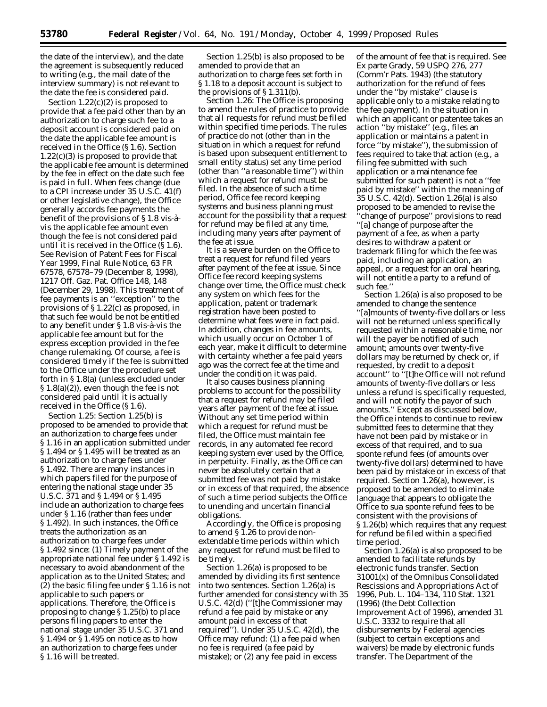the date of the interview), and the date the agreement is subsequently reduced to writing (*e.g.,* the mail date of the interview summary) is not relevant to the date the fee is considered paid.

Section  $1.22(c)(2)$  is proposed to provide that a fee paid other than by an authorization to charge such fee to a deposit account is considered paid on the date the applicable fee amount is received in the Office (§ 1.6). Section  $1.22(c)(3)$  is proposed to provide that the applicable fee amount is determined by the fee in effect on the date such fee is paid in full. When fees change (due to a CPI increase under 35 U.S.C. 41(f) or other legislative change), the Office generally accords fee payments the benefit of the provisions of  $\S 1.8$  vis-àvis the applicable fee amount even though the fee is not considered paid until it is received in the Office (§ 1.6). See Revision of Patent Fees for Fiscal Year 1999, Final Rule Notice, 63 FR 67578, 67578–79 (December 8, 1998), 1217 Off. Gaz. Pat. Office 148, 148 (December 29, 1998). This treatment of fee payments is an ''exception'' to the provisions of § 1.22(c) as proposed, in that such fee would be not be entitled to any benefit under  $\S 1.8$  vis-à-vis the applicable fee amount but for the express exception provided in the fee change rulemaking. Of course, a fee is considered timely if the fee is submitted to the Office under the procedure set forth in § 1.8(a) (unless excluded under § 1.8(a)(2)), even though the fee is not considered paid until it is actually received in the Office (§ 1.6).

*Section 1.25:* Section 1.25(b) is proposed to be amended to provide that an authorization to charge fees under § 1.16 in an application submitted under § 1.494 or § 1.495 will be treated as an authorization to charge fees under § 1.492. There are many instances in which papers filed for the purpose of entering the national stage under 35 U.S.C. 371 and § 1.494 or § 1.495 include an authorization to charge fees under § 1.16 (rather than fees under § 1.492). In such instances, the Office treats the authorization as an authorization to charge fees under § 1.492 since: (1) Timely payment of the appropriate national fee under § 1.492 is necessary to avoid abandonment of the application as to the United States; and (2) the basic filing fee under § 1.16 is not applicable to such papers or applications. Therefore, the Office is proposing to change § 1.25(b) to place persons filing papers to enter the national stage under 35 U.S.C. 371 and § 1.494 or § 1.495 on notice as to how an authorization to charge fees under § 1.16 will be treated.

Section 1.25(b) is also proposed to be amended to provide that an authorization to charge fees set forth in § 1.18 to a deposit account is subject to the provisions of § 1.311(b).

*Section 1.26:* The Office is proposing to amend the rules of practice to provide that all requests for refund must be filed within specified time periods. The rules of practice do not (other than in the situation in which a request for refund is based upon subsequent entitlement to small entity status) set any time period (other than ''a reasonable time'') within which a request for refund must be filed. In the absence of such a time period, Office fee record keeping systems and business planning must account for the possibility that a request for refund may be filed at any time, including many years after payment of the fee at issue.

It is a severe burden on the Office to treat a request for refund filed years after payment of the fee at issue. Since Office fee record keeping systems change over time, the Office must check any system on which fees for the application, patent or trademark registration have been posted to determine what fees were in fact paid. In addition, changes in fee amounts, which usually occur on October 1 of each year, make it difficult to determine with certainty whether a fee paid years ago was the correct fee at the time and under the condition it was paid.

It also causes business planning problems to account for the possibility that a request for refund may be filed years after payment of the fee at issue. Without any set time period within which a request for refund must be filed, the Office must maintain fee records, in any automated fee record keeping system ever used by the Office, in perpetuity. Finally, as the Office can never be absolutely certain that a submitted fee was not paid by mistake or in excess of that required, the absence of such a time period subjects the Office to unending and uncertain financial obligations.

Accordingly, the Office is proposing to amend § 1.26 to provide nonextendable time periods within which any request for refund must be filed to be timely.

Section 1.26(a) is proposed to be amended by dividing its first sentence into two sentences. Section 1.26(a) is further amended for consistency with 35 U.S.C. 42(d) (''[t]he Commissioner may refund a fee paid by mistake or any amount paid in excess of that required''). Under 35 U.S.C. 42(d), the Office may refund: (1) a fee paid when no fee is required (a fee paid by mistake); or (2) any fee paid in excess

of the amount of fee that is required. See Ex parte Grady, 59 USPQ 276, 277 (Comm'r Pats. 1943) (the statutory authorization for the refund of fees under the ''by mistake'' clause is applicable only to a mistake relating to the fee payment). In the situation in which an applicant or patentee takes an action ''by mistake'' (*e.g.*, files an application or maintains a patent in force ''by mistake''), the submission of fees required to take that action (*e.g.*, a filing fee submitted with such application or a maintenance fee submitted for such patent) is not a ''fee paid by mistake'' within the meaning of 35 U.S.C. 42(d). Section 1.26(a) is also proposed to be amended to revise the 'change of purpose'' provisions to read ''[a] change of purpose after the payment of a fee, as when a party desires to withdraw a patent or trademark filing for which the fee was paid, including an application, an appeal, or a request for an oral hearing, will not entitle a party to a refund of such fee.''

Section 1.26(a) is also proposed to be amended to change the sentence ''[a]mounts of twenty-five dollars or less will not be returned unless specifically requested within a reasonable time, nor will the payer be notified of such amount; amounts over twenty-five dollars may be returned by check or, if requested, by credit to a deposit account'' to ''[t]he Office will not refund amounts of twenty-five dollars or less unless a refund is specifically requested, and will not notify the payor of such amounts.'' Except as discussed below, the Office intends to continue to review submitted fees to determine that they have not been paid by mistake or in excess of that required, and to *sua sponte* refund fees (of amounts over twenty-five dollars) determined to have been paid by mistake or in excess of that required. Section 1.26(a), however, is proposed to be amended to eliminate language that appears to obligate the Office to *sua sponte* refund fees to be consistent with the provisions of § 1.26(b) which requires that any request for refund be filed within a specified time period.

Section 1.26(a) is also proposed to be amended to facilitate refunds by electronic funds transfer. Section 31001(x) of the Omnibus Consolidated Rescissions and Appropriations Act of 1996, Pub. L. 104–134, 110 Stat. 1321 (1996) (the Debt Collection Improvement Act of 1996), amended 31 U.S.C. 3332 to require that all disbursements by Federal agencies (subject to certain exceptions and waivers) be made by electronic funds transfer. The Department of the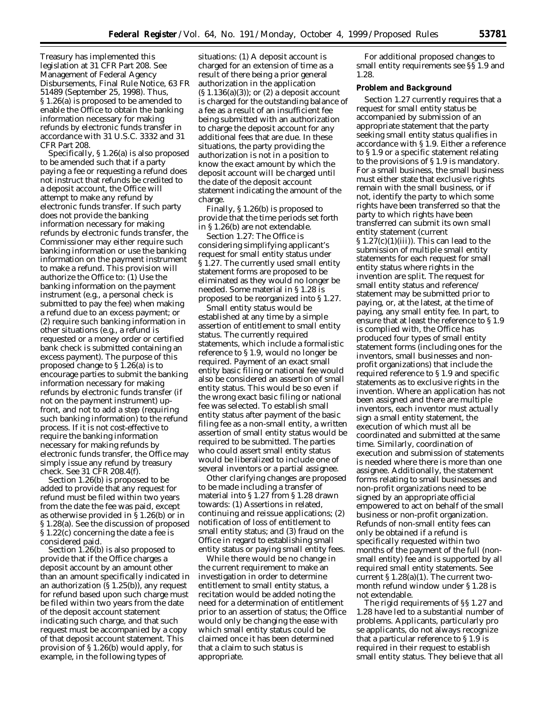Treasury has implemented this legislation at 31 CFR Part 208. See Management of Federal Agency Disbursements, Final Rule Notice, 63 FR 51489 (September 25, 1998). Thus, § 1.26(a) is proposed to be amended to enable the Office to obtain the banking information necessary for making refunds by electronic funds transfer in accordance with 31 U.S.C. 3332 and 31 CFR Part 208.

Specifically, § 1.26(a) is also proposed to be amended such that if a party paying a fee or requesting a refund does not instruct that refunds be credited to a deposit account, the Office will attempt to make any refund by electronic funds transfer. If such party does not provide the banking information necessary for making refunds by electronic funds transfer, the Commissioner may either require such banking information or use the banking information on the payment instrument to make a refund. This provision will authorize the Office to: (1) Use the banking information on the payment instrument (*e.g.*, a personal check is submitted to pay the fee) when making a refund due to an excess payment; or (2) require such banking information in other situations (*e.g.*, a refund is requested or a money order or certified bank check is submitted containing an excess payment). The purpose of this proposed change to § 1.26(a) is to encourage parties to submit the banking information necessary for making refunds by electronic funds transfer (if not on the payment instrument) upfront, and not to add a step (requiring such banking information) to the refund process. If it is not cost-effective to require the banking information necessary for making refunds by electronic funds transfer, the Office may simply issue any refund by treasury check. *See* 31 CFR 208.4(f).

Section 1.26(b) is proposed to be added to provide that any request for refund must be filed within two years from the date the fee was paid, except as otherwise provided in § 1.26(b) or in § 1.28(a). See the discussion of proposed § 1.22(c) concerning the date a fee is considered paid.

Section 1.26(b) is also proposed to provide that if the Office charges a deposit account by an amount other than an amount specifically indicated in an authorization (§ 1.25(b)), any request for refund based upon such charge must be filed within two years from the date of the deposit account statement indicating such charge, and that such request must be accompanied by a copy of that deposit account statement. This provision of § 1.26(b) would apply, for example, in the following types of

situations: (1) A deposit account is charged for an extension of time as a result of there being a prior general authorization in the application  $(S 1.136(a)(3))$ ; or  $(2)$  a deposit account is charged for the outstanding balance of a fee as a result of an insufficient fee being submitted with an authorization to charge the deposit account for any additional fees that are due. In these situations, the party providing the authorization is not in a position to know the exact amount by which the deposit account will be charged until the date of the deposit account statement indicating the amount of the charge.

Finally, § 1.26(b) is proposed to provide that the time periods set forth in § 1.26(b) are not extendable.

*Section 1.27:* The Office is considering simplifying applicant's request for small entity status under § 1.27. The currently used small entity statement forms are proposed to be eliminated as they would no longer be needed. Some material in § 1.28 is proposed to be reorganized into § 1.27.

Small entity status would be established at any time by a simple assertion of entitlement to small entity status. The currently required statements, which include a formalistic reference to § 1.9, would no longer be required. Payment of an exact small entity basic filing or national fee would also be considered an assertion of small entity status. This would be so even if the wrong exact basic filing or national fee was selected. To establish small entity status after payment of the basic filing fee as a non-small entity, a written assertion of small entity status would be required to be submitted. The parties who could assert small entity status would be liberalized to include one of several inventors or a partial assignee.

Other clarifying changes are proposed to be made including a transfer of material into § 1.27 from § 1.28 drawn towards: (1) Assertions in related, continuing and reissue applications; (2) notification of loss of entitlement to small entity status; and (3) fraud on the Office in regard to establishing small entity status or paying small entity fees.

While there would be no change in the current requirement to make an investigation in order to determine entitlement to small entity status, a recitation would be added noting the need for a determination of entitlement prior to an assertion of status; the Office would only be changing the ease with which small entity status could be claimed once it has been determined that a claim to such status is appropriate.

For additional proposed changes to small entity requirements see §§ 1.9 and 1.28.

#### **Problem and Background**

Section 1.27 currently requires that a request for small entity status be accompanied by submission of an appropriate statement that the party seeking small entity status qualifies in accordance with § 1.9. Either a reference to § 1.9 or a specific statement relating to the provisions of § 1.9 is mandatory. For a small business, the small business must either state that exclusive rights remain with the small business, or if not, identify the party to which some rights have been transferred so that the party to which rights have been transferred can submit its own small entity statement (current  $\S 1.27(c)(1)(iii)$ . This can lead to the submission of multiple small entity statements for each request for small entity status where rights in the invention are split. The request for small entity status and reference/ statement may be submitted prior to paying, or, at the latest, at the time of paying, any small entity fee. In part, to ensure that at least the reference to § 1.9 is complied with, the Office has produced four types of small entity statement forms (including ones for the inventors, small businesses and nonprofit organizations) that include the required reference to § 1.9 and specific statements as to exclusive rights in the invention. Where an application has not been assigned and there are multiple inventors, each inventor must actually sign a small entity statement, the execution of which must all be coordinated and submitted at the same time. Similarly, coordination of execution and submission of statements is needed where there is more than one assignee. Additionally, the statement forms relating to small businesses and non-profit organizations need to be signed by an appropriate official empowered to act on behalf of the small business or non-profit organization. Refunds of non-small entity fees can only be obtained if a refund is specifically requested within two months of the payment of the full (nonsmall entity) fee and is supported by all required small entity statements. *See* current § 1.28(a)(1). The current twomonth refund window under § 1.28 is not extendable.

The rigid requirements of §§ 1.27 and 1.28 have led to a substantial number of problems. Applicants, particularly *pro se* applicants, do not always recognize that a particular reference to § 1.9 is required in their request to establish small entity status. They believe that all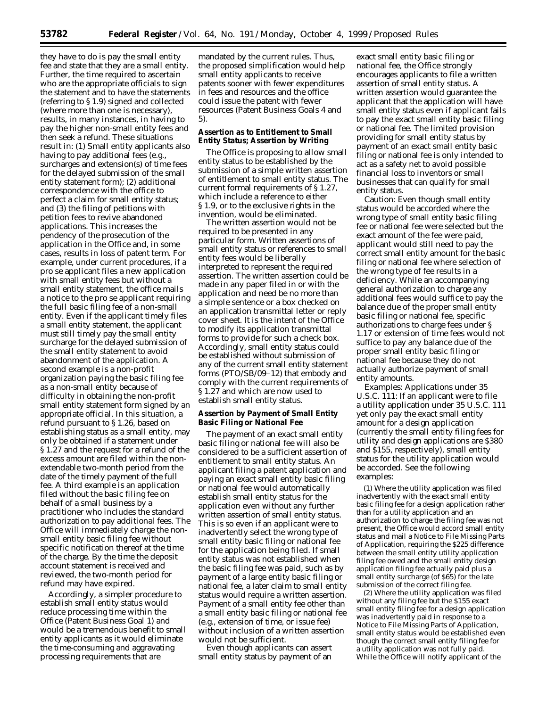they have to do is pay the small entity fee and state that they are a small entity. Further, the time required to ascertain who are the appropriate officials to sign the statement and to have the statements (referring to § 1.9) signed and collected (where more than one is necessary), results, in many instances, in having to pay the higher non-small entity fees and then seek a refund. These situations result in: (1) Small entity applicants also having to pay additional fees (*e.g.,* surcharges and extension(s) of time fees for the delayed submission of the small entity statement form); (2) additional correspondence with the office to perfect a claim for small entity status; and (3) the filing of petitions with petition fees to revive abandoned applications. This increases the pendency of the prosecution of the application in the Office and, in some cases, results in loss of patent term. For example, under current procedures, if a *pro se* applicant files a new application with small entity fees but without a small entity statement, the office mails a notice to the *pro se* applicant requiring the full basic filing fee of a non-small entity. Even if the applicant timely files a small entity statement, the applicant must still timely pay the small entity surcharge for the delayed submission of the small entity statement to avoid abandonment of the application. A second example is a non-profit organization paying the basic filing fee as a non-small entity because of difficulty in obtaining the non-profit small entity statement form signed by an appropriate official. In this situation, a refund pursuant to § 1.26, based on establishing status as a small entity, may only be obtained if a statement under § 1.27 and the request for a refund of the excess amount are filed within the nonextendable two-month period from the date of the timely payment of the full fee. A third example is an application filed without the basic filing fee on behalf of a small business by a practitioner who includes the standard authorization to pay additional fees. The Office will immediately charge the nonsmall entity basic filing fee without specific notification thereof at the time of the charge. By the time the deposit account statement is received and reviewed, the two-month period for refund may have expired.

Accordingly, a simpler procedure to establish small entity status would reduce processing time within the Office (Patent Business Goal 1) and would be a tremendous benefit to small entity applicants as it would eliminate the time-consuming and aggravating processing requirements that are

mandated by the current rules. Thus, the proposed simplification would help small entity applicants to receive patents sooner with fewer expenditures in fees and resources and the office could issue the patent with fewer resources (Patent Business Goals 4 and 5).

## **Assertion as to Entitlement to Small Entity Status; Assertion by Writing**

The Office is proposing to allow small entity status to be established by the submission of a simple written assertion of entitlement to small entity status. The current formal requirements of § 1.27, which include a reference to either § 1.9, or to the exclusive rights in the invention, would be eliminated.

The written assertion would not be required to be presented in any particular form. Written assertions of small entity status or references to small entity fees would be liberally interpreted to represent the required assertion. The written assertion could be made in any paper filed in or with the application and need be no more than a simple sentence or a box checked on an application transmittal letter or reply cover sheet. It is the intent of the Office to modify its application transmittal forms to provide for such a check box. Accordingly, small entity status could be established without submission of any of the current small entity statement forms (PTO/SB/09–12) that embody and comply with the current requirements of § 1.27 and which are now used to establish small entity status.

## **Assertion by Payment of Small Entity Basic Filing or National Fee**

The payment of an exact small entity basic filing or national fee will also be considered to be a sufficient assertion of entitlement to small entity status. An applicant filing a patent application and paying an exact small entity basic filing or national fee would automatically establish small entity status for the application even without any further written assertion of small entity status. This is so even if an applicant were to inadvertently select the wrong type of small entity basic filing or national fee for the application being filed. If small entity status was not established when the basic filing fee was paid, such as by payment of a large entity basic filing or national fee, a later claim to small entity status would require a written assertion. Payment of a small entity fee other than a small entity basic filing or national fee (*e.g.,* extension of time, or issue fee) without inclusion of a written assertion would not be sufficient.

Even though applicants can assert small entity status by payment of an

exact small entity basic filing or national fee, the Office strongly encourages applicants to file a written assertion of small entity status. A written assertion would guarantee the applicant that the application will have small entity status even if applicant fails to pay the exact small entity basic filing or national fee. The limited provision providing for small entity status by payment of an exact small entity basic filing or national fee is only intended to act as a safety net to avoid possible financial loss to inventors or small businesses that can qualify for small entity status.

Caution: Even though small entity status would be accorded where the wrong type of small entity basic filing fee or national fee were selected but the exact amount of the fee were paid, applicant would still need to pay the correct small entity amount for the basic filing or national fee where selection of the wrong type of fee results in a deficiency. While an accompanying *general* authorization to charge any additional fees would suffice to pay the balance due of the proper small entity basic filing or national fee, *specific* authorizations to charge fees under § 1.17 or extension of time fees would not suffice to pay any balance due of the proper small entity basic filing or national fee because they do not actually authorize payment of small entity amounts.

*Examples: Applications under 35 U.S.C. 111:* If an applicant were to file a utility application under 35 U.S.C. 111 yet only pay the exact small entity amount for a design application (currently the small entity filing fees for utility and design applications are \$380 and \$155, respectively), small entity status for the utility application would be accorded. See the following examples:

(1) Where the utility application was filed inadvertently with the exact small entity basic filing fee for a design application rather than for a utility application and an authorization to charge the filing fee was not present, the Office would accord small entity status and mail a Notice to File Missing Parts of Application, requiring the \$225 difference between the small entity utility application filing fee owed and the small entity design application filing fee actually paid plus a small entity surcharge (of \$65) for the late submission of the correct filing fee.

(2) Where the utility application was filed without any filing fee but the \$155 exact small entity filing fee for a design application was inadvertently paid in response to a Notice to File Missing Parts of Application, small entity status would be established even though the correct small entity filing fee for a utility application was not fully paid. While the Office will notify applicant of the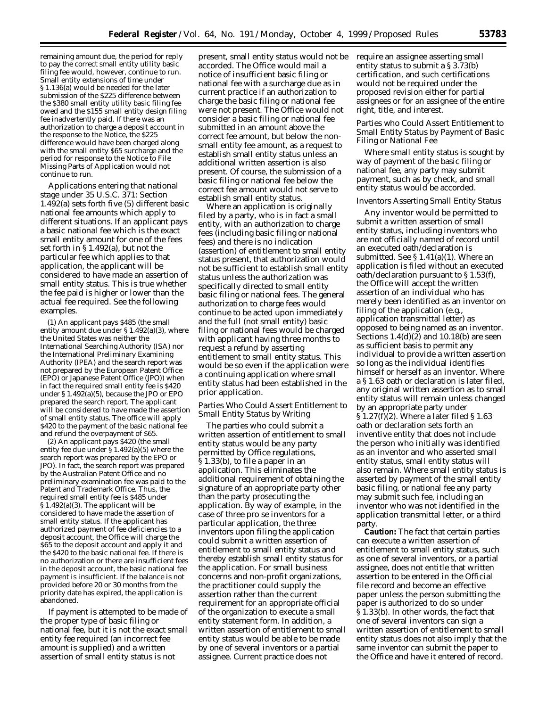remaining amount due, the period for reply to pay the correct small entity utility basic filing fee would, however, continue to run. Small entity extensions of time under § 1.136(a) would be needed for the later submission of the \$225 difference between the \$380 small entity utility basic filing fee owed and the \$155 small entity design filing fee inadvertently paid. If there was an authorization to charge a deposit account in the response to the Notice, the \$225 difference would have been charged along with the small entity \$65 surcharge and the period for response to the Notice to File Missing Parts of Application would not continue to run.

*Applications entering that national stage under 35 U.S.C. 371:* Section 1.492(a) sets forth five (5) different basic national fee amounts which apply to different situations. If an applicant pays a basic national fee which is the exact small entity amount for one of the fees set forth in § 1.492(a), but not the particular fee which applies to that application, the applicant will be considered to have made an assertion of small entity status. This is true whether the fee paid is higher or lower than the actual fee required. See the following examples.

(1) An applicant pays \$485 (the small entity amount due under § 1.492(a)(3), where the United States was neither the International Searching Authority (ISA) nor the International Preliminary Examining Authority (IPEA) and the search report was not prepared by the European Patent Office (EPO) or Japanese Patent Office (JPO)) when in fact the required small entity fee is \$420 under § 1.492(a)(5), because the JPO or EPO prepared the search report. The applicant will be considered to have made the assertion of small entity status. The office will apply \$420 to the payment of the basic national fee and refund the overpayment of \$65.

(2) An applicant pays \$420 (the small entity fee due under § 1.492(a)(5) where the search report was prepared by the EPO or JPO). In fact, the search report was prepared by the Australian Patent Office and no preliminary examination fee was paid to the Patent and Trademark Office. Thus, the required small entity fee is \$485 under § 1.492(a)(3). The applicant will be considered to have made the assertion of small entity status. If the applicant has authorized payment of fee deficiencies to a deposit account, the Office will charge the \$65 to the deposit account and apply it and the \$420 to the basic national fee. If there is no authorization or there are insufficient fees in the deposit account, the basic national fee payment is insufficient. If the balance is not provided before 20 or 30 months from the priority date has expired, the application is abandoned.

If payment is attempted to be made of the proper type of basic filing or national fee, but it is not the exact small entity fee required (an incorrect fee amount is supplied) and a written assertion of small entity status is not

present, small entity status would not be accorded. The Office would mail a notice of insufficient basic filing or national fee with a surcharge due as in current practice if an authorization to charge the basic filing or national fee were not present. The Office would not consider a basic filing or national fee submitted in an amount above the correct fee amount, but below the nonsmall entity fee amount, as a request to establish small entity status unless an additional written assertion is also present. Of course, the submission of a basic filing or national fee below the correct fee amount would not serve to establish small entity status.

Where an application is originally filed by a party, who is in fact a small entity, with an authorization to charge fees (including basic filing or national fees) and there is no indication (assertion) of entitlement to small entity status present, that authorization would not be sufficient to establish small entity status unless the authorization was specifically directed to *small entity* basic filing or national fees. The general authorization to charge fees would continue to be acted upon immediately and the full (not small entity) basic filing or national fees would be charged with applicant having three months to request a refund by asserting entitlement to small entity status. This would be so even if the application were a continuing application where small entity status had been established in the prior application.

#### *Parties Who Could Assert Entitlement to Small Entity Status by Writing*

The parties who could submit a written assertion of entitlement to small entity status would be any party permitted by Office regulations, § 1.33(b), to file a paper in an application. This eliminates the additional requirement of obtaining the signature of an appropriate party other than the party prosecuting the application. By way of example, in the case of three *pro se* inventors for a particular application, the three inventors upon filing the application could submit a written assertion of entitlement to small entity status and thereby establish small entity status for the application. For small business concerns and non-profit organizations, the practitioner could supply the assertion rather than the current requirement for an appropriate official of the organization to execute a small entity statement form. In addition, a written assertion of entitlement to small entity status would be able to be made by one of several inventors or a partial assignee. Current practice does not

require an assignee asserting small entity status to submit a § 3.73(b) certification, and such certifications would not be required under the proposed revision either for partial assignees or for an assignee of the entire right, title, and interest.

## *Parties who Could Assert Entitlement to Small Entity Status by Payment of Basic Filing or National Fee*

Where small entity status is sought by way of payment of the basic filing or national fee, any party may submit payment, such as by check, and small entity status would be accorded.

#### *Inventors Asserting Small Entity Status*

Any inventor would be permitted to submit a written assertion of small entity status, including inventors who are not officially named of record until an executed oath/declaration is submitted. *See* § 1.41(a)(1). Where an application is filed without an executed oath/declaration pursuant to § 1.53(f), the Office will accept the written assertion of an individual who has merely been identified as an inventor on filing of the application (*e.g.,* application transmittal letter) as opposed to being named as an inventor. Sections  $1.4(d)(2)$  and  $10.18(b)$  are seen as sufficient basis to permit any individual to provide a written assertion so long as the individual identifies himself or herself as an inventor. Where a § 1.63 oath or declaration is later filed, any original written assertion as to small entity status will remain unless changed by an appropriate party under § 1.27(f)(2). Where a later filed § 1.63 oath or declaration sets forth an inventive entity that does not include the person who initially was identified as an inventor and who asserted small entity status, small entity status will also remain. Where small entity status is asserted by payment of the small entity basic filing, or national fee any party may submit such fee, including an inventor who was not identified in the application transmittal letter, or a third party.

**Caution:** The fact that certain parties can execute a written assertion of entitlement to small entity status, such as one of several inventors, or a partial assignee, does not entitle that written assertion to be entered in the Official file record and become an effective paper unless the person submitting the paper is authorized to do so under § 1.33(b). In other words, the fact that one of several inventors can sign a written assertion of entitlement to small entity status does not also imply that the same inventor can submit the paper to the Office and have it entered of record.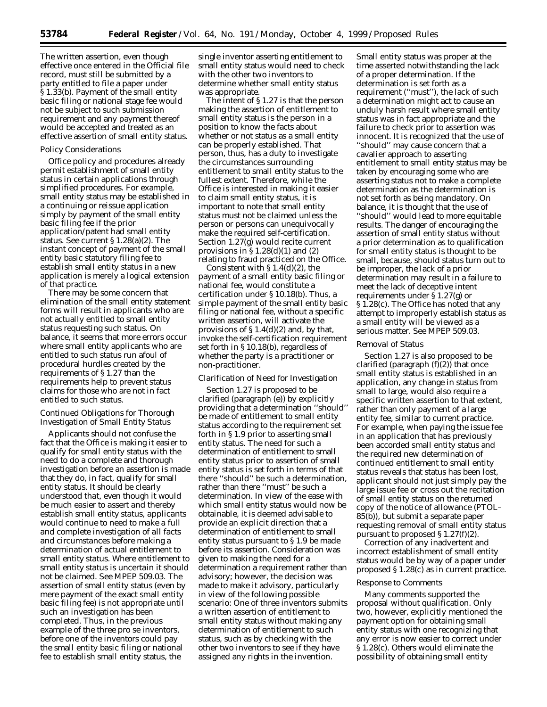The written assertion, even though effective once entered in the Official file record, must still be submitted by a party entitled to file a paper under § 1.33(b). Payment of the small entity basic filing or national stage fee would not be subject to such submission requirement and any payment thereof would be accepted and treated as an effective assertion of small entity status.

#### *Policy Considerations*

Office policy and procedures already permit establishment of small entity status in certain applications through simplified procedures. For example, small entity status may be established in a continuing or reissue application simply by payment of the small entity basic filing fee if the prior application/patent had small entity status. *See* current § 1.28(a)(2). The instant concept of payment of the small entity basic statutory filing fee to establish small entity status in a new application is merely a logical extension of that practice.

There may be some concern that elimination of the small entity statement forms will result in applicants who are not actually entitled to small entity status requesting such status. On balance, it seems that more errors occur where small entity applicants who are entitled to such status run afoul of procedural hurdles created by the requirements of § 1.27 than the requirements help to prevent status claims for those who are not in fact entitled to such status.

#### *Continued Obligations for Thorough Investigation of Small Entity Status*

Applicants should not confuse the fact that the Office is making it easier to qualify for small entity status with the need to do a complete and thorough investigation before an assertion is made that they do, in fact, qualify for small entity status. *It should be clearly understood that, even though it would be much easier to assert and thereby establish small entity status, applicants would continue to need to make a full and complete investigation of all facts and circumstances before making a determination of actual entitlement to small entity status. Where entitlement to small entity status is uncertain it should not be claimed.* See MPEP 509.03. The assertion of small entity status (even by mere payment of the exact small entity basic filing fee) is not appropriate until such an investigation has been completed. Thus, in the previous example of the three *pro se* inventors, before one of the inventors could pay the small entity basic filing or national fee to establish small entity status, the

single inventor asserting entitlement to small entity status would need to check with the other two inventors to determine whether small entity status was appropriate.

The intent of § 1.27 is that the person making the assertion of entitlement to small entity status is the person in a position to know the facts about whether or not status as a small entity can be properly established. That person, thus, has a duty to investigate the circumstances surrounding entitlement to small entity status to the fullest extent. Therefore, while the Office is interested in making it easier to claim small entity status, it is important to note that small entity status must not be claimed unless the person or persons can unequivocally make the required self-certification. Section 1.27(g) would recite current provisions in  $\S 1.28(d)(1)$  and  $(2)$ relating to fraud practiced on the Office.

Consistent with  $\S 1.4(d)(2)$ , the payment of a small entity basic filing or national fee, would constitute a certification under § 10.18(b). Thus, a simple payment of the small entity basic filing or national fee, without a specific written assertion, will activate the provisions of  $\S 1.4(d)(2)$  and, by that, invoke the self-certification requirement set forth in § 10.18(b), regardless of whether the party is a practitioner or non-practitioner.

#### *Clarification of Need for Investigation*

Section 1.27 is proposed to be clarified (paragraph (e)) by explicitly providing that a determination ''should'' be made of entitlement to small entity status according to the requirement set forth in § 1.9 prior to asserting small entity status. The need for such a determination of entitlement to small entity status prior to assertion of small entity status is set forth in terms of that there ''should'' be such a determination, rather than there ''must'' be such a determination. In view of the ease with which small entity status would now be obtainable, it is deemed advisable to provide an explicit direction that a determination of entitlement to small entity status pursuant to § 1.9 be made before its assertion. Consideration was given to making the need for a determination a requirement rather than advisory; however, the decision was made to make it advisory, particularly in view of the following possible scenario: One of three inventors submits a written assertion of entitlement to small entity status without making any determination of entitlement to such status, such as by checking with the other two inventors to see if they have assigned any rights in the invention.

Small entity status was proper at the time asserted notwithstanding the lack of a proper determination. If the determination is set forth as a requirement (''must''), the lack of such a determination might act to cause an unduly harsh result where small entity status was in fact appropriate and the failure to check prior to assertion was innocent. It is recognized that the use of ''should'' may cause concern that a cavalier approach to asserting entitlement to small entity status may be taken by encouraging some who are asserting status not to make a complete determination as the determination is not set forth as being mandatory. On balance, it is thought that the use of ''should'' would lead to more equitable results. The danger of encouraging the assertion of small entity status without a prior determination as to qualification for small entity status is thought to be small, because, should status turn out to be improper, the lack of a prior determination may result in a failure to meet the lack of deceptive intent requirements under § 1.27(g) or § 1.28(c). The Office has noted that any attempt to improperly establish status as a small entity will be viewed as a serious matter. *See* MPEP 509.03.

#### *Removal of Status*

Section 1.27 is also proposed to be clarified (paragraph  $(f)(2)$ ) that once small entity status is established in an application, any change in status from small to large, would also require a specific written assertion to that extent, rather than only payment of a large entity fee, similar to current practice. For example, when paying the issue fee in an application that has previously been accorded small entity status and the required new determination of continued entitlement to small entity status reveals that status has been lost, applicant should not just simply pay the large issue fee or cross out the recitation of small entity status on the returned copy of the notice of allowance (PTOL– 85(b)), but submit a separate paper requesting removal of small entity status pursuant to proposed  $\S 1.27(f)(2)$ .

Correction of any inadvertent and incorrect establishment of small entity status would be by way of a paper under proposed § 1.28(c) as in current practice.

#### *Response to Comments*

Many comments supported the proposal without qualification. Only two, however, explicitly mentioned the payment option for obtaining small entity status with one recognizing that any error is now easier to correct under § 1.28(c). Others would eliminate the possibility of obtaining small entity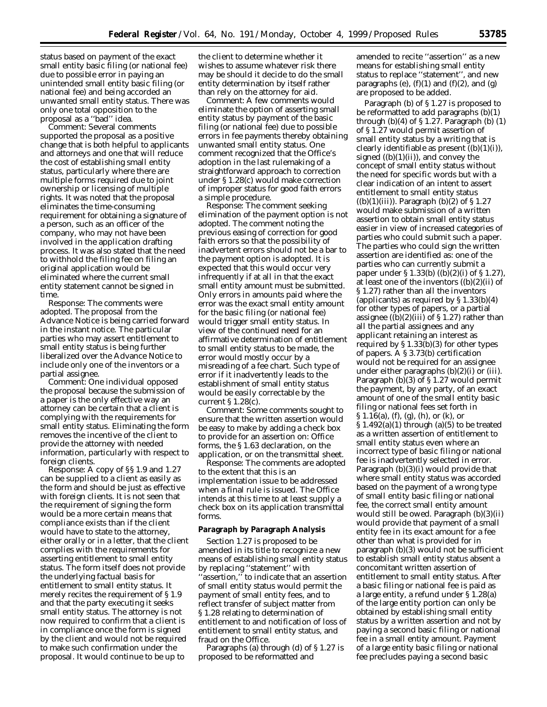status based on payment of the exact small entity basic filing (or national fee) due to possible error in paying an unintended small entity basic filing (or national fee) and being accorded an unwanted small entity status. There was only one total opposition to the proposal as a ''bad'' idea.

*Comment:* Several comments supported the proposal as a positive change that is both helpful to applicants and attorneys and one that will reduce the cost of establishing small entity status, particularly where there are multiple forms required due to joint ownership or licensing of multiple rights. It was noted that the proposal eliminates the time-consuming requirement for obtaining a signature of a person, such as an officer of the company, who may not have been involved in the application drafting process. It was also stated that the need to withhold the filing fee on filing an original application would be eliminated where the current small entity statement cannot be signed in time.

*Response:* The comments were adopted. The proposal from the Advance Notice is being carried forward in the instant notice. The particular parties who may assert entitlement to small entity status is being further liberalized over the Advance Notice to include only one of the inventors or a partial assignee.

*Comment:* One individual opposed the proposal because the submission of a paper is the only effective way an attorney can be certain that a client is complying with the requirements for small entity status. Eliminating the form removes the incentive of the client to provide the attorney with needed information, particularly with respect to foreign clients.

*Response:* A copy of §§ 1.9 and 1.27 can be supplied to a client as easily as the form and should be just as effective with foreign clients. It is not seen that the requirement of signing the form would be a more certain means that compliance exists than if the client would have to state to the attorney, either orally or in a letter, that the client complies with the requirements for asserting entitlement to small entity status. The form itself does not provide the underlying factual basis for entitlement to small entity status. It merely recites the requirement of § 1.9 and that the party executing it seeks small entity status. The attorney is not now required to confirm that a client is in compliance once the form is signed by the client and would not be required to make such confirmation under the proposal. It would continue to be up to

the client to determine whether it wishes to assume whatever risk there may be should it decide to do the small entity determination by itself rather than rely on the attorney for aid.

*Comment:* A few comments would eliminate the option of asserting small entity status by payment of the basic filing (or national fee) due to possible errors in fee payments thereby obtaining unwanted small entity status. One comment recognized that the Office's adoption in the last rulemaking of a straightforward approach to correction under § 1.28(c) would make correction of improper status for good faith errors a simple procedure.

*Response:* The comment seeking elimination of the payment option is not adopted. The comment noting the previous easing of correction for good faith errors so that the possibility of inadvertent errors should not be a bar to the payment option is adopted. It is expected that this would occur very infrequently if at all in that the exact small entity amount must be submitted. Only errors in amounts paid where the error was the exact small entity amount for the basic filing (or national fee) would trigger small entity status. In view of the continued need for an affirmative determination of entitlement to small entity status to be made, the error would mostly occur by a misreading of a fee chart. Such type of error if it inadvertently leads to the establishment of small entity status would be easily correctable by the current § 1.28(c).

*Comment:* Some comments sought to ensure that the written assertion would be easy to make by adding a check box to provide for an assertion on: Office forms, the § 1.63 declaration, on the application, or on the transmittal sheet.

*Response:* The comments are adopted to the extent that this is an implementation issue to be addressed when a final rule is issued. The Office intends at this time to at least supply a check box on its application transmittal forms.

#### **Paragraph by Paragraph Analysis**

Section 1.27 is proposed to be amended in its title to recognize a new means of establishing small entity status by replacing ''statement'' with ''assertion,'' to indicate that an assertion of small entity status would permit the payment of small entity fees, and to reflect transfer of subject matter from § 1.28 relating to determination of entitlement to and notification of loss of entitlement to small entity status, and fraud on the Office.

Paragraphs (a) through (d) of § 1.27 is proposed to be reformatted and

amended to recite ''assertion'' as a new means for establishing small entity status to replace ''statement'', and new paragraphs (e),  $(f)(1)$  and  $(f)(2)$ , and  $(g)$ are proposed to be added.

Paragraph (b) of § 1.27 is proposed to be reformatted to add paragraphs (b)(1) through  $(b)(4)$  of § 1.27. Paragraph  $(b)(1)$ of § 1.27 would permit assertion of small entity status by a writing that is clearly identifiable as present  $((b)(1)(i)),$ signed  $((b)(1)(ii))$ , and convey the concept of small entity status without the need for specific words but with a clear indication of an intent to assert entitlement to small entity status  $((b)(1)(iii))$ . Paragraph  $(b)(2)$  of  $\S 1.27$ would make submission of a written assertion to obtain small entity status easier in view of increased categories of parties who could submit such a paper. The parties who could sign the written assertion are identified as: one of the parties who can currently submit a paper under § 1.33(b) ((b)(2)(i) of § 1.27), at least one of the inventors  $((b)(2)(ii)$  of § 1.27) rather than all the inventors (applicants) as required by  $\S 1.33(b)(4)$ for other types of papers, or a partial assignee  $(\overline{b})(2)(iii)$  of § 1.27) rather than all the partial assignees and any applicant retaining an interest as required by  $\S 1.33(b)(3)$  for other types of papers. A § 3.73(b) certification would not be required for an assignee under either paragraphs (b)(2)(i) or (iii). Paragraph (b)(3) of § 1.27 would permit the payment, by any party, of an exact amount of one of the small entity basic filing or national fees set forth in  $\S 1.16(a)$ , (f), (g), (h), or (k), or  $\S 1.492(a)(1)$  through (a)(5) to be treated as a written assertion of entitlement to small entity status even where an incorrect type of basic filing or national fee is inadvertently selected in error. Paragraph (b)(3)(i) would provide that where small entity status was accorded based on the payment of a wrong type of small entity basic filing or national fee, the correct small entity amount would still be owed. Paragraph (b)(3)(ii) would provide that payment of a small entity fee in its exact amount for a fee other than what is provided for in paragraph (b)(3) would not be sufficient to establish small entity status absent a concomitant written assertion of entitlement to small entity status. After a basic filing or national fee is paid as a large entity, a refund under § 1.28(a) of the large entity portion can only be obtained by establishing small entity status by a written assertion and not by paying a second basic filing or national fee in a small entity amount. Payment of a large entity basic filing or national fee precludes paying a second basic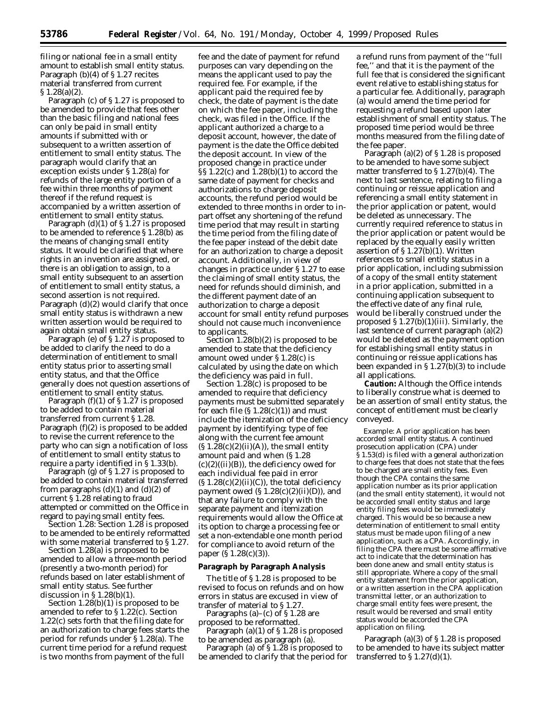filing or national fee in a small entity amount to establish small entity status. Paragraph (b)(4) of § 1.27 recites material transferred from current § 1.28(a)(2).

Paragraph (c) of § 1.27 is proposed to be amended to provide that fees other than the basic filing and national fees can only be paid in small entity amounts if submitted with or subsequent to a written assertion of entitlement to small entity status. The paragraph would clarify that an exception exists under § 1.28(a) for refunds of the large entity portion of a fee within three months of payment thereof if the refund request is accompanied by a written assertion of entitlement to small entity status.

Paragraph  $(d)(1)$  of §1.27 is proposed to be amended to reference § 1.28(b) as the means of changing small entity status. It would be clarified that where rights in an invention are assigned, or there is an obligation to assign, to a small entity subsequent to an assertion of entitlement to small entity status, a second assertion is not required. Paragraph (d)(2) would clarify that once small entity status is withdrawn a new written assertion would be required to again obtain small entity status.

Paragraph (e) of § 1.27 is proposed to be added to clarify the need to do a determination of entitlement to small entity status prior to asserting small entity status, and that the Office generally does not question assertions of entitlement to small entity status.

Paragraph  $(f)(1)$  of § 1.27 is proposed to be added to contain material transferred from current § 1.28. Paragraph (f)(2) is proposed to be added to revise the current reference to the party who can sign a notification of loss of entitlement to small entity status to require a party identified in § 1.33(b).

Paragraph (g) of § 1.27 is proposed to be added to contain material transferred from paragraphs  $(d)(1)$  and  $(d)(2)$  of current § 1.28 relating to fraud attempted or committed on the Office in regard to paying small entity fees.

*Section 1.28:* Section 1.28 is proposed to be amended to be entirely reformatted with some material transferred to § 1.27.

Section 1.28(a) is proposed to be amended to allow a three-month period (presently a two-month period) for refunds based on later establishment of small entity status. See further discussion in  $\S 1.28(b)(1)$ .

Section 1.28(b)(1) is proposed to be amended to refer to  $\S$  1.22(c). Section 1.22(c) sets forth that the filing date for an authorization to charge fees starts the period for refunds under § 1.28(a). The current time period for a refund request is two months from payment of the full

fee and the date of payment for refund purposes can vary depending on the means the applicant used to pay the required fee. For example, if the applicant paid the required fee by check, the date of payment is the date on which the fee paper, including the check, was filed in the Office. If the applicant authorized a charge to a deposit account, however, the date of payment is the date the Office debited the deposit account. In view of the proposed change in practice under §§ 1.22(c) and 1.28(b)(1) to accord the same date of payment for checks and authorizations to charge deposit accounts, the refund period would be extended to three months in order to inpart offset any shortening of the refund time period that may result in starting the time period from the filing date of the fee paper instead of the debit date for an authorization to charge a deposit account. Additionally, in view of changes in practice under § 1.27 to ease the claiming of small entity status, the need for refunds should diminish, and the different payment date of an authorization to charge a deposit account for small entity refund purposes should not cause much inconvenience to applicants.

Section 1.28(b)(2) is proposed to be amended to state that the deficiency amount owed under § 1.28(c) is calculated by using the date on which the deficiency was paid in full.

Section 1.28(c) is proposed to be amended to require that deficiency payments must be submitted separately for each file  $(S1.28(c)(1))$  and must include the itemization of the deficiency payment by identifying: type of fee along with the current fee amount  $(S 1.28(c)(2)(ii)(A))$ , the small entity amount paid and when (§ 1.28  $(c)(2)((ii)(B))$ , the deficiency owed for each individual fee paid in error  $(S 1.28(c)(2)(ii)(C))$ , the total deficiency payment owed  $(S1.28(c)(2)(ii)(D))$ , and that any failure to comply with the separate payment and itemization requirements would allow the Office at its option to charge a processing fee or set a non-extendable one month period for compliance to avoid return of the paper (§ 1.28(c)(3)).

#### **Paragraph by Paragraph Analysis**

The title of § 1.28 is proposed to be revised to focus on refunds and on how errors in status are excused in view of transfer of material to § 1.27.

Paragraphs (a)–(c) of § 1.28 are proposed to be reformatted.

Paragraph (a)(1) of § 1.28 is proposed to be amended as paragraph (a).

Paragraph (a) of  $\S 1.\overline{2}8$  is proposed to be amended to clarify that the period for a refund runs from payment of the ''full fee,'' and that it is the payment of the full fee that is considered the significant event relative to establishing status for a particular fee. Additionally, paragraph (a) would amend the time period for requesting a refund based upon later establishment of small entity status. The proposed time period would be three months measured from the filing date of the fee paper.

Paragraph (a)(2) of § 1.28 is proposed to be amended to have some subject matter transferred to § 1.27(b)(4). The next to last sentence, relating to filing a continuing or reissue application and referencing a small entity statement in the prior application or patent, would be deleted as unnecessary. The currently required reference to status in the prior application or patent would be replaced by the equally easily written assertion of § 1.27(b)(1). Written references to small entity status in a prior application, including submission of a copy of the small entity statement in a prior application, submitted in a continuing application subsequent to the effective date of any final rule, would be liberally construed under the proposed  $\S 1.27(b)(1)(iii)$ . Similarly, the last sentence of current paragraph (a)(2) would be deleted as the payment option for establishing small entity status in continuing or reissue applications has been expanded in § 1.27(b)(3) to include all applications.

**Caution:** Although the Office intends to liberally construe what is deemed to be an assertion of small entity status, the concept of entitlement must be clearly conveyed.

*Example:* A prior application has been accorded small entity status. A continued prosecution application (CPA) under § 1.53(d) is filed with a general authorization to charge fees that does not state that the fees to be charged are small entity fees. Even though the CPA contains the same application number as its prior application (and the small entity statement), it would not be accorded small entity status and large entity filing fees would be immediately charged. This would be so because a new determination of entitlement to small entity status must be made upon filing of a new application, such as a CPA. Accordingly, in filing the CPA there must be some affirmative act to indicate that the determination has been done anew and small entity status is still appropriate. Where a copy of the small entity statement from the prior application, or a written assertion in the CPA application transmittal letter, or an authorization to charge small entity fees were present, the result would be reversed and small entity status would be accorded the CPA application on filing.

Paragraph (a)(3) of § 1.28 is proposed to be amended to have its subject matter transferred to  $\S 1.27(d)(1)$ .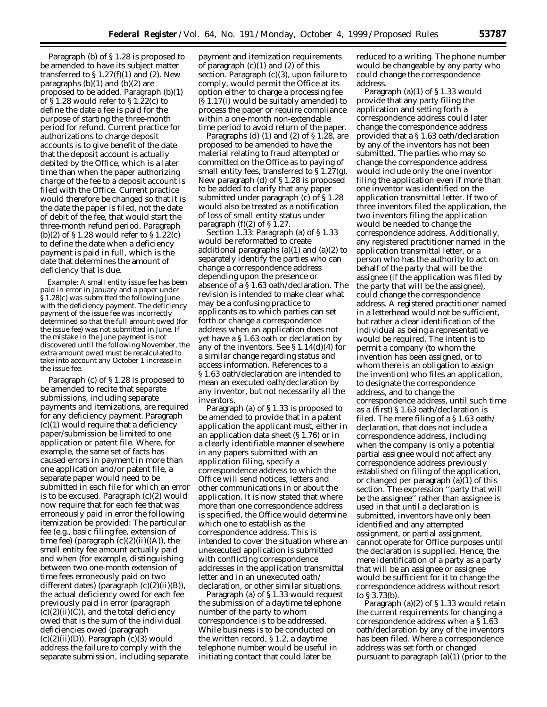Paragraph (b) of § 1.28 is proposed to be amended to have its subject matter transferred to  $\S 1.27(f)(1)$  and (2). New paragraphs  $(b)(1)$  and  $(b)(2)$  are proposed to be added. Paragraph (b)(1) of § 1.28 would refer to § 1.22(c) to define the date a fee is paid for the purpose of starting the three-month period for refund. Current practice for authorizations to charge deposit accounts is to give benefit of the date that the deposit account is actually debited by the Office, which is a later time than when the paper authorizing charge of the fee to a deposit account is filed with the Office. Current practice would therefore be changed so that it is the date the paper is filed, not the date of debit of the fee, that would start the three-month refund period. Paragraph (b)(2) of § 1.28 would refer to § 1.22(c) to define the date when a deficiency payment is paid in full, which is the date that determines the amount of deficiency that is due.

*Example:* A small entity issue fee has been paid in error in January and a paper under § 1.28(c) was submitted the following June with the deficiency payment. The deficiency payment of the issue fee was incorrectly determined so that the full amount owed (for the issue fee) was not submitted in June. If the mistake in the June payment is not discovered until the following November, the extra amount owed must be recalculated to take into account any October 1 increase in the issue fee.

Paragraph (c) of § 1.28 is proposed to be amended to recite that separate submissions, including separate payments and itemizations, are required for any deficiency payment. Paragraph (c)(1) would require that a deficiency paper/submission be limited to one application or patent file. Where, for example, the same set of facts has caused errors in payment in more than one application and/or patent file, a separate paper would need to be submitted in each file for which an error is to be excused. Paragraph (c)(2) would now require that for each fee that was erroneously paid in error the following itemization be provided: The particular fee (*e.g.*, basic filing fee, extension of time fee) (paragraph  $(c)(2)(ii)((A))$ , the small entity fee amount actually paid and when (for example, distinguishing between two one-month extension of time fees erroneously paid on two different dates) (paragraph (c)(2)(ii)(B)), the actual deficiency owed for each fee previously paid in error (paragraph  $(c)(2)(ii)(C)$ , and the total deficiency owed that is the sum of the individual deficiencies owed (paragraph  $(c)(2)(ii)(D))$ . Paragraph  $(c)(3)$  would address the failure to comply with the separate submission, including separate

payment and itemization requirements of paragraph  $(c)(1)$  and  $(2)$  of this section. Paragraph (c)(3), upon failure to comply, would permit the Office at its option either to charge a processing fee (§ 1.17(i) would be suitably amended) to process the paper or require compliance within a one-month non-extendable time period to avoid return of the paper.

Paragraphs (d)  $(1)$  and  $(2)$  of § 1.28, are proposed to be amended to have the material relating to fraud attempted or committed on the Office as to paying of small entity fees, transferred to §1.27(g). New paragraph (d) of § 1.28 is proposed to be added to clarify that any paper submitted under paragraph (c) of § 1.28 would also be treated as a notification of loss of small entity status under paragraph  $(f)(2)$  of  $\frac{5}{1}$ .27.

*Section 1.33:* Paragraph (a) of § 1.33 would be reformatted to create additional paragraphs  $(a)(1)$  and  $(a)(2)$  to separately identify the parties who can change a correspondence address depending upon the presence or absence of a § 1.63 oath/declaration. The revision is intended to make clear what may be a confusing practice to applicants as to which parties can set forth or change a correspondence address when an application does not yet have a § 1.63 oath or declaration by any of the inventors. See § 1.14(d)(4) for a similar change regarding status and access information. References to a § 1.63 oath/declaration are intended to mean an executed oath/declaration by any inventor, but not necessarily all the inventors.

Paragraph (a) of § 1.33 is proposed to be amended to provide that in a patent application the applicant must, either in an application data sheet (§ 1.76) or in a clearly identifiable manner elsewhere in any papers submitted with an application filing, specify a correspondence address to which the Office will send notices, letters and other communications in or about the application. It is now stated that where more than one correspondence address is specified, the Office would determine which one to establish as the correspondence address. This is intended to cover the situation where an unexecuted application is submitted with conflicting correspondence addresses in the application transmittal letter and in an unexecuted oath/ declaration, or other similar situations.

Paragraph (a) of § 1.33 would request the submission of a daytime telephone number of the party to whom correspondence is to be addressed. While business is to be conducted on the written record, § 1.2, a daytime telephone number would be useful in initiating contact that could later be

reduced to a writing. The phone number would be changeable by any party who could change the correspondence address.

Paragraph (a)(1) of § 1.33 would provide that any party filing the application and setting forth a correspondence address could later change the correspondence address provided that a § 1.63 oath/declaration by any of the inventors has not been submitted. The parties who may so change the correspondence address would include only the one inventor filing the application even if more than one inventor was identified on the application transmittal letter. If two of three inventors filed the application, the two inventors filing the application would be needed to change the correspondence address. Additionally, any registered practitioner named in the application transmittal letter, or a person who has the authority to act on behalf of the party that will be the assignee (if the application was filed by the party that will be the assignee), could change the correspondence address. A registered practitioner named in a letterhead would not be sufficient, but rather a clear identification of the individual as being a representative would be required. The intent is to permit a company (to whom the invention has been assigned, or to whom there is an obligation to assign the invention) who files an application, to designate the correspondence address, and to change the correspondence address, until such time as a (first) § 1.63 oath/declaration is filed. The mere filing of a § 1.63 oath/ declaration, that does not include a correspondence address, including when the company is only a potential partial assignee would not affect any correspondence address previously established on filing of the application, or changed per paragraph (a)(1) of this section. The expression ''party that will be the assignee'' rather than assignee is used in that until a declaration is submitted, inventors have only been identified and any attempted assignment, or partial assignment, cannot operate for Office purposes until the declaration is supplied. Hence, the mere identification of a party as a party that will be an assignee or assignee would be sufficient for it to change the correspondence address without resort to § 3.73(b).

Paragraph (a)(2) of § 1.33 would retain the current requirements for changing a correspondence address when a § 1.63 oath/declaration by any of the inventors has been filed. Where a correspondence address was set forth or changed pursuant to paragraph (a)(1) (prior to the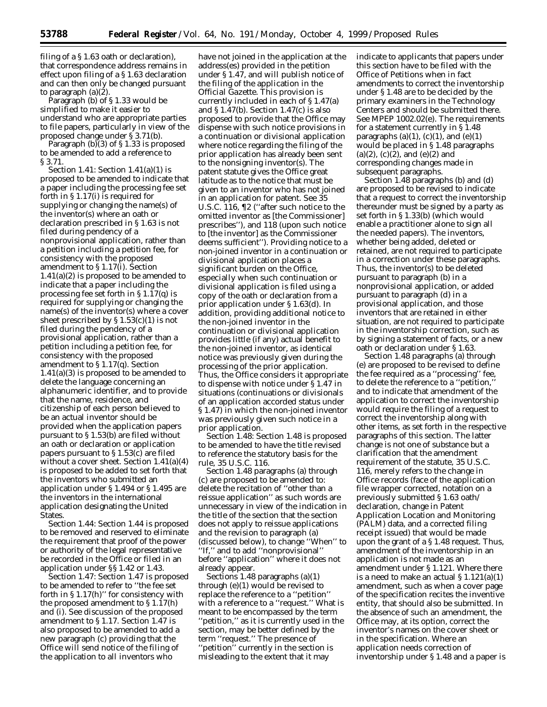filing of a § 1.63 oath or declaration), that correspondence address remains in effect upon filing of a § 1.63 declaration and can then only be changed pursuant to paragraph (a)(2).

Paragraph (b) of § 1.33 would be simplified to make it easier to understand who are appropriate parties to file papers, particularly in view of the proposed change under § 3.71(b).

Paragraph  $(b)(3)$  of § 1.33 is proposed to be amended to add a reference to § 3.71.

*Section 1.41:* Section 1.41(a)(1) is proposed to be amended to indicate that a paper including the processing fee set forth in § 1.17(i) is required for supplying or changing the name(s) of the inventor(s) where an oath or declaration prescribed in § 1.63 is not filed during pendency of a nonprovisional application, rather than a petition including a petition fee, for consistency with the proposed amendment to § 1.17(i). Section 1.41(a)(2) is proposed to be amended to indicate that a paper including the processing fee set forth in § 1.17(q) is required for supplying or changing the name(s) of the inventor(s) where a cover sheet prescribed by  $\S 1.53(c)(1)$  is not filed during the pendency of a provisional application, rather than a petition including a petition fee, for consistency with the proposed amendment to § 1.17(q). Section 1.41(a)(3) is proposed to be amended to delete the language concerning an alphanumeric identifier, and to provide that the name, residence, and citizenship of each person believed to be an actual inventor should be provided when the application papers pursuant to § 1.53(b) are filed without an oath or declaration or application papers pursuant to § 1.53(c) are filed without a cover sheet. Section 1.41(a)(4) is proposed to be added to set forth that the inventors who submitted an application under § 1.494 or § 1.495 are the inventors in the international application designating the United States.

*Section 1.44:* Section 1.44 is proposed to be removed and reserved to eliminate the requirement that proof of the power or authority of the legal representative be recorded in the Office or filed in an application under §§ 1.42 or 1.43.

*Section 1.47:* Section 1.47 is proposed to be amended to refer to ''the fee set forth in  $\S 1.17(h)$ " for consistency with the proposed amendment to § 1.17(h) and (i). See discussion of the proposed amendment to § 1.17. Section 1.47 is also proposed to be amended to add a new paragraph (c) providing that the Office will send notice of the filing of the application to all inventors who

have not joined in the application at the address(es) provided in the petition under § 1.47, and will publish notice of the filing of the application in the *Official Gazette.* This provision is currently included in each of § 1.47(a) and § 1.47(b). Section 1.47(c) is also proposed to provide that the Office may dispense with such notice provisions in a continuation or divisional application where notice regarding the filing of the prior application has already been sent to the nonsigning inventor(s). The patent statute gives the Office great latitude as to the notice that must be given to an inventor who has not joined in an application for patent. *See* 35 U.S.C. 116, ¶2 (''after such notice to the omitted inventor as [the Commissioner] prescribes''), and 118 (upon such notice to [the inventor] as the Commissioner deems sufficient''). Providing notice to a non-joined inventor in a continuation or divisional application places a significant burden on the Office, especially when such continuation or divisional application is filed using a copy of the oath or declaration from a prior application under § 1.63(d). In addition, providing additional notice to the non-joined inventor in the continuation or divisional application provides little (if any) actual benefit to the non-joined inventor, as identical notice was previously given during the processing of the prior application. Thus, the Office considers it appropriate to dispense with notice under § 1.47 in situations (continuations or divisionals of an application accorded status under § 1.47) in which the non-joined inventor was previously given such notice in a prior application.

*Section 1.48:* Section 1.48 is proposed to be amended to have the title revised to reference the statutory basis for the rule, 35 U.S.C. 116.

Section 1.48 paragraphs (a) through (c) are proposed to be amended to: delete the recitation of ''other than a reissue application'' as such words are unnecessary in view of the indication in the title of the section that the section does not apply to reissue applications and the revision to paragraph (a) (discussed below), to change ''When'' to ''If,'' and to add ''nonprovisional'' before ''application'' where it does not already appear.

Sections 1.48 paragraphs (a)(1) through (e)(1) would be revised to replace the reference to a ''petition'' with a reference to a ''request.'' What is meant to be encompassed by the term ''petition,'' as it is currently used in the section, may be better defined by the term "request." The presence of ''petition'' currently in the section is misleading to the extent that it may

indicate to applicants that papers under this section have to be filed with the Office of Petitions when in fact amendments to correct the inventorship under § 1.48 are to be decided by the primary examiners in the Technology Centers and should be submitted there. *See* MPEP 1002.02(e). The requirements for a statement currently in § 1.48 paragraphs (a)(1), (c)(1), and (e)(1) would be placed in § 1.48 paragraphs (a)(2), (c)(2), and (e)(2) and corresponding changes made in subsequent paragraphs.

Section 1.48 paragraphs (b) and (d) are proposed to be revised to indicate that a request to correct the inventorship thereunder must be signed by a party as set forth in § 1.33(b) (which would enable a practitioner alone to sign all the needed papers). The inventors, whether being added, deleted or retained, are not required to participate in a correction under these paragraphs. Thus, the inventor(s) to be deleted pursuant to paragraph (b) in a nonprovisional application, or added pursuant to paragraph (d) in a provisional application, and those inventors that are retained in either situation, are not required to participate in the inventorship correction, such as by signing a statement of facts, or a new oath or declaration under § 1.63.

Section 1.48 paragraphs (a) through (e) are proposed to be revised to define the fee required as a ''processing'' fee, to delete the reference to a ''petition,'' and to indicate that amendment of the application to correct the inventorship would require the filing of a request to correct the inventorship along with other items, as set forth in the respective paragraphs of this section. The latter change is not one of substance but a clarification that the amendment requirement of the statute, 35 U.S.C. 116, merely refers to the change in Office records (face of the application file wrapper corrected, notation on a previously submitted § 1.63 oath/ declaration, change in Patent Application Location and Monitoring (PALM) data, and a corrected filing receipt issued) that would be made upon the grant of a § 1.48 request. Thus, amendment of the inventorship in an application is not made as an amendment under § 1.121. Where there is a need to make an actual  $\S 1.121(a)(1)$ amendment, such as when a cover page of the specification recites the inventive entity, that should also be submitted. In the absence of such an amendment, the Office may, at its option, correct the inventor's names on the cover sheet or in the specification. Where an application needs correction of inventorship under § 1.48 and a paper is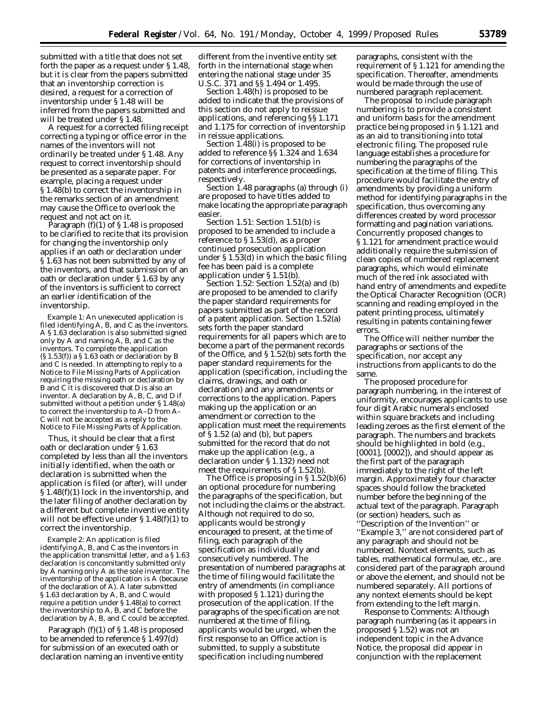submitted with a title that does not set forth the paper as a request under § 1.48, but it is clear from the papers submitted that an inventorship correction is desired, a request for a correction of inventorship under § 1.48 will be inferred from the papers submitted and will be treated under § 1.48.

A request for a corrected filing receipt correcting a typing or office error in the names of the inventors will not ordinarily be treated under § 1.48. Any request to correct inventorship should be presented as a separate paper. For example, placing a request under § 1.48(b) to correct the inventorship in the remarks section of an amendment may cause the Office to overlook the request and not act on it.

Paragraph (f)(1) of § 1.48 is proposed to be clarified to recite that its provision for changing the inventorship only applies if an oath or declaration under § 1.63 has not been submitted by any of the inventors, and that submission of an oath or declaration under § 1.63 by any of the inventors is sufficient to correct an earlier identification of the inventorship.

*Example 1:* An unexecuted application is filed identifying A, B, and C as the inventors. A § 1.63 declaration is also submitted signed only by A and naming A, B, and C as the inventors. To complete the application (§ 1.53(f)) a § 1.63 oath or declaration by B and C is needed. In attempting to reply to a Notice to File Missing Parts of Application requiring the missing oath or declaration by B and C it is discovered that D is also an inventor. A declaration by A, B, C, and D if submitted without a petition under § 1.48(a) to correct the inventorship to A–D from A– C will not be accepted as a reply to the Notice to File Missing Parts of Application.

Thus, it should be clear that a first oath or declaration under § 1.63 completed by less than all the inventors initially identified, when the oath or declaration is submitted when the application is filed (or after), will under § 1.48(f)(1) lock in the inventorship, and the later filing of another declaration by a different but complete inventive entity will not be effective under § 1.48(f)(1) to correct the inventorship.

*Example 2:* An application is filed identifying A, B, and C as the inventors in the application transmittal letter, and a § 1.63 declaration is concomitantly submitted only by A naming only A as the sole inventor. The inventorship of the application is A (because of the declaration of A). A later submitted § 1.63 declaration by A, B, and C would require a petition under § 1.48(a) to correct the inventorship to A, B, and C before the declaration by A, B, and C could be accepted.

Paragraph (f)(1) of § 1.48 is proposed to be amended to reference § 1.497(d) for submission of an executed oath or declaration naming an inventive entity different from the inventive entity set forth in the international stage when entering the national stage under 35 U.S.C. 371 and §§ 1.494 or 1.495.

Section 1.48(h) is proposed to be added to indicate that the provisions of this section do not apply to reissue applications, and referencing §§ 1.171 and 1.175 for correction of inventorship in reissue applications.

Section 1.48(i) is proposed to be added to reference §§ 1.324 and 1.634 for corrections of inventorship in patents and interference proceedings, respectively.

Section 1.48 paragraphs (a) through (i) are proposed to have titles added to make locating the appropriate paragraph easier.

*Section 1.51:* Section 1.51(b) is proposed to be amended to include a reference to § 1.53(d), as a proper continued prosecution application under § 1.53(d) in which the basic filing fee has been paid is a complete application under § 1.51(b).

*Section 1.52:* Section 1.52(a) and (b) are proposed to be amended to clarify the paper standard requirements for papers submitted as part of the record of a patent application. Section 1.52(a) sets forth the paper standard requirements for all papers which are to become a part of the permanent records of the Office, and § 1.52(b) sets forth the paper standard requirements for the application (specification, including the claims, drawings, and oath or declaration) and any amendments or corrections to the application. Papers making up the application or an amendment or correction to the application must meet the requirements of § 1.52 (a) and (b), but papers submitted for the record that do not make up the application (*e.g.,* a declaration under § 1.132) need not meet the requirements of § 1.52(b).

The Office is proposing in § 1.52(b)(6) an optional procedure for numbering the paragraphs of the specification, but not including the claims or the abstract. Although not required to do so, applicants would be strongly encouraged to present, at the time of filing, each paragraph of the specification as individually and consecutively numbered. The presentation of numbered paragraphs at the time of filing would facilitate the entry of amendments (in compliance with proposed § 1.121) during the prosecution of the application. If the paragraphs of the specification are not numbered at the time of filing, applicants would be urged, when the first response to an Office action is submitted, to supply a substitute specification including numbered

paragraphs, consistent with the requirement of § 1.121 for amending the specification. Thereafter, amendments would be made through the use of numbered paragraph replacement.

The proposal to include paragraph numbering is to provide a consistent and uniform basis for the amendment practice being proposed in § 1.121 and as an aid to transitioning into total electronic filing. The proposed rule language establishes a procedure for numbering the paragraphs of the specification at the time of filing. This procedure would facilitate the entry of amendments by providing a uniform method for identifying paragraphs in the specification, thus overcoming any differences created by word processor formatting and pagination variations. Concurrently proposed changes to § 1.121 for amendment practice would additionally require the submission of clean copies of numbered replacement paragraphs, which would eliminate much of the red ink associated with hand entry of amendments and expedite the Optical Character Recognition (OCR) scanning and reading employed in the patent printing process, ultimately resulting in patents containing fewer errors.

The Office will neither number the paragraphs or sections of the specification, nor accept any instructions from applicants to do the same.

The proposed procedure for paragraph numbering, in the interest of uniformity, encourages applicants to use four digit Arabic numerals enclosed within square brackets and including leading zeroes as the first element of the paragraph. The numbers and brackets should be highlighted in bold (*e.g.,* [0001], [0002]), and should appear as the first part of the paragraph immediately to the right of the left margin. Approximately four character spaces should follow the bracketed number before the beginning of the actual text of the paragraph. Paragraph (or section) headers, such as ''Description of the Invention'' or ''Example 3,'' are not considered part of any paragraph and should not be numbered. Nontext elements, such as tables, mathematical formulae, etc., are considered part of the paragraph around or above the element, and should not be numbered separately. All portions of any nontext elements should be kept from extending to the left margin.

*Response to Comments:* Although paragraph numbering (as it appears in proposed § 1.52) was not an independent topic in the Advance Notice, the proposal did appear in conjunction with the replacement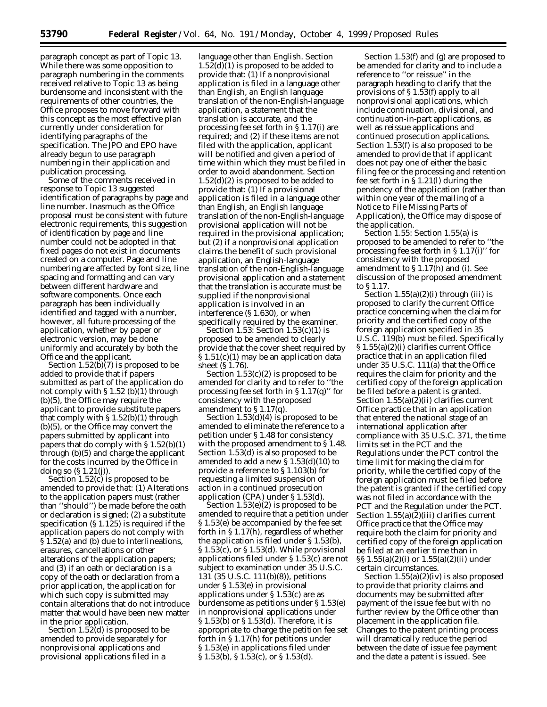paragraph concept as part of Topic 13. While there was some opposition to paragraph numbering in the comments received relative to Topic 13 as being burdensome and inconsistent with the requirements of other countries, the Office proposes to move forward with this concept as the most effective plan currently under consideration for identifying paragraphs of the specification. The JPO and EPO have already begun to use paragraph numbering in their application and publication processing.

Some of the comments received in response to Topic 13 suggested identification of paragraphs by page and line number. Inasmuch as the Office proposal must be consistent with future electronic requirements, this suggestion of identification by page and line number could not be adopted in that fixed pages do not exist in documents created on a computer. Page and line numbering are affected by font size, line spacing and formatting and can vary between different hardware and software components. Once each paragraph has been individually identified and tagged with a number, however, all future processing of the application, whether by paper or electronic version, may be done uniformly and accurately by both the Office and the applicant.

Section  $1.52(b)(7)$  is proposed to be added to provide that if papers submitted as part of the application do not comply with § 1.52 (b)(1) through (b)(5), the Office may require the applicant to provide substitute papers that comply with § 1.52(b)(1) through (b)(5), or the Office may convert the papers submitted by applicant into papers that do comply with § 1.52(b)(1) through (b)(5) and charge the applicant for the costs incurred by the Office in doing so (§ 1.21(j)).

Section 1.52(c) is proposed to be amended to provide that: (1) Alterations to the application papers must (rather than ''should'') be made before the oath or declaration is signed; (2) a substitute specification (§ 1.125) is required if the application papers do not comply with § 1.52(a) and (b) due to interlineations, erasures, cancellations or other alterations of the application papers; and (3) if an oath or declaration is a copy of the oath or declaration from a prior application, the application for which such copy is submitted may contain alterations that do not introduce matter that would have been new matter in the prior application.

Section 1.52(d) is proposed to be amended to provide separately for nonprovisional applications and provisional applications filed in a

language other than English. Section  $1.52(d)(1)$  is proposed to be added to provide that: (1) If a nonprovisional application is filed in a language other than English, an English language translation of the non-English-language application, a statement that the translation is accurate, and the processing fee set forth in § 1.17(i) are required; and (2) if these items are not filed with the application, applicant will be notified and given a period of time within which they must be filed in order to avoid abandonment. Section  $1.52(d)(2)$  is proposed to be added to provide that: (1) If a provisional application is filed in a language other than English, an English language translation of the non-English-language provisional application will not be required in the provisional application; but (2) if a nonprovisional application claims the benefit of such provisional application, an English-language translation of the non-English-language provisional application and a statement that the translation is accurate must be supplied if the nonprovisional application is involved in an interference (§ 1.630), or when specifically required by the examiner.

*Section 1.53:* Section 1.53(c)(1) is proposed to be amended to clearly provide that the cover sheet required by § 1.51(c)(1) may be an application data sheet (§ 1.76).

Section  $1.53(c)(2)$  is proposed to be amended for clarity and to refer to ''the processing fee set forth in § 1.17(q)'' for consistency with the proposed amendment to § 1.17(q).

Section 1.53(d)(4) is proposed to be amended to eliminate the reference to a petition under § 1.48 for consistency with the proposed amendment to § 1.48. Section 1.53(d) is also proposed to be amended to add a new  $\S 1.53(d)(10)$  to provide a reference to § 1.103(b) for requesting a limited suspension of action in a continued prosecution application (CPA) under § 1.53(d).

Section 1.53(e)(2) is proposed to be amended to require that a petition under § 1.53(e) be accompanied by the fee set forth in § 1.17(h), regardless of whether the application is filed under § 1.53(b), § 1.53(c), or § 1.53(d). While provisional applications filed under § 1.53(c) are not subject to examination under 35 U.S.C. 131 (35 U.S.C. 111(b)(8)), petitions under § 1.53(e) in provisional applications under § 1.53(c) are as burdensome as petitions under § 1.53(e) in nonprovisional applications under § 1.53(b) or § 1.53(d). Therefore, it is appropriate to charge the petition fee set forth in § 1.17(h) for petitions under § 1.53(e) in applications filed under § 1.53(b), § 1.53(c), or § 1.53(d).

Section 1.53(f) and (g) are proposed to be amended for clarity and to include a reference to ''or reissue'' in the paragraph heading to clarify that the provisions of § 1.53(f) apply to all nonprovisional applications, which include continuation, divisional, and continuation-in-part applications, as well as reissue applications and continued prosecution applications. Section 1.53(f) is also proposed to be amended to provide that if applicant does not pay one of either the basic filing fee or the processing and retention fee set forth in § 1.21(l) during the pendency of the application (rather than within one year of the mailing of a Notice to File Missing Parts of Application), the Office may dispose of the application.

*Section 1.55:* Section 1.55(a) is proposed to be amended to refer to ''the processing fee set forth in § 1.17(i)'' for consistency with the proposed amendment to § 1.17(h) and (i). See discussion of the proposed amendment to § 1.17.

Section  $1.55(a)(2)(i)$  through (iii) is proposed to clarify the current Office practice concerning when the claim for priority and the certified copy of the foreign application specified in 35 U.S.C. 119(b) must be filed. Specifically § 1.55(a)(2)(i) clarifies current Office practice that in an application filed under 35 U.S.C. 111(a) that the Office requires the claim for priority and the certified copy of the foreign application be filed before a patent is granted. Section 1.55(a)(2)(ii) clarifies current Office practice that in an application that entered the national stage of an international application after compliance with 35 U.S.C. 371, the time limits set in the PCT and the Regulations under the PCT control the time limit for making the claim for priority, while the certified copy of the foreign application must be filed before the patent is granted if the certified copy was not filed in accordance with the PCT and the Regulation under the PCT. Section 1.55(a)(2)(iii) clarifies current Office practice that the Office may require both the claim for priority and certified copy of the foreign application be filed at an earlier time than in §§ 1.55(a)(2)(i) or 1.55(a)(2)(ii) under certain circumstances.

Section 1.55(a)(2)(iv) is also proposed to provide that priority claims and documents may be submitted after payment of the issue fee but with no further review by the Office other than placement in the application file. Changes to the patent printing process will dramatically reduce the period between the date of issue fee payment and the date a patent is issued. See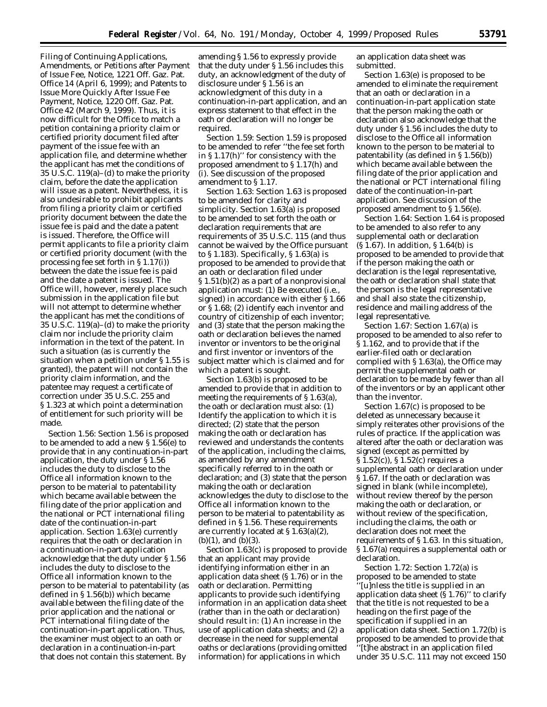Filing of Continuing Applications, Amendments, or Petitions after Payment of Issue Fee, Notice, 1221 Off. Gaz. Pat. Office 14 (April 6, 1999); and Patents to Issue More Quickly After Issue Fee Payment, Notice, 1220 Off. Gaz. Pat. Office 42 (March 9, 1999). Thus, it is now difficult for the Office to match a petition containing a priority claim or certified priority document filed after payment of the issue fee with an application file, and determine whether the applicant has met the conditions of 35 U.S.C. 119(a)–(d) to make the priority claim, before the date the application will issue as a patent. Nevertheless, it is also undesirable to prohibit applicants from filing a priority claim or certified priority document between the date the issue fee is paid and the date a patent is issued. Therefore, the Office will permit applicants to file a priority claim or certified priority document (with the processing fee set forth in § 1.17(i)) between the date the issue fee is paid and the date a patent is issued. The Office will, however, merely place such submission in the application file but will not attempt to determine whether the applicant has met the conditions of 35 U.S.C. 119(a)–(d) to make the priority claim nor include the priority claim information in the text of the patent. In such a situation (as is currently the situation when a petition under § 1.55 is granted), the patent will not contain the priority claim information, and the patentee may request a certificate of correction under 35 U.S.C. 255 and § 1.323 at which point a determination of entitlement for such priority will be made.

*Section 1.56:* Section 1.56 is proposed to be amended to add a new § 1.56(e) to provide that in any continuation-in-part application, the duty under § 1.56 includes the duty to disclose to the Office all information known to the person to be material to patentability which became available between the filing date of the prior application and the national or PCT international filing date of the continuation-in-part application. Section 1.63(e) currently requires that the oath or declaration in a continuation-in-part application acknowledge that the duty under § 1.56 includes the duty to disclose to the Office all information known to the person to be material to patentability (as defined in § 1.56(b)) which became available between the filing date of the prior application and the national or PCT international filing date of the continuation-in-part application. Thus, the examiner must object to an oath or declaration in a continuation-in-part that does not contain this statement. By

amending § 1.56 to expressly provide that the duty under § 1.56 includes this duty, an acknowledgment of the duty of disclosure under § 1.56 is an acknowledgment of this duty in a continuation-in-part application, and an express statement to that effect in the oath or declaration will no longer be required.

*Section 1.59:* Section 1.59 is proposed to be amended to refer ''the fee set forth in § 1.17(h)'' for consistency with the proposed amendment to § 1.17(h) and (i). See discussion of the proposed amendment to § 1.17.

*Section 1.63:* Section 1.63 is proposed to be amended for clarity and simplicity. Section 1.63(a) is proposed to be amended to set forth the oath or declaration requirements that are requirements of 35 U.S.C. 115 (and thus cannot be waived by the Office pursuant to § 1.183). Specifically, § 1.63(a) is proposed to be amended to provide that an oath or declaration filed under § 1.51(b)(2) as a part of a nonprovisional application must: (1) Be executed (*i.e.*, signed) in accordance with either § 1.66 or § 1.68; (2) identify each inventor and country of citizenship of each inventor; and (3) state that the person making the oath or declaration believes the named inventor or inventors to be the original and first inventor or inventors of the subject matter which is claimed and for which a patent is sought.

Section 1.63(b) is proposed to be amended to provide that in addition to meeting the requirements of § 1.63(a), the oath or declaration must also: (1) Identify the application to which it is directed; (2) state that the person making the oath or declaration has reviewed and understands the contents of the application, including the claims, as amended by any amendment specifically referred to in the oath or declaration; and (3) state that the person making the oath or declaration acknowledges the duty to disclose to the Office all information known to the person to be material to patentability as defined in § 1.56. These requirements are currently located at § 1.63(a)(2),  $(b)(1)$ , and  $(b)(3)$ .

Section 1.63(c) is proposed to provide that an applicant may provide identifying information either in an application data sheet (§ 1.76) or in the oath or declaration. Permitting applicants to provide such identifying information in an application data sheet (rather than in the oath or declaration) should result in: (1) An increase in the use of application data sheets; and (2) a decrease in the need for supplemental oaths or declarations (providing omitted information) for applications in which

an application data sheet was submitted.

Section 1.63(e) is proposed to be amended to eliminate the requirement that an oath or declaration in a continuation-in-part application state that the person making the oath or declaration also acknowledge that the duty under § 1.56 includes the duty to disclose to the Office all information known to the person to be material to patentability (as defined in § 1.56(b)) which became available between the filing date of the prior application and the national or PCT international filing date of the continuation-in-part application. See discussion of the proposed amendment to § 1.56(e).

*Section 1.64:* Section 1.64 is proposed to be amended to also refer to any supplemental oath or declaration (§ 1.67). In addition, § 1.64(b) is proposed to be amended to provide that if the person making the oath or declaration is the legal representative, the oath or declaration shall state that the person is the legal representative and shall also state the citizenship, residence and mailing address of the legal representative.

*Section 1.67:* Section 1.67(a) is proposed to be amended to also refer to § 1.162, and to provide that if the earlier-filed oath or declaration complied with § 1.63(a), the Office may permit the supplemental oath or declaration to be made by fewer than all of the inventors or by an applicant other than the inventor.

Section 1.67(c) is proposed to be deleted as unnecessary because it simply reiterates other provisions of the rules of practice. If the application was altered after the oath or declaration was signed (except as permitted by § 1.52(c)), § 1.52(c) requires a supplemental oath or declaration under § 1.67. If the oath or declaration was signed in blank (while incomplete), without review thereof by the person making the oath or declaration, or without review of the specification, including the claims, the oath or declaration does not meet the requirements of § 1.63. In this situation, § 1.67(a) requires a supplemental oath or declaration.

*Section 1.72:* Section 1.72(a) is proposed to be amended to state ''[u]nless the title is supplied in an application data sheet  $(S1.76)$ " to clarify that the title is not requested to be a heading on the first page of the specification if supplied in an application data sheet. Section 1.72(b) is proposed to be amended to provide that ''[t]he abstract in an application filed under 35 U.S.C. 111 may not exceed 150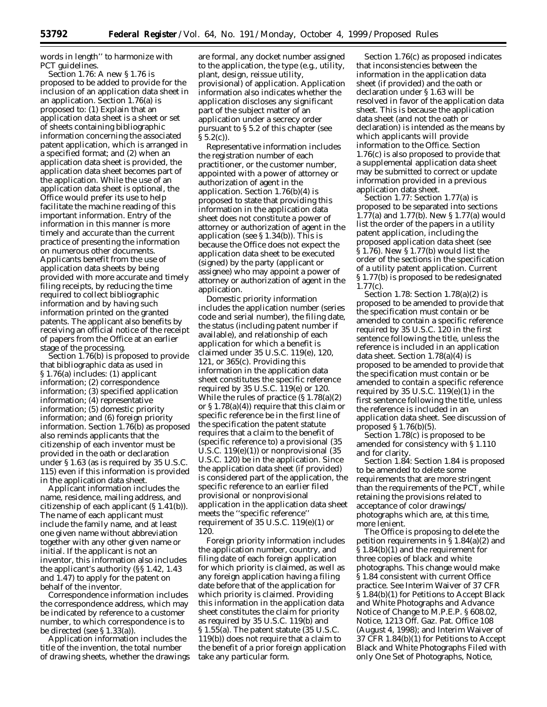words in length'' to harmonize with PCT guidelines.

*Section 1.76:* A new § 1.76 is proposed to be added to provide for the inclusion of an application data sheet in an application. Section 1.76(a) is proposed to: (1) Explain that an application data sheet is a sheet or set of sheets containing bibliographic information concerning the associated patent application, which is arranged in a specified format; and (2) when an application data sheet is provided, the application data sheet becomes part of the application. While the use of an application data sheet is optional, the Office would prefer its use to help facilitate the machine reading of this important information. Entry of the information in this manner is more timely and accurate than the current practice of presenting the information on numerous other documents. Applicants benefit from the use of application data sheets by being provided with more accurate and timely filing receipts, by reducing the time required to collect bibliographic information and by having such information printed on the granted patents. The applicant also benefits by receiving an official notice of the receipt of papers from the Office at an earlier stage of the processing.

Section 1.76(b) is proposed to provide that bibliographic data as used in § 1.76(a) includes: (1) applicant information; (2) correspondence information; (3) specified application information; (4) representative information; (5) domestic priority information; and (6) foreign priority information. Section 1.76(b) as proposed also reminds applicants that the citizenship of each inventor must be provided in the oath or declaration under § 1.63 (as is required by 35 U.S.C. 115) even if this information is provided in the application data sheet.

Applicant information includes the name, residence, mailing address, and citizenship of each applicant (§ 1.41(b)). The name of each applicant must include the family name, and at least one given name without abbreviation together with any other given name or initial. If the applicant is not an inventor, this information also includes the applicant's authority (§§ 1.42, 1.43 and 1.47) to apply for the patent on behalf of the inventor.

Correspondence information includes the correspondence address, which may be indicated by reference to a customer number, to which correspondence is to be directed (*see* § 1.33(a)).

Application information includes the title of the invention, the total number of drawing sheets, whether the drawings

are formal, any docket number assigned to the application, the type (*e.g.,* utility, plant, design, reissue utility, provisional) of application. Application information also indicates whether the application discloses any significant part of the subject matter of an application under a secrecy order pursuant to § 5.2 of this chapter (*see*  $\S 5.2(c)$ ).

Representative information includes the registration number of each practitioner, or the customer number, appointed with a power of attorney or authorization of agent in the application. Section 1.76(b)(4) is proposed to state that providing this information in the application data sheet does not constitute a power of attorney or authorization of agent in the application (*see* § 1.34(b)). This is because the Office does not expect the application data sheet to be executed (signed) by the party (applicant or assignee) who may appoint a power of attorney or authorization of agent in the application.

Domestic priority information includes the application number (series code and serial number), the filing date, the status (including patent number if available), and relationship of each application for which a benefit is claimed under 35 U.S.C. 119(e), 120, 121, or 365(c). Providing this information in the application data sheet constitutes the specific reference required by 35 U.S.C. 119(e) or 120. While the rules of practice (§ 1.78(a)(2) or § 1.78(a)(4)) require that this claim or specific reference be in the first line of the specification the patent statute requires that a claim to the benefit of (specific reference to) a provisional (35 U.S.C.  $119(e)(1)$  or nonprovisional  $(35)$ U.S.C. 120) be in the application. Since the application data sheet (if provided) is considered part of the application, the specific reference to an earlier filed provisional or nonprovisional application in the application data sheet meets the ''specific reference'' requirement of 35 U.S.C.  $119(e)(1)$  or 120.

Foreign priority information includes the application number, country, and filing date of each foreign application for which priority is claimed, as well as any foreign application having a filing date before that of the application for which priority is claimed. Providing this information in the application data sheet constitutes the claim for priority as required by 35 U.S.C. 119(b) and § 1.55(a). The patent statute (35 U.S.C. 119(b)) does not require that a claim to the benefit of a prior foreign application take any particular form.

Section 1.76(c) as proposed indicates that inconsistencies between the information in the application data sheet (if provided) and the oath or declaration under § 1.63 will be resolved in favor of the application data sheet. This is because the application data sheet (and not the oath or declaration) is intended as the means by which applicants will provide information to the Office. Section 1.76(c) is also proposed to provide that a supplemental application data sheet may be submitted to correct or update information provided in a previous application data sheet.

*Section 1.77:* Section 1.77(a) is proposed to be separated into sections 1.77(a) and 1.77(b). New § 1.77(a) would list the order of the papers in a utility patent application, including the proposed application data sheet (*see* § 1.76). New § 1.77(b) would list the order of the sections in the specification of a utility patent application. Current § 1.77(b) is proposed to be redesignated 1.77(c).

*Section 1.78:* Section 1.78(a)(2) is proposed to be amended to provide that the specification must contain or be amended to contain a specific reference required by 35 U.S.C. 120 in the first sentence following the title, unless the reference is included in an application data sheet. Section 1.78(a)(4) is proposed to be amended to provide that the specification must contain or be amended to contain a specific reference required by 35 U.S.C.  $119(e)(1)$  in the first sentence following the title, unless the reference is included in an application data sheet. See discussion of proposed § 1.76(b)(5).

Section 1.78(c) is proposed to be amended for consistency with § 1.110 and for clarity.

*Section 1.84:* Section 1.84 is proposed to be amended to delete some requirements that are more stringent than the requirements of the PCT, while retaining the provisions related to acceptance of color drawings/ photographs which are, at this time, more lenient.

The Office is proposing to delete the petition requirements in § 1.84(a)(2) and § 1.84(b)(1) and the requirement for three copies of black and white photographs. This change would make § 1.84 consistent with current Office practice. See Interim Waiver of 37 CFR § 1.84(b)(1) for Petitions to Accept Black and White Photographs and Advance Notice of Change to M.P.E.P. § 608.02, Notice, 1213 Off. Gaz. Pat. Office 108 (August 4, 1998); and Interim Waiver of 37 CFR 1.84(b)(1) for Petitions to Accept Black and White Photographs Filed with only One Set of Photographs, Notice,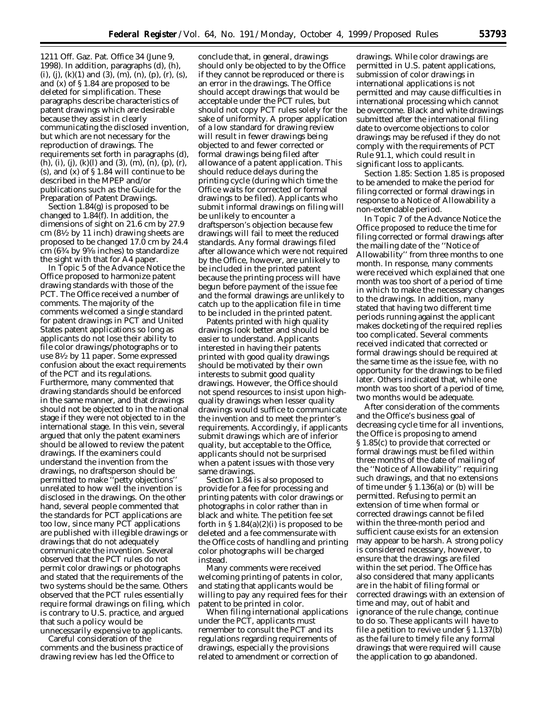1211 Off. Gaz. Pat. Office 34 (June 9, 1998). In addition, paragraphs (d), (h), (i), (j), (k)(1) and (3), (m), (n), (p), (r), (s), and (x) of § 1.84 are proposed to be deleted for simplification. These paragraphs describe characteristics of patent drawings which are desirable because they assist in clearly communicating the disclosed invention, but which are not necessary for the reproduction of drawings. The requirements set forth in paragraphs (d), (h), (i), (j), (k)(l) and (3), (m), (n), (p), (r),  $(s)$ , and  $(x)$  of  $\S 1.84$  will continue to be described in the MPEP and/or publications such as the Guide for the Preparation of Patent Drawings.

Section 1.84(g) is proposed to be changed to 1.84(f). In addition, the dimensions of sight on 21.6 cm by 27.9 cm (81⁄2 by 11 inch) drawing sheets are proposed to be changed 17.0 cm by 24.4 cm (63⁄4 by 95⁄8 inches) to standardize the sight with that for A4 paper.

In Topic 5 of the Advance Notice the Office proposed to harmonize patent drawing standards with those of the PCT. The Office received a number of comments. The majority of the comments welcomed a single standard for patent drawings in PCT and United States patent applications so long as applicants do not lose their ability to file color drawings/photographs or to use 81⁄2 by 11 paper. Some expressed confusion about the exact requirements of the PCT and its regulations. Furthermore, many commented that drawing standards should be enforced in the same manner, and that drawings should not be objected to in the national stage if they were not objected to in the international stage. In this vein, several argued that only the patent examiners should be allowed to review the patent drawings. If the examiners could understand the invention from the drawings, no draftsperson should be permitted to make ''petty objections'' unrelated to how well the invention is disclosed in the drawings. On the other hand, several people commented that the standards for PCT applications are too low, since many PCT applications are published with illegible drawings or drawings that do not adequately communicate the invention. Several observed that the PCT rules do not permit color drawings or photographs and stated that the requirements of the two systems should be the same. Others observed that the PCT rules essentially require formal drawings on filing, which is contrary to U.S. practice, and argued that such a policy would be unnecessarily expensive to applicants.

Careful consideration of the comments and the business practice of drawing review has led the Office to

conclude that, in general, drawings should only be objected to by the Office if they cannot be reproduced or there is an error in the drawings. The Office should accept drawings that would be acceptable under the PCT rules, but should not copy PCT rules solely for the sake of uniformity. A proper application of a low standard for drawing review will result in fewer drawings being objected to and fewer corrected or formal drawings being filed after allowance of a patent application. This should reduce delays during the printing cycle (during which time the Office waits for corrected or formal drawings to be filed). Applicants who submit informal drawings on filing will be unlikely to encounter a draftsperson's objection because few drawings will fail to meet the reduced standards. Any formal drawings filed after allowance which were not required by the Office, however, are unlikely to be included in the printed patent because the printing process will have begun before payment of the issue fee and the formal drawings are unlikely to catch up to the application file in time to be included in the printed patent.

Patents printed with high quality drawings look better and should be easier to understand. Applicants interested in having their patents printed with good quality drawings should be motivated by their own interests to submit good quality drawings. However, the Office should not spend resources to insist upon highquality drawings when lesser quality drawings would suffice to communicate the invention and to meet the printer's requirements. Accordingly, if applicants submit drawings which are of inferior quality, but acceptable to the Office, applicants should not be surprised when a patent issues with those very same drawings.

Section 1.84 is also proposed to provide for a fee for processing and printing patents with color drawings or photographs in color rather than in black and white. The petition fee set forth in  $\S 1.84(a)(2)(i)$  is proposed to be deleted and a fee commensurate with the Office costs of handling and printing color photographs will be charged instead.

Many comments were received welcoming printing of patents in color, and stating that applicants would be willing to pay any required fees for their patent to be printed in color.

When filing international applications under the PCT, applicants must remember to consult the PCT and its regulations regarding requirements of drawings, especially the provisions related to amendment or correction of

drawings. While color drawings are permitted in U.S. patent applications, submission of color drawings in international applications is not permitted and may cause difficulties in international processing which cannot be overcome. Black and white drawings submitted after the international filing date to overcome objections to color drawings may be refused if they do not comply with the requirements of PCT Rule 91.1, which could result in significant loss to applicants.

*Section 1.85:* Section 1.85 is proposed to be amended to make the period for filing corrected or formal drawings in response to a Notice of Allowability a non-extendable period.

In Topic 7 of the Advance Notice the Office proposed to reduce the time for filing corrected or formal drawings after the mailing date of the ''Notice of Allowability'' from three months to one month. In response, many comments were received which explained that one month was too short of a period of time in which to make the necessary changes to the drawings. In addition, many stated that having two different time periods running against the applicant makes docketing of the required replies too complicated. Several comments received indicated that corrected or formal drawings should be required at the same time as the issue fee, with no opportunity for the drawings to be filed later. Others indicated that, while one month was too short of a period of time, two months would be adequate.

After consideration of the comments and the Office's business goal of decreasing cycle time for all inventions, the Office is proposing to amend § 1.85(c) to provide that corrected or formal drawings must be filed within three months of the date of mailing of the ''Notice of Allowability'' requiring such drawings, and that no extensions of time under § 1.136(a) or (b) will be permitted. Refusing to permit an extension of time when formal or corrected drawings cannot be filed within the three-month period and sufficient cause exists for an extension may appear to be harsh. A strong policy is considered necessary, however, to ensure that the drawings are filed within the set period. The Office has also considered that many applicants are in the habit of filing formal or corrected drawings with an extension of time and may, out of habit and ignorance of the rule change, continue to do so. These applicants will have to file a petition to revive under § 1.137(b) as the failure to timely file any formal drawings that were required will cause the application to go abandoned.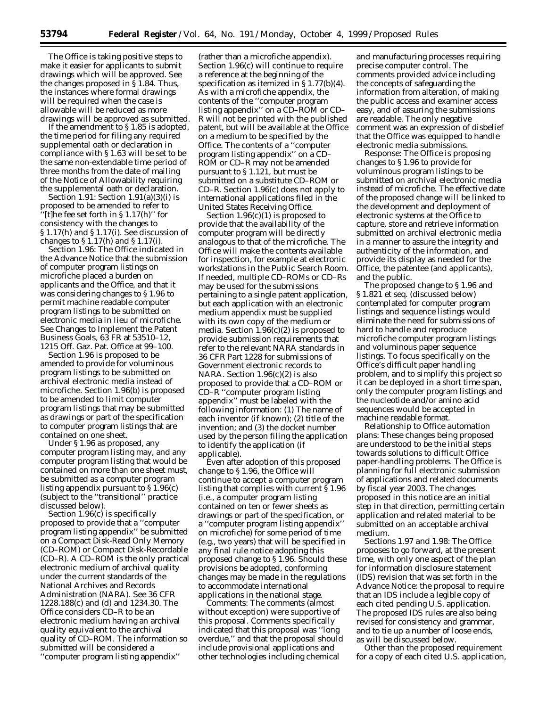The Office is taking positive steps to make it easier for applicants to submit drawings which will be approved. See the changes proposed in § 1.84. Thus, the instances where formal drawings will be required when the case is allowable will be reduced as more drawings will be approved as submitted.

If the amendment to § 1.85 is adopted, the time period for filing any required supplemental oath or declaration in compliance with § 1.63 will be set to be the same non-extendable time period of three months from the date of mailing of the Notice of Allowability requiring the supplemental oath or declaration.

*Section 1.91:* Section 1.91(a)(3)(i) is proposed to be amended to refer to  $'[t]$ he fee set forth in § 1.17(h)" for consistency with the changes to § 1.17(h) and § 1.17(i). See discussion of changes to  $\S 1.17(h)$  and  $\S 1.17(i)$ .

*Section 1.96:* The Office indicated in the Advance Notice that the submission of computer program listings on microfiche placed a burden on applicants and the Office, and that it was considering changes to § 1.96 to permit machine readable computer program listings to be submitted on electronic media in lieu of microfiche. See Changes to Implement the Patent Business Goals, 63 FR at 53510–12, 1215 Off. Gaz. Pat. Office at 99–100.

Section 1.96 is proposed to be amended to provide for voluminous program listings to be submitted on archival electronic media instead of microfiche. Section 1.96(b) is proposed to be amended to limit computer program listings that may be submitted as drawings or part of the specification to computer program listings that are contained on one sheet.

Under § 1.96 as proposed, any computer program listing may, and any computer program listing that would be contained on more than one sheet must, be submitted as a computer program listing appendix pursuant to § 1.96(c) (subject to the ''transitional'' practice discussed below).

Section 1.96(c) is specifically proposed to provide that a ''computer program listing appendix'' be submitted on a Compact Disk-Read Only Memory (CD–ROM) or Compact Disk-Recordable (CD–R). A CD–ROM is the only practical electronic medium of archival quality under the current standards of the National Archives and Records Administration (NARA). *See* 36 CFR 1228.188(c) and (d) and 1234.30. The Office considers CD–R to be an electronic medium having an archival quality equivalent to the archival quality of CD–ROM. The information so submitted will be considered a ''computer program listing appendix''

(rather than a microfiche appendix). Section 1.96(c) will continue to require a reference at the beginning of the specification as itemized in  $\S 1.77(b)(4)$ . As with a microfiche appendix, the contents of the ''computer program listing appendix'' on a CD–ROM or CD– R will not be printed with the published patent, but will be available at the Office on a medium to be specified by the Office. The contents of a ''computer program listing appendix'' on a CD– ROM or CD–R may not be amended pursuant to § 1.121, but must be submitted on a substitute CD–ROM or CD–R. Section 1.96(c) does not apply to international applications filed in the United States Receiving Office.

Section 1.96(c)(1) is proposed to provide that the availability of the computer program will be directly analogous to that of the microfiche. The Office will make the contents available for inspection, for example at electronic workstations in the Public Search Room. If needed, multiple CD–ROMs or CD–Rs may be used for the submissions pertaining to a single patent application, but each application with an electronic medium appendix must be supplied with its own copy of the medium or media. Section  $1.96(c)(2)$  is proposed to provide submission requirements that refer to the relevant NARA standards in 36 CFR Part 1228 for submissions of Government electronic records to NARA. Section 1.96(c)(2) is also proposed to provide that a CD–ROM or CD–R ''computer program listing appendix'' must be labeled with the following information: (1) The name of each inventor (if known); (2) title of the invention; and (3) the docket number used by the person filing the application to identify the application (if applicable).

Even after adoption of this proposed change to § 1.96, the Office will continue to accept a computer program listing that complies with current § 1.96 (*i.e.,* a computer program listing contained on ten or fewer sheets as drawings or part of the specification, or a ''computer program listing appendix'' on microfiche) for some period of time (*e.g.,* two years) that will be specified in any final rule notice adopting this proposed change to § 1.96. Should these provisions be adopted, conforming changes may be made in the regulations to accommodate international applications in the national stage.

*Comments:* The comments (almost without exception) were supportive of this proposal. Comments specifically indicated that this proposal was ''long overdue,'' and that the proposal should include provisional applications and other technologies including chemical

and manufacturing processes requiring precise computer control. The comments provided advice including the concepts of safeguarding the information from alteration, of making the public access and examiner access easy, and of assuring the submissions are readable. The only negative comment was an expression of disbelief that the Office was equipped to handle electronic media submissions.

*Response:* The Office is proposing changes to § 1.96 to provide for voluminous program listings to be submitted on archival electronic media instead of microfiche. The effective date of the proposed change will be linked to the development and deployment of electronic systems at the Office to capture, store and retrieve information submitted on archival electronic media in a manner to assure the integrity and authenticity of the information, and provide its display as needed for the Office, the patentee (and applicants), and the public.

The proposed change to § 1.96 and § 1.821 *et seq.* (discussed below) contemplated for computer program listings and sequence listings would eliminate the need for submissions of hard to handle and reproduce microfiche computer program listings and voluminous paper sequence listings. To focus specifically on the Office's difficult paper handling problem, and to simplify this project so it can be deployed in a short time span, only the computer program listings and the nucleotide and/or amino acid sequences would be accepted in machine readable format.

*Relationship to Office automation plans:* These changes being proposed are understood to be the initial steps towards solutions to difficult Office paper-handling problems. The Office is planning for full electronic submission of applications and related documents by fiscal year 2003. The changes proposed in this notice are an initial step in that direction, permitting certain application and related material to be submitted on an acceptable archival medium.

*Sections 1.97 and 1.98:* The Office proposes to go forward, at the present time, with only one aspect of the plan for information disclosure statement (IDS) revision that was set forth in the Advance Notice: the proposal to require that an IDS include a legible copy of each cited pending U.S. application. The proposed IDS rules are also being revised for consistency and grammar, and to tie up a number of loose ends, as will be discussed below.

Other than the proposed requirement for a copy of each cited U.S. application,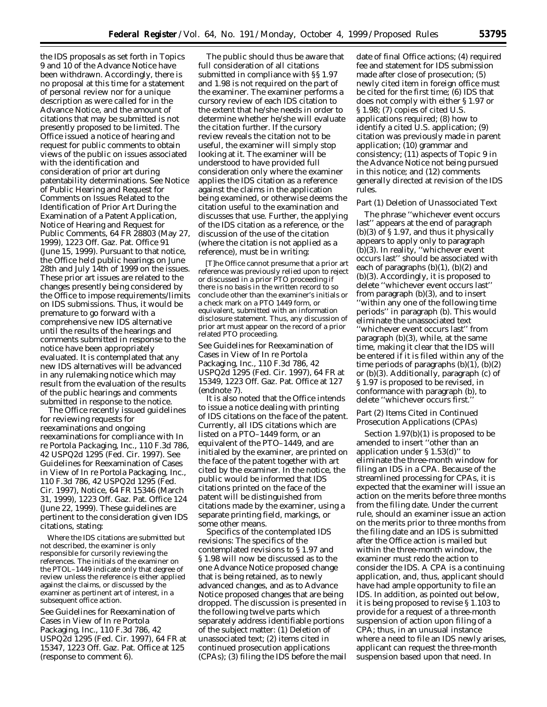the IDS proposals as set forth in Topics 9 and 10 of the Advance Notice have been withdrawn. Accordingly, there is no proposal at this time for a statement of personal review nor for a unique description as were called for in the Advance Notice, and the amount of citations that may be submitted is not presently proposed to be limited. The Office issued a notice of hearing and request for public comments to obtain views of the public on issues associated with the identification and consideration of prior art during patentability determinations. See Notice of Public Hearing and Request for Comments on Issues Related to the Identification of Prior Art During the Examination of a Patent Application, Notice of Hearing and Request for Public Comments, 64 FR 28803 (May 27, 1999), 1223 Off. Gaz. Pat. Office 91 (June 15, 1999). Pursuant to that notice, the Office held public hearings on June 28th and July 14th of 1999 on the issues. These prior art issues are related to the changes presently being considered by the Office to impose requirements/limits on IDS submissions. Thus, it would be premature to go forward with a comprehensive new IDS alternative until the results of the hearings and comments submitted in response to the notice have been appropriately evaluated. It is contemplated that any new IDS alternatives will be advanced in any rulemaking notice which may result from the evaluation of the results of the public hearings and comments submitted in response to the notice.

The Office recently issued guidelines for reviewing requests for reexaminations and ongoing reexaminations for compliance with *In re Portola Packaging, Inc.,* 110 F.3d 786, 42 USPQ2d 1295 (Fed. Cir. 1997). See Guidelines for Reexamination of Cases in View of In re Portola Packaging, Inc., 110 F.3d 786, 42 USPQ2d 1295 (Fed. Cir. 1997), Notice, 64 FR 15346 (March 31, 1999), 1223 Off. Gaz. Pat. Office 124 (June 22, 1999). These guidelines are pertinent to the consideration given IDS citations, stating:

Where the IDS citations are submitted but not described, the examiner is only responsible for cursorily reviewing the references. The initials of the examiner on the PTOL–1449 indicate only that degree of review unless the reference is either applied against the claims, or discussed by the examiner as pertinent art of interest, in a subsequent office action.

See Guidelines for Reexamination of Cases in View of In re Portola Packaging, Inc., 110 F.3d 786, 42 USPQ2d 1295 (Fed. Cir. 1997), 64 FR at 15347, 1223 Off. Gaz. Pat. Office at 125 (response to comment 6).

The public should thus be aware that full consideration of all citations submitted in compliance with §§ 1.97 and 1.98 is *not* required on the part of the examiner. The examiner performs a *cursory* review of each IDS citation to the extent that he/she needs in order to determine whether he/she will evaluate the citation further. If the cursory review reveals the citation not to be useful, the examiner will simply stop looking at it. The examiner will be understood to have provided full consideration only where the examiner applies the IDS citation as a reference against the claims in the application being examined, or otherwise deems the citation useful to the examination and discusses that use. Further, the applying of the IDS citation as a reference, or the discussion of the use of the citation (where the citation is *not* applied as a reference), must be in writing:

[T]he Office cannot presume that a prior art reference was previously relied upon to reject or discussed in a prior PTO proceeding if there is no basis in the written record to so conclude other than the examiner's initials or a check mark on a PTO 1449 form, or equivalent, submitted with an information disclosure statement. Thus, any discussion of prior art must appear on the record of a prior related PTO proceeding.

See Guidelines for Reexamination of Cases in View of In re Portola Packaging, Inc., 110 F.3d 786, 42 USPQ2d 1295 (Fed. Cir. 1997), 64 FR at 15349, 1223 Off. Gaz. Pat. Office at 127 (endnote 7).

It is also noted that the Office intends to issue a notice dealing with printing of IDS citations on the face of the patent. Currently, all IDS citations which are listed on a PTO–1449 form, or an equivalent of the PTO–1449, and are initialed by the examiner, are printed on the face of the patent together with art cited by the examiner. In the notice, the public would be informed that IDS citations printed on the face of the patent will be distinguished from citations made by the examiner, using a separate printing field, markings, or some other means.

*Specifics of the contemplated IDS revisions:* The specifics of the contemplated revisions to § 1.97 and § 1.98 will now be discussed as to the one Advance Notice proposed change that is being retained, as to newly advanced changes, and as to Advance Notice proposed changes that are being dropped. The discussion is presented in the following twelve parts which separately address identifiable portions of the subject matter: (1) Deletion of unassociated text; (2) items cited in continued prosecution applications (CPAs); (3) filing the IDS before the mail date of final Office actions; (4) required fee and statement for IDS submission made after close of prosecution; (5) newly cited item in foreign office must be cited for the *first* time; (6) IDS that does not comply with either § 1.97 or § 1.98; (7) copies of cited U.S. applications required; (8) how to identify a cited U.S. application; (9) citation was previously made in parent application; (10) grammar and consistency; (11) aspects of Topic 9 in the Advance Notice not being pursued in this notice; and (12) comments generally directed at revision of the IDS rules.

#### *Part (1) Deletion of Unassociated Text*

The phrase ''whichever event occurs last'' appears at the end of paragraph (b)(3) of § 1.97, and thus it physically appears to apply only to paragraph (b)(3). In reality, ''whichever event occurs last'' should be associated with each of paragraphs  $(b)(1)$ ,  $(b)(2)$  and (b)(3). Accordingly, it is proposed to delete ''whichever event occurs last'' from paragraph (b)(3), and to insert ''within any one of the following time periods'' in paragraph (b). This would eliminate the unassociated text ''whichever event occurs last'' from paragraph (b)(3), while, at the same time, making it clear that the IDS will be entered if it is filed within any of the time periods of paragraphs  $(b)(1)$ ,  $(b)(2)$ or (b)(3). Additionally, paragraph (c) of § 1.97 is proposed to be revised, in conformance with paragraph (b), to delete ''whichever occurs first.''

## *Part (2) Items Cited in Continued Prosecution Applications (CPAs)*

Section 1.97(b)(1) is proposed to be amended to insert ''other than an application under § 1.53(d)'' to eliminate the three-month window for filing an IDS in a CPA. Because of the streamlined processing for CPAs, it is expected that the examiner will issue an action on the merits before three months from the filing date. Under the current rule, should an examiner issue an action on the merits prior to three months from the filing date and an IDS is submitted after the Office action is mailed but within the three-month window, the examiner must redo the action to consider the IDS. A CPA is a continuing application, and, thus, applicant should have had ample opportunity to file an IDS. In addition, as pointed out below, it is being proposed to revise § 1.103 to provide for a request of a three-month suspension of action upon filing of a CPA; thus, in an unusual instance where a need to file an IDS newly arises, applicant can request the three-month suspension based upon that need. In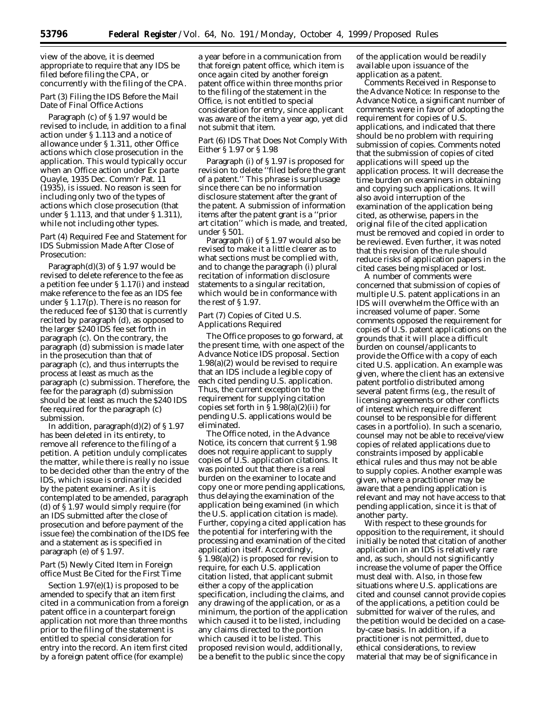view of the above, it is deemed appropriate to require that any IDS be filed before filing the CPA, or concurrently with the filing of the CPA.

## *Part (3) Filing the IDS Before the Mail Date of Final Office Actions*

Paragraph (c) of § 1.97 would be revised to include, in addition to a final action under § 1.113 and a notice of allowance under § 1.311, other Office actions which close prosecution in the application. This would typically occur when an Office action under *Ex parte Quayle,* 1935 Dec. Comm'r Pat. 11 (1935), is issued. No reason is seen for including only two of the types of actions which close prosecution (that under § 1.113, and that under § 1.311), while not including other types.

## *Part (4) Required Fee and Statement for IDS Submission Made After Close of Prosecution:*

Paragraph(d)(3) of § 1.97 would be revised to delete reference to the fee as a petition fee under § 1.17(i) and instead make reference to the fee as an IDS fee under § 1.17(p). There is no reason for the reduced fee of \$130 that is currently recited by paragraph (d), as opposed to the larger \$240 IDS fee set forth in paragraph (c). On the contrary, the paragraph (d) submission is made *later in the prosecution* than that of paragraph (c), and thus interrupts the process at least as much as the paragraph (c) submission. Therefore, the fee for the paragraph (d) submission should be at least as much the \$240 IDS fee required for the paragraph (c) submission.

In addition, paragraph(d)(2) of  $\S 1.97$ has been deleted in its entirety, to remove all reference to the filing of a petition. A petition unduly complicates the matter, while there is really no issue to be decided other than the entry of the IDS, which issue is ordinarily decided by the patent examiner. As it is contemplated to be amended, paragraph (d) of § 1.97 would simply require (for an IDS submitted *after* the close of prosecution and before payment of the issue fee) the combination of the IDS fee and a statement as is specified in paragraph (e) of § 1.97.

#### *Part (5) Newly Cited Item in Foreign office Must Be Cited for the First Time*

Section 1.97(e)(1) is proposed to be amended to specify that an item *first* cited in a communication from a foreign patent office in a counterpart foreign application not more than three months prior to the filing of the statement is entitled to special consideration for entry into the record. An item *first cited* by a foreign patent office (for example)

a year before in a communication from that foreign patent office, which item is *once again cited* by another foreign patent office within three months prior to the filing of the statement in the Office, is not entitled to special consideration for entry, since applicant was aware of the item a year ago, yet did not submit that item.

## *Part (6) IDS That Does Not Comply With Either § 1.97 or § 1.98*

Paragraph (i) of § 1.97 is proposed for revision to delete ''filed before the grant of a patent.'' This phrase is surplusage since there can be no information disclosure statement after the grant of the patent. A submission of information items after the patent grant is a ''prior art citation'' which is made, and treated, under § 501.

Paragraph (i) of § 1.97 would also be revised to make it a little clearer as to what sections must be complied with, and to change the paragraph (i) plural recitation of information disclosure statements to a singular recitation, which would be in conformance with the rest of § 1.97.

## *Part (7) Copies of Cited U.S. Applications Required*

The Office proposes to go forward, at the present time, with one aspect of the Advance Notice IDS proposal. Section 1.98(a)(2) would be revised to require that an IDS include a legible copy of each cited pending U.S. application. Thus, the current exception to the requirement for supplying citation copies set forth in  $\S 1.98(a)(2)(ii)$  for pending U.S. applications would be eliminated.

The Office noted, in the Advance Notice, its concern that current § 1.98 does not require applicant to supply copies of U.S. *application* citations. It was pointed out that there is a real burden on the examiner to locate and copy one or more pending applications, thus delaying the examination of the application being examined (in which the U.S. application citation is made). Further, copying a cited application has the potential for interfering with the processing and examination of the cited application itself. Accordingly, § 1.98(a)(2) is proposed for revision to require, for each U.S. application citation listed, that applicant submit either a copy of the application specification, including the claims, and any drawing of the application, or as a minimum, the portion of the application which caused it to be listed, including any claims directed to the portion which caused it to be listed. This proposed revision would, additionally, be a benefit to the public since the copy

of the application would be readily available upon issuance of the application as a patent.

Comments Received in Response to the Advance Notice: In response to the Advance Notice, a significant number of comments were in favor of adopting the requirement for copies of U.S. applications, and indicated that there should be no problem with requiring submission of copies. Comments noted that the submission of copies of cited applications will speed up the application process. It will decrease the time burden on examiners in obtaining and copying such applications. It will also avoid interruption of the examination of the application being cited, as otherwise, papers in the original file of the cited application must be removed and copied in order to be reviewed. Even further, it was noted that this revision of the rule should reduce risks of application papers in the cited cases being misplaced or lost.

A number of comments were concerned that submission of copies of multiple U.S. patent applications in an IDS will overwhelm the Office with an increased volume of paper. Some comments opposed the requirement for copies of U.S. patent applications on the grounds that it will place a difficult burden on counsel/applicants to provide the Office with a copy of each cited U.S. application. An example was given, where the client has an extensive patent portfolio distributed among several patent firms (*e.g.,* the result of licensing agreements or other conflicts of interest which require different counsel to be responsible for different cases in a portfolio). In such a scenario, counsel may not be able to receive/view copies of related applications due to constraints imposed by applicable ethical rules and thus may not be able to supply copies. Another example was given, where a practitioner may be aware that a pending application is relevant and may not have access to that pending application, since it is that of another party.

With respect to these grounds for opposition to the requirement, it should initially be noted that citation of another application in an IDS is relatively rare and, as such, should not significantly increase the volume of paper the Office must deal with. Also, in those few situations where U.S. applications are cited and counsel cannot provide copies of the applications, a petition could be submitted for waiver of the rules, and the petition would be decided on a caseby-case basis. In addition, if a practitioner is not permitted, due to ethical considerations, to review material that may be of significance in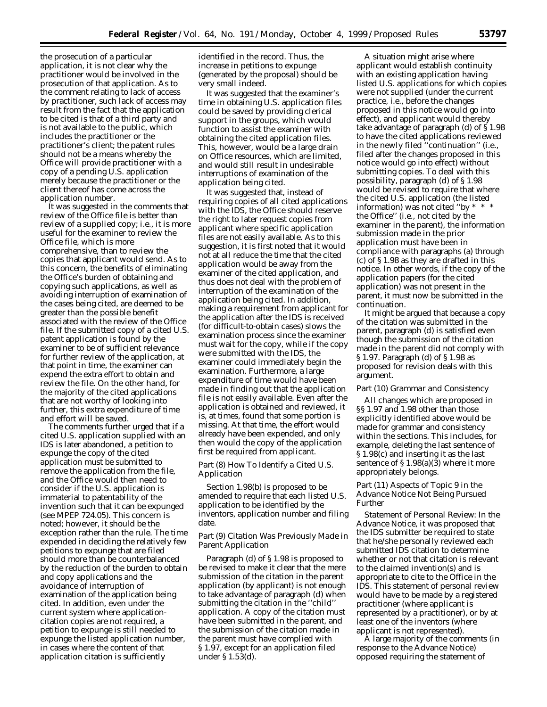the prosecution of a particular application, it is not clear why the practitioner would be involved in the prosecution of that application. As to the comment relating to lack of access by practitioner, such lack of access may result from the fact that the application to be cited is that of a third party and is not available to the public, which includes the practitioner or the practitioner's client; the patent rules should not be a means whereby the Office will provide practitioner with a copy of a pending U.S. application merely because the practitioner or the client thereof has come across the application number.

It was suggested in the comments that review of the Office file is better than review of a supplied copy; *i.e.,* it is more useful for the examiner to review the Office file, which is more comprehensive, than to review the copies that applicant would send. As to this concern, the benefits of eliminating the Office's burden of obtaining and copying such applications, as well as avoiding interruption of examination of the cases being cited, are deemed to be greater than the possible benefit associated with the review of the Office file. If the submitted copy of a cited U.S. patent application is found by the examiner to be of sufficient relevance for further review of the application, at that point in time, the examiner can expend the extra effort to obtain and review the file. On the other hand, for the majority of the cited applications that are not worthy of looking into further, this extra expenditure of time and effort will be saved.

The comments further urged that if a cited U.S. application supplied with an IDS is later abandoned, a petition to expunge the copy of the cited application must be submitted to remove the application from the file, and the Office would then need to consider if the U.S. application is immaterial to patentability of the invention such that it can be expunged (*see* MPEP 724.05). This concern is noted; however, it should be the exception rather than the rule. The time expended in deciding the relatively few petitions to expunge that are filed should more than be counterbalanced by the reduction of the burden to obtain and copy applications and the avoidance of interruption of examination of the application being cited. In addition, even under the current system where applicationcitation copies are not required, a petition to expunge is still needed to expunge the listed application number, in cases where the content of that application citation is sufficiently

identified in the record. Thus, the increase in petitions to expunge (generated by the proposal) should be very small indeed.

It was suggested that the examiner's time in obtaining U.S. application files could be saved by providing clerical support in the groups, which would function to assist the examiner with obtaining the cited application files. This, however, would be a large drain on Office resources, which are limited, and would still result in undesirable interruptions of examination of the application being cited.

It was suggested that, instead of requiring copies of all cited applications with the IDS, the Office should reserve the right to later request copies from applicant where specific application files are not easily available. As to this suggestion, it is first noted that it would not at all reduce the time that the cited application would be away from the examiner of the cited application, and thus does not deal with the problem of interruption of the examination of the application being cited. In addition, making a requirement from applicant for the application after the IDS is received (for difficult-to-obtain cases) slows the examination process since the examiner must wait for the copy, while if the copy were submitted with the IDS, the examiner could immediately begin the examination. Furthermore, a large expenditure of time would have been made in finding out that the application file is not easily available. Even after the application is obtained and reviewed, it is, at times, found that some portion is missing. At that time, the effort would already have been expended, and only then would the copy of the application first be required from applicant.

## *Part (8) How To Identify a Cited U.S. Application*

Section 1.98(b) is proposed to be amended to require that each listed U.S. application to be identified by the inventors, application number and filing date.

## *Part (9) Citation Was Previously Made in Parent Application*

Paragraph (d) of § 1.98 is proposed to be revised to make it clear that the mere submission of the citation in the parent application (by applicant) is not enough to take advantage of paragraph (d) when submitting the citation in the ''child'' application. A copy of the citation must have been submitted in the parent, and the submission of the citation made in the parent must have complied with § 1.97, except for an application filed under § 1.53(d).

A situation might arise where applicant would establish continuity with an existing application having listed U.S. applications for which copies were not supplied (under the current practice, *i.e.,* before the changes proposed in this notice would go into effect), and applicant would thereby take advantage of paragraph (d) of § 1.98 to have the cited applications reviewed in the newly filed ''continuation'' (*i.e.,* filed after the changes proposed in this notice would go into effect) without submitting copies. To deal with this possibility, paragraph (d) of § 1.98 would be revised to require that where the cited U.S. application (the listed information) was not cited "by  $*$ the Office'' (*i.e.,* not cited by the examiner in the parent), the information submission made in the prior application must have been in compliance with paragraphs (a) through (c) of § 1.98 as they are drafted in this notice. In other words, if the copy of the application papers (for the cited application) was not present in the parent, it must now be submitted in the continuation.

It might be argued that because a copy of the citation was submitted in the parent, paragraph (d) is satisfied even though the submission of the citation made in the parent did not comply with § 1.97. Paragraph (d) of § 1.98 as proposed for revision deals with this argument.

#### *Part (10) Grammar and Consistency*

All changes which are proposed in §§ 1.97 and 1.98 other than those explicitly identified above would be made for grammar and consistency within the sections. This includes, for example, deleting the last sentence of § 1.98(c) and inserting it as the last sentence of § 1.98(a)(3) where it more appropriately belongs.

## *Part (11) Aspects of Topic 9 in the Advance Notice Not Being Pursued Further*

*Statement of Personal Review:* In the Advance Notice, it was proposed that the IDS submitter be required to state that he/she personally reviewed each submitted IDS citation to determine whether or not that citation is relevant to the claimed invention(s) and is appropriate to cite to the Office in the IDS. This statement of personal review would have to be made by a registered practitioner (where applicant is represented by a practitioner), or by at least one of the inventors (where applicant is not represented).

A large majority of the comments (in response to the Advance Notice) opposed requiring the statement of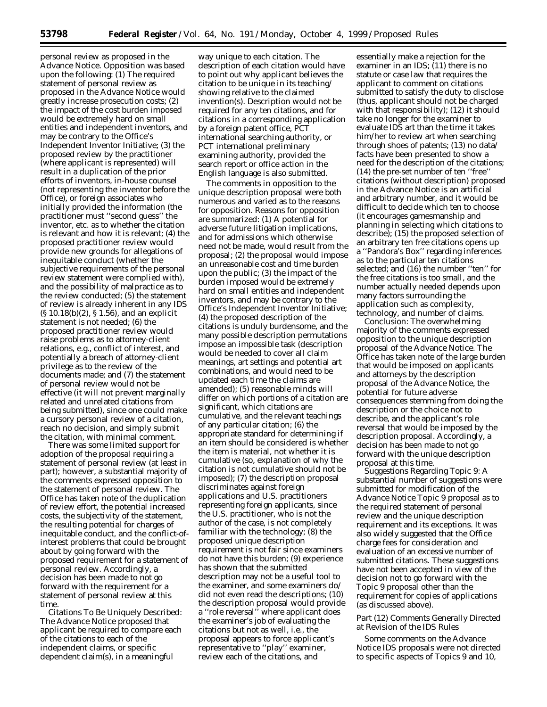personal review as proposed in the Advance Notice. Opposition was based upon the following: (1) The required statement of personal review as proposed in the Advance Notice would greatly increase prosecution costs; (2) the impact of the cost burden imposed would be extremely hard on small entities and independent inventors, and may be contrary to the Office's Independent Inventor Initiative; (3) the proposed review by the practitioner (where applicant is represented) will result in a duplication of the prior efforts of inventors, in-house counsel (not representing the inventor before the Office), or foreign associates who initially provided the information (the practitioner must ''second guess'' the inventor, *etc.* as to whether the citation is relevant and how it is relevant; (4) the proposed practitioner review would provide new grounds for allegations of inequitable conduct (whether the subjective requirements of the personal review statement were complied with), and the possibility of malpractice as to the review conducted; (5) the statement of review is already inherent in any IDS (§ 10.18(b)(2), § 1.56), and an explicit statement is not needed; (6) the proposed practitioner review would raise problems as to attorney-client relations, *e.g.,* conflict of interest, and potentially a breach of attorney-client privilege as to the review of the documents made; and (7) the statement of personal review would not be effective (it will not prevent marginally related and unrelated citations from being submitted), since one could make a cursory personal review of a citation, reach no decision, and simply submit the citation, with minimal comment.

There was some limited support for adoption of the proposal requiring a statement of personal review (at least in part); however, a substantial majority of the comments expressed opposition to the statement of personal review. The Office has taken note of the duplication of review effort, the potential increased costs, the subjectivity of the statement, the resulting potential for charges of inequitable conduct, and the conflict-ofinterest problems that could be brought about by going forward with the proposed requirement for a statement of personal review. Accordingly, a decision has been made to not go forward with the requirement for a statement of personal review at this time.

*Citations To Be Uniquely Described:* The Advance Notice proposed that applicant be required to compare each of the citations to each of the independent claims, or specific dependent claim(s), in a meaningful

way unique to each citation. The description of each citation would have to point out why applicant believes the citation to be unique in its teaching/ showing relative to the claimed invention(s). Description would not be required for any ten citations, and for citations in a corresponding application by a foreign patent office, PCT international searching authority, or PCT international preliminary examining authority, provided the search report or office action in the English language is also submitted.

The comments in opposition to the unique description proposal were both numerous and varied as to the reasons for opposition. Reasons for opposition are summarized: (1) A potential for adverse future litigation implications, and for admissions which otherwise need not be made, would result from the proposal; (2) the proposal would impose an unreasonable cost and time burden upon the public; (3) the impact of the burden imposed would be extremely hard on small entities and independent inventors, and may be contrary to the Office's Independent Inventor Initiative; (4) the proposed description of the citations is unduly burdensome, and the many possible description permutations impose an impossible task (description would be needed to cover all claim meanings, art settings and potential art combinations, and would need to be updated each time the claims are amended); (5) reasonable minds will differ on which portions of a citation are significant, which citations are cumulative, and the relevant teachings of any particular citation; (6) the appropriate standard for determining if an item should be considered is whether the item is material, not whether it is cumulative (so, explanation of why the citation is not cumulative should not be imposed); (7) the description proposal discriminates against foreign applications and U.S. practitioners representing foreign applicants, since the U.S. practitioner, who is not the author of the case, is not completely familiar with the technology; (8) the proposed unique description requirement is not fair since examiners do not have this burden; (9) experience has shown that the submitted description may not be a useful tool to the examiner, and some examiners do/ did not even read the descriptions; (10) the description proposal would provide a ''role reversal'' where applicant does the examiner's job of evaluating the citations but not as well, *i.e.,* the proposal appears to force applicant's representative to ''play'' examiner, review each of the citations, and

essentially make a rejection for the examiner in an IDS; (11) there is no statute or case law that requires the applicant to comment on citations submitted to satisfy the duty to disclose (thus, applicant should not be charged with that responsibility); (12) it should take no longer for the examiner to evaluate IDS art than the time it takes him/her to review art when searching through shoes of patents; (13) no data/ facts have been presented to show a need for the description of the citations; (14) the pre-set number of ten ''free'' citations (without description) proposed in the Advance Notice is an artificial and arbitrary number, and it would be difficult to decide which ten to choose (it encourages gamesmanship and planning in selecting which citations to describe); (15) the proposed selection of an arbitrary ten free citations opens up a ''Pandora's Box'' regarding inferences as to the particular ten citations selected; and (16) the number ''ten'' for the free citations is too small, and the number actually needed depends upon many factors surrounding the application such as complexity, technology, and number of claims.

*Conclusion:* The overwhelming majority of the comments expressed opposition to the unique description proposal of the Advance Notice. The Office has taken note of the large burden that would be imposed on applicants and attorneys by the description proposal of the Advance Notice, the potential for future adverse consequences stemming from doing the description or the choice not to describe, and the applicant's role reversal that would be imposed by the description proposal. Accordingly, a decision has been made to not go forward with the unique description proposal at this time.

*Suggestions Regarding Topic 9:* A substantial number of suggestions were submitted for modification of the Advance Notice Topic 9 proposal as to the required statement of personal review and the unique description requirement and its exceptions. It was also widely suggested that the Office charge fees for consideration and evaluation of an excessive number of submitted citations. These suggestions have not been accepted in view of the decision not to go forward with the Topic 9 proposal other than the requirement for copies of applications (as discussed above).

## *Part (12) Comments Generally Directed at Revision of the IDS Rules*

Some comments on the Advance Notice IDS proposals were not directed to specific aspects of Topics 9 and 10,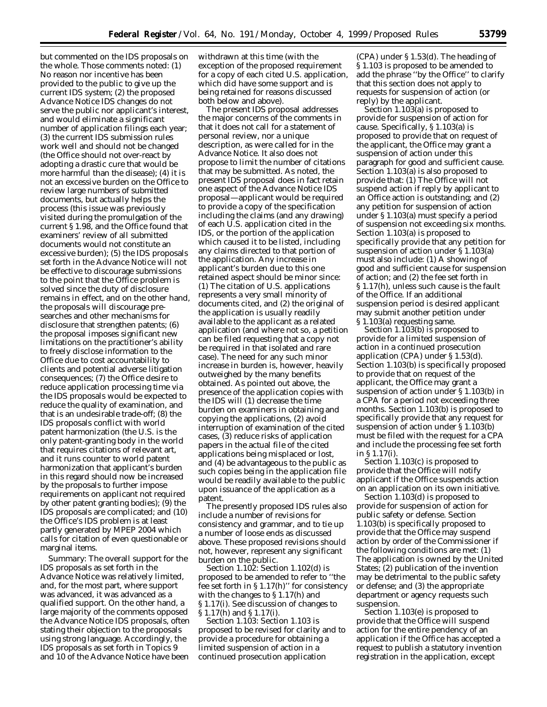but commented on the IDS proposals on the whole. Those comments noted: (1) No reason nor incentive has been provided to the public to give up the current IDS system; (2) the proposed Advance Notice IDS changes do not serve the public nor applicant's interest, and would eliminate a significant number of application filings each year; (3) the current IDS submission rules work well and should not be changed (the Office should not over-react by adopting a drastic cure that would be more harmful than the disease); (4) it is not an excessive burden on the Office to review large numbers of submitted documents, but actually helps the process (this issue was previously visited during the promulgation of the current § 1.98, and the Office found that examiners' review of all submitted documents would not constitute an excessive burden); (5) the IDS proposals set forth in the Advance Notice will not be effective to discourage submissions to the point that the Office problem is solved since the duty of disclosure remains in effect, and on the other hand, the proposals will discourage presearches and other mechanisms for disclosure that strengthen patents; (6) the proposal imposes significant new limitations on the practitioner's ability to freely disclose information to the Office due to cost accountability to clients and potential adverse litigation consequences; (7) the Office desire to reduce application processing time via the IDS proposals would be expected to reduce the quality of examination, and that is an undesirable trade-off; (8) the IDS proposals conflict with world patent harmonization (the U.S. is the only patent-granting body in the world that requires citations of relevant art, and it runs counter to world patent harmonization that applicant's burden in this regard should now be increased by the proposals to further impose requirements on applicant not required by other patent granting bodies); (9) the IDS proposals are complicated; and (10) the Office's IDS problem is at least partly generated by MPEP 2004 which calls for citation of even questionable or marginal items.

*Summary:* The overall support for the IDS proposals as set forth in the Advance Notice was relatively limited, and, for the most part, where support was advanced, it was advanced as a qualified support. On the other hand, a large majority of the comments opposed the Advance Notice IDS proposals, often stating their objection to the proposals using strong language. Accordingly, the IDS proposals as set forth in Topics 9 and 10 of the Advance Notice have been

withdrawn at this time (with the exception of the proposed requirement for a copy of each cited U.S. application, which did have some support and is being retained for reasons discussed both below and above).

The present IDS proposal addresses the major concerns of the comments in that it does not call for a statement of personal review, nor a unique description, as were called for in the Advance Notice. It also does not propose to limit the number of citations that may be submitted. As noted, the present IDS proposal does in fact retain one aspect of the Advance Notice IDS proposal—applicant would be required to provide a copy of the specification including the claims (and any drawing) of each U.S. application cited in the IDS, or the portion of the application which caused it to be listed, including any claims directed to that portion of the application. Any increase in applicant's burden due to this one retained aspect should be minor since: (1) The citation of U.S. applications represents a very small minority of documents cited, and (2) the original of the application is usually readily available to the applicant as a related application (and where not so, a petition can be filed requesting that a copy not be required in that isolated and rare case). The need for any such minor increase in burden is, however, heavily outweighed by the many benefits obtained. As pointed out above, the presence of the application copies with the IDS will (1) decrease the time burden on examiners in obtaining and copying the applications, (2) avoid interruption of examination of the cited cases, (3) reduce risks of application papers in the actual file of the cited applications being misplaced or lost, and (4) be advantageous to the public as such copies being in the application file would be readily available to the public upon issuance of the application as a patent.

The presently proposed IDS rules also include a number of revisions for consistency and grammar, and to tie up a number of loose ends as discussed above. These proposed revisions should not, however, represent any significant burden on the public.

*Section 1.102:* Section 1.102(d) is proposed to be amended to refer to ''the fee set forth in § 1.17(h)'' for consistency with the changes to § 1.17(h) and § 1.17(i). See discussion of changes to § 1.17(h) and § 1.17(i).

*Section 1.103:* Section 1.103 is proposed to be revised for clarity and to provide a procedure for obtaining a limited suspension of action in a continued prosecution application

(CPA) under § 1.53(d). The heading of § 1.103 is proposed to be amended to add the phrase ''by the Office'' to clarify that this section does not apply to requests for suspension of action (or reply) by the applicant.

Section 1.103(a) is proposed to provide for suspension of action for cause. Specifically, § 1.103(a) is proposed to provide that on request of the applicant, the Office may grant a suspension of action under this paragraph for good and sufficient cause. Section 1.103(a) is also proposed to provide that: (1) The Office will not suspend action if reply by applicant to an Office action is outstanding; and (2) any petition for suspension of action under § 1.103(a) must specify a period of suspension not exceeding six months. Section 1.103(a) is proposed to specifically provide that any petition for suspension of action under § 1.103(a) must also include: (1) A showing of good and sufficient cause for suspension of action; and (2) the fee set forth in § 1.17(h), unless such cause is the fault of the Office. If an additional suspension period is desired applicant may submit another petition under § 1.103(a) requesting same.

Section 1.103(b) is proposed to provide for a limited suspension of action in a continued prosecution application (CPA) under § 1.53(d). Section 1.103(b) is specifically proposed to provide that on request of the applicant, the Office may grant a suspension of action under § 1.103(b) in a CPA for a period not exceeding three months. Section 1.103(b) is proposed to specifically provide that any request for suspension of action under § 1.103(b) must be filed with the request for a CPA and include the processing fee set forth in § 1.17(i).

Section 1.103(c) is proposed to provide that the Office will notify applicant if the Office suspends action on an application on its own initiative.

Section 1.103(d) is proposed to provide for suspension of action for public safety or defense. Section 1.103(b) is specifically proposed to provide that the Office may suspend action by order of the Commissioner if the following conditions are met: (1) The application is owned by the United States; (2) publication of the invention may be detrimental to the public safety or defense; and (3) the appropriate department or agency requests such suspension.

Section 1.103(e) is proposed to provide that the Office will suspend action for the entire pendency of an application if the Office has accepted a request to publish a statutory invention registration in the application, except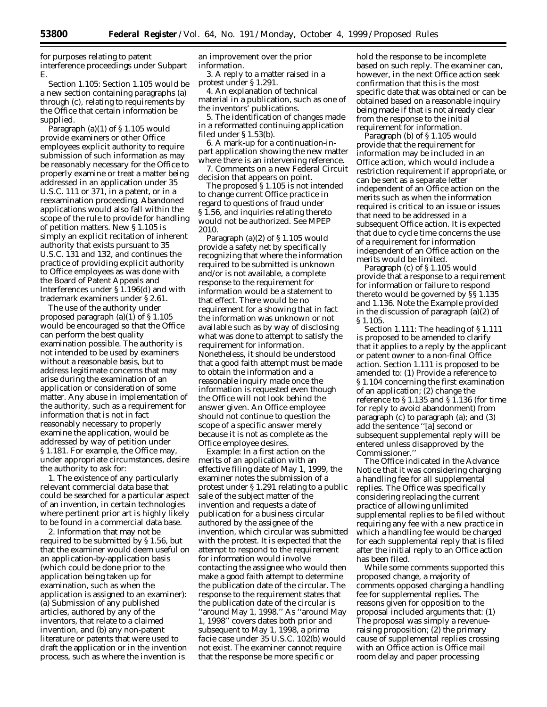for purposes relating to patent interference proceedings under Subpart E.

*Section 1.105:* Section 1.105 would be a new section containing paragraphs (a) through (c), relating to requirements by the Office that certain information be supplied.

Paragraph (a)(1) of § 1.105 would provide examiners or other Office employees explicit authority to require submission of such information as may be reasonably necessary for the Office to properly examine or treat a matter being addressed in an application under 35 U.S.C. 111 or 371, in a patent, or in a reexamination proceeding. Abandoned applications would also fall within the scope of the rule to provide for handling of petition matters. New § 1.105 is simply an explicit recitation of inherent authority that exists pursuant to 35 U.S.C. 131 and 132, and continues the practice of providing explicit authority to Office employees as was done with the Board of Patent Appeals and Interferences under § 1.196(d) and with trademark examiners under § 2.61.

The use of the authority under proposed paragraph (a)(1) of § 1.105 would be encouraged so that the Office can perform the best quality examination possible. The authority is not intended to be used by examiners without a reasonable basis, but to address legitimate concerns that may arise during the examination of an application or consideration of some matter. Any abuse in implementation of the authority, such as a requirement for information that is not in fact reasonably necessary to properly examine the application, would be addressed by way of petition under § 1.181. For example, the Office may, under appropriate circumstances, desire the authority to ask for:

1. The existence of any particularly relevant commercial data base that could be searched for a particular aspect of an invention, in certain technologies where pertinent prior art is highly likely to be found in a commercial data base.

2. Information that may not be required to be submitted by § 1.56, but that the examiner would deem useful on an application-by-application basis (which could be done prior to the application being taken up for examination, such as when the application is assigned to an examiner): (a) Submission of any published articles, authored by any of the inventors, that relate to a claimed invention, and (b) any non-patent literature or patents that were used to draft the application or in the invention process, such as where the invention is

an improvement over the prior information.

3. A reply to a matter raised in a protest under § 1.291.

4. An explanation of technical material in a publication, such as one of the inventors' publications.

5. The identification of changes made in a reformatted continuing application filed under § 1.53(b).

6. A mark-up for a continuation-inpart application showing the new matter where there is an intervening reference.

7. Comments on a new Federal Circuit decision that appears on point.

The proposed § 1.105 is not intended to change current Office practice in regard to questions of fraud under § 1.56, and inquiries relating thereto would not be authorized. *See* MPEP 2010.

Paragraph (a)(2) of § 1.105 would provide a safety net by specifically recognizing that where the information required to be submitted is unknown and/or is not available, a complete response to the requirement for information would be a statement to that effect. There would be no requirement for a showing that in fact the information was unknown or not available such as by way of disclosing what was done to attempt to satisfy the requirement for information. Nonetheless, it should be understood that a good faith attempt must be made to obtain the information and a reasonable inquiry made once the information is requested even though the Office will not look behind the answer given. An Office employee should not continue to question the scope of a specific answer merely because it is not as complete as the Office employee desires.

*Example:* In a first action on the merits of an application with an effective filing date of May 1, 1999, the examiner notes the submission of a protest under § 1.291 relating to a public sale of the subject matter of the invention and requests a date of publication for a business circular authored by the assignee of the invention, which circular was submitted with the protest. It is expected that the attempt to respond to the requirement for information would involve contacting the assignee who would then make a good faith attempt to determine the publication date of the circular. The response to the requirement states that the publication date of the circular is ''around May 1, 1998.'' As ''around May 1, 1998'' covers dates both prior and subsequent to May 1, 1998, a *prima facie* case under 35 U.S.C. 102(b) would not exist. The examiner cannot require that the response be more specific or

hold the response to be incomplete based on such reply. The examiner can, however, in the next Office action seek confirmation that this is the most specific date that was obtained or can be obtained based on a reasonable inquiry being made if that is not already clear from the response to the initial requirement for information.

Paragraph (b) of § 1.105 would provide that the requirement for information may be included in an Office action, which would include a restriction requirement if appropriate, or can be sent as a separate letter independent of an Office action on the merits such as when the information required is critical to an issue or issues that need to be addressed in a subsequent Office action. It is expected that due to cycle time concerns the use of a requirement for information independent of an Office action on the merits would be limited.

Paragraph (c) of § 1.105 would provide that a response to a requirement for information or failure to respond thereto would be governed by §§ 1.135 and 1.136. Note the Example provided in the discussion of paragraph (a)(2) of § 1.105.

*Section 1.111:* The heading of § 1.111 is proposed to be amended to clarify that it applies to a reply by the applicant or patent owner to a non-final Office action. Section 1.111 is proposed to be amended to: (1) Provide a reference to § 1.104 concerning the first examination of an application; (2) change the reference to § 1.135 and § 1.136 (for time for reply to avoid abandonment) from paragraph (c) to paragraph (a); and (3) add the sentence ''[a] second or subsequent supplemental reply will be entered unless disapproved by the Commissioner.''

The Office indicated in the Advance Notice that it was considering charging a handling fee for all supplemental replies. The Office was specifically considering replacing the current practice of allowing unlimited supplemental replies to be filed without requiring any fee with a new practice in which a handling fee would be charged for each supplemental reply that is filed after the initial reply to an Office action has been filed.

While some comments supported this proposed change, a majority of comments opposed charging a handling fee for supplemental replies. The reasons given for opposition to the proposal included arguments that: (1) The proposal was simply a revenueraising proposition; (2) the primary cause of supplemental replies crossing with an Office action is Office mail room delay and paper processing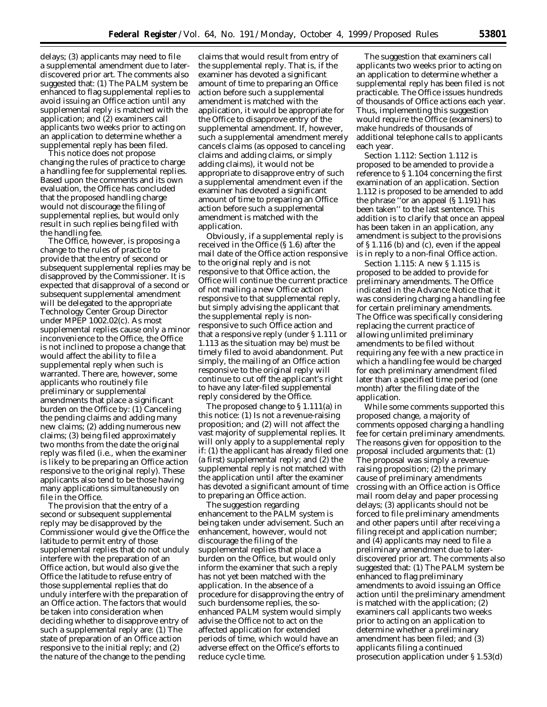delays; (3) applicants may need to file a supplemental amendment due to laterdiscovered prior art. The comments also suggested that: (1) The PALM system be enhanced to flag supplemental replies to avoid issuing an Office action until any supplemental reply is matched with the application; and (2) examiners call applicants two weeks prior to acting on an application to determine whether a supplemental reply has been filed.

This notice does not propose changing the rules of practice to charge a handling fee for supplemental replies. Based upon the comments and its own evaluation, the Office has concluded that the proposed handling charge would not discourage the filing of supplemental replies, but would only result in such replies being filed with the handling fee.

The Office, however, is proposing a change to the rules of practice to provide that the entry of second or subsequent supplemental replies may be disapproved by the Commissioner. It is expected that disapproval of a second or subsequent supplemental amendment will be delegated to the appropriate Technology Center Group Director under MPEP 1002.02(c). As most supplemental replies cause only a minor inconvenience to the Office, the Office is not inclined to propose a change that would affect the ability to file a supplemental reply when such is warranted. There are, however, some applicants who routinely file preliminary or supplemental amendments that place a significant burden on the Office by: (1) Canceling the pending claims and adding many new claims; (2) adding numerous new claims; (3) being filed approximately two months from the date the original reply was filed (*i.e.,* when the examiner is likely to be preparing an Office action responsive to the original reply). These applicants also tend to be those having many applications simultaneously on file in the Office.

The provision that the entry of a second or subsequent supplemental reply may be disapproved by the Commissioner would give the Office the latitude to permit entry of those supplemental replies that do not unduly interfere with the preparation of an Office action, but would also give the Office the latitude to refuse entry of those supplemental replies that do unduly interfere with the preparation of an Office action. The factors that would be taken into consideration when deciding whether to disapprove entry of such a supplemental reply are: (1) The state of preparation of an Office action responsive to the initial reply; and (2) the nature of the change to the pending

claims that would result from entry of the supplemental reply. That is, if the examiner has devoted a significant amount of time to preparing an Office action before such a supplemental amendment is matched with the application, it would be appropriate for the Office to disapprove entry of the supplemental amendment. If, however, such a supplemental amendment merely cancels claims (as opposed to canceling claims and adding claims, or simply adding claims), it would not be appropriate to disapprove entry of such a supplemental amendment even if the examiner has devoted a significant amount of time to preparing an Office action before such a supplemental amendment is matched with the application.

Obviously, if a supplemental reply is received in the Office (§ 1.6) after the mail date of the Office action responsive to the original reply and is not responsive to that Office action, the Office will continue the current practice of not mailing a new Office action responsive to that supplemental reply, but simply advising the applicant that the supplemental reply is nonresponsive to such Office action and that a responsive reply (under § 1.111 or 1.113 as the situation may be) must be timely filed to avoid abandonment. Put simply, the mailing of an Office action responsive to the original reply will continue to cut off the applicant's right to have any later-filed supplemental reply considered by the Office.

The proposed change to § 1.111(a) in this notice: (1) Is not a revenue-raising proposition; and (2) will not affect the vast majority of supplemental replies. It will only apply to a supplemental reply if: (1) the applicant has already filed one (a first) supplemental reply; and (2) the supplemental reply is not matched with the application until after the examiner has devoted a significant amount of time to preparing an Office action.

The suggestion regarding enhancement to the PALM system is being taken under advisement. Such an enhancement, however, would not discourage the filing of the supplemental replies that place a burden on the Office, but would only inform the examiner that such a reply has not yet been matched with the application. In the absence of a procedure for disapproving the entry of such burdensome replies, the soenhanced PALM system would simply advise the Office not to act on the affected application for extended periods of time, which would have an adverse effect on the Office's efforts to reduce cycle time.

The suggestion that examiners call applicants two weeks prior to acting on an application to determine whether a supplemental reply has been filed is not practicable. The Office issues hundreds of thousands of Office actions each year. Thus, implementing this suggestion would require the Office (examiners) to make hundreds of thousands of additional telephone calls to applicants each year.

*Section 1.112:* Section 1.112 is proposed to be amended to provide a reference to § 1.104 concerning the first examination of an application. Section 1.112 is proposed to be amended to add the phrase ''or an appeal (§ 1.191) has been taken'' to the last sentence. This addition is to clarify that once an appeal has been taken in an application, any amendment is subject to the provisions of § 1.116 (b) and (c), even if the appeal is in reply to a non-final Office action.

*Section 1.115:* A new § 1.115 is proposed to be added to provide for preliminary amendments. The Office indicated in the Advance Notice that it was considering charging a handling fee for certain preliminary amendments. The Office was specifically considering replacing the current practice of allowing unlimited preliminary amendments to be filed without requiring any fee with a new practice in which a handling fee would be charged for each preliminary amendment filed later than a specified time period (one month) after the filing date of the application.

While some comments supported this proposed change, a majority of comments opposed charging a handling fee for certain preliminary amendments. The reasons given for opposition to the proposal included arguments that: (1) The proposal was simply a revenueraising proposition; (2) the primary cause of preliminary amendments crossing with an Office action is Office mail room delay and paper processing delays; (3) applicants should not be forced to file preliminary amendments and other papers until after receiving a filing receipt and application number; and (4) applicants may need to file a preliminary amendment due to laterdiscovered prior art. The comments also suggested that: (1) The PALM system be enhanced to flag preliminary amendments to avoid issuing an Office action until the preliminary amendment is matched with the application; (2) examiners call applicants two weeks prior to acting on an application to determine whether a preliminary amendment has been filed; and (3) applicants filing a continued prosecution application under § 1.53(d)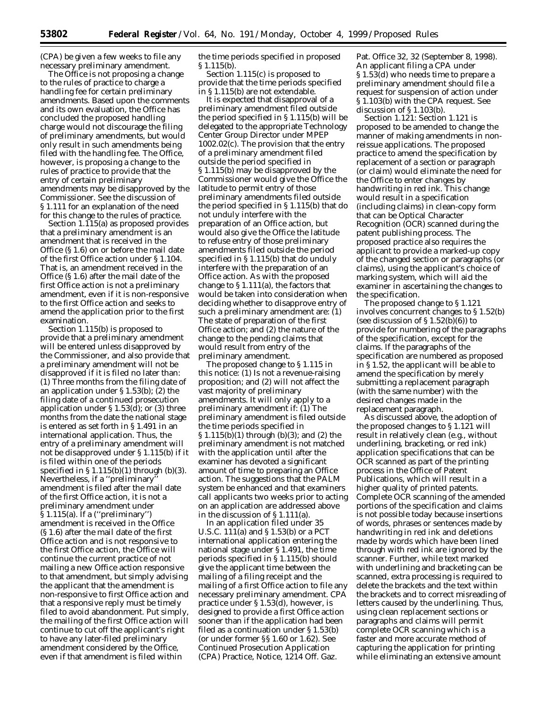(CPA) be given a few weeks to file any necessary preliminary amendment.

The Office is not proposing a change to the rules of practice to charge a handling fee for certain preliminary amendments. Based upon the comments and its own evaluation, the Office has concluded the proposed handling charge would not discourage the filing of preliminary amendments, but would only result in such amendments being filed with the handling fee. The Office, however, is proposing a change to the rules of practice to provide that the entry of certain preliminary amendments may be disapproved by the Commissioner. See the discussion of § 1.111 for an explanation of the need for this change to the rules of practice.

Section 1.115(a) as proposed provides that a preliminary amendment is an amendment that is received in the Office (§ 1.6) on or before the mail date of the first Office action under § 1.104. That is, an amendment received in the Office (§ 1.6) after the mail date of the first Office action is not a preliminary amendment, even if it is non-responsive to the first Office action and seeks to amend the application prior to the first examination.

Section 1.115(b) is proposed to provide that a preliminary amendment will be entered unless disapproved by the Commissioner, and also provide that a preliminary amendment will not be disapproved if it is filed no later than: (1) Three months from the filing date of an application under § 1.53(b); (2) the filing date of a continued prosecution application under § 1.53(d); or (3) three months from the date the national stage is entered as set forth in § 1.491 in an international application. Thus, the entry of a preliminary amendment will not be disapproved under § 1.115(b) if it is filed within one of the periods specified in  $\S 1.115(b)(1)$  through  $(b)(3)$ . Nevertheless, if a ''preliminary'' amendment is filed after the mail date of the first Office action, it is not a preliminary amendment under § 1.115(a). If a (''preliminary'') amendment is received in the Office (§ 1.6) after the mail date of the first Office action and is not responsive to the first Office action, the Office will continue the current practice of not mailing a new Office action responsive to that amendment, but simply advising the applicant that the amendment is non-responsive to first Office action and that a responsive reply must be timely filed to avoid abandonment. Put simply, the mailing of the first Office action will continue to cut off the applicant's right to have any later-filed preliminary amendment considered by the Office, even if that amendment is filed within

the time periods specified in proposed § 1.115(b).

Section 1.115(c) is proposed to provide that the time periods specified in § 1.115(b) are not extendable.

It is expected that disapproval of a preliminary amendment filed outside the period specified in § 1.115(b) will be delegated to the appropriate Technology Center Group Director under MPEP 1002.02(c). The provision that the entry of a preliminary amendment filed outside the period specified in § 1.115(b) may be disapproved by the Commissioner would give the Office the latitude to permit entry of those preliminary amendments filed outside the period specified in § 1.115(b) that do not unduly interfere with the preparation of an Office action, but would also give the Office the latitude to refuse entry of those preliminary amendments filed outside the period specified in § 1.115(b) that do unduly interfere with the preparation of an Office action. As with the proposed change to  $\S 1.111(a)$ , the factors that would be taken into consideration when deciding whether to disapprove entry of such a preliminary amendment are: (1) The state of preparation of the first Office action; and (2) the nature of the change to the pending claims that would result from entry of the preliminary amendment.

The proposed change to § 1.115 in this notice: (1) Is not a revenue-raising proposition; and (2) will not affect the vast majority of preliminary amendments. It will only apply to a preliminary amendment if: (1) The preliminary amendment is filed outside the time periods specified in § 1.115(b)(1) through (b)(3); and (2) the preliminary amendment is not matched with the application until after the examiner has devoted a significant amount of time to preparing an Office action. The suggestions that the PALM system be enhanced and that examiners call applicants two weeks prior to acting on an application are addressed above in the discussion of § 1.111(a).

In an application filed under 35 U.S.C. 111(a) and § 1.53(b) or a PCT international application entering the national stage under § 1.491, the time periods specified in § 1.115(b) should give the applicant time between the mailing of a filing receipt and the mailing of a first Office action to file any necessary preliminary amendment. CPA practice under § 1.53(d), however, is designed to provide a first Office action sooner than if the application had been filed as a continuation under § 1.53(b) (or under former §§ 1.60 or 1.62). *See* Continued Prosecution Application (CPA) Practice, Notice, 1214 Off. Gaz.

Pat. Office 32, 32 (September 8, 1998). An applicant filing a CPA under § 1.53(d) who needs time to prepare a preliminary amendment should file a request for suspension of action under § 1.103(b) with the CPA request. See discussion of § 1.103(b).

*Section 1.121:* Section 1.121 is proposed to be amended to change the manner of making amendments in nonreissue applications. The proposed practice to amend the specification by replacement of a section or paragraph (or claim) would eliminate the need for the Office to enter changes by handwriting in red ink. This change would result in a specification (including claims) in clean-copy form that can be Optical Character Recognition (OCR) scanned during the patent publishing process. The proposed practice also requires the applicant to provide a marked-up copy of the changed section or paragraphs (or claims), using the applicant's choice of marking system, which will aid the examiner in ascertaining the changes to the specification.

The proposed change to § 1.121 involves concurrent changes to § 1.52(b) (see discussion of  $\S 1.52(b)(6)$ ) to provide for numbering of the paragraphs of the specification, except for the claims. If the paragraphs of the specification are numbered as proposed in § 1.52, the applicant will be able to amend the specification by merely submitting a replacement paragraph (with the same number) with the desired changes made in the replacement paragraph.

As discussed above, the adoption of the proposed changes to § 1.121 will result in relatively clean (*e.g.,* without underlining, bracketing, or red ink) application specifications that can be OCR scanned as part of the printing process in the Office of Patent Publications, which will result in a higher quality of printed patents. Complete OCR scanning of the amended portions of the specification and claims is not possible today because insertions of words, phrases or sentences made by handwriting in red ink and deletions made by words which have been lined through with red ink are ignored by the scanner. Further, while text marked with underlining and bracketing can be scanned, extra processing is required to delete the brackets and the text within the brackets and to correct misreading of letters caused by the underlining. Thus, using clean replacement sections or paragraphs and claims will permit complete OCR scanning which is a faster and more accurate method of capturing the application for printing while eliminating an extensive amount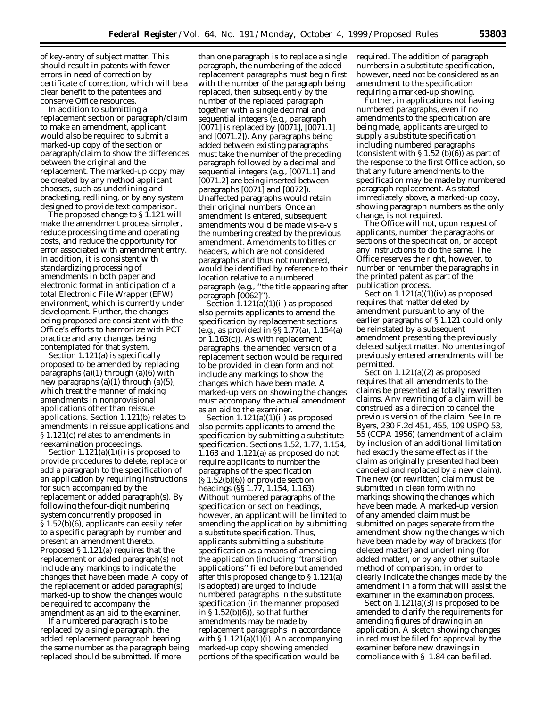of key-entry of subject matter. This should result in patents with fewer errors in need of correction by certificate of correction, which will be a clear benefit to the patentees and conserve Office resources.

In addition to submitting a replacement section or paragraph/claim to make an amendment, applicant would also be required to submit a marked-up copy of the section or paragraph/claim to show the differences between the original and the replacement. The marked-up copy may be created by any method applicant chooses, such as underlining and bracketing, redlining, or by any system designed to provide text comparison.

The proposed change to § 1.121 will make the amendment process simpler, reduce processing time and operating costs, and reduce the opportunity for error associated with amendment entry. In addition, it is consistent with standardizing processing of amendments in both paper and electronic format in anticipation of a total Electronic File Wrapper (EFW) environment, which is currently under development. Further, the changes being proposed are consistent with the Office's efforts to harmonize with PCT practice and any changes being contemplated for that system.

Section 1.121(a) is specifically proposed to be amended by replacing paragraphs (a)(1) through (a)(6) with new paragraphs (a)(1) through (a)(5), which treat the manner of making amendments in nonprovisional applications other than reissue applications. Section 1.121(b) relates to amendments in reissue applications and § 1.121(c) relates to amendments in reexamination proceedings.

Section  $1.12\overline{1}(a)(1)(i)$  is proposed to provide procedures to delete, replace or add a paragraph to the specification of an application by requiring instructions for such accompanied by the replacement or added paragraph(s). By following the four-digit numbering system concurrently proposed in § 1.52(b)(6), applicants can easily refer to a specific paragraph by number and present an amendment thereto. Proposed § 1.121(a) requires that the replacement or added paragraph(s) not include any markings to indicate the changes that have been made. A copy of the replacement or added paragraph(s) marked-up to show the changes would be required to accompany the amendment as an aid to the examiner.

If a numbered paragraph is to be replaced by a single paragraph, the added replacement paragraph bearing the same number as the paragraph being replaced should be submitted. If more

than one paragraph is to replace a single paragraph, the numbering of the added replacement paragraphs must begin first with the number of the paragraph being replaced, then subsequently by the number of the replaced paragraph together with a single decimal and sequential integers (*e.g.,* paragraph [0071] is replaced by [0071], [0071.1] and [0071.2]). Any paragraphs being added between existing paragraphs must take the number of the preceding paragraph followed by a decimal and sequential integers (*e.g.,* [0071.1] and [0071.2] are being inserted between paragraphs [0071] and [0072]). Unaffected paragraphs would retain their original numbers. Once an amendment is entered, subsequent amendments would be made *vis-a-vis* the numbering created by the previous amendment. Amendments to titles or headers, which are not considered paragraphs and thus not numbered, would be identified by reference to their location relative to a numbered paragraph (*e.g.,* ''the title appearing after paragraph [0062]'').

Section  $1.121(a)(1)(ii)$  as proposed also permits applicants to amend the specification by replacement sections (*e.g.,* as provided in §§ 1.77(a), 1.154(a) or 1.163(c)). As with replacement paragraphs, the amended version of a replacement section would be required to be provided in clean form and not include any markings to show the changes which have been made. A marked-up version showing the changes must accompany the actual amendment as an aid to the examiner.

Section 1.121(a)(1)(ii) as proposed also permits applicants to amend the specification by submitting a substitute specification. Sections 1.52, 1.77, 1.154, 1.163 and 1.121(a) as proposed do not require applicants to number the paragraphs of the specification  $(S 1.52(b)(6))$  or provide section headings (§§ 1.77, 1.154, 1.163). Without numbered paragraphs of the specification or section headings, however, an applicant will be limited to amending the application by submitting a substitute specification. Thus, applicants submitting a substitute specification as a means of amending the application (including ''transition applications'' filed before but amended after this proposed change to § 1.121(a) is adopted) are urged to include numbered paragraphs in the substitute specification (in the manner proposed in  $\S 1.52(b)(6)$ , so that further amendments may be made by replacement paragraphs in accordance with § 1.121(a)(1)(i). An accompanying marked-up copy showing amended portions of the specification would be

required. The addition of paragraph numbers in a substitute specification, however, need not be considered as an amendment to the specification requiring a marked-up showing.

Further, in applications not having numbered paragraphs, even if no amendments to the specification are being made, applicants are urged to supply a substitute specification including numbered paragraphs (consistent with  $\S 1.52$  (b)(6)) as part of the response to the first Office action, so that any future amendments to the specification may be made by numbered paragraph replacement. As stated immediately above, a marked-up copy, showing paragraph numbers as the only change, is not required.

The Office will not, upon request of applicants, number the paragraphs or sections of the specification, or accept any instructions to do the same. The Office reserves the right, however, to number or renumber the paragraphs in the printed patent as part of the publication process.

Section  $1.\overline{1}21(a)(1)(iv)$  as proposed requires that matter deleted by amendment pursuant to any of the earlier paragraphs of § 1.121 could only be reinstated by a subsequent amendment presenting the previously deleted subject matter. No unentering of previously entered amendments will be permitted.

Section 1.121(a)(2) as proposed requires that all amendments to the claims be presented as totally rewritten claims. Any rewriting of a claim will be construed as a direction to cancel the previous version of the claim. *See In re Byers*, 230 F.2d 451, 455, 109 USPQ 53, 55 (CCPA 1956) (amendment of a claim by inclusion of an additional limitation had exactly the same effect as if the claim as originally presented had been canceled and replaced by a new claim). The new (or rewritten) claim must be submitted in clean form with no markings showing the changes which have been made. A marked-up version of any amended claim must be submitted on pages separate from the amendment showing the changes which have been made by way of brackets (for deleted matter) and underlining (for added matter), or by any other suitable method of comparison, in order to clearly indicate the changes made by the amendment in a form that will assist the examiner in the examination process.

Section 1.121(a)(3) is proposed to be amended to clarify the requirements for amending figures of drawing in an application. A sketch showing changes in red must be filed for approval by the examiner before new drawings in compliance with § 1.84 can be filed.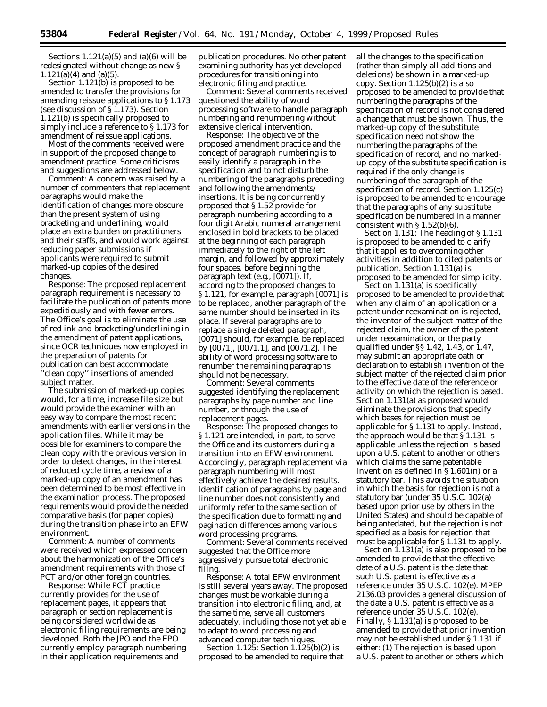Sections  $1.121(a)(5)$  and  $(a)(6)$  will be redesignated without change as new §  $1.121(a)(4)$  and  $(a)(5)$ .

Section 1.121(b) is proposed to be amended to transfer the provisions for amending reissue applications to § 1.173 (see discussion of § 1.173). Section 1.121(b) is specifically proposed to simply include a reference to § 1.173 for amendment of reissue applications.

Most of the comments received were in support of the proposed change to amendment practice. Some criticisms and suggestions are addressed below.

*Comment:* A concern was raised by a number of commenters that replacement paragraphs would make the identification of changes more obscure than the present system of using bracketing and underlining, would place an extra burden on practitioners and their staffs, and would work against reducing paper submissions if applicants were required to submit marked-up copies of the desired changes.

*Response:* The proposed replacement paragraph requirement is necessary to facilitate the publication of patents more expeditiously and with fewer errors. The Office's goal is to eliminate the use of red ink and bracketing/underlining in the amendment of patent applications, since OCR techniques now employed in the preparation of patents for publication can best accommodate 'clean copy'' insertions of amended subject matter.

The submission of marked-up copies would, for a time, increase file size but would provide the examiner with an easy way to compare the most recent amendments with earlier versions in the application files. While it may be possible for examiners to compare the clean copy with the previous version in order to detect changes, in the interest of reduced cycle time, a review of a marked-up copy of an amendment has been determined to be most effective in the examination process. The proposed requirements would provide the needed comparative basis (for paper copies) during the transition phase into an EFW environment.

*Comment:* A number of comments were received which expressed concern about the harmonization of the Office's amendment requirements with those of PCT and/or other foreign countries.

*Response:* While PCT practice currently provides for the use of replacement pages, it appears that paragraph or section replacement is being considered worldwide as electronic filing requirements are being developed. Both the JPO and the EPO currently employ paragraph numbering in their application requirements and

publication procedures. No other patent examining authority has yet developed procedures for transitioning into electronic filing and practice.

*Comment:* Several comments received questioned the ability of word processing software to handle paragraph numbering and renumbering without extensive clerical intervention.

*Response:* The objective of the proposed amendment practice and the concept of paragraph numbering is to easily identify a paragraph in the specification and to not disturb the numbering of the paragraphs preceding and following the amendments/ insertions. It is being concurrently proposed that § 1.52 provide for paragraph numbering according to a four digit Arabic numeral arrangement enclosed in bold brackets to be placed at the beginning of each paragraph immediately to the right of the left margin, and followed by approximately four spaces, before beginning the paragraph text (*e.g.*, [0071]). If, according to the proposed changes to § 1.121, for example, paragraph [0071] is to be replaced, another paragraph of the same number should be inserted in its place. If several paragraphs are to replace a single deleted paragraph, [0071] should, for example, be replaced by [0071], [0071.1], and [0071.2]. The ability of word processing software to renumber the remaining paragraphs should not be necessary.

*Comment:* Several comments suggested identifying the replacement paragraphs by page number and line number, or through the use of replacement pages.

*Response:* The proposed changes to § 1.121 are intended, in part, to serve the Office and its customers during a transition into an EFW environment. Accordingly, paragraph replacement via paragraph numbering will most effectively achieve the desired results. Identification of paragraphs by page and line number does not consistently and uniformly refer to the same section of the specification due to formatting and pagination differences among various word processing programs.

*Comment:* Several comments received suggested that the Office more aggressively pursue total electronic filing.

*Response:* A total EFW environment is still several years away. The proposed changes must be workable during a transition into electronic filing, and, at the same time, serve all customers adequately, including those not yet able to adapt to word processing and advanced computer techniques.

*Section 1.125:* Section 1.125(b)(2) is proposed to be amended to require that all the changes to the specification (rather than simply all additions and deletions) be shown in a marked-up copy. Section 1.125(b)(2) is also proposed to be amended to provide that numbering the paragraphs of the specification of record is not considered a change that must be shown. Thus, the marked-up copy of the substitute specification need not show the numbering the paragraphs of the specification of record, and no markedup copy of the substitute specification is required if the only change is numbering of the paragraph of the specification of record. Section 1.125(c) is proposed to be amended to encourage that the paragraphs of any substitute specification be numbered in a manner consistent with  $\S 1.52(b)(6)$ .

*Section 1.131:* The heading of § 1.131 is proposed to be amended to clarify that it applies to overcoming other activities in addition to cited patents or publication. Section 1.131(a) is proposed to be amended for simplicity.

Section 1.131(a) is specifically proposed to be amended to provide that when any claim of an application or a patent under reexamination is rejected, the inventor of the subject matter of the rejected claim, the owner of the patent under reexamination, or the party qualified under §§ 1.42, 1.43, or 1.47, may submit an appropriate oath or declaration to establish invention of the subject matter of the rejected claim prior to the effective date of the reference or activity on which the rejection is based. Section 1.131(a) as proposed would eliminate the provisions that specify which bases for rejection must be applicable for § 1.131 to apply. Instead, the approach would be that § 1.131 is applicable unless the rejection is based upon a U.S. patent to another or others which claims the same patentable invention as defined in  $\S 1.601(n)$  or a statutory bar. This avoids the situation in which the basis for rejection is not a statutory bar (under 35 U.S.C. 102(a) based upon prior use by others in the United States) and should be capable of being antedated, but the rejection is not specified as a basis for rejection that must be applicable for § 1.131 to apply.

Section 1.131(a) is also proposed to be amended to provide that the effective date of a U.S. patent is the date that such U.S. patent is effective as a reference under 35 U.S.C. 102(e). MPEP 2136.03 provides a general discussion of the date a U.S. patent is effective as a reference under 35 U.S.C. 102(e). Finally, § 1.131(a) is proposed to be amended to provide that prior invention may not be established under § 1.131 if either: (1) The rejection is based upon a U.S. patent to another or others which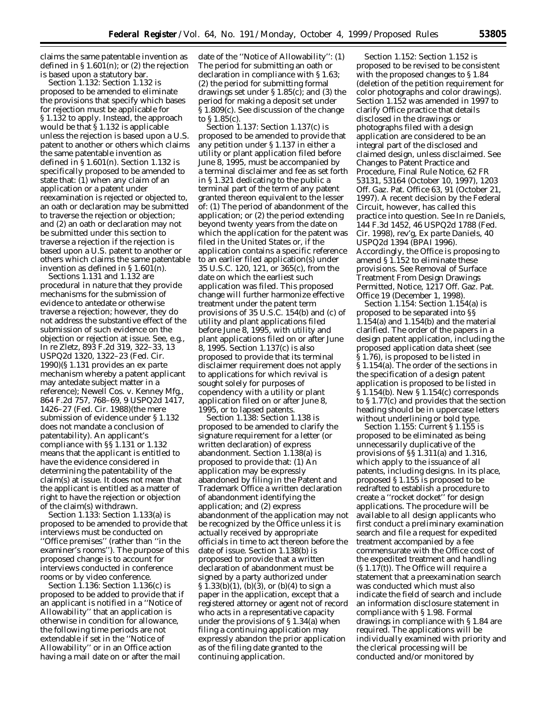claims the same patentable invention as defined in  $\S 1.601(n)$ ; or (2) the rejection is based upon a statutory bar.

*Section 1.132:* Section 1.132 is proposed to be amended to eliminate the provisions that specify which bases for rejection must be applicable for § 1.132 to apply. Instead, the approach would be that § 1.132 is applicable unless the rejection is based upon a U.S. patent to another or others which claims the same patentable invention as defined in § 1.601(n). Section 1.132 is specifically proposed to be amended to state that: (1) when any claim of an application or a patent under reexamination is rejected or objected to, an oath or declaration may be submitted to traverse the rejection or objection; and (2) an oath or declaration may not be submitted under this section to traverse a rejection if the rejection is based upon a U.S. patent to another or others which claims the same patentable invention as defined in § 1.601(n).

Sections 1.131 and 1.132 are procedural in nature that they provide mechanisms for the submission of evidence to antedate or otherwise traverse a rejection; however, they do not address the substantive effect of the submission of such evidence on the objection or rejection at issue. *See, e.g., In re Zletz*, 893 F.2d 319, 322–33, 13 USPQ2d 1320, 1322–23 (Fed. Cir. 1990)(§ 1.131 provides an *ex parte* mechanism whereby a patent applicant may antedate subject matter in a reference); *Newell Cos.* v. *Kenney Mfg.*, 864 F.2d 757, 768–69, 9 USPQ2d 1417, 1426–27 (Fed. Cir. 1988)(the mere submission of evidence under § 1.132 does not mandate a conclusion of patentability). An applicant's compliance with §§ 1.131 or 1.132 means that the applicant is entitled to have the evidence considered in determining the patentability of the claim(s) at issue. It does not mean that the applicant is entitled as a matter of right to have the rejection or objection of the claim(s) withdrawn.

*Section 1.133:* Section 1.133(a) is proposed to be amended to provide that interviews must be conducted on ''Office premises'' (rather than ''in the examiner's rooms''). The purpose of this proposed change is to account for interviews conducted in conference rooms or by video conference.

*Section 1.136:* Section 1.136(c) is proposed to be added to provide that if an applicant is notified in a ''Notice of Allowability'' that an application is otherwise in condition for allowance, the following time periods are not extendable if set in the ''Notice of Allowability'' or in an Office action having a mail date on or after the mail

date of the ''Notice of Allowability'': (1) The period for submitting an oath or declaration in compliance with § 1.63; (2) the period for submitting formal drawings set under § 1.85(c); and (3) the period for making a deposit set under § 1.809(c). See discussion of the change to § 1.85(c).

*Section 1.137:* Section 1.137(c) is proposed to be amended to provide that any petition under § 1.137 in either a utility or plant application filed before June 8, 1995, must be accompanied by a terminal disclaimer and fee as set forth in § 1.321 dedicating to the public a terminal part of the term of any patent granted thereon equivalent to the lesser of: (1) The period of abandonment of the application; or (2) the period extending beyond twenty years from the date on which the application for the patent was filed in the United States or, if the application contains a specific reference to an earlier filed application(s) under 35 U.S.C. 120, 121, or 365(c), from the date on which the earliest such application was filed. This proposed change will further harmonize effective treatment under the patent term provisions of 35 U.S.C. 154(b) and (c) of utility and plant applications filed before June 8, 1995, with utility and plant applications filed on or after June 8, 1995. Section 1.137(c) is also proposed to provide that its terminal disclaimer requirement does not apply to applications for which revival is sought solely for purposes of copendency with a utility or plant application filed on or after June 8, 1995, or to lapsed patents.

*Section 1.138:* Section 1.138 is proposed to be amended to clarify the signature requirement for a letter (or written declaration) of express abandonment. Section 1.138(a) is proposed to provide that: (1) An application may be expressly abandoned by filing in the Patent and Trademark Office a written declaration of abandonment identifying the application; and (2) express abandonment of the application may not be recognized by the Office unless it is actually received by appropriate officials in time to act thereon before the date of issue. Section 1.138(b) is proposed to provide that a written declaration of abandonment must be signed by a party authorized under § 1.33(b)(1), (b)(3), or (b)(4) to sign a paper in the application, except that a registered attorney or agent not of record who acts in a representative capacity under the provisions of § 1.34(a) when filing a continuing application may expressly abandon the prior application as of the filing date granted to the continuing application.

*Section 1.152*: Section 1.152 is proposed to be revised to be consistent with the proposed changes to § 1.84 (deletion of the petition requirement for color photographs and color drawings). Section 1.152 was amended in 1997 to clarify Office practice that details disclosed in the drawings or photographs filed with a design application are considered to be an integral part of the disclosed and claimed design, unless disclaimed. See Changes to Patent Practice and Procedure, Final Rule Notice, 62 FR 53131, 53164 (October 10, 1997), 1203 Off. Gaz. Pat. Office 63, 91 (October 21, 1997). A recent decision by the Federal Circuit, however, has called this practice into question. *See In re Daniels*, 144 F.3d 1452, 46 USPQ2d 1788 (Fed. Cir. 1998), *rev'g*, *Ex parte Daniels*, 40 USPQ2d 1394 (BPAI 1996). Accordingly, the Office is proposing to amend § 1.152 to eliminate these provisions. See Removal of Surface Treatment From Design Drawings Permitted, Notice, 1217 Off. Gaz. Pat. Office 19 (December 1, 1998).

*Section 1.154*: Section 1.154(a) is proposed to be separated into §§ 1.154(a) and 1.154(b) and the material clarified. The order of the papers in a design patent application, including the proposed application data sheet (*see* § 1.76), is proposed to be listed in § 1.154(a). The order of the sections in the specification of a design patent application is proposed to be listed in § 1.154(b). New § 1.154(c) corresponds to § 1.77(c) and provides that the section heading should be in uppercase letters without underlining or bold type.

*Section 1.155*: Current § 1.155 is proposed to be eliminated as being unnecessarily duplicative of the provisions of §§ 1.311(a) and 1.316, which apply to the issuance of all patents, including designs. In its place, proposed § 1.155 is proposed to be redrafted to establish a procedure to create a ''rocket docket'' for design applications. The procedure will be available to all design applicants who first conduct a preliminary examination search and file a request for expedited treatment accompanied by a fee commensurate with the Office cost of the expedited treatment and handling  $(S 1.17(t))$ . The Office will require a statement that a preexamination search was conducted which must also indicate the field of search and include an information disclosure statement in compliance with § 1.98. Formal drawings in compliance with § 1.84 are required. The applications will be individually examined with priority and the clerical processing will be conducted and/or monitored by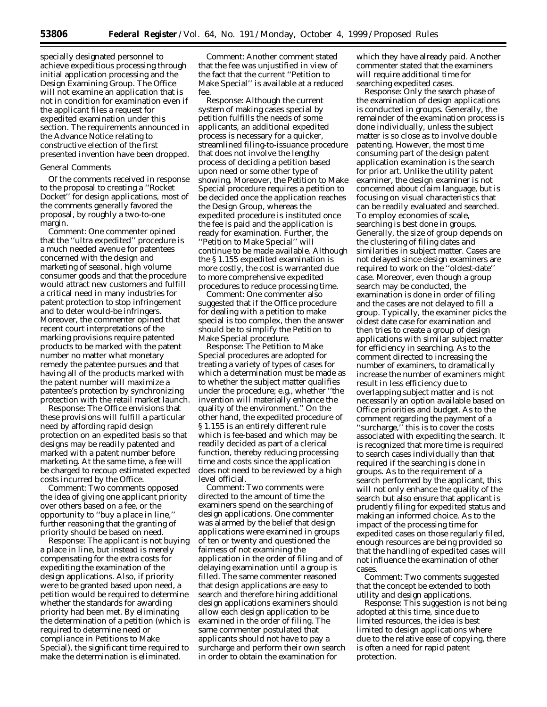specially designated personnel to achieve expeditious processing through initial application processing and the Design Examining Group. The Office will not examine an application that is not in condition for examination even if the applicant files a request for expedited examination under this section. The requirements announced in the Advance Notice relating to constructive election of the first presented invention have been dropped.

#### *General Comments*

Of the comments received in response to the proposal to creating a ''Rocket Docket'' for design applications, most of the comments generally favored the proposal, by roughly a two-to-one margin.

*Comment*: One commenter opined that the ''ultra expedited'' procedure is a much needed avenue for patentees concerned with the design and marketing of seasonal, high volume consumer goods and that the procedure would attract new customers and fulfill a critical need in many industries for patent protection to stop infringement and to deter would-be infringers. Moreover, the commenter opined that recent court interpretations of the marking provisions require patented products to be marked with the patent number no matter what monetary remedy the patentee pursues and that having all of the products marked with the patent number will maximize a patentee's protection by synchronizing protection with the retail market launch.

*Response*: The Office envisions that these provisions will fulfill a particular need by affording rapid design protection on an expedited basis so that designs may be readily patented and marked with a patent number before marketing. At the same time, a fee will be charged to recoup estimated expected costs incurred by the Office.

*Comment:* Two comments opposed the idea of giving one applicant priority over others based on a fee, or the opportunity to ''buy a place in line,'' further reasoning that the granting of priority should be based on need.

*Response:* The applicant is not buying a place in line, but instead is merely compensating for the extra costs for expediting the examination of the design applications. Also, if priority were to be granted based upon need, a petition would be required to determine whether the standards for awarding priority had been met. By eliminating the determination of a petition (which is required to determine need or compliance in Petitions to Make Special), the significant time required to make the determination is eliminated.

*Comment:* Another comment stated that the fee was unjustified in view of the fact that the current ''Petition to Make Special'' is available at a reduced fee.

*Response:* Although the current system of making cases special by petition fulfills the needs of some applicants, an additional expedited process is necessary for a quicker, streamlined filing-to-issuance procedure that does not involve the lengthy process of deciding a petition based upon need or some other type of showing. Moreover, the Petition to Make Special procedure requires a petition to be decided once the application reaches the Design Group, whereas the expedited procedure is instituted once the fee is paid and the application is ready for examination. Further, the ''Petition to Make Special'' will continue to be made available. Although the § 1.155 expedited examination is more costly, the cost is warranted due to more comprehensive expedited procedures to reduce processing time.

*Comment:* One commenter also suggested that if the Office procedure for dealing with a petition to make special is too complex, then the answer should be to simplify the Petition to Make Special procedure.

*Response:* The Petition to Make Special procedures are adopted for treating a variety of types of cases for which a determination must be made as to whether the subject matter qualifies under the procedure; *e.g.*, whether ''the invention will materially enhance the quality of the environment.'' On the other hand, the expedited procedure of § 1.155 is an entirely different rule which is fee-based and which may be readily decided as part of a clerical function, thereby reducing processing time and costs since the application does not need to be reviewed by a high level official.

*Comment:* Two comments were directed to the amount of time the examiners spend on the searching of design applications. One commenter was alarmed by the belief that design applications were examined in groups of ten or twenty and questioned the fairness of not examining the application in the order of filing and of delaying examination until a group is filled. The same commenter reasoned that design applications are easy to search and therefore hiring additional design applications examiners should allow each design application to be examined in the order of filing. The same commenter postulated that applicants should not have to pay a surcharge and perform their own search in order to obtain the examination for

which they have already paid. Another commenter stated that the examiners will require additional time for searching expedited cases.

*Response:* Only the search phase of the examination of design applications is conducted in groups. Generally, the remainder of the examination process is done individually, unless the subject matter is so close as to involve double patenting. However, the most time consuming part of the design patent application examination is the search for prior art. Unlike the utility patent examiner, the design examiner is not concerned about claim language, but is focusing on visual characteristics that can be readily evaluated and searched. To employ economies of scale, searching is best done in groups. Generally, the size of group depends on the clustering of filing dates and similarities in subject matter. Cases are not delayed since design examiners are required to work on the ''oldest-date'' case. Moreover, even though a group search may be conducted, the examination is done in order of filing and the cases are not delayed to fill a group. Typically, the examiner picks the oldest date case for examination and then tries to create a group of design applications with similar subject matter for efficiency in searching. As to the comment directed to increasing the number of examiners, to dramatically increase the number of examiners might result in less efficiency due to overlapping subject matter and is not necessarily an option available based on Office priorities and budget. As to the comment regarding the payment of a ''surcharge,'' this is to cover the costs associated with expediting the search. It is recognized that more time is required to search cases individually than that required if the searching is done in groups. As to the requirement of a search performed by the applicant, this will not only enhance the quality of the search but also ensure that applicant is prudently filing for expedited status and making an informed choice. As to the impact of the processing time for expedited cases on those regularly filed, enough resources are being provided so that the handling of expedited cases will not influence the examination of other cases.

*Comment:* Two comments suggested that the concept be extended to both utility and design applications.

*Response:* This suggestion is not being adopted at this time, since due to limited resources, the idea is best limited to design applications where due to the relative ease of copying, there is often a need for rapid patent protection.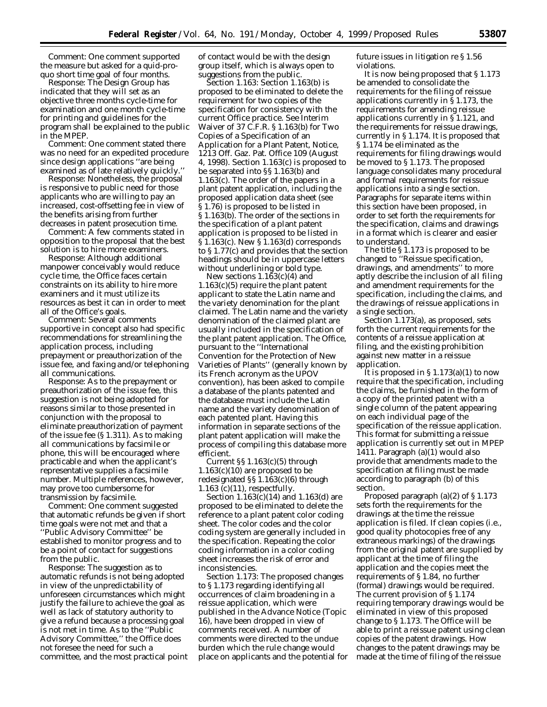*Comment:* One comment supported the measure but asked for a *quid-proquo* short time goal of four months.

*Response:* The Design Group has indicated that they will set as an objective three months cycle-time for examination and one month cycle-time for printing and guidelines for the program shall be explained to the public in the MPEP.

*Comment:* One comment stated there was no need for an expedited procedure since design applications ''are being examined as of late relatively quickly.''

*Response:* Nonetheless, the proposal is responsive to public need for those applicants who are willing to pay an increased, cost-offsetting fee in view of the benefits arising from further decreases in patent prosecution time.

*Comment:* A few comments stated in opposition to the proposal that the best solution is to hire more examiners.

*Response:* Although additional manpower conceivably would reduce cycle time, the Office faces certain constraints on its ability to hire more examiners and it must utilize its resources as best it can in order to meet all of the Office's goals.

*Comment:* Several comments supportive in concept also had specific recommendations for streamlining the application process, including prepayment or preauthorization of the issue fee, and faxing and/or telephoning all communications.

*Response:* As to the prepayment or preauthorization of the issue fee, this suggestion is not being adopted for reasons similar to those presented in conjunction with the proposal to eliminate preauthorization of payment of the issue fee (§ 1.311). As to making all communications by facsimile or phone, this will be encouraged where practicable and when the applicant's representative supplies a facsimile number. Multiple references, however, may prove too cumbersome for transmission by facsimile.

*Comment:* One comment suggested that automatic refunds be given if short time goals were not met and that a ''Public Advisory Committee'' be established to monitor progress and to be a point of contact for suggestions from the public.

*Response:* The suggestion as to automatic refunds is not being adopted in view of the unpredictability of unforeseen circumstances which might justify the failure to achieve the goal as well as lack of statutory authority to give a refund because a processing goal is not met in time. As to the ''Public Advisory Committee,'' the Office does not foresee the need for such a committee, and the most practical point of contact would be with the design group itself, which is always open to suggestions from the public.

*Section 1.163:* Section 1.163(b) is proposed to be eliminated to delete the requirement for two copies of the specification for consistency with the current Office practice. *See* Interim Waiver of 37 C.F.R. § 1.163(b) for Two Copies of a Specification of an Application for a Plant Patent, Notice, 1213 Off. Gaz. Pat. Office 109 (August 4, 1998). Section 1.163(c) is proposed to be separated into §§ 1.163(b) and 1.163(c). The order of the papers in a plant patent application, including the proposed application data sheet (*see* § 1.76) is proposed to be listed in § 1.163(b). The order of the sections in the specification of a plant patent application is proposed to be listed in § 1.163(c). New § 1.163(d) corresponds to § 1.77(c) and provides that the section headings should be in uppercase letters without underlining or bold type.

New sections 1.163(c)(4) and 1.163(c)(5) require the plant patent applicant to state the Latin name and the variety denomination for the plant claimed. The Latin name and the variety denomination of the claimed plant are usually included in the specification of the plant patent application. The Office, pursuant to the ''International Convention for the Protection of New Varieties of Plants'' (generally known by its French acronym as the UPOV convention), has been asked to compile a database of the plants patented and the database must include the Latin name and the variety denomination of each patented plant. Having this information in separate sections of the plant patent application will make the process of compiling this database more efficient.

Current §§ 1.163(c)(5) through  $1.163(c)(10)$  are proposed to be redesignated §§ 1.163(c)(6) through 1.163 (c)(11), respectfully.

Section  $1.163(c)(14)$  and  $1.163(d)$  are proposed to be eliminated to delete the reference to a plant patent color coding sheet. The color codes and the color coding system are generally included in the specification. Repeating the color coding information in a color coding sheet increases the risk of error and inconsistencies.

*Section 1.173:* The proposed changes to § 1.173 regarding identifying all occurrences of claim broadening in a reissue application, which were published in the Advance Notice (Topic 16), have been dropped in view of comments received. A number of comments were directed to the undue burden which the rule change would place on applicants and the potential for future issues in litigation re § 1.56 violations.

It is now being proposed that § 1.173 be amended to consolidate the requirements for the filing of reissue applications currently in § 1.173, the requirements for amending reissue applications currently in § 1.121, and the requirements for reissue drawings, currently in § 1.174. It is proposed that § 1.174 be eliminated as the requirements for filing drawings would be moved to § 1.173. The proposed language consolidates many procedural and formal requirements for reissue applications into a single section. Paragraphs for separate items within this section have been proposed, in order to set forth the requirements for the specification, claims and drawings in a format which is clearer and easier to understand.

The title § 1.173 is proposed to be changed to ''Reissue specification, drawings, and amendments'' to more aptly describe the inclusion of all filing and amendment requirements for the specification, including the claims, and the drawings of reissue applications in a single section.

Section 1.173(a), as proposed, sets forth the current requirements for the contents of a reissue application at filing, and the existing prohibition against new matter in a reissue application.

It is proposed in  $\S 1.173(a)(1)$  to now require that the specification, including the claims, be furnished in the form of a copy of the printed patent with a single column of the patent appearing on each individual page of the specification of the reissue application. This format for submitting a reissue application is currently set out in MPEP 1411. Paragraph (a)(1) would also provide that amendments made to the specification at filing must be made according to paragraph (b) of this section.

Proposed paragraph (a)(2) of § 1.173 sets forth the requirements for the drawings at the time the reissue application is filed. If clean copies (*i.e.,* good quality photocopies free of any extraneous markings) of the drawings from the original patent are supplied by applicant at the time of filing the application and the copies meet the requirements of § 1.84, no further (formal) drawings would be required. The current provision of § 1.174 requiring temporary drawings would be eliminated in view of this proposed change to § 1.173. The Office will be able to print a reissue patent using clean copies of the patent drawings. How changes to the patent drawings may be made at the time of filing of the reissue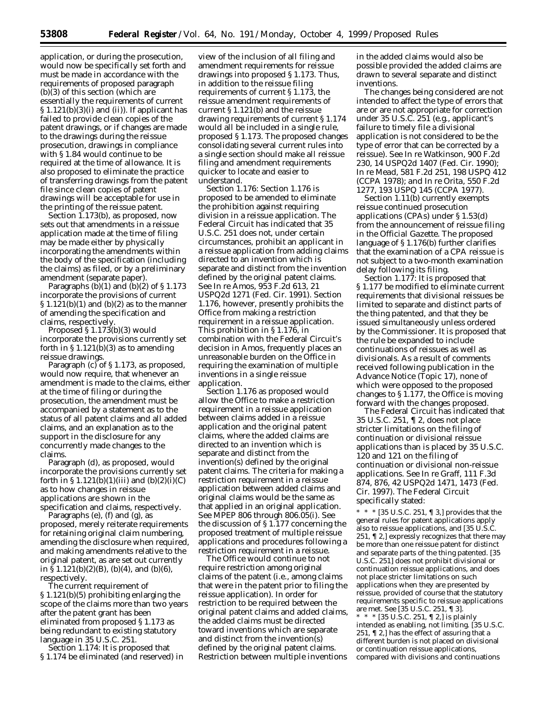application, or during the prosecution, would now be specifically set forth and must be made in accordance with the requirements of proposed paragraph (b)(3) of this section (which are essentially the requirements of current  $\S 1.121(b)(3)(i)$  and (ii)). If applicant has failed to provide clean copies of the patent drawings, or if changes are made to the drawings during the reissue prosecution, drawings in compliance with § 1.84 would continue to be required at the time of allowance. It is also proposed to eliminate the practice of transferring drawings from the patent file since clean copies of patent drawings will be acceptable for use in the printing of the reissue patent.

Section 1.173(b), as proposed, now sets out that amendments in a reissue application made at the time of filing may be made either by physically incorporating the amendments within the body of the specification (including the claims) as filed, or by a preliminary amendment (separate paper).

Paragraphs  $(b)(1)$  and  $(b)(2)$  of  $\S 1.173$ incorporate the provisions of current  $\S 1.121(b)(1)$  and  $(b)(2)$  as to the manner of amending the specification and claims, respectively.

Proposed § 1.173(b)(3) would incorporate the provisions currently set forth in  $\S 1.121(b)(3)$  as to amending reissue drawings.

Paragraph (c) of §1.173, as proposed, would now require, that whenever an amendment is made to the claims, either at the time of filing or during the prosecution, the amendment must be accompanied by a statement as to the status of all patent claims and all added claims, and an explanation as to the support in the disclosure for any concurrently made changes to the claims.

Paragraph (d), as proposed, would incorporate the provisions currently set forth in  $\S 1.121(b)(1)(iii)$  and  $(b)(2)(i)(C)$ as to how changes in reissue applications are shown in the specification and claims, respectively.

Paragraphs (e), (f) and (g), as proposed, merely reiterate requirements for retaining original claim numbering, amending the disclosure when required, and making amendments relative to the original patent, as are set out currently in § 1.121(b)(2)(B), (b)(4), and (b)(6), respectively.

The current requirement of § 1.121(b)(5) prohibiting enlarging the scope of the claims more than two years after the patent grant has been eliminated from proposed § 1.173 as being redundant to existing statutory language in 35 U.S.C. 251.

*Section 1.174:* It is proposed that § 1.174 be eliminated (and reserved) in

view of the inclusion of all filing and amendment requirements for reissue drawings into proposed § 1.173. Thus, in addition to the reissue filing requirements of current § 1.173, the reissue amendment requirements of current § 1.121(b) and the reissue drawing requirements of current § 1.174 would all be included in a single rule, proposed § 1.173. The proposed changes consolidating several current rules into a single section should make all reissue filing and amendment requirements quicker to locate and easier to understand.

*Section 1.176:* Section 1.176 is proposed to be amended to eliminate the prohibition against requiring division in a reissue application. The Federal Circuit has indicated that 35 U.S.C. 251 does not, under certain circumstances, prohibit an applicant in a reissue application from adding claims directed to an invention which is separate and distinct from the invention defined by the original patent claims. *See In re Amos,* 953 F.2d 613, 21 USPQ2d 1271 (Fed. Cir. 1991). Section 1.176, however, presently prohibits the Office from making a restriction requirement in a reissue application. This prohibition in § 1.176, in combination with the Federal Circuit's decision in *Amos,* frequently places an unreasonable burden on the Office in requiring the examination of multiple inventions in a single reissue application.

Section 1.176 as proposed would allow the Office to make a restriction requirement in a reissue application between claims added in a reissue application and the original patent claims, where the added claims are directed to an invention which is separate and distinct from the invention(s) defined by the original patent claims. The criteria for making a restriction requirement in a reissue application between added claims and original claims would be the same as that applied in an original application. *See* MPEP 806 through 806.05(i). *See* the discussion of § 1.177 concerning the proposed treatment of multiple reissue applications and procedures following a restriction requirement in a reissue.

The Office would continue to not require restriction among original claims of the patent (*i.e.,* among claims that were in the patent prior to filing the reissue application). In order for restriction to be required between the original patent claims and added claims, the added claims must be directed toward inventions which are separate and distinct from the invention(s) defined by the original patent claims. Restriction between multiple inventions

in the added claims would also be possible provided the added claims are drawn to several separate and distinct inventions.

The changes being considered are not intended to affect the type of errors that are or are not appropriate for correction under 35 U.S.C. 251 (*e.g.,* applicant's failure to timely file a divisional application is not considered to be the type of error that can be corrected by a reissue). *See In re Watkinson,* 900 F.2d 230, 14 USPQ2d 1407 (Fed. Cir. 1990); *In re Mead,* 581 F.2d 251, 198 USPQ 412 (CCPA 1978); *and In re Orita,* 550 F.2d 1277, 193 USPQ 145 (CCPA 1977).

Section 1.11(b) currently exempts reissue continued prosecution applications (CPAs) under § 1.53(d) from the announcement of reissue filing in the *Official Gazette.* The proposed language of § 1.176(b) further clarifies that the examination of a CPA reissue is not subject to a two-month examination delay following its filing.

*Section 1.177:* It is proposed that § 1.177 be modified to eliminate current requirements that divisional reissues be limited to separate and distinct parts of the thing patented, and that they be issued simultaneously unless ordered by the Commissioner. It is proposed that the rule be expanded to include continuations of reissues as well as divisionals. As a result of comments received following publication in the Advance Notice (Topic 17), none of which were opposed to the proposed changes to § 1.177, the Office is moving forward with the changes proposed.

The Federal Circuit has indicated that 35 U.S.C. 251, ¶ 2, does not place stricter limitations on the filing of continuation or divisional reissue applications than is placed by 35 U.S.C. 120 and 121 on the filing of continuation or divisional non-reissue applications. *See In re Graff,* 111 F.3d 874, 876, 42 USPQ2d 1471, 1473 (Fed. Cir. 1997). The Federal Circuit specifically stated:

\* \* \* [35 U.S.C. 251, ¶ 3,] provides that the general rules for patent applications apply also to reissue applications, and [35 U.S.C. 251, ¶ 2,] expressly recognizes that there may be more than one reissue patent for distinct and separate parts of the thing patented. [35 U.S.C. 251] does not prohibit divisional or continuation reissue applications, and does not place stricter limitations on such applications when they are presented by reissue, provided of course that the statutory requirements specific to reissue applications are met. *See* [35 U.S.C. 251, ¶ 3].

\* \* \* [35 U.S.C. 251, ¶ 2,] is plainly intended as enabling, not limiting. [35 U.S.C. 251,  $\P$  2,] has the effect of assuring that a different burden is not placed on divisional or continuation reissue applications, compared with divisions and continuations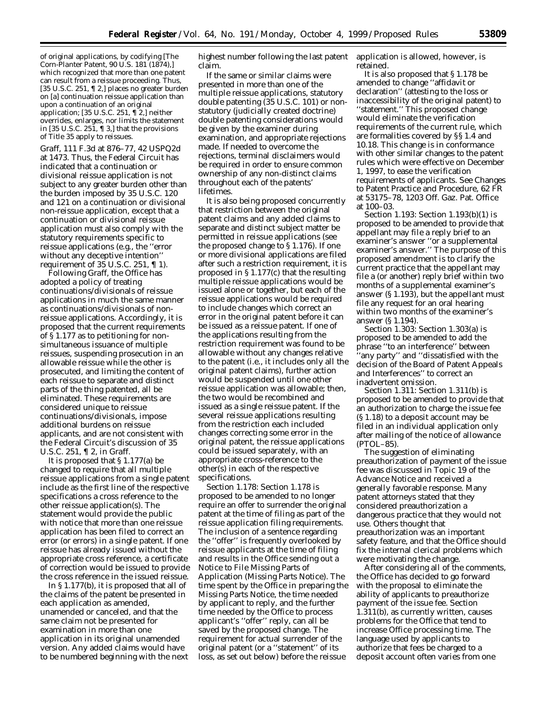of original applications, by codifying [*The Corn-Planter Patent,* 90 U.S. 181 (1874),] which recognized that more than one patent can result from a reissue proceeding. Thus, [35 U.S.C. 251, ¶ 2,] places no greater burden on [a] continuation reissue application than upon a continuation of an original application; [35 U.S.C. 251, ¶ 2,] neither overrides, enlarges, nor limits the statement in [35 U.S.C. 251, ¶ 3,] that the provisions of Title 35 apply to reissues.

*Graff,* 111 F.3d at 876–77, 42 USPQ2d at 1473. Thus, the Federal Circuit has indicated that a continuation or divisional reissue application is not subject to any greater burden other than the burden imposed by 35 U.S.C. 120 and 121 on a continuation or divisional non-reissue application, except that a continuation or divisional reissue application must also comply with the statutory requirements specific to reissue applications (*e.g.,* the ''error without any deceptive intention'' requirement of 35 U.S.C. 251, ¶ 1).

Following *Graff,* the Office has adopted a policy of treating continuations/divisionals of reissue applications in much the same manner as continuations/divisionals of nonreissue applications. Accordingly, it is proposed that the current requirements of § 1.177 as to petitioning for nonsimultaneous issuance of multiple reissues, suspending prosecution in an allowable reissue while the other is prosecuted, and limiting the content of each reissue to separate and distinct parts of the thing patented, all be eliminated. These requirements are considered unique to reissue continuations/divisionals, impose additional burdens on reissue applicants, and are not consistent with the Federal Circuit's discussion of 35 U.S.C. 251, ¶ 2, in *Graff.*

It is proposed that § 1.177(a) be changed to require that all multiple reissue applications from a single patent include as the first line of the respective specifications a cross reference to the other reissue application(s). The statement would provide the public with notice that more than one reissue application has been filed to correct an error (or errors) in a single patent. If one reissue has already issued without the appropriate cross reference, a certificate of correction would be issued to provide the cross reference in the issued reissue.

In § 1.177(b), it is proposed that all of the claims of the patent be presented in each application as amended, unamended or canceled, and that the same claim not be presented for examination in more than one application in its original unamended version. Any added claims would have to be numbered beginning with the next highest number following the last patent claim.

If the same or similar claims were presented in more than one of the multiple reissue applications, statutory double patenting (35 U.S.C. 101) or nonstatutory (judicially created doctrine) double patenting considerations would be given by the examiner during examination, and appropriate rejections made. If needed to overcome the rejections, terminal disclaimers would be required in order to ensure common ownership of any non-distinct claims throughout each of the patents' lifetimes.

It is also being proposed concurrently that restriction between the original patent claims and any added claims to separate and distinct subject matter be permitted in reissue applications (see the proposed change to § 1.176). If one or more divisional applications are filed after such a restriction requirement, it is proposed in § 1.177(c) that the resulting multiple reissue applications would be issued alone or together, but each of the reissue applications would be required to include changes which correct an error in the original patent before it can be issued as a reissue patent. If one of the applications resulting from the restriction requirement was found to be allowable without any changes relative to the patent (*i.e.,* it includes only all the original patent claims), further action would be suspended until one other reissue application was allowable; then, the two would be recombined and issued as a single reissue patent. If the several reissue applications resulting from the restriction each included changes correcting some error in the original patent, the reissue applications could be issued separately, with an appropriate cross-reference to the other(s) in each of the respective specifications.

*Section 1.178:* Section 1.178 is proposed to be amended to no longer require an offer to surrender the original patent at the time of filing as part of the reissue application filing requirements. The inclusion of a sentence regarding the ''offer'' is frequently overlooked by reissue applicants at the time of filing and results in the Office sending out a Notice to File Missing Parts of Application (Missing Parts Notice). The time spent by the Office in preparing the Missing Parts Notice, the time needed by applicant to reply, and the further time needed by the Office to process applicant's ''offer'' reply, can all be saved by the proposed change. The requirement for actual surrender of the original patent (or a ''statement'' of its loss, as set out below) before the reissue

application is allowed, however, is retained.

It is also proposed that § 1.178 be amended to change ''affidavit or declaration'' (attesting to the loss or inaccessibility of the original patent) to ''statement.'' This proposed change would eliminate the verification requirements of the current rule, which are formalities covered by §§ 1.4 and 10.18. This change is in conformance with other similar changes to the patent rules which were effective on December 1, 1997, to ease the verification requirements of applicants. See Changes to Patent Practice and Procedure, 62 FR at 53175–78, 1203 Off. Gaz. Pat. Office at 100–03.

*Section 1.193:* Section 1.193(b)(1) is proposed to be amended to provide that appellant may file a reply brief to an examiner's answer ''or a supplemental examiner's answer.'' The purpose of this proposed amendment is to clarify the current practice that the appellant may file a (or another) reply brief within two months of a supplemental examiner's answer (§ 1.193), but the appellant must file any request for an oral hearing within two months of the examiner's answer (§ 1.194).

*Section 1.303:* Section 1.303(a) is proposed to be amended to add the phrase ''to an interference'' between ''any party'' and ''dissatisfied with the decision of the Board of Patent Appeals and Interferences'' to correct an inadvertent omission.

*Section 1.311:* Section 1.311(b) is proposed to be amended to provide that an authorization to charge the issue fee (§ 1.18) to a deposit account may be filed in an individual application only after mailing of the notice of allowance (PTOL–85).

The suggestion of eliminating preauthorization of payment of the issue fee was discussed in Topic 19 of the Advance Notice and received a generally favorable response. Many patent attorneys stated that they considered preauthorization a dangerous practice that they would not use. Others thought that preauthorization was an important safety feature, and that the Office should fix the internal clerical problems which were motivating the change.

After considering all of the comments, the Office has decided to go forward with the proposal to eliminate the ability of applicants to preauthorize payment of the issue fee. Section 1.311(b), as currently written, causes problems for the Office that tend to increase Office processing time. The language used by applicants to authorize that fees be charged to a deposit account often varies from one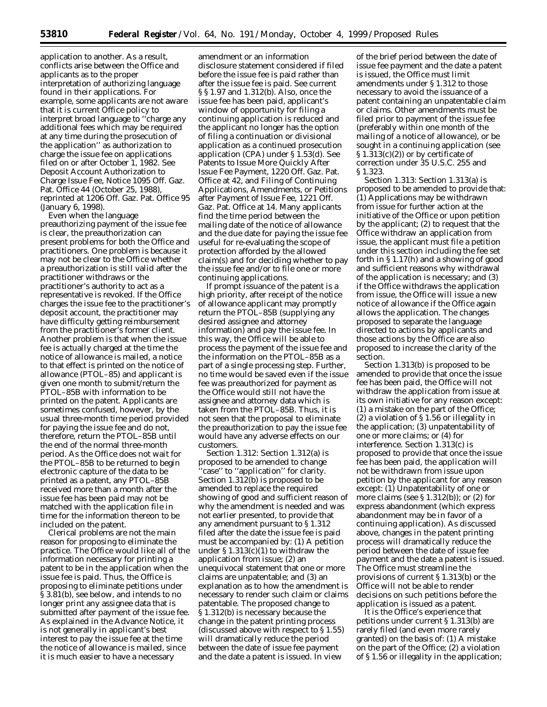application to another. As a result, conflicts arise between the Office and applicants as to the proper interpretation of authorizing language found in their applications. For example, some applicants are not aware that it is current Office policy to interpret broad language to ''charge any additional fees which may be required at any time during the prosecution of the application'' as authorization to charge the issue fee on applications filed on or after October 1, 1982. *See* Deposit Account Authorization to Charge Issue Fee, Notice 1095 Off. Gaz. Pat. Office 44 (October 25, 1988), *reprinted at* 1206 Off. Gaz. Pat. Office 95 (January 6, 1998).

Even when the language preauthorizing payment of the issue fee is clear, the preauthorization can present problems for both the Office and practitioners. One problem is because it may not be clear to the Office whether a preauthorization is still valid after the practitioner withdraws or the practitioner's authority to act as a representative is revoked. If the Office charges the issue fee to the practitioner's deposit account, the practitioner may have difficulty getting reimbursement from the practitioner's former client. Another problem is that when the issue fee is actually charged at the time the notice of allowance is mailed, a notice to that effect is printed on the notice of allowance (PTOL–85) and applicant is given one month to submit/return the PTOL–85B with information to be printed on the patent. Applicants are sometimes confused, however, by the usual three-month time period provided for paying the issue fee and do not, therefore, return the PTOL–85B until the end of the normal three-month period. As the Office does not wait for the PTOL–85B to be returned to begin electronic capture of the data to be printed as a patent, any PTOL–85B received more than a month after the issue fee has been paid may not be matched with the application file in time for the information thereon to be included on the patent.

Clerical problems are not the main reason for proposing to eliminate the practice. The Office would like all of the information necessary for printing a patent to be in the application when the issue fee is paid. Thus, the Office is proposing to eliminate petitions under § 3.81(b), see below, and intends to no longer print any assignee data that is submitted after payment of the issue fee. As explained in the Advance Notice, it is not generally in applicant's best interest to pay the issue fee at the time the notice of allowance is mailed, since it is much easier to have a necessary

amendment or an information disclosure statement considered if filed before the issue fee is paid rather than after the issue fee is paid. See current § § 1.97 and 1.312(b). Also, once the issue fee has been paid, applicant's window of opportunity for filing a continuing application is reduced and the applicant no longer has the option of filing a continuation or divisional application as a continued prosecution application (CPA) under § 1.53(d). *See* Patents to Issue More Quickly After Issue Fee Payment, 1220 Off. Gaz. Pat. Office at 42, and Filing of Continuing Applications, Amendments, or Petitions after Payment of Issue Fee, 1221 Off. Gaz. Pat. Office at 14. Many applicants find the time period between the mailing date of the notice of allowance and the due date for paying the issue fee useful for re-evaluating the scope of protection afforded by the allowed claim(s) and for deciding whether to pay the issue fee and/or to file one or more continuing applications.

If prompt issuance of the patent is a high priority, after receipt of the notice of allowance applicant may promptly return the PTOL–85B (supplying any desired assignee and attorney information) and pay the issue fee. In this way, the Office will be able to process the payment of the issue fee and the information on the PTOL–85B as a part of a single processing step. Further, no time would be saved even if the issue fee was preauthorized for payment as the Office would still not have the assignee and attorney data which is taken from the PTOL–85B. Thus, it is not seen that the proposal to eliminate the preauthorization to pay the issue fee would have any adverse effects on our customers.

*Section 1.312:* Section 1.312(a) is proposed to be amended to change 'case'' to "application" for clarity. Section 1.312(b) is proposed to be amended to replace the required showing of good and sufficient reason of why the amendment is needed and was not earlier presented, to provide that any amendment pursuant to § 1.312 filed after the date the issue fee is paid must be accompanied by: (1) A petition under  $\S 1.313(c)(1)$  to withdraw the application from issue; (2) an unequivocal statement that one or more claims are unpatentable; and (3) an explanation as to how the amendment is necessary to render such claim or claims patentable. The proposed change to § 1.312(b) is necessary because the change in the patent printing process (discussed above with respect to § 1.55) will dramatically reduce the period between the date of issue fee payment and the date a patent is issued. In view

of the brief period between the date of issue fee payment and the date a patent is issued, the Office must limit amendments under § 1.312 to those necessary to avoid the issuance of a patent containing an unpatentable claim or claims. Other amendments must be filed prior to payment of the issue fee (preferably within one month of the mailing of a notice of allowance), or be sought in a continuing application (*see* § 1.313(c)(2)) or by certificate of correction under 35 U.S.C. 255 and § 1.323.

*Section 1.313:* Section 1.313(a) is proposed to be amended to provide that: (1) Applications may be withdrawn from issue for further action at the initiative of the Office or upon petition by the applicant; (2) to request that the Office withdraw an application from issue, the applicant must file a petition under this section including the fee set forth in § 1.17(h) and a showing of good and sufficient reasons why withdrawal of the application is necessary; and (3) if the Office withdraws the application from issue, the Office will issue a new notice of allowance if the Office again allows the application. The changes proposed to separate the language directed to actions by applicants and those actions by the Office are also proposed to increase the clarity of the section.

Section 1.313(b) is proposed to be amended to provide that once the issue fee has been paid, the Office will not withdraw the application from issue at its own initiative for any reason except: (1) a mistake on the part of the Office; (2) a violation of § 1.56 or illegality in the application; (3) unpatentability of one or more claims; or (4) for interference. Section 1.313(c) is proposed to provide that once the issue fee has been paid, the application will not be withdrawn from issue upon petition by the applicant for any reason except: (1) Unpatentability of one or more claims (*see* § 1.312(b)); or (2) for express abandonment (which express abandonment may be in favor of a continuing application). As discussed above, changes in the patent printing process will dramatically reduce the period between the date of issue fee payment and the date a patent is issued. The Office must streamline the provisions of current § 1.313(b) or the Office will not be able to render decisions on such petitions before the application is issued as a patent.

It is the Office's experience that petitions under current § 1.313(b) are rarely filed (and even more rarely granted) on the basis of: (1) A mistake on the part of the Office; (2) a violation of § 1.56 or illegality in the application;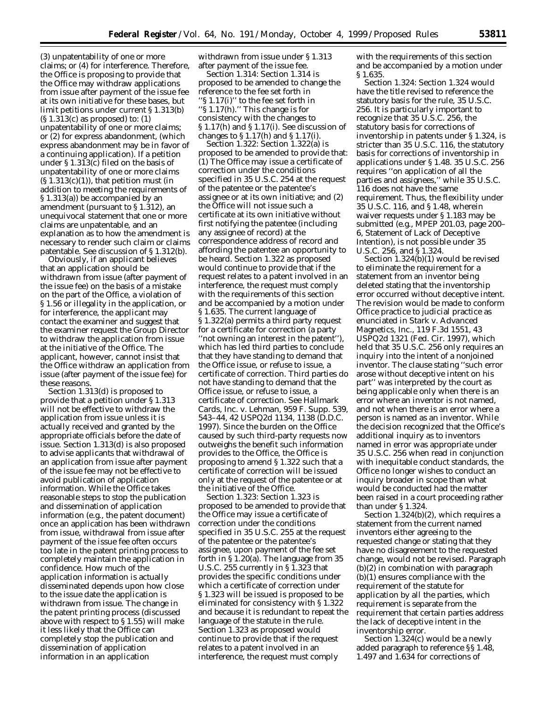(3) unpatentability of one or more claims; or (4) for interference. Therefore, the Office is proposing to provide that the Office may withdraw applications from issue after payment of the issue fee at its own initiative for these bases, but limit petitions under current § 1.313(b) (§ 1.313(c) as proposed) to: (1) unpatentability of one or more claims; or (2) for express abandonment, (which express abandonment may be in favor of a continuing application). If a petition under § 1.313(c) filed on the basis of unpatentability of one or more claims  $(S 1.313(c)(1))$ , that petition must (in addition to meeting the requirements of § 1.313(a)) be accompanied by an amendment (pursuant to § 1.312), an unequivocal statement that one or more claims are unpatentable, and an explanation as to how the amendment is necessary to render such claim or claims patentable. See discussion of § 1.312(b).

Obviously, if an applicant believes that an application should be withdrawn from issue (after payment of the issue fee) on the basis of a mistake on the part of the Office, a violation of § 1.56 or illegality in the application, or for interference, the applicant may contact the examiner and suggest that the examiner request the Group Director to withdraw the application from issue at the initiative of the Office. The applicant, however, cannot insist that the Office withdraw an application from issue (after payment of the issue fee) for these reasons.

Section 1.313(d) is proposed to provide that a petition under § 1.313 will not be effective to withdraw the application from issue unless it is actually received and granted by the appropriate officials before the date of issue. Section 1.313(d) is also proposed to advise applicants that withdrawal of an application from issue after payment of the issue fee may not be effective to avoid publication of application information. While the Office takes reasonable steps to stop the publication and dissemination of application information (*e.g.,* the patent document) once an application has been withdrawn from issue, withdrawal from issue after payment of the issue fee often occurs too late in the patent printing process to completely maintain the application in confidence. How much of the application information is actually disseminated depends upon how close to the issue date the application is withdrawn from issue. The change in the patent printing process (discussed above with respect to § 1.55) will make it less likely that the Office can completely stop the publication and dissemination of application information in an application

withdrawn from issue under § 1.313 after payment of the issue fee.

*Section 1.314:* Section 1.314 is proposed to be amended to change the reference to the fee set forth in ''§ 1.17(i)'' to the fee set forth in ''§ 1.17(h).'' This change is for consistency with the changes to § 1.17(h) and § 1.17(i). See discussion of changes to § 1.17(h) and § 1.17(i).

*Section 1.322:* Section 1.322(a) is proposed to be amended to provide that: (1) The Office may issue a certificate of correction under the conditions specified in 35 U.S.C. 254 at the request of the patentee or the patentee's assignee or at its own initiative; and (2) the Office will not issue such a certificate at its own initiative without first notifying the patentee (including any assignee of record) at the correspondence address of record and affording the patentee an opportunity to be heard. Section 1.322 as proposed would continue to provide that if the request relates to a patent involved in an interference, the request must comply with the requirements of this section and be accompanied by a motion under § 1.635. The current language of § 1.322(a) permits a third party request for a certificate for correction (a party ''not owning an interest in the patent''), which has led third parties to conclude that they have standing to demand that the Office issue, or refuse to issue, a certificate of correction. Third parties do not have standing to demand that the Office issue, or refuse to issue, a certificate of correction. *See Hallmark Cards, Inc.* v. *Lehman,* 959 F. Supp. 539, 543–44, 42 USPQ2d 1134, 1138 (D.D.C. 1997). Since the burden on the Office caused by such third-party requests now outweighs the benefit such information provides to the Office, the Office is proposing to amend § 1.322 such that a certificate of correction will be issued only at the request of the patentee or at the initiative of the Office.

*Section 1.323:* Section 1.323 is proposed to be amended to provide that the Office may issue a certificate of correction under the conditions specified in 35 U.S.C. 255 at the request of the patentee or the patentee's assignee, upon payment of the fee set forth in § 1.20(a). The language from 35 U.S.C. 255 currently in § 1.323 that provides the specific conditions under which a certificate of correction under § 1.323 will be issued is proposed to be eliminated for consistency with § 1.322 and because it is redundant to repeat the language of the statute in the rule. Section 1.323 as proposed would continue to provide that if the request relates to a patent involved in an interference, the request must comply

with the requirements of this section and be accompanied by a motion under § 1.635.

*Section 1.324:* Section 1.324 would have the title revised to reference the statutory basis for the rule, 35 U.S.C. 256. It is particularly important to recognize that 35 U.S.C. 256, the statutory basis for corrections of inventorship in patents under § 1.324, is stricter than 35 U.S.C. 116, the statutory basis for corrections of inventorship in applications under § 1.48. 35 U.S.C. 256 requires ''on application of all the parties and assignees,'' while 35 U.S.C. 116 does not have the same requirement. Thus, the flexibility under 35 U.S.C. 116, and § 1.48, wherein waiver requests under § 1.183 may be submitted (*e.g.,* MPEP 201.03, page 200– 6, Statement of Lack of Deceptive Intention), is not possible under 35 U.S.C. 256, and § 1.324.

Section 1.324(b)(1) would be revised to eliminate the requirement for a statement from an inventor being deleted stating that the inventorship error occurred without deceptive intent. The revision would be made to conform Office practice to judicial practice as enunciated in *Stark* v. *Advanced Magnetics, Inc.,* 119 F.3d 1551, 43 USPQ2d 1321 (Fed. Cir. 1997), which held that 35 U.S.C. 256 only requires an inquiry into the intent of a nonjoined inventor. The clause stating ''such error arose without deceptive intent on his part'' was interpreted by the court as being applicable only when there is an error where an inventor is not named, and not when there is an error where a person is named as an inventor. While the decision recognized that the Office's additional inquiry as to inventors named in error was appropriate under 35 U.S.C. 256 when read in conjunction with inequitable conduct standards, the Office no longer wishes to conduct an inquiry broader in scope than what would be conducted had the matter been raised in a court proceeding rather than under § 1.324.

Section 1.324(b)(2), which requires a statement from the current named inventors either agreeing to the requested change or stating that they have no disagreement to the requested change, would not be revised. Paragraph (b)(2) in combination with paragraph (b)(1) ensures compliance with the requirement of the statute for application by all the parties, which requirement is separate from the requirement that certain parties address the lack of deceptive intent in the inventorship error.

Section 1.324(c) would be a newly added paragraph to reference §§ 1.48, 1.497 and 1.634 for corrections of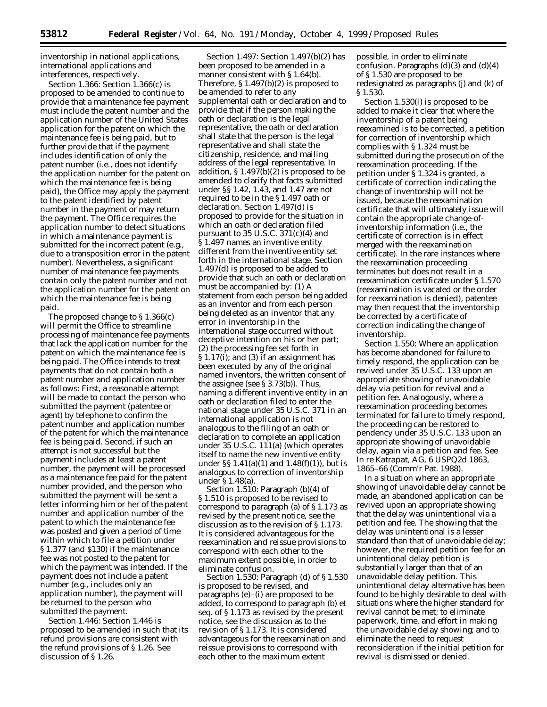inventorship in national applications, international applications and interferences, respectively.

*Section 1.366:* Section 1.366(c) is proposed to be amended to continue to provide that a maintenance fee payment must include the patent number and the application number of the United States application for the patent on which the maintenance fee is being paid, but to further provide that if the payment includes identification of only the patent number (*i.e.,* does not identify the application number for the patent on which the maintenance fee is being paid), the Office may apply the payment to the patent identified by patent number in the payment or may return the payment. The Office requires the application number to detect situations in which a maintenance payment is submitted for the incorrect patent (*e.g.,* due to a transposition error in the patent number). Nevertheless, a significant number of maintenance fee payments contain only the patent number and not the application number for the patent on which the maintenance fee is being paid.

The proposed change to § 1.366(c) will permit the Office to streamline processing of maintenance fee payments that lack the application number for the patent on which the maintenance fee is being paid. The Office intends to treat payments that do not contain both a patent number and application number as follows: *First,* a reasonable attempt will be made to contact the person who submitted the payment (patentee or agent) by telephone to confirm the patent number and application number of the patent for which the maintenance fee is being paid. *Second,* if such an attempt is not successful but the payment includes at least a patent number, the payment will be processed as a maintenance fee paid for the patent number provided, and the person who submitted the payment will be sent a letter informing him or her of the patent number and application number of the patent to which the maintenance fee was posted and given a period of time within which to file a petition under § 1.377 (and \$130) if the maintenance fee was not posted to the patent for which the payment was intended. If the payment does not include a patent number (*e.g.,* includes only an application number), the payment will be returned to the person who submitted the payment.

*Section 1.446:* Section 1.446 is proposed to be amended in such that its refund provisions are consistent with the refund provisions of § 1.26. See discussion of § 1.26.

*Section 1.497:* Section 1.497(b)(2) has been proposed to be amended in a manner consistent with § 1.64(b). Therefore, § 1.497(b)(2) is proposed to be amended to refer to any supplemental oath or declaration and to provide that if the person making the oath or declaration is the legal representative, the oath or declaration shall state that the person is the legal representative and shall state the citizenship, residence, and mailing address of the legal representative. In addition, § 1.497(b)(2) is proposed to be amended to clarify that facts submitted under §§ 1.42, 1.43, and 1.47 are not required to be in the § 1.497 oath or declaration. Section 1.497(d) is proposed to provide for the situation in which an oath or declaration filed pursuant to  $35$  U.S.C.  $371(c)(4)$  and § 1.497 names an inventive entity different from the inventive entity set forth in the international stage. Section 1.497(d) is proposed to be added to provide that such an oath or declaration must be accompanied by: (1) A statement from each person being added as an inventor and from each person being deleted as an inventor that any error in inventorship in the international stage occurred without deceptive intention on his or her part; (2) the processing fee set forth in § 1.17(i); and (3) if an assignment has been executed by any of the original named inventors, the written consent of the assignee (*see* § 3.73(b)). Thus, naming a different inventive entity in an oath or declaration filed to enter the national stage under 35 U.S.C. 371 in an international application is not analogous to the filing of an oath or declaration to complete an application under 35 U.S.C. 111(a) (which operates itself to name the new inventive entity under  $\S$ § 1.41(a)(1) and 1.48(f)(1)), but is analogous to correction of inventorship under § 1.48(a).

*Section 1.510:* Paragraph (b)(4) of § 1.510 is proposed to be revised to correspond to paragraph (a) of § 1.173 as revised by the present notice, see the discussion as to the revision of § 1.173. It is considered advantageous for the reexamination and reissue provisions to correspond with each other to the maximum extent possible, in order to eliminate confusion.

*Section 1.530:* Paragraph (d) of § 1.530 is proposed to be revised, and paragraphs (e)–(i) are proposed to be added, to correspond to paragraph (b) *et seq.* of § 1.173 as revised by the present notice, see the discussion as to the revision of § 1.173. It is considered advantageous for the reexamination and reissue provisions to correspond with each other to the maximum extent

possible, in order to eliminate confusion. Paragraphs  $(d)(3)$  and  $(d)(4)$ of § 1.530 are proposed to be redesignated as paragraphs (j) and (k) of § 1.530.

Section 1.530(l) is proposed to be added to make it clear that where the inventorship of a patent being reexamined is to be corrected, a petition for correction of inventorship which complies with § 1.324 must be submitted during the prosecution of the reexamination proceeding. If the petition under § 1.324 is granted, a certificate of correction indicating the change of inventorship will not be issued, because the reexamination certificate that will ultimately issue will contain the appropriate change-ofinventorship information (*i.e.,* the certificate of correction is in effect merged with the reexamination certificate). In the rare instances where the reexamination proceeding terminates but does not result in a reexamination certificate under § 1.570 (reexamination is vacated or the order for reexamination is denied), patentee may then request that the inventorship be corrected by a certificate of correction indicating the change of inventorship.

*Section 1.550:* Where an application has become abandoned for failure to timely respond, the application can be revived under 35 U.S.C. 133 upon an appropriate showing of unavoidable delay via petition for revival and a petition fee. Analogously, where a reexamination proceeding becomes terminated for failure to timely respond, the proceeding can be restored to pendency under 35 U.S.C. 133 upon an appropriate showing of unavoidable delay, again via a petition and fee. *See In re Katrapat, AG,* 6 USPQ2d 1863, 1865–66 (Comm'r Pat. 1988).

In a situation where an appropriate showing of unavoidable delay cannot be made, an abandoned application can be revived upon an appropriate showing that the delay was unintentional via a petition and fee. The showing that the delay was unintentional is a lesser standard than that of unavoidable delay; however, the required petition fee for an unintentional delay petition is substantially larger than that of an unavoidable delay petition. This unintentional delay alternative has been found to be highly desirable to deal with situations where the higher standard for revival cannot be met; to eliminate paperwork, time, and effort in making the unavoidable delay showing; and to eliminate the need to request reconsideration if the initial petition for revival is dismissed or denied.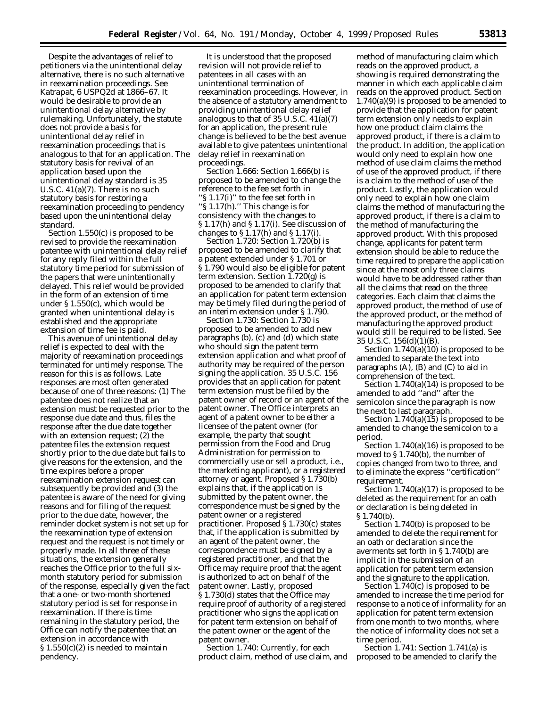Despite the advantages of relief to petitioners via the unintentional delay alternative, there is no such alternative in reexamination proceedings. *See Katrapat,* 6 USPQ2d at 1866–67. It would be desirable to provide an unintentional delay alternative by rulemaking. Unfortunately, the statute does not provide a basis for unintentional delay relief in reexamination proceedings that is analogous to that for an application. The statutory basis for revival of an application based upon the unintentional delay standard is 35 U.S.C. 41(a)(7). There is no such statutory basis for restoring a reexamination proceeding to pendency based upon the unintentional delay standard.

Section 1.550(c) is proposed to be revised to provide the reexamination patentee with unintentional delay relief for any reply filed within the full statutory time period for submission of the papers that were unintentionally delayed. This relief would be provided in the form of an extension of time under § 1.550(c), which would be granted when unintentional delay is established and the appropriate extension of time fee is paid.

This avenue of unintentional delay relief is expected to deal with the majority of reexamination proceedings terminated for untimely response. The reason for this is as follows. Late responses are most often generated because of one of three reasons: (1) The patentee does not realize that an extension must be requested prior to the response due date and thus, files the response after the due date together with an extension request; (2) the patentee files the extension request shortly prior to the due date but fails to give reasons for the extension, and the time expires before a proper reexamination extension request can subsequently be provided and (3) the patentee is aware of the need for giving reasons and for filing of the request prior to the due date, however, the reminder docket system is not set up for the reexamination type of extension request and the request is not timely or properly made. In all three of these situations, the extension generally reaches the Office prior to the full sixmonth statutory period for submission of the response, especially given the fact that a one- or two-month shortened statutory period is set for response in reexamination. If there is time remaining in the statutory period, the Office can notify the patentee that an extension in accordance with  $\S 1.550(c)(2)$  is needed to maintain pendency.

It is understood that the proposed revision will not provide relief to patentees in all cases with an unintentional termination of reexamination proceedings. However, in the absence of a statutory amendment to providing unintentional delay relief analogous to that of 35 U.S.C. 41(a)(7) for an application, the present rule change is believed to be the best avenue available to give patentees unintentional delay relief in reexamination proceedings.

*Section 1.666:* Section 1.666(b) is proposed to be amended to change the reference to the fee set forth in ''§ 1.17(i)'' to the fee set forth in ''§ 1.17(h).'' This change is for consistency with the changes to § 1.17(h) and § 1.17(i). See discussion of changes to  $\S 1.17(h)$  and  $\S 1.17(i)$ .

*Section 1.720:* Section 1.720(b) is proposed to be amended to clarify that a patent extended under § 1.701 or § 1.790 would also be eligible for patent term extension. Section 1.720(g) is proposed to be amended to clarify that an application for patent term extension may be timely filed during the period of an interim extension under § 1.790.

*Section 1.730:* Section 1.730 is proposed to be amended to add new paragraphs (b), (c) and (d) which state who should sign the patent term extension application and what proof of authority may be required of the person signing the application. 35 U.S.C. 156 provides that an application for patent term extension must be filed by the patent owner of record or an agent of the patent owner. The Office interprets an agent of a patent owner to be either a licensee of the patent owner (for example, the party that sought permission from the Food and Drug Administration for permission to commercially use or sell a product, *i.e.,* the marketing applicant), or a registered attorney or agent. Proposed § 1.730(b) explains that, if the application is submitted by the patent owner, the correspondence must be signed by the patent owner or a registered practitioner. Proposed § 1.730(c) states that, if the application is submitted by an agent of the patent owner, the correspondence must be signed by a registered practitioner, and that the Office may require proof that the agent is authorized to act on behalf of the patent owner. Lastly, proposed § 1.730(d) states that the Office may require proof of authority of a registered practitioner who signs the application for patent term extension on behalf of the patent owner or the agent of the patent owner.

*Section 1.740:* Currently, for each product claim, method of use claim, and

method of manufacturing claim which reads on the approved product, a showing is required demonstrating the manner in which each applicable claim reads on the approved product. Section 1.740(a)(9) is proposed to be amended to provide that the application for patent term extension only needs to explain how *one* product claim claims the approved product, if there is a claim to the product. In addition, the application would only need to explain how one method of use claim claims the method of use of the approved product, if there is a claim to the method of use of the product. Lastly, the application would only need to explain how one claim claims the method of manufacturing the approved product, if there is a claim to the method of manufacturing the approved product. With this proposed change, applicants for patent term extension should be able to reduce the time required to prepare the application since at the most only three claims would have to be addressed rather than all the claims that read on the three categories. Each claim that claims the approved product, the method of use of the approved product, or the method of manufacturing the approved product would still be required to be listed. *See* 35 U.S.C. 156(d)(1)(B).

Section  $1.740(a)(10)$  is proposed to be amended to separate the text into paragraphs (A), (B) and (C) to aid in comprehension of the text.

Section 1.740(a)(14) is proposed to be amended to add ''and'' after the semicolon since the paragraph is now the next to last paragraph.

Section  $1.740(a)(15)$  is proposed to be amended to change the semicolon to a period.

Section 1.740(a)(16) is proposed to be moved to § 1.740(b), the number of copies changed from two to three, and to eliminate the express ''certification'' requirement.

Section 1.740(a)(17) is proposed to be deleted as the requirement for an oath or declaration is being deleted in § 1.740(b).

Section 1.740(b) is proposed to be amended to delete the requirement for an oath or declaration since the averments set forth in § 1.740(b) are implicit in the submission of an application for patent term extension and the signature to the application.

Section 1.740(c) is proposed to be amended to increase the time period for response to a notice of informality for an application for patent term extension from one month to two months, where the notice of informality does not set a time period.

*Section 1.741:* Section 1.741(a) is proposed to be amended to clarify the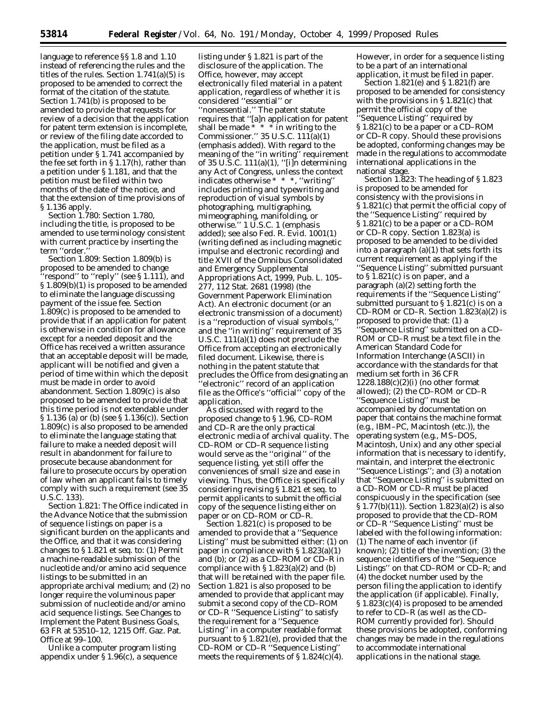language to reference §§ 1.8 and 1.10 instead of referencing the rules and the titles of the rules. Section 1.741(a)(5) is proposed to be amended to correct the format of the citation of the statute. Section 1.741(b) is proposed to be amended to provide that requests for review of a decision that the application for patent term extension is incomplete, or review of the filing date accorded to the application, must be filed as a petition under § 1.741 accompanied by the fee set forth in § 1.17(h), rather than a petition under § 1.181, and that the petition must be filed within two months of the date of the notice, and that the extension of time provisions of § 1.136 apply.

*Section 1.780:* Section 1.780, including the title, is proposed to be amended to use terminology consistent with current practice by inserting the term ''order.''

*Section 1.809:* Section 1.809(b) is proposed to be amended to change ''respond'' to ''reply'' (*see* § 1.111), and § 1.809(b)(1) is proposed to be amended to eliminate the language discussing payment of the issue fee. Section 1.809(c) is proposed to be amended to provide that if an application for patent is otherwise in condition for allowance except for a needed deposit and the Office has received a written assurance that an acceptable deposit will be made, applicant will be notified and given a period of time within which the deposit must be made in order to avoid abandonment. Section 1.809(c) is also proposed to be amended to provide that this time period is not extendable under § 1.136 (a) or (b) (*see* § 1.136(c)). Section 1.809(c) is also proposed to be amended to eliminate the language stating that failure to make a needed deposit will result in abandonment for failure to prosecute because abandonment for failure to prosecute occurs by operation of law when an applicant fails to timely comply with such a requirement (*see* 35 U.S.C. 133).

*Section 1.821:* The Office indicated in the Advance Notice that the submission of sequence listings on paper is a significant burden on the applicants and the Office, and that it was considering changes to § 1.821 *et seq.* to: (1) Permit a machine-readable submission of the nucleotide and/or amino acid sequence listings to be submitted in an appropriate archival medium; and (2) no longer require the voluminous paper submission of nucleotide and/or amino acid sequence listings. *See* Changes to Implement the Patent Business Goals, 63 FR at 53510–12, 1215 Off. Gaz. Pat. Office at 99–100.

Unlike a computer program listing appendix under § 1.96(c), a sequence

listing under § 1.821 is part of the disclosure of the application. The Office, however, may accept electronically filed material in a patent application, regardless of whether it is considered ''essential'' or ''nonessential.'' The patent statute requires that ''[a]n application for patent shall be made  $* * * in$  writing to the Commissioner." 35 U.S.C.  $111(a)(1)$ (emphasis added). With regard to the meaning of the ''in writing'' requirement of 35 U.S.C. 111(a)(1), ''[i]n determining any Act of Congress, unless the context indicates otherwise \* \* \*, ''writing'' includes printing and typewriting and reproduction of visual symbols by photographing, multigraphing, mimeographing, manifolding, or otherwise.'' 1 U.S.C. 1 (emphasis added); *see also* Fed. R. Evid. 1001(1) (writing defined as including magnetic impulse and electronic recording) and title XVII of the Omnibus Consolidated and Emergency Supplemental Appropriations Act, 1999, Pub. L. 105– 277, 112 Stat. 2681 (1998) (the Government Paperwork Elimination Act). An electronic document (or an electronic transmission of a document) is a ''reproduction of visual symbols,'' and the ''in writing'' requirement of 35 U.S.C. 111(a)(1) does not preclude the Office from accepting an electronically filed document. Likewise, there is nothing in the patent statute that precludes the Office from designating an 'electronic'' record of an application file as the Office's ''official'' copy of the application.

As discussed with regard to the proposed change to § 1.96, CD–ROM and CD–R are the only practical electronic media of archival quality. The CD–ROM or CD–R sequence listing would serve as the ''original'' of the sequence listing, yet still offer the conveniences of small size and ease in viewing. Thus, the Office is specifically considering revising § 1.821 *et seq.* to permit applicants to submit the official copy of the sequence listing either on paper or on CD–ROM or CD–R.

Section 1.821(c) is proposed to be amended to provide that a ''Sequence Listing'' must be submitted either: (1) on paper in compliance with § 1.823(a)(1) and (b); or (2) as a CD–ROM or CD–R in compliance with  $\S 1.823(a)(2)$  and (b) that will be retained with the paper file. Section 1.821 is also proposed to be amended to provide that applicant may submit a second copy of the CD–ROM or CD–R ''Sequence Listing'' to satisfy the requirement for a ''Sequence Listing'' in a computer readable format pursuant to § 1.821(e), provided that the CD–ROM or CD–R ''Sequence Listing'' meets the requirements of  $\S 1.824(c)(4)$ .

However, in order for a sequence listing to be a part of an international application, it must be filed in paper.

Section 1.821(e) and § 1.821(f) are proposed to be amended for consistency with the provisions in § 1.821(c) that permit the official copy of the 'Sequence Listing'' required by § 1.821(c) to be a paper or a CD–ROM or CD–R copy. Should these provisions be adopted, conforming changes may be made in the regulations to accommodate international applications in the national stage.

*Section 1.823:* The heading of § 1.823 is proposed to be amended for consistency with the provisions in § 1.821(c) that permit the official copy of the ''Sequence Listing'' required by § 1.821(c) to be a paper or a CD–ROM or CD–R copy. Section 1.823(a) is proposed to be amended to be divided into a paragraph  $(a)(1)$  that sets forth its current requirement as applying if the ''Sequence Listing'' submitted pursuant to § 1.821(c) is on paper, and a paragraph (a)(2) setting forth the requirements if the ''Sequence Listing'' submitted pursuant to  $\S 1.821(c)$  is on a CD–ROM or CD–R. Section  $1.823(a)(2)$  is proposed to provide that: (1) a ''Sequence Listing'' submitted on a CD– ROM or CD–R must be a text file in the American Standard Code for Information Interchange (ASCII) in accordance with the standards for that medium set forth in 36 CFR  $1228.188(c)(2)(i)$  (no other format allowed); (2) the CD–ROM or CD–R ''Sequence Listing'' must be accompanied by documentation on paper that contains the machine format (*e.g.,* IBM–PC, Macintosh (etc.)), the operating system (*e.g.,* MS–DOS, Macintosh, Unix) and any other special information that is necessary to identify, maintain, and interpret the electronic ''Sequence Listings''; and (3) a notation that ''Sequence Listing'' is submitted on a CD–ROM or CD–R must be placed conspicuously in the specification (*see* § 1.77(b)(11)). Section 1.823(a)(2) is also proposed to provide that the CD–ROM or CD–R ''Sequence Listing'' must be labeled with the following information: (1) The name of each inventor (if known); (2) title of the invention; (3) the sequence identifiers of the ''Sequence Listings'' on that CD–ROM or CD–R; and (4) the docket number used by the person filing the application to identify the application (if applicable). Finally, § 1.823(c)(4) is proposed to be amended to refer to CD–R (as well as the CD– ROM currently provided for). Should these provisions be adopted, conforming changes may be made in the regulations to accommodate international applications in the national stage.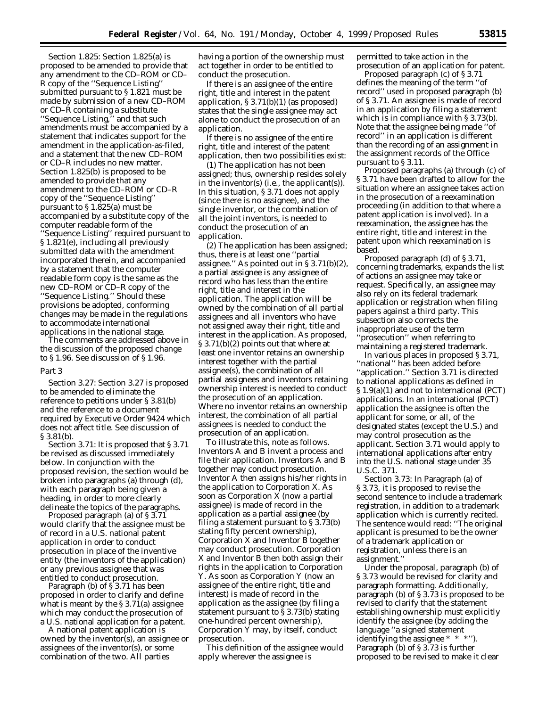*Section 1.825:* Section 1.825(a) is proposed to be amended to provide that any amendment to the CD–ROM or CD– R copy of the ''Sequence Listing'' submitted pursuant to § 1.821 must be made by submission of a new CD–ROM or CD–R containing a substitute ''Sequence Listing,'' and that such amendments must be accompanied by a statement that indicates support for the amendment in the application-as-filed, and a statement that the new CD–ROM or CD–R includes no new matter. Section 1.825(b) is proposed to be amended to provide that any amendment to the CD–ROM or CD–R copy of the ''Sequence Listing'' pursuant to § 1.825(a) must be accompanied by a substitute copy of the computer readable form of the ''Sequence Listing'' required pursuant to § 1.821(e), including all previously submitted data with the amendment incorporated therein, and accompanied by a statement that the computer readable form copy is the same as the new CD–ROM or CD–R copy of the ''Sequence Listing.'' Should these provisions be adopted, conforming changes may be made in the regulations to accommodate international applications in the national stage.

The comments are addressed above in the discussion of the proposed change to § 1.96. See discussion of § 1.96.

## *Part 3*

*Section 3.27:* Section 3.27 is proposed to be amended to eliminate the reference to petitions under § 3.81(b) and the reference to a document required by Executive Order 9424 which does not affect title. See discussion of § 3.81(b).

*Section 3.71:* It is proposed that § 3.71 be revised as discussed immediately below. In conjunction with the proposed revision, the section would be broken into paragraphs (a) through (d), with each paragraph being given a heading, in order to more clearly delineate the topics of the paragraphs.

Proposed paragraph (a) of § 3.71 would clarify that the assignee must be of record in a U.S. national patent application in order to conduct prosecution in place of the inventive entity (the inventors of the application) or any previous assignee that was entitled to conduct prosecution.

Paragraph (b) of § 3.71 has been proposed in order to clarify and define what is meant by the § 3.71(a) assignee which may conduct the prosecution of a U.S. national application for a patent.

A national patent application is owned by the inventor(s), an assignee or assignees of the inventor(s), or some combination of the two. All parties

having a portion of the ownership must act together in order to be entitled to conduct the prosecution.

If there is an assignee of the entire right, title and interest in the patent application, § 3.71(b)(1) (as proposed) states that the single assignee may act alone to conduct the prosecution of an application.

If there is no assignee of the entire right, title and interest of the patent application, then two possibilities exist:

(1) The application has not been assigned; thus, ownership resides solely in the inventor(s) (*i.e.,* the applicant(s)). In this situation, § 3.71 does not apply (since there is no assignee), and the single inventor, or the combination of all the joint inventors, is needed to conduct the prosecution of an application.

(2) The application has been assigned; thus, there is at least one ''partial assignee.'' As pointed out in § 3.71(b)(2), a partial assignee is any assignee of record who has less than the entire right, title and interest in the application. The application will be owned by the combination of all partial assignees and all inventors who have not assigned away their right, title and interest in the application. As proposed, § 3.71(b)(2) points out that where at least one inventor retains an ownership interest together with the partial assignee(s), the combination of all partial assignees and inventors retaining ownership interest is needed to conduct the prosecution of an application. Where no inventor retains an ownership interest, the combination of all partial assignees is needed to conduct the prosecution of an application.

To illustrate this, note as follows. Inventors A and B invent a process and file their application. Inventors A and B together may conduct prosecution. Inventor A then assigns his/her rights in the application to Corporation X. As soon as Corporation X (now a partial assignee) is made of record in the application as a partial assignee (by filing a statement pursuant to § 3.73(b) stating fifty percent ownership), Corporation X and Inventor B together may conduct prosecution. Corporation X and Inventor B then both assign their rights in the application to Corporation Y. As soon as Corporation Y (now an assignee of the entire right, title and interest) is made of record in the application as the assignee (by filing a statement pursuant to § 3.73(b) stating one-hundred percent ownership), Corporation Y may, by itself, conduct prosecution.

This definition of the assignee would apply wherever the assignee is

permitted to take action in the prosecution of an application for patent.

Proposed paragraph (c) of § 3.71 defines the meaning of the term ''of record'' used in proposed paragraph (b) of § 3.71. An assignee is made of record in an application by filing a statement which is in compliance with § 3.73(b). Note that the assignee being made ''of record'' in an application is different than the recording of an assignment in the assignment records of the Office pursuant to § 3.11.

Proposed paragraphs (a) through (c) of § 3.71 have been drafted to allow for the situation where an assignee takes action in the prosecution of a reexamination proceeding (in addition to that where a patent application is involved). In a reexamination, the assignee has the entire right, title and interest in the patent upon which reexamination is based.

Proposed paragraph (d) of § 3.71, concerning trademarks, expands the list of actions an assignee may take or request. Specifically, an assignee may also rely on its federal trademark application or registration when filing papers against a third party. This subsection also corrects the inappropriate use of the term ''prosecution'' when referring to maintaining a registered trademark.

In various places in proposed § 3.71, ''national'' has been added before ''application.'' Section 3.71 is directed to national applications as defined in § 1.9(a)(1) and not to international (PCT) applications. In an international (PCT) application the assignee is often the applicant for some, or all, of the designated states (except the U.S.) and may control prosecution as the applicant. Section 3.71 would apply to international applications after entry into the U.S. national stage under 35 U.S.C. 371.

*Section 3.73:* In Paragraph (a) of § 3.73, it is proposed to revise the second sentence to include a trademark registration, in addition to a trademark application which is currently recited. The sentence would read: ''The original applicant is presumed to be the owner of a trademark application or registration, unless there is an assignment.''

Under the proposal, paragraph (b) of § 3.73 would be revised for clarity and paragraph formatting. Additionally, paragraph (b) of § 3.73 is proposed to be revised to clarify that the statement establishing ownership must explicitly identify the assignee (by adding the language ''a signed statement identifying the assignee \* \* \*''). Paragraph (b) of § 3.73 is further proposed to be revised to make it clear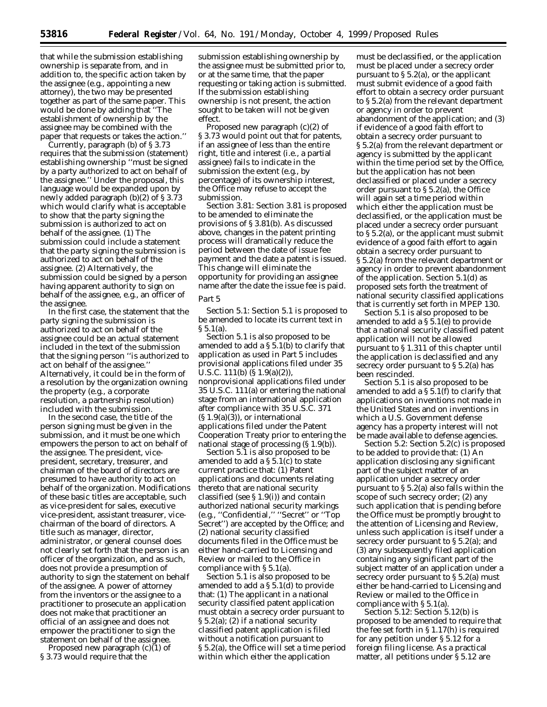that while the submission establishing ownership is separate from, and in addition to, the specific action taken by the assignee (*e.g.,* appointing a new attorney), the two may be presented together as part of the same paper. This would be done by adding that ''The establishment of ownership by the assignee may be combined with the paper that requests or takes the action.''

Currently, paragraph (b) of § 3.73 requires that the submission (statement) establishing ownership ''must be signed by a party authorized to act on behalf of the assignee.'' Under the proposal, this language would be expanded upon by newly added paragraph (b)(2) of § 3.73 which would clarify what is acceptable to show that the party signing the submission is authorized to act on behalf of the assignee. (1) The submission could include a statement that the party signing the submission is authorized to act on behalf of the assignee. (2) Alternatively, the submission could be signed by a person having apparent authority to sign on behalf of the assignee, *e.g.,* an officer of the assignee.

In the first case, the statement that the party signing the submission is authorized to act on behalf of the assignee could be an actual statement included in the text of the submission that the signing person ''is authorized to act on behalf of the assignee.'' Alternatively, it could be in the form of a resolution by the organization owning the property (*e.g.,* a corporate resolution, a partnership resolution) included with the submission.

In the second case, the title of the person signing must be given in the submission, and it must be one which empowers the person to act on behalf of the assignee. The president, vicepresident, secretary, treasurer, and chairman of the board of directors are presumed to have authority to act on behalf of the organization. Modifications of these basic titles are acceptable, such as vice-president for sales, executive vice-president, assistant treasurer, vicechairman of the board of directors. A title such as manager, director, administrator, or general counsel does not clearly set forth that the person is an officer of the organization, and as such, does not provide a presumption of authority to sign the statement on behalf of the assignee. A power of attorney from the inventors or the assignee to a practitioner to prosecute an application does not make that practitioner an official of an assignee and does not empower the practitioner to sign the statement on behalf of the assignee.

Proposed new paragraph  $(c)(1)$  of § 3.73 would require that the

submission establishing ownership by the assignee must be submitted prior to, or at the same time, that the paper requesting or taking action is submitted. If the submission establishing ownership is not present, the action sought to be taken will not be given effect.

Proposed new paragraph (c)(2) of § 3.73 would point out that for patents, if an assignee of less than the entire right, title and interest (*i.e.,* a partial assignee) fails to indicate in the submission the extent (*e.g.,* by percentage) of its ownership interest, the Office may refuse to accept the submission.

*Section 3.81:* Section 3.81 is proposed to be amended to eliminate the provisions of § 3.81(b). As discussed above, changes in the patent printing process will dramatically reduce the period between the date of issue fee payment and the date a patent is issued. This change will eliminate the opportunity for providing an assignee name after the date the issue fee is paid.

# *Part 5*

*Section 5.1:* Section 5.1 is proposed to be amended to locate its current text in  $\S 5.1(a)$ .

Section 5.1 is also proposed to be amended to add a § 5.1(b) to clarify that application as used in Part 5 includes provisional applications filed under 35 U.S.C. 111(b) (§ 1.9(a)(2)), nonprovisional applications filed under 35 U.S.C. 111(a) or entering the national stage from an international application after compliance with 35 U.S.C. 371  $(S<sub>1.9(a)(3))</sub>$ , or international applications filed under the Patent Cooperation Treaty prior to entering the national stage of processing (§ 1.9(b)).

Section 5.1 is also proposed to be amended to add a § 5.1(c) to state current practice that: (1) Patent applications and documents relating thereto that are national security classified (*see* § 1.9(i)) and contain authorized national security markings (*e.g.,* ''Confidential,'' ''Secret'' or ''Top Secret'') are accepted by the Office; and (2) national security classified documents filed in the Office must be either hand-carried to Licensing and Review or mailed to the Office in compliance with § 5.1(a).

Section 5.1 is also proposed to be amended to add a § 5.1(d) to provide that: (1) The applicant in a national security classified patent application must obtain a secrecy order pursuant to § 5.2(a); (2) if a national security classified patent application is filed without a notification pursuant to § 5.2(a), the Office will set a time period within which either the application

must be declassified, or the application must be placed under a secrecy order pursuant to  $\S 5.2(a)$ , or the applicant must submit evidence of a good faith effort to obtain a secrecy order pursuant to § 5.2(a) from the relevant department or agency in order to prevent abandonment of the application; and (3) if evidence of a good faith effort to obtain a secrecy order pursuant to § 5.2(a) from the relevant department or agency is submitted by the applicant within the time period set by the Office, but the application has not been declassified or placed under a secrecy order pursuant to § 5.2(a), the Office will again set a time period within which either the application must be declassified, or the application must be placed under a secrecy order pursuant to § 5.2(a), or the applicant must submit evidence of a good faith effort to again obtain a secrecy order pursuant to § 5.2(a) from the relevant department or agency in order to prevent abandonment of the application. Section 5.1(d) as proposed sets forth the treatment of national security classified applications that is currently set forth in MPEP 130.

Section 5.1 is also proposed to be amended to add a § 5.1(e) to provide that a national security classified patent application will not be allowed pursuant to § 1.311 of this chapter until the application is declassified and any secrecy order pursuant to § 5.2(a) has been rescinded.

Section 5.1 is also proposed to be amended to add a § 5.1(f) to clarify that applications on inventions not made in the United States and on inventions in which a U.S. Government defense agency has a property interest will not be made available to defense agencies.

*Section 5.2:* Section 5.2(c) is proposed to be added to provide that: (1) An application disclosing any significant part of the subject matter of an application under a secrecy order pursuant to § 5.2(a) also falls within the scope of such secrecy order; (2) any such application that is pending before the Office must be promptly brought to the attention of Licensing and Review, unless such application is itself under a secrecy order pursuant to § 5.2(a); and (3) any subsequently filed application containing any significant part of the subject matter of an application under a secrecy order pursuant to § 5.2(a) must either be hand-carried to Licensing and Review or mailed to the Office in compliance with § 5.1(a).

*Section 5.12:* Section 5.12(b) is proposed to be amended to require that the fee set forth in § 1.17(h) is required for any petition under § 5.12 for a foreign filing license. As a practical matter, all petitions under § 5.12 are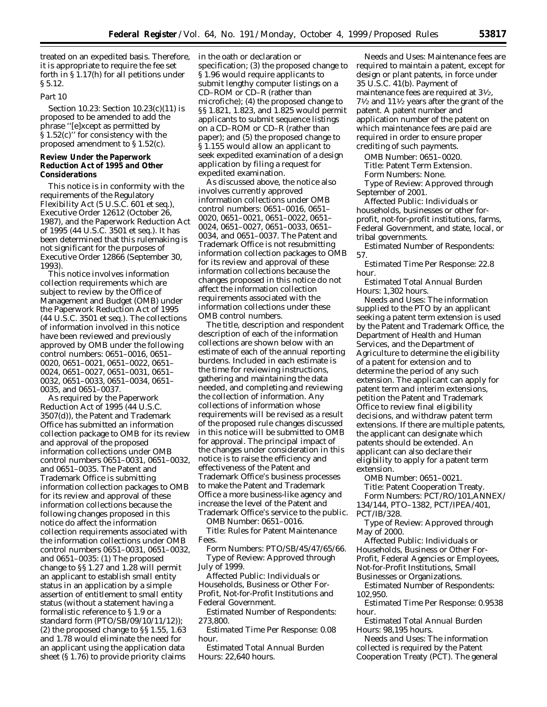treated on an expedited basis. Therefore, it is appropriate to require the fee set forth in § 1.17(h) for all petitions under § 5.12.

## *Part 10*

*Section 10.23:* Section 10.23(c)(11) is proposed to be amended to add the phrase ''[e]xcept as permitted by § 1.52(c)'' for consistency with the proposed amendment to § 1.52(c).

## **Review Under the Paperwork Reduction Act of 1995 and Other Considerations**

This notice is in conformity with the requirements of the Regulatory Flexibility Act (5 U.S.C. 601 *et seq.*), Executive Order 12612 (October 26, 1987), and the Paperwork Reduction Act of 1995 (44 U.S.C. 3501 *et seq.*). It has been determined that this rulemaking is not significant for the purposes of Executive Order 12866 (September 30, 1993).

This notice involves information collection requirements which are subject to review by the Office of Management and Budget (OMB) under the Paperwork Reduction Act of 1995 (44 U.S.C. 3501 *et seq.*). The collections of information involved in this notice have been reviewed and previously approved by OMB under the following control numbers: 0651–0016, 0651– 0020, 0651–0021, 0651–0022, 0651– 0024, 0651–0027, 0651–0031, 0651– 0032, 0651–0033, 0651–0034, 0651– 0035, and 0651–0037.

As required by the Paperwork Reduction Act of 1995 (44 U.S.C. 3507(d)), the Patent and Trademark Office has submitted an information collection package to OMB for its review and approval of the proposed information collections under OMB control numbers 0651–0031, 0651–0032, and 0651–0035. The Patent and Trademark Office is submitting information collection packages to OMB for its review and approval of these information collections because the following changes proposed in this notice do affect the information collection requirements associated with the information collections under OMB control numbers 0651–0031, 0651–0032, and 0651–0035: (1) The proposed change to §§ 1.27 and 1.28 will permit an applicant to establish small entity status in an application by a simple assertion of entitlement to small entity status (without a statement having a formalistic reference to § 1.9 or a standard form (PTO/SB/09/10/11/12)); (2) the proposed change to §§ 1.55, 1.63 and 1.78 would eliminate the need for an applicant using the application data sheet (§ 1.76) to provide priority claims

in the oath or declaration or specification; (3) the proposed change to § 1.96 would require applicants to submit lengthy computer listings on a CD–ROM or CD–R (rather than microfiche); (4) the proposed change to §§ 1.821, 1.823, and 1.825 would permit applicants to submit sequence listings on a CD–ROM or CD–R (rather than paper); and (5) the proposed change to § 1.155 would allow an applicant to seek expedited examination of a design application by filing a request for expedited examination.

As discussed above, the notice also involves currently approved information collections under OMB control numbers: 0651–0016, 0651– 0020, 0651–0021, 0651–0022, 0651– 0024, 0651–0027, 0651–0033, 0651– 0034, and 0651–0037. The Patent and Trademark Office is not resubmitting information collection packages to OMB for its review and approval of these information collections because the changes proposed in this notice do not affect the information collection requirements associated with the information collections under these OMB control numbers.

The title, description and respondent description of each of the information collections are shown below with an estimate of each of the annual reporting burdens. Included in each estimate is the time for reviewing instructions, gathering and maintaining the data needed, and completing and reviewing the collection of information. Any collections of information whose requirements will be revised as a result of the proposed rule changes discussed in this notice will be submitted to OMB for approval. The principal impact of the changes under consideration in this notice is to raise the efficiency and effectiveness of the Patent and Trademark Office's business processes to make the Patent and Trademark Office a more business-like agency and increase the level of the Patent and Trademark Office's service to the public.

*OMB Number:* 0651–0016.

*Title:* Rules for Patent Maintenance Fees.

*Form Numbers:* PTO/SB/45/47/65/66. *Type of Review:* Approved through July of 1999.

*Affected Public:* Individuals or Households, Business or Other For-Profit, Not-for-Profit Institutions and Federal Government.

*Estimated Number of Respondents:* 273,800.

*Estimated Time Per Response:* 0.08 hour.

*Estimated Total Annual Burden Hours:* 22,640 hours.

*Needs and Uses:* Maintenance fees are required to maintain a patent, except for design or plant patents, in force under 35 U.S.C. 41(b). Payment of maintenance fees are required at 31⁄2,  $7\frac{1}{2}$  and  $11\frac{1}{2}$  years after the grant of the patent. A patent number and application number of the patent on which maintenance fees are paid are required in order to ensure proper crediting of such payments.

*OMB Number:* 0651–0020.

*Title:* Patent Term Extension.

*Form Numbers:* None.

*Type of Review:* Approved through September of 2001.

*Affected Public:* Individuals or households, businesses or other forprofit, not-for-profit institutions, farms, Federal Government, and state, local, or tribal governments.

*Estimated Number of Respondents:* 57.

*Estimated Time Per Response:* 22.8 hour.

*Estimated Total Annual Burden Hours:* 1,302 hours.

*Needs and Uses:* The information supplied to the PTO by an applicant seeking a patent term extension is used by the Patent and Trademark Office, the Department of Health and Human Services, and the Department of Agriculture to determine the eligibility of a patent for extension and to determine the period of any such extension. The applicant can apply for patent term and interim extensions, petition the Patent and Trademark Office to review final eligibility decisions, and withdraw patent term extensions. If there are multiple patents, the applicant can designate which patents should be extended. An applicant can also declare their eligibility to apply for a patent term extension.

*OMB Number:* 0651–0021. *Title:* Patent Cooperation Treaty. *Form Numbers:* PCT/RO/101,ANNEX/ 134/144, PTO–1382, PCT/IPEA/401, PCT/IB/328.

*Type of Review:* Approved through May of 2000.

*Affected Public:* Individuals or Households, Business or Other For-Profit, Federal Agencies or Employees, Not-for-Profit Institutions, Small Businesses or Organizations.

*Estimated Number of Respondents:* 102,950.

*Estimated Time Per Response:* 0.9538 hour.

*Estimated Total Annual Burden Hours:* 98,195 hours.

*Needs and Uses:* The information collected is required by the Patent Cooperation Treaty (PCT). The general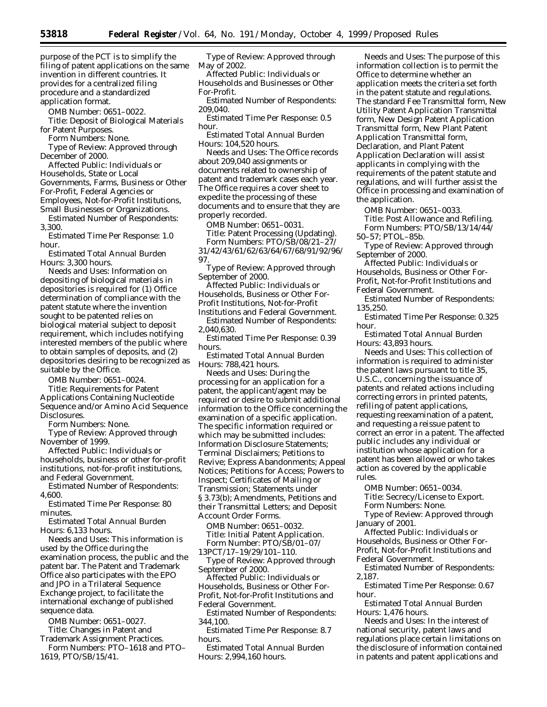purpose of the PCT is to simplify the filing of patent applications on the same invention in different countries. It provides for a centralized filing procedure and a standardized application format.

*OMB Number:* 0651–0022.

*Title:* Deposit of Biological Materials for Patent Purposes.

*Form Numbers:* None.

*Type of Review:* Approved through December of 2000.

*Affected Public:* Individuals or Households, State or Local Governments, Farms, Business or Other For-Profit, Federal Agencies or Employees, Not-for-Profit Institutions, Small Businesses or Organizations.

*Estimated Number of Respondents:* 3,300.

*Estimated Time Per Response:* 1.0 hour.

*Estimated Total Annual Burden Hours:* 3,300 hours.

*Needs and Uses:* Information on depositing of biological materials in depositories is required for (1) Office determination of compliance with the patent statute where the invention sought to be patented relies on biological material subject to deposit requirement, which includes notifying interested members of the public where to obtain samples of deposits, and (2) depositories desiring to be recognized as suitable by the Office.

*OMB Number:* 0651–0024.

*Title:* Requirements for Patent Applications Containing Nucleotide Sequence and/or Amino Acid Sequence Disclosures.

*Form Numbers:* None.

*Type of Review:* Approved through November of 1999.

*Affected Public:* Individuals or households, business or other for-profit institutions, not-for-profit institutions, and Federal Government.

*Estimated Number of Respondents:* 4,600.

*Estimated Time Per Response:* 80 minutes.

*Estimated Total Annual Burden Hours:* 6,133 hours.

*Needs and Uses:* This information is used by the Office during the examination process, the public and the patent bar. The Patent and Trademark Office also participates with the EPO and JPO in a Trilateral Sequence Exchange project, to facilitate the international exchange of published sequence data.

*OMB Number:* 0651–0027. *Title:* Changes in Patent and Trademark Assignment Practices. *Form Numbers:* PTO–1618 and PTO–

1619, PTO/SB/15/41.

*Type of Review:* Approved through May of 2002.

*Affected Public:* Individuals or Households and Businesses or Other For-Profit.

*Estimated Number of Respondents:* 209,040.

*Estimated Time Per Response:* 0.5 hour.

*Estimated Total Annual Burden Hours:* 104,520 hours.

*Needs and Uses:* The Office records about 209,040 assignments or documents related to ownership of patent and trademark cases each year. The Office requires a cover sheet to expedite the processing of these documents and to ensure that they are properly recorded.

*OMB Number:* 0651–0031.

*Title:* Patent Processing (Updating).

*Form Numbers:* PTO/SB/08/21–27/ 31/42/43/61/62/63/64/67/68/91/92/96/ 97.

*Type of Review:* Approved through September of 2000.

*Affected Public:* Individuals or Households, Business or Other For-Profit Institutions, Not-for-Profit Institutions and Federal Government.

*Estimated Number of Respondents:* 2,040,630.

*Estimated Time Per Response:* 0.39 hours.

*Estimated Total Annual Burden Hours:* 788,421 hours.

*Needs and Uses:* During the processing for an application for a patent, the applicant/agent may be required or desire to submit additional information to the Office concerning the examination of a specific application. The specific information required or which may be submitted includes: Information Disclosure Statements; Terminal Disclaimers; Petitions to Revive; Express Abandonments; Appeal Notices; Petitions for Access; Powers to Inspect; Certificates of Mailing or Transmission; Statements under § 3.73(b); Amendments, Petitions and their Transmittal Letters; and Deposit Account Order Forms.

*OMB Number:* 0651–0032. *Title:* Initial Patent Application. *Form Number:* PTO/SB/01–07/ 13PCT/17–19/29/101–110.

*Type of Review:* Approved through September of 2000.

*Affected Public:* Individuals or Households, Business or Other For-Profit, Not-for-Profit Institutions and Federal Government.

*Estimated Number of Respondents:* 344,100.

*Estimated Time Per Response:* 8.7 hours.

*Estimated Total Annual Burden Hours:* 2,994,160 hours.

*Needs and Uses:* The purpose of this information collection is to permit the Office to determine whether an application meets the criteria set forth in the patent statute and regulations. The standard Fee Transmittal form, New Utility Patent Application Transmittal form, New Design Patent Application Transmittal form, New Plant Patent Application Transmittal form, Declaration, and Plant Patent Application Declaration will assist applicants in complying with the requirements of the patent statute and regulations, and will further assist the Office in processing and examination of the application.

*OMB Number:* 0651–0033. *Title:* Post Allowance and Refiling. *Form Numbers:* PTO/SB/13/14/44/

50–57; PTOL–85b.

*Type of Review:* Approved through September of 2000.

*Affected Public:* Individuals or Households, Business or Other For-Profit, Not-for-Profit Institutions and Federal Government.

*Estimated Number of Respondents:* 135,250.

*Estimated Time Per Response:* 0.325 hour.

*Estimated Total Annual Burden Hours:* 43,893 hours.

*Needs and Uses:* This collection of information is required to administer the patent laws pursuant to title 35, U.S.C., concerning the issuance of patents and related actions including correcting errors in printed patents, refiling of patent applications, requesting reexamination of a patent, and requesting a reissue patent to correct an error in a patent. The affected public includes any individual or institution whose application for a patent has been allowed or who takes action as covered by the applicable rules.

*OMB Number:* 0651–0034. *Title:* Secrecy/License to Export. *Form Numbers:* None.

*Type of Review:* Approved through January of 2001.

*Affected Public:* Individuals or Households, Business or Other For-Profit, Not-for-Profit Institutions and Federal Government.

*Estimated Number of Respondents:* 2,187.

*Estimated Time Per Response:* 0.67 hour.

*Estimated Total Annual Burden Hours:* 1,476 hours.

*Needs and Uses:* In the interest of national security, patent laws and regulations place certain limitations on the disclosure of information contained in patents and patent applications and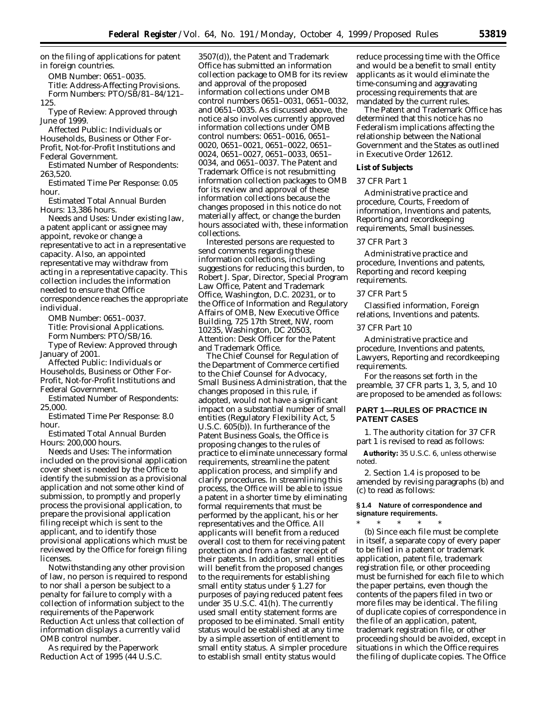on the filing of applications for patent in foreign countries.

*OMB Number:* 0651–0035.

*Title:* Address-Affecting Provisions. *Form Numbers:* PTO/SB/81–84/121– 125.

*Type of Review:* Approved through June of 1999.

*Affected Public:* Individuals or Households, Business or Other For-Profit, Not-for-Profit Institutions and Federal Government.

*Estimated Number of Respondents:* 263,520.

*Estimated Time Per Response:* 0.05 hour.

*Estimated Total Annual Burden Hours:* 13,386 hours.

*Needs and Uses:* Under existing law, a patent applicant or assignee may appoint, revoke or change a representative to act in a representative capacity. Also, an appointed representative may withdraw from acting in a representative capacity. This collection includes the information needed to ensure that Office correspondence reaches the appropriate individual.

*OMB Number:* 0651–0037. *Title:* Provisional Applications. *Form Numbers:* PTO/SB/16.

*Type of Review:* Approved through January of 2001.

*Affected Public:* Individuals or Households, Business or Other For-Profit, Not-for-Profit Institutions and Federal Government.

*Estimated Number of Respondents:* 25,000.

*Estimated Time Per Response:* 8.0 hour.

*Estimated Total Annual Burden Hours:* 200,000 hours.

*Needs and Uses:* The information included on the provisional application cover sheet is needed by the Office to identify the submission as a provisional application and not some other kind of submission, to promptly and properly process the provisional application, to prepare the provisional application filing receipt which is sent to the applicant, and to identify those provisional applications which must be reviewed by the Office for foreign filing licenses.

Notwithstanding any other provision of law, no person is required to respond to nor shall a person be subject to a penalty for failure to comply with a collection of information subject to the requirements of the Paperwork Reduction Act unless that collection of information displays a currently valid OMB control number.

As required by the Paperwork Reduction Act of 1995 (44 U.S.C. 3507(d)), the Patent and Trademark Office has submitted an information collection package to OMB for its review and approval of the proposed information collections under OMB control numbers 0651–0031, 0651–0032, and 0651–0035. As discussed above, the notice also involves currently approved information collections under OMB control numbers: 0651–0016, 0651– 0020, 0651–0021, 0651–0022, 0651– 0024, 0651–0027, 0651–0033, 0651– 0034, and 0651–0037. The Patent and Trademark Office is not resubmitting information collection packages to OMB for its review and approval of these information collections because the changes proposed in this notice do not materially affect, or change the burden hours associated with, these information collections.

Interested persons are requested to send comments regarding these information collections, including suggestions for reducing this burden, to Robert J. Spar, Director, Special Program Law Office, Patent and Trademark Office, Washington, D.C. 20231, or to the Office of Information and Regulatory Affairs of OMB, New Executive Office Building, 725 17th Street, NW, room 10235, Washington, DC 20503, Attention: Desk Officer for the Patent and Trademark Office.

The Chief Counsel for Regulation of the Department of Commerce certified to the Chief Counsel for Advocacy, Small Business Administration, that the changes proposed in this rule, if adopted, would not have a significant impact on a substantial number of small entities (Regulatory Flexibility Act, 5 U.S.C. 605(b)). In furtherance of the Patent Business Goals, the Office is proposing changes to the rules of practice to eliminate unnecessary formal requirements, streamline the patent application process, and simplify and clarify procedures. In streamlining this process, the Office will be able to issue a patent in a shorter time by eliminating formal requirements that must be performed by the applicant, his or her representatives and the Office. All applicants will benefit from a reduced overall cost to them for receiving patent protection and from a faster receipt of their patents. In addition, small entities will benefit from the proposed changes to the requirements for establishing small entity status under § 1.27 for purposes of paying reduced patent fees under 35 U.S.C.  $41(h)$ . The currently used small entity statement forms are proposed to be eliminated. Small entity status would be established at any time by a simple assertion of entitlement to small entity status. A simpler procedure to establish small entity status would

reduce processing time with the Office and would be a benefit to small entity applicants as it would eliminate the time-consuming and aggravating processing requirements that are mandated by the current rules.

The Patent and Trademark Office has determined that this notice has no Federalism implications affecting the relationship between the National Government and the States as outlined in Executive Order 12612.

## **List of Subjects**

# *37 CFR Part 1*

Administrative practice and procedure, Courts, Freedom of information, Inventions and patents, Reporting and recordkeeping requirements, Small businesses.

## *37 CFR Part 3*

Administrative practice and procedure, Inventions and patents, Reporting and record keeping requirements.

## *37 CFR Part 5*

Classified information, Foreign relations, Inventions and patents.

# *37 CFR Part 10*

Administrative practice and procedure, Inventions and patents, Lawyers, Reporting and recordkeeping requirements.

For the reasons set forth in the preamble, 37 CFR parts 1, 3, 5, and 10 are proposed to be amended as follows:

# **PART 1—RULES OF PRACTICE IN PATENT CASES**

1. The authority citation for 37 CFR part 1 is revised to read as follows:

**Authority:** 35 U.S.C. 6, unless otherwise noted.

2. Section 1.4 is proposed to be amended by revising paragraphs (b) and (c) to read as follows:

# **§ 1.4 Nature of correspondence and signature requirements.**

\* \* \* \* \* (b) Since each file must be complete in itself, a separate copy of every paper to be filed in a patent or trademark application, patent file, trademark registration file, or other proceeding must be furnished for each file to which the paper pertains, even though the contents of the papers filed in two or more files may be identical. The filing of duplicate copies of correspondence in the file of an application, patent, trademark registration file, or other proceeding should be avoided, except in situations in which the Office requires the filing of duplicate copies. The Office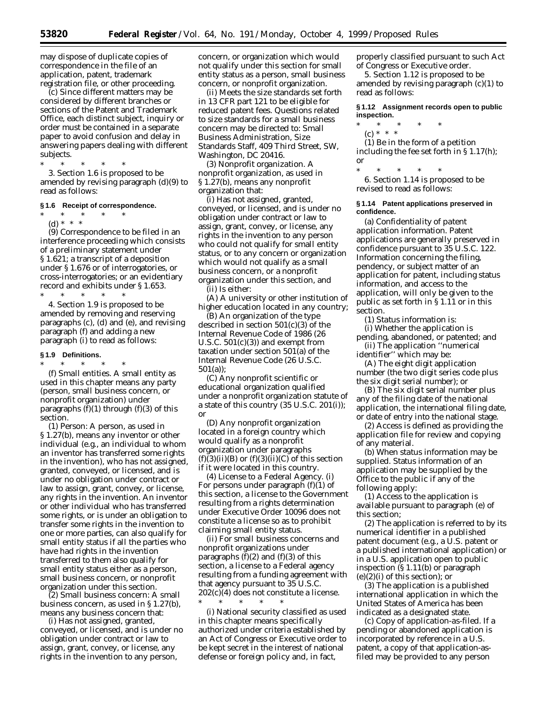may dispose of duplicate copies of correspondence in the file of an application, patent, trademark registration file, or other proceeding.

(c) Since different matters may be considered by different branches or sections of the Patent and Trademark Office, each distinct subject, inquiry or order must be contained in a separate paper to avoid confusion and delay in answering papers dealing with different subjects.

\* \* \* \* \* 3. Section 1.6 is proposed to be amended by revising paragraph (d)(9) to read as follows:

## **§ 1.6 Receipt of correspondence.**

\* \* \* \* \* (d) \* \* \*

(9) Correspondence to be filed in an interference proceeding which consists of a preliminary statement under § 1.621; a transcript of a deposition under § 1.676 or of interrogatories, or cross-interrogatories; or an evidentiary record and exhibits under § 1.653.<br>\* \* \* \* \* \* \*

\* \* \* \* \* 4. Section 1.9 is proposed to be amended by removing and reserving paragraphs (c), (d) and (e), and revising paragraph (f) and adding a new paragraph (i) to read as follows:

## **§ 1.9 Definitions.**

\* \* \* \* \* (f) *Small entities.* A small entity as used in this chapter means any party (person, small business concern, or nonprofit organization) under paragraphs  $(f)(1)$  through  $(f)(3)$  of this section.

(1) *Person:* A person, as used in § 1.27(b), means any inventor or other individual (*e.g.,* an individual to whom an inventor has transferred some rights in the invention), who *has not* assigned, granted, conveyed, or licensed, and is under no obligation under contract or law to assign, grant, convey, or license, any rights in the invention. An inventor or other individual who *has* transferred some rights, or is under an obligation to transfer some rights in the invention to one or more parties, can also qualify for small entity status if all the parties who have had rights in the invention transferred to them also qualify for small entity status either as a person, small business concern, or nonprofit organization under this section.

(2) *Small business concern:* A small business concern, as used in § 1.27(b), means any business concern that:

(i) Has not assigned, granted, conveyed, or licensed, and is under no obligation under contract or law to assign, grant, convey, or license, any rights in the invention to any person,

concern, or organization which would not qualify under this section for small entity status as a person, small business concern, or nonprofit organization.

(ii) Meets the size standards set forth in 13 CFR part 121 to be eligible for reduced patent fees. Questions related to size standards for a small business concern may be directed to: Small Business Administration, Size Standards Staff, 409 Third Street, SW, Washington, DC 20416.

(3) *Nonprofit organization.* A nonprofit organization, as used in § 1.27(b), means any nonprofit organization that:

(i) Has not assigned, granted, conveyed, or licensed, and is under no obligation under contract or law to assign, grant, convey, or license, any rights in the invention to any person who could not qualify for small entity status, or to any concern or organization which would not qualify as a small business concern, or a nonprofit organization under this section, and

(ii) Is either:

(A) A university or other institution of higher education located in any country;

(B) An organization of the type described in section 501(c)(3) of the Internal Revenue Code of 1986 (26 U.S.C.  $501(c)(3)$  and exempt from taxation under section 501(a) of the Internal Revenue Code (26 U.S.C. 501(a));

(C) Any nonprofit scientific or educational organization qualified under a nonprofit organization statute of a state of this country (35 U.S.C. 201(i)); or

(D) Any nonprofit organization located in a foreign country which would qualify as a nonprofit organization under paragraphs  $(f)(3)(ii)(B)$  or  $(f)(3)(ii)(C)$  of this section if it were located in this country.

(4) *License to a Federal Agency.* (i) For persons under paragraph  $(f)(1)$  of this section, a license to the Government resulting from a rights determination under Executive Order 10096 does not constitute a license so as to prohibit claiming small entity status.

(ii) For small business concerns and nonprofit organizations under paragraphs  $(f)(2)$  and  $(f)(3)$  of this section, a license to a Federal agency resulting from a funding agreement with that agency pursuant to 35 U.S.C. 202(c)(4) does not constitute a license.

\* \* \* \* \* (i) National security classified as used in this chapter means specifically authorized under criteria established by an Act of Congress or Executive order to be kept secret in the interest of national defense or foreign policy and, in fact,

properly classified pursuant to such Act of Congress or Executive order.

5. Section 1.12 is proposed to be amended by revising paragraph (c)(1) to read as follows:

## **§ 1.12 Assignment records open to public inspection.**

- \* \* \* \* \*
- (c) \* \* \*

(1) Be in the form of a petition including the fee set forth in § 1.17(h); or

\* \* \* \* \* 6. Section 1.14 is proposed to be revised to read as follows:

#### **§ 1.14 Patent applications preserved in confidence.**

(a) *Confidentiality of patent application information.* Patent applications are generally preserved in confidence pursuant to 35 U.S.C. 122. Information concerning the filing, pendency, or subject matter of an application for patent, including status information, and access to the application, will only be given to the public as set forth in § 1.11 or in this section.

(1) *Status information* is:

(i) Whether the application is pending, abandoned, or patented; and (ii) The application ''numerical

identifier'' which may be:

(A) The eight digit application number (the two digit series code plus the six digit serial number); or

(B) The six digit serial number plus any of the filing date of the national application, the international filing date, or date of entry into the national stage.

(2) *Access* is defined as providing the application file for review and copying of any material.

(b) *When status information may be supplied.* Status information of an application may be supplied by the Office to the public if any of the following apply:

(1) Access to the application is available pursuant to paragraph (e) of this section;

(2) The application is referred to by its numerical identifier in a published patent document (*e.g.,* a U.S. patent or a published international application) or in a U.S. application open to public inspection (§ 1.11(b) or paragraph  $(e)(2)(i)$  of this section); or

(3) The application is a published international application in which the United States of America has been indicated as a designated state.

(c) *Copy of application-as-filed.* If a pending or abandoned application is incorporated by reference in a U.S. patent, a copy of that application-asfiled may be provided to any person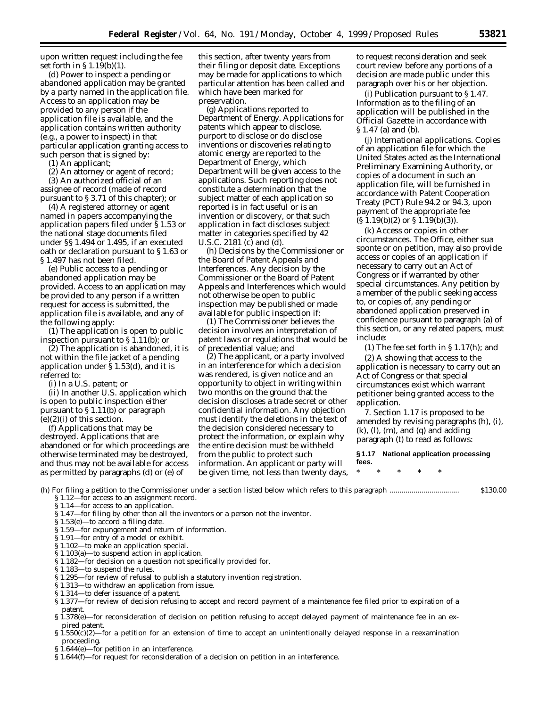upon written request including the fee set forth in § 1.19(b)(1).

(d) *Power to inspect a pending or abandoned application may be granted by a party named in the application file.* Access to an application may be provided to any person if the application file is available, and the application contains written authority (*e.g.,* a power to inspect) in that particular application granting access to such person that is signed by:

(1) An applicant;

(2) An attorney or agent of record; (3) An authorized official of an assignee of record (made of record pursuant to § 3.71 of this chapter); or

(4) A registered attorney or agent named in papers accompanying the application papers filed under § 1.53 or the national stage documents filed under §§ 1.494 or 1.495, if an executed oath or declaration pursuant to § 1.63 or § 1.497 has not been filed.

(e) *Public access to a pending or abandoned application may be provided.* Access to an application may be provided to any person if a written request for access is submitted, the application file is available, and any of the following apply:

(1) The application is open to public inspection pursuant to § 1.11(b); or

(2) The application is abandoned, it is not within the file jacket of a pending application under § 1.53(d), and it is referred to:

(i) In a U.S. patent; or

(ii) In another U.S. application which is open to public inspection either pursuant to § 1.11(b) or paragraph  $(e)(2)(i)$  of this section.

(f) *Applications that may be destroyed.* Applications that are abandoned or for which proceedings are otherwise terminated may be destroyed, and thus may not be available for access as permitted by paragraphs (d) or (e) of

this section, after twenty years from their filing or deposit date. Exceptions may be made for applications to which particular attention has been called and which have been marked for preservation.

(g) *Applications reported to Department of Energy.* Applications for patents which appear to disclose, purport to disclose or do disclose inventions or discoveries relating to atomic energy are reported to the Department of Energy, which Department will be given access to the applications. Such reporting does not constitute a determination that the subject matter of each application so reported is in fact useful or is an invention or discovery, or that such application in fact discloses subject matter in categories specified by 42 U.S.C. 2181 (c) and (d).

(h) *Decisions by the Commissioner or the Board of Patent Appeals and Interferences.* Any decision by the Commissioner or the Board of Patent Appeals and Interferences which would not otherwise be open to public inspection may be published or made available for public inspection if:

(1) The Commissioner believes the decision involves an interpretation of patent laws or regulations that would be of precedential value; and

(2) The applicant, or a party involved in an interference for which a decision was rendered, is given notice and an opportunity to object in writing within two months on the ground that the decision discloses a trade secret or other confidential information. Any objection must identify the deletions in the text of the decision considered necessary to protect the information, or explain why the entire decision must be withheld from the public to protect such information. An applicant or party will be given time, not less than twenty days,

to request reconsideration and seek court review before any portions of a decision are made public under this paragraph over his or her objection.

(i) *Publication pursuant to § 1.47.* Information as to the filing of an application will be published in the *Official Gazette* in accordance with § 1.47 (a) and (b).

(j) *International applications.* Copies of an application file for which the United States acted as the International Preliminary Examining Authority, or copies of a document in such an application file, will be furnished in accordance with Patent Cooperation Treaty (PCT) Rule 94.2 or 94.3, upon payment of the appropriate fee  $(S 1.19(b)(2)$  or  $S 1.19(b)(3)$ .

(k) *Access or copies in other circumstances.* The Office, either *sua sponte* or on petition, may also provide access or copies of an application if necessary to carry out an Act of Congress or if warranted by other special circumstances. Any petition by a member of the public seeking access to, or copies of, any pending or abandoned application preserved in confidence pursuant to paragraph (a) of this section, or any related papers, must include:

(1) The fee set forth in § 1.17(h); and

(2) A showing that access to the application is necessary to carry out an Act of Congress or that special circumstances exist which warrant petitioner being granted access to the application.

7. Section 1.17 is proposed to be amended by revising paragraphs (h), (i),  $(k)$ ,  $(l)$ ,  $(m)$ , and  $(q)$  and adding paragraph (t) to read as follows:

**§ 1.17 National application processing fees.**

\* \* \* \* \*

(h) For filing a petition to the Commissioner under a section listed below which refers to this paragraph ................................... \$130.00 § 1.12—for access to an assignment record.

- §1.14-for access to an application.
- § 1.47—for filing by other than all the inventors or a person not the inventor.
- § 1.53(e)—to accord a filing date.
- § 1.59—for expungement and return of information.
- § 1.91—for entry of a model or exhibit.
- § 1.102—to make an application special.
- § 1.103(a)—to suspend action in application.
- § 1.182—for decision on a question not specifically provided for.
- § 1.183—to suspend the rules.
- § 1.295—for review of refusal to publish a statutory invention registration.
- § 1.313—to withdraw an application from issue.
- § 1.314—to defer issuance of a patent.
- § 1.377—for review of decision refusing to accept and record payment of a maintenance fee filed prior to expiration of a patent.
- § 1.378(e)—for reconsideration of decision on petition refusing to accept delayed payment of maintenance fee in an expired patent.
- $$1.550(c)(2)$ —for a petition for an extension of time to accept an unintentionally delayed response in a reexamination proceeding.
- § 1.644(e)—for petition in an interference.
- § 1.644(f)—for request for reconsideration of a decision on petition in an interference.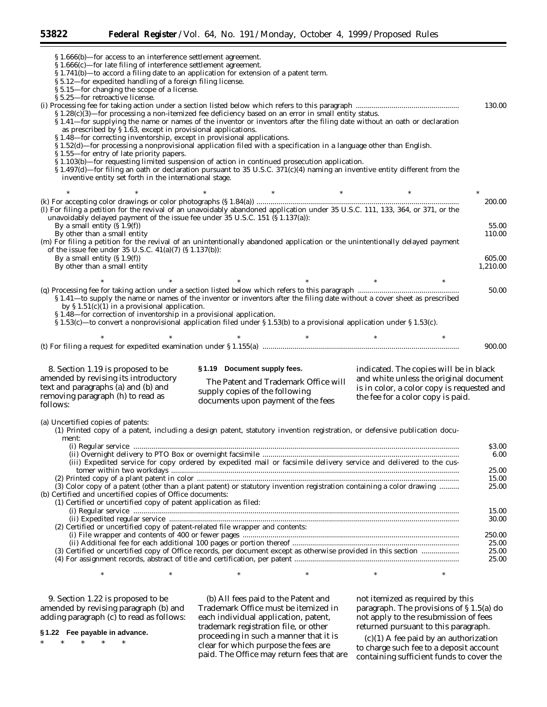§ 1.666(b)—for access to an interference settlement agreement. § 1.666(c)—for late filing of interference settlement agreement. § 1.741(b)—to accord a filing date to an application for extension of a patent term. § 5.12—for expedited handling of a foreign filing license. § 5.15—for changing the scope of a license. § 5.25—for retroactive license. (i) Processing fee for taking action under a section listed below which refers to this paragraph .................................................... 130.00 § 1.28(c)(3)—for processing a non-itemized fee deficiency based on an error in small entity status. § 1.41—for supplying the name or names of the inventor or inventors after the filing date without an oath or declaration as prescribed by § 1.63, except in provisional applications. § 1.48—for correcting inventorship, except in provisional applications. § 1.52(d)—for processing a nonprovisional application filed with a specification in a language other than English. § 1.55—for entry of late priority papers. § 1.103(b)—for requesting limited suspension of action in continued prosecution application.  $\S 1.497(d)$ —for filing an oath or declaration pursuant to 35 U.S.C.  $371(c)(4)$  naming an inventive entity different from the inventive entity set forth in the international stage. \* \* \* \* \* \* \* \* \* \* \* \* \* (k) For accepting color drawings or color photographs (§ 1.84(a)) ...................................................................................................... 200.00 (l) For filing a petition for the revival of an unavoidably abandoned application under 35 U.S.C. 111, 133, 364, or 371, or the unavoidably delayed payment of the issue fee under  $35 \text{ U.S.C. } 151 \text{ (§ } 1.137(a))$ : By a small entity  $(\$1.9(f))$  55.00<br>By other than a small entity  $(110.00)$ By other than a small entity (m) For filing a petition for the revival of an unintentionally abandoned application or the unintentionally delayed payment of the issue fee under 35 U.S.C. 41(a)(7) (§ 1.137(b)): By a small entity (§ 1.9(f)) 605.00 By other than a small entity \* \* \* \* \* \* \* \* \* \* \* \* \* (q) Processing fee for taking action under a section listed below which refers to this paragraph ................................................... 50.00 § 1.41—to supply the name or names of the inventor or inventors after the filing date without a cover sheet as prescribed by  $\S 1.51(c)(1)$  in a provisional application. § 1.48—for correction of inventorship in a provisional application. § 1.53(c)—to convert a nonprovisional application filed under § 1.53(b) to a provisional application under § 1.53(c). \* \* \* \* \* \* \* \* \* \* \* \* \* (t) For filing a request for expedited examination under § 1.155(a) ................................................................................................... 900.00 8. Section 1.19 is proposed to be amended by revising its introductory text and paragraphs (a) and (b) and removing paragraph (h) to read as **§ 1.19 Document supply fees.** The Patent and Trademark Office will supply copies of the following indicated. The copies will be in black and white unless the original document is in color, a color copy is requested and

(a) Uncertified copies of patents:

follows:

(1) Printed copy of a patent, including a design patent, statutory invention registration, or defensive publication document:

documents upon payment of the fees

|                                                                                                                       | \$3.00 |
|-----------------------------------------------------------------------------------------------------------------------|--------|
|                                                                                                                       | 6.00   |
| (iii) Expedited service for copy ordered by expedited mail or facsimile delivery service and delivered to the cus-    |        |
|                                                                                                                       | 25.00  |
|                                                                                                                       | 15.00  |
| (3) Color copy of a patent (other than a plant patent) or statutory invention registration containing a color drawing | 25.00  |
| (b) Certified and uncertified copies of Office documents:                                                             |        |
| (1) Certified or uncertified copy of patent application as filed:                                                     |        |
|                                                                                                                       | 15.00  |
|                                                                                                                       | 30.00  |
| (2) Certified or uncertified copy of patent-related file wrapper and contents:                                        |        |
|                                                                                                                       | 250.00 |
|                                                                                                                       | 25.00  |
|                                                                                                                       | 25.00  |
|                                                                                                                       | 25.00  |
|                                                                                                                       |        |

9. Section 1.22 is proposed to be amended by revising paragraph (b) and adding paragraph (c) to read as follows:

**§ 1.22 Fee payable in advance.**

\* \* \* \* \*

(b) All fees paid to the Patent and Trademark Office must be itemized in each individual application, patent, trademark registration file, or other proceeding in such a manner that it is clear for which purpose the fees are paid. The Office may return fees that are

 $*$  \*  $*$  \*  $*$  \*  $*$  \*

not itemized as required by this paragraph. The provisions of § 1.5(a) do not apply to the resubmission of fees returned pursuant to this paragraph.

the fee for a color copy is paid.

 $(c)(1)$  A fee paid by an authorization to charge such fee to a deposit account containing sufficient funds to cover the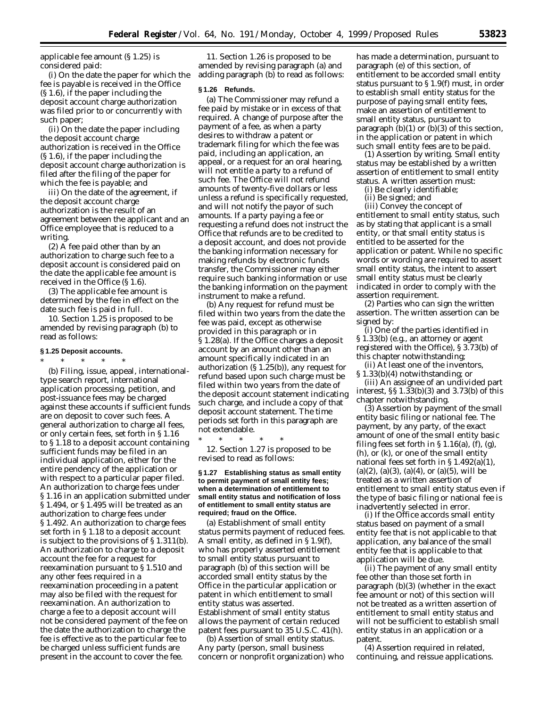applicable fee amount (§ 1.25) is considered paid:

(i) On the date the paper for which the fee is payable is received in the Office (§ 1.6), if the paper including the deposit account charge authorization was filed prior to or concurrently with such paper;

(ii) On the date the paper including the deposit account charge authorization is received in the Office (§ 1.6), if the paper including the deposit account charge authorization is filed after the filing of the paper for which the fee is payable; and

iii) On the date of the agreement, if the deposit account charge authorization is the result of an agreement between the applicant and an Office employee that is reduced to a writing.

(2) A fee paid other than by an authorization to charge such fee to a deposit account is considered paid on the date the applicable fee amount is received in the Office (§ 1.6).

(3) The applicable fee amount is determined by the fee in effect on the date such fee is paid in full.

10. Section 1.25 is proposed to be amended by revising paragraph (b) to read as follows:

## **§ 1.25 Deposit accounts.** \* \* \* \* \*

(b) Filing, issue, appeal, internationaltype search report, international application processing, petition, and post-issuance fees may be charged against these accounts if sufficient funds are on deposit to cover such fees. A general authorization to charge all fees, or only certain fees, set forth in § 1.16 to § 1.18 to a deposit account containing sufficient funds may be filed in an individual application, either for the entire pendency of the application or with respect to a particular paper filed. An authorization to charge fees under § 1.16 in an application submitted under § 1.494, or § 1.495 will be treated as an authorization to charge fees under § 1.492. An authorization to charge fees set forth in § 1.18 to a deposit account is subject to the provisions of § 1.311(b). An authorization to charge to a deposit account the fee for a request for reexamination pursuant to § 1.510 and any other fees required in a reexamination proceeding in a patent may also be filed with the request for reexamination. An authorization to charge a fee to a deposit account will not be considered payment of the fee on the date the authorization to charge the fee is effective as to the particular fee to be charged unless sufficient funds are present in the account to cover the fee.

11. Section 1.26 is proposed to be amended by revising paragraph (a) and adding paragraph (b) to read as follows:

#### **§ 1.26 Refunds.**

(a) The Commissioner may refund a fee paid by mistake or in excess of that required. A change of purpose after the payment of a fee, as when a party desires to withdraw a patent or trademark filing for which the fee was paid, including an application, an appeal, or a request for an oral hearing, will not entitle a party to a refund of such fee. The Office will not refund amounts of twenty-five dollars or less unless a refund is specifically requested, and will not notify the payor of such amounts. If a party paying a fee or requesting a refund does not instruct the Office that refunds are to be credited to a deposit account, and does not provide the banking information necessary for making refunds by electronic funds transfer, the Commissioner may either require such banking information or use the banking information on the payment instrument to make a refund.

(b) Any request for refund must be filed within two years from the date the fee was paid, except as otherwise provided in this paragraph or in § 1.28(a). If the Office charges a deposit account by an amount other than an amount specifically indicated in an authorization  $(S 1.25(b))$ , any request for refund based upon such charge must be filed within two years from the date of the deposit account statement indicating such charge, and include a copy of that deposit account statement. The time periods set forth in this paragraph are not extendable.

\* \* \* \* \* 12. Section 1.27 is proposed to be revised to read as follows:

## **§ 1.27 Establishing status as small entity to permit payment of small entity fees; when a determination of entitlement to small entity status and notification of loss of entitlement to small entity status are required; fraud on the Office.**

(a) *Establishment of small entity status permits payment of reduced fees.* A small entity, as defined in § 1.9(f), who has properly asserted entitlement to small entity status pursuant to paragraph (b) of this section will be accorded small entity status by the Office in the particular application or patent in which entitlement to small entity status was asserted. Establishment of small entity status allows the payment of certain reduced patent fees pursuant to 35 U.S.C. 41(h).

(b) *Assertion of small entity status*. Any party (person, small business concern or nonprofit organization) who has made a determination, pursuant to paragraph (e) of this section, of entitlement to be accorded small entity status pursuant to § 1.9(f) must, in order to establish small entity status for the purpose of paying small entity fees, make an assertion of entitlement to small entity status, pursuant to paragraph  $(b)(1)$  or  $(b)(3)$  of this section, in the application or patent in which such small entity fees are to be paid.

(1) *Assertion by writing*. Small entity status may be established by a written assertion of entitlement to small entity status. A written assertion must:

(i) Be clearly identifiable;

(ii) Be signed; and

(iii) Convey the concept of entitlement to small entity status, such as by stating that applicant is a small entity, or that small entity status is entitled to be asserted for the application or patent. While no specific words or wording are required to assert small entity status, the intent to assert small entity status must be clearly indicated in order to comply with the assertion requirement.

(2) *Parties who can sign the written assertion*. The written assertion can be signed by:

(i) One of the parties identified in § 1.33(b) (*e.g.,* an attorney or agent registered with the Office), § 3.73(b) of this chapter notwithstanding;

(ii) At least one of the inventors, § 1.33(b)(4) notwithstanding; or

(iii) An assignee of an undivided part interest, §§ 1.33(b)(3) and 3.73(b) of this chapter notwithstanding.

(3) *Assertion by payment of the small entity basic filing or national fee.* The payment, by any party, of the exact amount of one of the small entity basic filing fees set forth in  $\S 1.16(a)$ , (f), (g), (h), or (k), or one of the small entity national fees set forth in § 1.492(a)(1),  $(a)(2)$ ,  $(a)(3)$ ,  $(a)(4)$ , or  $(a)(5)$ , will be treated as a written assertion of entitlement to small entity status even if the type of basic filing or national fee is inadvertently selected in error.

(i) If the Office accords small entity status based on payment of a small entity fee that is not applicable to that application, any balance of the small entity fee that is applicable to that application will be due.

(ii) The payment of any small entity fee other than those set forth in paragraph (b)(3) (whether in the exact fee amount or not) of this section will not be treated as a written assertion of entitlement to small entity status and will not be sufficient to establish small entity status in an application or a patent.

(4) *Assertion required in related, continuing, and reissue applications.*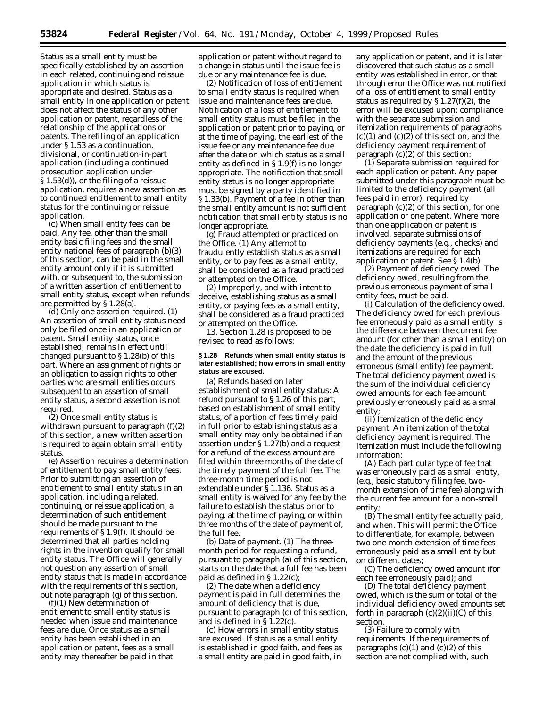Status as a small entity must be specifically established by an assertion in each related, continuing and reissue application in which status is appropriate and desired. Status as a small entity in one application or patent does not affect the status of any other application or patent, regardless of the relationship of the applications or patents. The refiling of an application under § 1.53 as a continuation, divisional, or continuation-in-part application (including a continued prosecution application under § 1.53(d)), or the filing of a reissue application, requires a new assertion as to continued entitlement to small entity status for the continuing or reissue application.

(c) *When small entity fees can be paid.* Any fee, other than the small entity basic filing fees and the small entity national fees of paragraph (b)(3) of this section, can be paid in the small entity amount only if it is submitted with, or subsequent to, the submission of a written assertion of entitlement to small entity status, except when refunds are permitted by § 1.28(a).

(d) *Only one assertion required.* (1) An assertion of small entity status need only be filed once in an application or patent. Small entity status, once established, remains in effect until changed pursuant to § 1.28(b) of this part. Where an assignment of rights or an obligation to assign rights to other parties who are small entities occurs subsequent to an assertion of small entity status, a second assertion is not required.

(2) Once small entity status is withdrawn pursuant to paragraph (f)(2) of this section, a new written assertion is required to again obtain small entity status.

(e) *Assertion requires a determination of entitlement to pay small entity fees.* Prior to submitting an assertion of entitlement to small entity status in an application, including a related, continuing, or reissue application, a determination of such entitlement should be made pursuant to the requirements of § 1.9(f). It should be determined that all parties holding rights in the invention qualify for small entity status. The Office will generally not question any assertion of small entity status that is made in accordance with the requirements of this section, but note paragraph (g) of this section.

(f)(1) *New determination of entitlement to small entity status is needed when issue and maintenance fees are due.* Once status as a small entity has been established in an application or patent, fees as a small entity may thereafter be paid in that

application or patent without regard to a change in status until the issue fee is due or any maintenance fee is due.

(2) *Notification of loss of entitlement to small entity status is required when issue and maintenance fees are due.* Notification of a loss of entitlement to small entity status must be filed in the application or patent prior to paying, or at the time of paying, the earliest of the issue fee or any maintenance fee due after the date on which status as a small entity as defined in § 1.9(f) is no longer appropriate. The notification that small entity status is no longer appropriate must be signed by a party identified in § 1.33(b). Payment of a fee in other than the small entity amount is not sufficient notification that small entity status is no longer appropriate.

(g) *Fraud attempted or practiced on the Office.* (1) Any attempt to fraudulently establish status as a small entity, or to pay fees as a small entity, shall be considered as a fraud practiced or attempted on the Office.

(2) Improperly, and with intent to deceive, establishing status as a small entity, or paying fees as a small entity, shall be considered as a fraud practiced or attempted on the Office.

13. Section 1.28 is proposed to be revised to read as follows:

## **§ 1.28 Refunds when small entity status is later established; how errors in small entity status are excused.**

(a) *Refunds based on later establishment of small entity status:* A refund pursuant to § 1.26 of this part, based on establishment of small entity status, of a portion of fees timely paid in full prior to establishing status as a small entity may only be obtained if an assertion under § 1.27(b) and a request for a refund of the excess amount are filed within three months of the date of the timely payment of the full fee. The three-month time period is not extendable under § 1.136. Status as a small entity is waived for any fee by the failure to establish the status prior to paying, at the time of paying, or within three months of the date of payment of, the full fee.

(b) *Date of payment.* (1) The threemonth period for requesting a refund, pursuant to paragraph (a) of this section, starts on the date that a full fee has been paid as defined in § 1.22(c);

(2) The date when a deficiency payment is paid in full determines the amount of deficiency that is due, pursuant to paragraph (c) of this section, and is defined in § 1.22(c).

(c) *How errors in small entity status are excused.* If status as a small entity is established in good faith, and fees as a small entity are paid in good faith, in

any application or patent, and it is later discovered that such status as a small entity was established in error, or that through error the Office was not notified of a loss of entitlement to small entity status as required by § 1.27(f)(2), the error will be excused upon: compliance with the separate submission and itemization requirements of paragraphs  $(c)(1)$  and  $(c)(2)$  of this section, and the deficiency payment requirement of paragraph  $(c)(2)$  of this section:

(1) *Separate submission required for each application or patent.* Any paper submitted under this paragraph must be limited to the deficiency payment (all fees paid in error), required by paragraph (c)(2) of this section, for one application or one patent. Where more than one application or patent is involved, separate submissions of deficiency payments (*e.g.,* checks) and itemizations are required for each application or patent. *See* § 1.4(b).

(2) *Payment of deficiency owed.* The deficiency owed, resulting from the previous erroneous payment of small entity fees, must be paid.

(i) *Calculation of the deficiency owed.* The deficiency owed for each previous fee erroneously paid as a small entity is the difference between the current fee amount (for other than a small entity) on the date the deficiency is paid in full and the amount of the previous erroneous (small entity) fee payment. The total deficiency payment owed is the sum of the individual deficiency owed amounts for each fee amount previously erroneously paid as a small entity;

(ii) *Itemization of the deficiency payment.* An itemization of the total deficiency payment is required. The itemization must include the following information:

(A) Each particular type of fee that was erroneously paid as a small entity, (*e.g.*, basic statutory filing fee, twomonth extension of time fee) along with the current fee amount for a non-small entity;

(B) The small entity fee actually paid, and when. This will permit the Office to differentiate, for example, between two one-month extension of time fees erroneously paid as a small entity but on different dates;

(C) The deficiency owed amount (for each fee erroneously paid); and

(D) The total deficiency payment owed, which is the sum or total of the individual deficiency owed amounts set forth in paragraph  $(c)(2)(ii)(C)$  of this section.

(3) *Failure to comply with requirements.* If the requirements of paragraphs  $(c)(1)$  and  $(c)(2)$  of this section are not complied with, such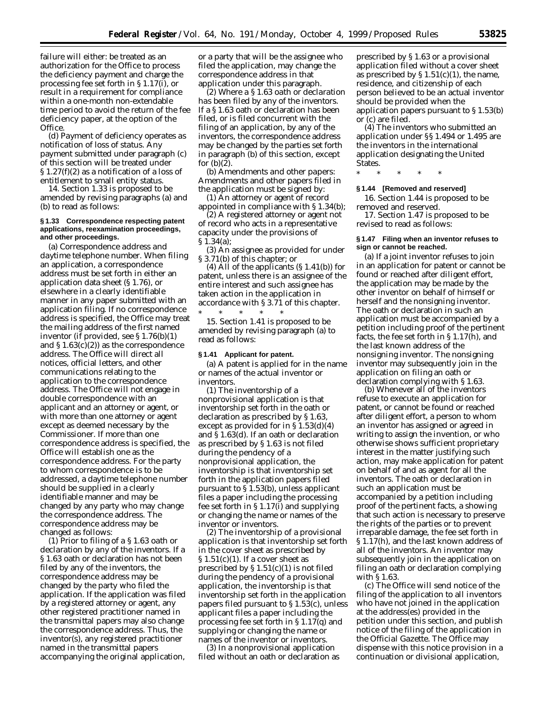failure will either: be treated as an authorization for the Office to process the deficiency payment and charge the processing fee set forth in § 1.17(i), or result in a requirement for compliance within a one-month non-extendable time period to avoid the return of the fee deficiency paper, at the option of the Office.

(d) *Payment of deficiency operates as notification of loss of status.* Any payment submitted under paragraph (c) of this section will be treated under § 1.27(f)(2) as a notification of a loss of entitlement to small entity status.

14. Section 1.33 is proposed to be amended by revising paragraphs (a) and (b) to read as follows:

## **§ 1.33 Correspondence respecting patent applications, reexamination proceedings, and other proceedings.**

(a) *Correspondence address and daytime telephone number.* When filing an application, a correspondence address must be set forth in either an application data sheet (§ 1.76), or elsewhere in a clearly identifiable manner in any paper submitted with an application filing. If no correspondence address is specified, the Office may treat the mailing address of the first named inventor (if provided, see § 1.76(b)(1) and § 1.63(c)(2)) as the correspondence address. The Office will direct all notices, official letters, and other communications relating to the application to the correspondence address. The Office will not engage in double correspondence with an applicant and an attorney or agent, or with more than one attorney or agent except as deemed necessary by the Commissioner. If more than one correspondence address is specified, the Office will establish one as the correspondence address. For the party to whom correspondence is to be addressed, a daytime telephone number should be supplied in a clearly identifiable manner and may be changed by any party who may change the correspondence address. The correspondence address may be changed as follows:

(1) *Prior to filing of a § 1.63 oath or declaration by any of the inventors.* If a § 1.63 oath or declaration has not been filed by any of the inventors, the correspondence address may be changed by the party who filed the application. If the application was filed by a registered attorney or agent, any other registered practitioner named in the transmittal papers may also change the correspondence address. Thus, the inventor(s), any registered practitioner named in the transmittal papers accompanying the original application,

or a party that will be the assignee who filed the application, may change the correspondence address in that application under this paragraph.

(2) *Where a § 1.63 oath or declaration has been filed by any of the inventors.* If a § 1.63 oath or declaration has been filed, or is filed concurrent with the filing of an application, by any of the inventors, the correspondence address may be changed by the parties set forth in paragraph (b) of this section, except for (b)(2).

(b) *Amendments and other papers:* Amendments and other papers filed in the application must be signed by:

(1) An attorney or agent of record appointed in compliance with § 1.34(b);

(2) A registered attorney or agent not of record who acts in a representative capacity under the provisions of § 1.34(a);

(3) An assignee as provided for under § 3.71(b) of this chapter; or

(4) All of the applicants  $(\S 1.41(b))$  for patent, unless there is an assignee of the entire interest and such assignee has taken action in the application in accordance with § 3.71 of this chapter. \* \* \* \* \*

15. Section 1.41 is proposed to be amended by revising paragraph (a) to read as follows:

#### **§ 1.41 Applicant for patent.**

(a) A patent is applied for in the name or names of the actual inventor or inventors.

(1) The inventorship of a nonprovisional application is that inventorship set forth in the oath or declaration as prescribed by § 1.63, except as provided for in § 1.53(d)(4) and § 1.63(d). If an oath or declaration as prescribed by § 1.63 is not filed during the pendency of a nonprovisional application, the inventorship is that inventorship set forth in the application papers filed pursuant to § 1.53(b), unless applicant files a paper including the processing fee set forth in § 1.17(i) and supplying or changing the name or names of the inventor or inventors.

(2) The inventorship of a provisional application is that inventorship set forth in the cover sheet as prescribed by  $\S 1.51(c)(1)$ . If a cover sheet as prescribed by  $\S 1.51(c)(1)$  is not filed during the pendency of a provisional application, the inventorship is that inventorship set forth in the application papers filed pursuant to § 1.53(c), unless applicant files a paper including the processing fee set forth in § 1.17(q) and supplying or changing the name or names of the inventor or inventors.

(3) In a nonprovisional application filed without an oath or declaration as

prescribed by § 1.63 or a provisional application filed without a cover sheet as prescribed by  $\S 1.51(c)(1)$ , the name, residence, and citizenship of each person believed to be an actual inventor should be provided when the application papers pursuant to § 1.53(b) or (c) are filed.

(4) The inventors who submitted an application under §§ 1.494 or 1.495 are the inventors in the international application designating the United States.

\* \* \* \* \*

## **§ 1.44 [Removed and reserved]**

16. Section 1.44 is proposed to be removed and reserved.

17. Section 1.47 is proposed to be revised to read as follows:

## **§ 1.47 Filing when an inventor refuses to sign or cannot be reached.**

(a) If a joint inventor refuses to join in an application for patent or cannot be found or reached after diligent effort, the application may be made by the other inventor on behalf of himself or herself and the nonsigning inventor. The oath or declaration in such an application must be accompanied by a petition including proof of the pertinent facts, the fee set forth in § 1.17(h), and the last known address of the nonsigning inventor. The nonsigning inventor may subsequently join in the application on filing an oath or declaration complying with § 1.63.

(b) Whenever all of the inventors refuse to execute an application for patent, or cannot be found or reached after diligent effort, a person to whom an inventor has assigned or agreed in writing to assign the invention, or who otherwise shows sufficient proprietary interest in the matter justifying such action, may make application for patent on behalf of and as agent for all the inventors. The oath or declaration in such an application must be accompanied by a petition including proof of the pertinent facts, a showing that such action is necessary to preserve the rights of the parties or to prevent irreparable damage, the fee set forth in § 1.17(h), and the last known address of all of the inventors. An inventor may subsequently join in the application on filing an oath or declaration complying with § 1.63.

(c) The Office will send notice of the filing of the application to all inventors who have not joined in the application at the address(es) provided in the petition under this section, and publish notice of the filing of the application in the *Official Gazette.* The Office may dispense with this notice provision in a continuation or divisional application,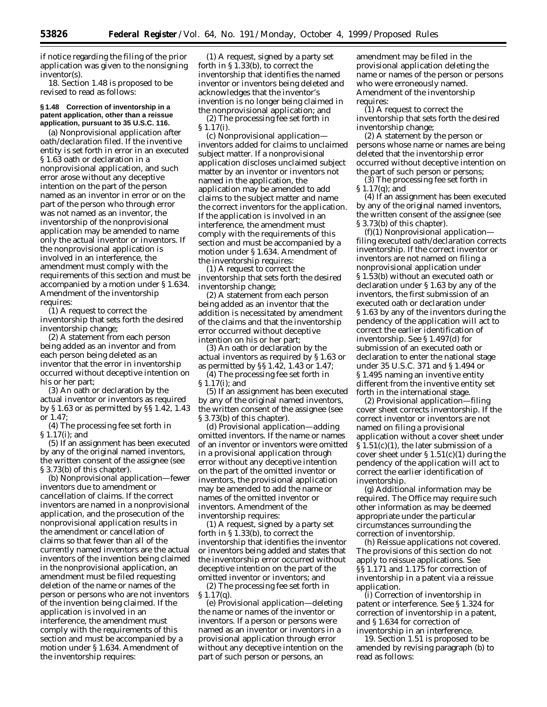if notice regarding the filing of the prior application was given to the nonsigning inventor(s).

18. Section 1.48 is proposed to be revised to read as follows:

## **§ 1.48 Correction of inventorship in a patent application, other than a reissue application, pursuant to 35 U.S.C. 116.**

(a) *Nonprovisional application after oath/declaration filed.* If the inventive entity is set forth in error in an executed § 1.63 oath or declaration in a nonprovisional application, and such error arose without any deceptive intention on the part of the person named as an inventor in error or on the part of the person who through error was not named as an inventor, the inventorship of the nonprovisional application may be amended to name only the actual inventor or inventors. If the nonprovisional application is involved in an interference, the amendment must comply with the requirements of this section and must be accompanied by a motion under § 1.634. Amendment of the inventorship requires:

(1) A request to correct the inventorship that sets forth the desired inventorship change;

(2) A statement from each person being added as an inventor and from each person being deleted as an inventor that the error in inventorship occurred without deceptive intention on his or her part;

(3) An oath or declaration by the actual inventor or inventors as required by § 1.63 or as permitted by §§ 1.42, 1.43 or 1.47;

(4) The processing fee set forth in § 1.17(i); and

(5) If an assignment has been executed by any of the original named inventors, the written consent of the assignee (see § 3.73(b) of this chapter).

(b) *Nonprovisional application—fewer inventors due to amendment or cancellation of claims.* If the correct inventors are named in a nonprovisional application, and the prosecution of the nonprovisional application results in the amendment or cancellation of claims so that fewer than all of the currently named inventors are the actual inventors of the invention being claimed in the nonprovisional application, an amendment must be filed requesting deletion of the name or names of the person or persons who are not inventors of the invention being claimed. If the application is involved in an interference, the amendment must comply with the requirements of this section and must be accompanied by a motion under § 1.634. Amendment of the inventorship requires:

(1) A request, signed by a party set forth in § 1.33(b), to correct the inventorship that identifies the named inventor or inventors being deleted and acknowledges that the inventor's invention is no longer being claimed in the nonprovisional application; and

(2) The processing fee set forth in § 1.17(i).

(c) *Nonprovisional application inventors added for claims to unclaimed subject matter.* If a nonprovisional application discloses unclaimed subject matter by an inventor or inventors not named in the application, the application may be amended to add claims to the subject matter and name the correct inventors for the application. If the application is involved in an interference, the amendment must comply with the requirements of this section and must be accompanied by a motion under § 1.634. Amendment of the inventorship requires:

(1) A request to correct the inventorship that sets forth the desired inventorship change;

(2) A statement from each person being added as an inventor that the addition is necessitated by amendment of the claims and that the inventorship error occurred without deceptive intention on his or her part;

(3) An oath or declaration by the actual inventors as required by § 1.63 or as permitted by §§ 1.42, 1.43 or 1.47;

(4) The processing fee set forth in § 1.17(i); and (5) If an assignment has been executed

by any of the original named inventors, the written consent of the assignee (see § 3.73(b) of this chapter).

(d) *Provisional application—adding omitted inventors.* If the name or names of an inventor or inventors were omitted in a provisional application through error without any deceptive intention on the part of the omitted inventor or inventors, the provisional application may be amended to add the name or names of the omitted inventor or inventors. Amendment of the inventorship requires:

(1) A request, signed by a party set forth in § 1.33(b), to correct the inventorship that identifies the inventor or inventors being added and states that the inventorship error occurred without deceptive intention on the part of the omitted inventor or inventors; and

(2) The processing fee set forth in § 1.17(q).

(e) *Provisional application—deleting the name or names of the inventor or inventors.* If a person or persons were named as an inventor or inventors in a provisional application through error without any deceptive intention on the part of such person or persons, an

amendment may be filed in the provisional application deleting the name or names of the person or persons who were erroneously named. Amendment of the inventorship requires:

(1) A request to correct the inventorship that sets forth the desired inventorship change;

(2) A statement by the person or persons whose name or names are being deleted that the inventorship error occurred without deceptive intention on the part of such person or persons;

(3) The processing fee set forth in § 1.17(q); and

(4) If an assignment has been executed by any of the original named inventors, the written consent of the assignee (see § 3.73(b) of this chapter).

(f)(1) *Nonprovisional application filing executed oath/declaration corrects inventorship.* If the correct inventor or inventors are not named on filing a nonprovisional application under § 1.53(b) without an executed oath or declaration under § 1.63 by any of the inventors, the first submission of an executed oath or declaration under § 1.63 by any of the inventors during the pendency of the application will act to correct the earlier identification of inventorship. See § 1.497(d) for submission of an executed oath or declaration to enter the national stage under 35 U.S.C. 371 and § 1.494 or § 1.495 naming an inventive entity different from the inventive entity set forth in the international stage.

(2) *Provisional application—filing cover sheet corrects inventorship.* If the correct inventor or inventors are not named on filing a provisional application without a cover sheet under § 1.51(c)(1), the later submission of a cover sheet under  $\S 1.51(c)(1)$  during the pendency of the application will act to correct the earlier identification of inventorship.

(g) *Additional information may be required.* The Office may require such other information as may be deemed appropriate under the particular circumstances surrounding the correction of inventorship.

(h) *Reissue applications not covered.* The provisions of this section do not apply to reissue applications. See §§ 1.171 and 1.175 for correction of inventorship in a patent via a reissue application.

(i) *Correction of inventorship in patent or interference.* See § 1.324 for correction of inventorship in a patent, and § 1.634 for correction of inventorship in an interference.

19. Section 1.51 is proposed to be amended by revising paragraph (b) to read as follows: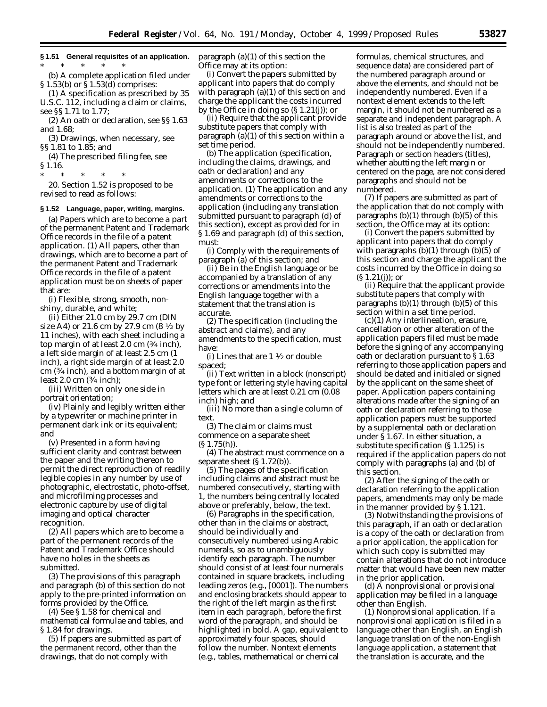**§ 1.51 General requisites of an application.** \* \* \* \* \*

(b) A complete application filed under § 1.53(b) or § 1.53(d) comprises:

(1) A specification as prescribed by 35 U.S.C. 112, including a claim or claims, see §§ 1.71 to 1.77;

(2) An oath or declaration, see §§ 1.63 and 1.68;

(3) Drawings, when necessary, see §§ 1.81 to 1.85; and

(4) The prescribed filing fee, see § 1.16.

\* \* \* \* \*

20. Section 1.52 is proposed to be revised to read as follows:

#### **§ 1.52 Language, paper, writing, margins.**

(a) *Papers which are to become a part of the permanent Patent and Trademark Office records in the file of a patent application.* (1) All papers, other than drawings, which are to become a part of the permanent Patent and Trademark Office records in the file of a patent application must be on sheets of paper that are:

(i) Flexible, strong, smooth, nonshiny, durable, and white;

(ii) Either 21.0 cm by 29.7 cm (DIN size A4) or 21.6 cm by 27.9 cm (8 1⁄2 by 11 inches), with each sheet including a top margin of at least 2.0 cm (3⁄4 inch), a left side margin of at least 2.5 cm (1 inch), a right side margin of at least 2.0 cm (3⁄4 inch), and a bottom margin of at least 2.0 cm (3⁄4 inch);

(iii) Written on only one side in portrait orientation;

(iv) Plainly and legibly written either by a typewriter or machine printer in permanent dark ink or its equivalent; and

(v) Presented in a form having sufficient clarity and contrast between the paper and the writing thereon to permit the direct reproduction of readily legible copies in any number by use of photographic, electrostatic, photo-offset, and microfilming processes and electronic capture by use of digital imaging and optical character recognition.

(2) All papers which are to become a part of the permanent records of the Patent and Trademark Office should have no holes in the sheets as submitted.

(3) The provisions of this paragraph and paragraph (b) of this section do not apply to the pre-printed information on forms provided by the Office.

(4) See § 1.58 for chemical and mathematical formulae and tables, and § 1.84 for drawings.

(5) If papers are submitted as part of the permanent record, other than the drawings, that do not comply with

paragraph (a)(1) of this section the Office may at its option:

(i) Convert the papers submitted by applicant into papers that do comply with paragraph (a)(1) of this section and charge the applicant the costs incurred by the Office in doing so (§ 1.21(j)); or

(ii) Require that the applicant provide substitute papers that comply with paragraph (a)(1) of this section within a set time period.

(b) *The application (specification, including the claims, drawings, and oath or declaration) and any amendments or corrections to the application.* (1) The application and any amendments or corrections to the application (including any translation submitted pursuant to paragraph (d) of this section), except as provided for in § 1.69 and paragraph (d) of this section, must:

(i) Comply with the requirements of paragraph (a) of this section; and

(ii) Be in the English language or be accompanied by a translation of any corrections or amendments into the English language together with a statement that the translation is accurate.

(2) The specification (including the abstract and claims), and any amendments to the specification, must have:

(i) Lines that are  $1\frac{1}{2}$  or double spaced;

(ii) Text written in a block (nonscript) type font or lettering style having capital letters which are at least 0.21 cm (0.08 inch) high; and

(iii) No more than a single column of text.

(3) The claim or claims must commence on a separate sheet  $(S 1.75(h)).$ 

(4) The abstract must commence on a separate sheet (§ 1.72(b)).

(5) The pages of the specification including claims and abstract must be numbered consecutively, starting with 1, the numbers being centrally located above or preferably, below, the text.

(6) Paragraphs in the specification, other than in the claims or abstract, should be individually and consecutively numbered using Arabic numerals, so as to unambiguously identify each paragraph. The number should consist of at least four numerals contained in square brackets, including leading zeros (*e.g.,* [0001]). The numbers and enclosing brackets should appear to the right of the left margin as the first item in each paragraph, before the first word of the paragraph, and should be highlighted in bold. A gap, equivalent to approximately four spaces, should follow the number. Nontext elements (*e.g.,* tables, mathematical or chemical

formulas, chemical structures, and sequence data) are considered part of the numbered paragraph around or above the elements, and should not be independently numbered. Even if a nontext element extends to the left margin, it should not be numbered as a separate and independent paragraph. A list is also treated as part of the paragraph around or above the list, and should not be independently numbered. Paragraph or section headers (titles), whether abutting the left margin or centered on the page, are not considered paragraphs and should not be numbered.

(7) If papers are submitted as part of the application that do not comply with paragraphs  $(b)(1)$  through  $(b)(5)$  of this section, the Office may at its option:

(i) Convert the papers submitted by applicant into papers that do comply with paragraphs  $(b)(1)$  through  $(b)(5)$  of this section and charge the applicant the costs incurred by the Office in doing so  $(S 1.21(i))$ ; or

(ii) Require that the applicant provide substitute papers that comply with paragraphs  $(b)(1)$  through  $(b)(5)$  of this section within a set time period.

(c)(1) Any interlineation, erasure, cancellation or other alteration of the application papers filed must be made before the signing of any accompanying oath or declaration pursuant to § 1.63 referring to those application papers and should be dated and initialed or signed by the applicant on the same sheet of paper. Application papers containing alterations made after the signing of an oath or declaration referring to those application papers must be supported by a supplemental oath or declaration under § 1.67. In either situation, a substitute specification (§ 1.125) is required if the application papers do not comply with paragraphs (a) and (b) of this section.

(2) After the signing of the oath or declaration referring to the application papers, amendments may only be made in the manner provided by § 1.121.

(3) Notwithstanding the provisions of this paragraph, if an oath or declaration is a copy of the oath or declaration from a prior application, the application for which such copy is submitted may contain alterations that do not introduce matter that would have been new matter in the prior application.

(d) A nonprovisional or provisional application may be filed in a language other than English.

(1) *Nonprovisional application.* If a nonprovisional application is filed in a language other than English, an English language translation of the non-English language application, a statement that the translation is accurate, and the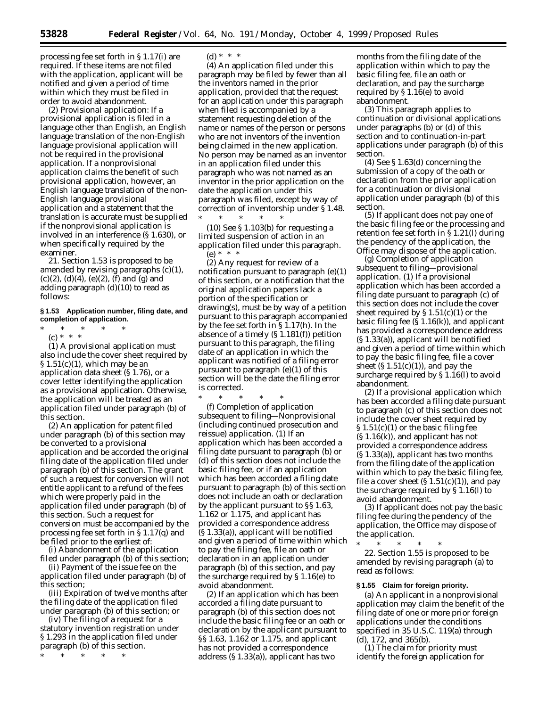processing fee set forth in § 1.17(i) are required. If these items are not filed with the application, applicant will be notified and given a period of time within which they must be filed in order to avoid abandonment.

(2) *Provisional application:* If a provisional application is filed in a language other than English, an English language translation of the non-English language provisional application will not be required in the provisional application. If a nonprovisional application claims the benefit of such provisional application, however, an English language translation of the non-English language provisional application and a statement that the translation is accurate must be supplied if the nonprovisional application is involved in an interference (§ 1.630), or when specifically required by the examiner.

21. Section 1.53 is proposed to be amended by revising paragraphs (c)(1),  $(c)(2)$ ,  $(d)(4)$ ,  $(e)(2)$ ,  $(f)$  and  $(g)$  and adding paragraph (d)(10) to read as follows:

## **§ 1.53 Application number, filing date, and completion of application.**

\* \* \* \* \*

(c) \* \* \* (1) A provisional application must also include the cover sheet required by § 1.51(c)(1), which may be an application data sheet (§ 1.76), or a cover letter identifying the application as a provisional application. Otherwise, the application will be treated as an application filed under paragraph (b) of this section.

(2) An application for patent filed under paragraph (b) of this section may be converted to a provisional application and be accorded the original filing date of the application filed under paragraph (b) of this section. The grant of such a request for conversion will not entitle applicant to a refund of the fees which were properly paid in the application filed under paragraph (b) of this section. Such a request for conversion must be accompanied by the processing fee set forth in § 1.17(q) and be filed prior to the earliest of:

(i) Abandonment of the application filed under paragraph (b) of this section;

(ii) Payment of the issue fee on the application filed under paragraph (b) of this section;

(iii) Expiration of twelve months after the filing date of the application filed under paragraph (b) of this section; or

(iv) The filing of a request for a statutory invention registration under § 1.293 in the application filed under paragraph (b) of this section.

\* \* \* \* \*

(d) \* \* \*

(4) An application filed under this paragraph may be filed by fewer than all the inventors named in the prior application, provided that the request for an application under this paragraph when filed is accompanied by a statement requesting deletion of the name or names of the person or persons who are not inventors of the invention being claimed in the new application. No person may be named as an inventor in an application filed under this paragraph who was not named as an inventor in the prior application on the date the application under this paragraph was filed, except by way of correction of inventorship under § 1.48.

\* \* \* \* \*  $(10)$  See § 1.103(b) for requesting a limited suspension of action in an application filed under this paragraph. (e) \* \* \*

(2) Any request for review of a notification pursuant to paragraph (e)(1) of this section, or a notification that the original application papers lack a portion of the specification or drawing(s), must be by way of a petition pursuant to this paragraph accompanied by the fee set forth in § 1.17(h). In the absence of a timely (§ 1.181(f)) petition pursuant to this paragraph, the filing date of an application in which the applicant was notified of a filing error pursuant to paragraph (e)(1) of this section will be the date the filing error is corrected.

\* \* \* \* \* (f) *Completion of application subsequent to filing—Nonprovisional (including continued prosecution and reissue) application.* (1) If an application which has been accorded a filing date pursuant to paragraph (b) or (d) of this section does not include the basic filing fee, or if an application which has been accorded a filing date pursuant to paragraph (b) of this section does not include an oath or declaration by the applicant pursuant to §§ 1.63, 1.162 or 1.175, and applicant has provided a correspondence address (§ 1.33(a)), applicant will be notified and given a period of time within which to pay the filing fee, file an oath or declaration in an application under paragraph (b) of this section, and pay the surcharge required by § 1.16(e) to avoid abandonment.

(2) If an application which has been accorded a filing date pursuant to paragraph (b) of this section does not include the basic filing fee or an oath or declaration by the applicant pursuant to §§ 1.63, 1.162 or 1.175, and applicant has not provided a correspondence address (§ 1.33(a)), applicant has two

months from the filing date of the application within which to pay the basic filing fee, file an oath or declaration, and pay the surcharge required by  $\S 1.16(e)$  to avoid abandonment.

(3) This paragraph applies to continuation or divisional applications under paragraphs (b) or (d) of this section and to continuation-in-part applications under paragraph (b) of this section.

(4) See § 1.63(d) concerning the submission of a copy of the oath or declaration from the prior application for a continuation or divisional application under paragraph (b) of this section.

(5) If applicant does not pay one of the basic filing fee or the processing and retention fee set forth in § 1.21(l) during the pendency of the application, the Office may dispose of the application.

(g) *Completion of application subsequent to filing—provisional application.* (1) If a provisional application which has been accorded a filing date pursuant to paragraph (c) of this section does not include the cover sheet required by  $\S 1.51(c)(1)$  or the basic filing fee (§ 1.16(k)), and applicant has provided a correspondence address (§ 1.33(a)), applicant will be notified and given a period of time within which to pay the basic filing fee, file a cover sheet  $(S 1.51(c)(1))$ , and pay the surcharge required by § 1.16(l) to avoid abandonment.

(2) If a provisional application which has been accorded a filing date pursuant to paragraph (c) of this section does not include the cover sheet required by  $\S 1.51(c)(1)$  or the basic filing fee (§ 1.16(k)), and applicant has not provided a correspondence address (§ 1.33(a)), applicant has two months from the filing date of the application within which to pay the basic filing fee, file a cover sheet  $(S 1.51(c)(1))$ , and pay the surcharge required by § 1.16(l) to avoid abandonment.

(3) If applicant does not pay the basic filing fee during the pendency of the application, the Office may dispose of the application.

\* \* \* \* \*

22. Section 1.55 is proposed to be amended by revising paragraph (a) to read as follows:

#### **§ 1.55 Claim for foreign priority.**

(a) An applicant in a nonprovisional application may claim the benefit of the filing date of one or more prior foreign applications under the conditions specified in 35 U.S.C. 119(a) through (d), 172, and 365(b).

(1) The claim for priority must identify the foreign application for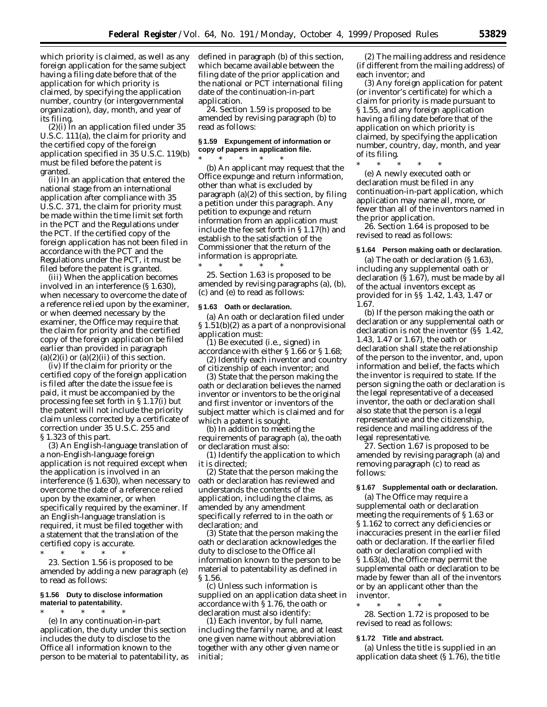which priority is claimed, as well as any foreign application for the same subject having a filing date before that of the application for which priority is claimed, by specifying the application number, country (or intergovernmental organization), day, month, and year of its filing.

(2)(i) In an application filed under 35 U.S.C. 111(a), the claim for priority and the certified copy of the foreign application specified in 35 U.S.C. 119(b) must be filed before the patent is granted.

(ii) In an application that entered the national stage from an international application after compliance with 35 U.S.C. 371, the claim for priority must be made within the time limit set forth in the PCT and the Regulations under the PCT. If the certified copy of the foreign application has not been filed in accordance with the PCT and the Regulations under the PCT, it must be filed before the patent is granted.

(iii) When the application becomes involved in an interference (§ 1.630), when necessary to overcome the date of a reference relied upon by the examiner, or when deemed necessary by the examiner, the Office may require that the claim for priority and the certified copy of the foreign application be filed earlier than provided in paragraph  $(a)(2)(i)$  or  $(a)(2)(ii)$  of this section.

(iv) If the claim for priority or the certified copy of the foreign application is filed after the date the issue fee is paid, it must be accompanied by the processing fee set forth in § 1.17(i) but the patent will not include the priority claim unless corrected by a certificate of correction under 35 U.S.C. 255 and § 1.323 of this part.

(3) An English-language translation of a non-English-language foreign application is not required except when the application is involved in an interference (§ 1.630), when necessary to overcome the date of a reference relied upon by the examiner, or when specifically required by the examiner. If an English-language translation is required, it must be filed together with a statement that the translation of the certified copy is accurate.

\* \* \* \* \*

23. Section 1.56 is proposed to be amended by adding a new paragraph (e) to read as follows:

## **§ 1.56 Duty to disclose information material to patentability.**

\* \* \* \* \* (e) In any continuation-in-part application, the duty under this section includes the duty to disclose to the Office all information known to the person to be material to patentability, as defined in paragraph (b) of this section, which became available between the filing date of the prior application and the national or PCT international filing date of the continuation-in-part application.

24. Section 1.59 is proposed to be amended by revising paragraph (b) to read as follows:

# **§ 1.59 Expungement of information or copy of papers in application file.**

\* \* \* \* \* (b) An applicant may request that the Office expunge and return information, other than what is excluded by paragraph (a)(2) of this section, by filing a petition under this paragraph. Any petition to expunge and return information from an application must include the fee set forth in § 1.17(h) and establish to the satisfaction of the Commissioner that the return of the information is appropriate.

\* \* \* \* \* 25. Section 1.63 is proposed to be amended by revising paragraphs (a), (b), (c) and (e) to read as follows:

### **§ 1.63 Oath or declaration.**

(a) An oath or declaration filed under § 1.51(b)(2) as a part of a nonprovisional application must:

(1) Be executed (*i.e.*, signed) in accordance with either § 1.66 or § 1.68; (2) Identify each inventor and country

of citizenship of each inventor; and

(3) State that the person making the oath or declaration believes the named inventor or inventors to be the original and first inventor or inventors of the subject matter which is claimed and for which a patent is sought.

(b) In addition to meeting the requirements of paragraph (a), the oath or declaration must also:

(1) Identify the application to which it is directed;

(2) State that the person making the oath or declaration has reviewed and understands the contents of the application, including the claims, as amended by any amendment specifically referred to in the oath or declaration; and

(3) State that the person making the oath or declaration acknowledges the duty to disclose to the Office all information known to the person to be material to patentability as defined in § 1.56.

(c) Unless such information is supplied on an application data sheet in accordance with § 1.76, the oath or declaration must also identify:

(1) Each inventor, by full name, including the family name, and at least one given name without abbreviation together with any other given name or initial;

(2) The mailing address and residence (if different from the mailing address) of each inventor; and

(3) Any foreign application for patent (or inventor's certificate) for which a claim for priority is made pursuant to § 1.55, and any foreign application having a filing date before that of the application on which priority is claimed, by specifying the application number, country, day, month, and year of its filing.

\* \* \* \* \*

(e) A newly executed oath or declaration must be filed in any continuation-in-part application, which application may name all, more, or fewer than all of the inventors named in the prior application.

26. Section 1.64 is proposed to be revised to read as follows:

# **§ 1.64 Person making oath or declaration.**

(a) The oath or declaration (§ 1.63), including any supplemental oath or declaration (§ 1.67), must be made by all of the actual inventors except as provided for in §§ 1.42, 1.43, 1.47 or 1.67.

(b) If the person making the oath or declaration or any supplemental oath or declaration is not the inventor (§§ 1.42, 1.43, 1.47 or 1.67), the oath or declaration shall state the relationship of the person to the inventor, and, upon information and belief, the facts which the inventor is required to state. If the person signing the oath or declaration is the legal representative of a deceased inventor, the oath or declaration shall also state that the person is a legal representative and the citizenship, residence and mailing address of the legal representative.

27. Section 1.67 is proposed to be amended by revising paragraph (a) and removing paragraph (c) to read as follows:

# **§ 1.67 Supplemental oath or declaration.**

(a) The Office may require a supplemental oath or declaration meeting the requirements of § 1.63 or § 1.162 to correct any deficiencies or inaccuracies present in the earlier filed oath or declaration. If the earlier filed oath or declaration complied with § 1.63(a), the Office may permit the supplemental oath or declaration to be made by fewer than all of the inventors or by an applicant other than the inventor.

\* \* \* \* \* 28. Section 1.72 is proposed to be revised to read as follows:

# **§ 1.72 Title and abstract.**

(a) Unless the title is supplied in an application data sheet (§ 1.76), the title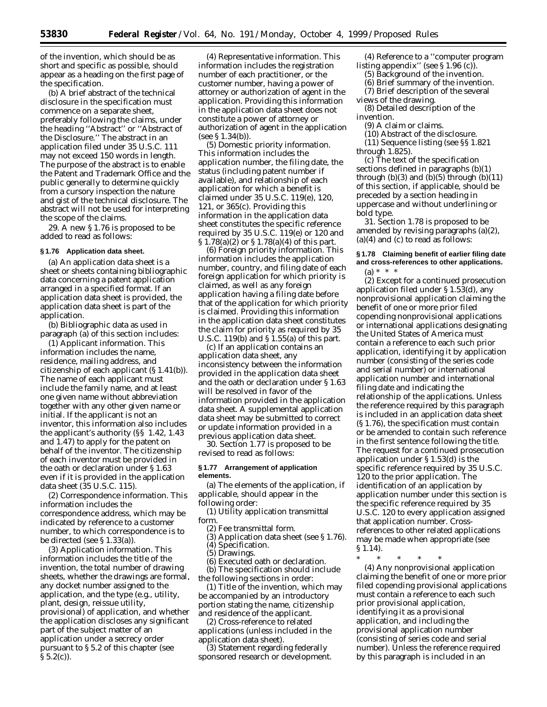of the invention, which should be as short and specific as possible, should appear as a heading on the first page of the specification.

(b) A brief abstract of the technical disclosure in the specification must commence on a separate sheet, preferably following the claims, under the heading ''Abstract'' or ''Abstract of the Disclosure.'' The abstract in an application filed under 35 U.S.C. 111 may not exceed 150 words in length. The purpose of the abstract is to enable the Patent and Trademark Office and the public generally to determine quickly from a cursory inspection the nature and gist of the technical disclosure. The abstract will not be used for interpreting the scope of the claims.

29. A new § 1.76 is proposed to be added to read as follows:

#### **§ 1.76 Application data sheet.**

(a) An application data sheet is a sheet or sheets containing bibliographic data concerning a patent application arranged in a specified format. If an application data sheet is provided, the application data sheet is part of the application.

(b) Bibliographic data as used in paragraph (a) of this section includes:

(1) *Applicant information.* This information includes the name, residence, mailing address, and citizenship of each applicant (§ 1.41(b)). The name of each applicant must include the family name, and at least one given name without abbreviation together with any other given name or initial. If the applicant is not an inventor, this information also includes the applicant's authority (§§ 1.42, 1.43 and 1.47) to apply for the patent on behalf of the inventor. The citizenship of each inventor must be provided in the oath or declaration under § 1.63 even if it is provided in the application data sheet (35 U.S.C. 115).

(2) *Correspondence information.* This information includes the correspondence address, which may be indicated by reference to a customer number, to which correspondence is to be directed (*see* § 1.33(a)).

(3) *Application information.* This information includes the title of the invention, the total number of drawing sheets, whether the drawings are formal, any docket number assigned to the application, and the type (*e.g.*, utility, plant, design, reissue utility, provisional) of application, and whether the application discloses any significant part of the subject matter of an application under a secrecy order pursuant to § 5.2 of this chapter (see  $\S 5.2(c)$ ).

(4) *Representative information.* This information includes the registration number of each practitioner, or the customer number, having a power of attorney or authorization of agent in the application. Providing this information in the application data sheet does not constitute a power of attorney or authorization of agent in the application (*see* § 1.34(b)).

(5) *Domestic priority information.* This information includes the application number, the filing date, the status (including patent number if available), and relationship of each application for which a benefit is claimed under 35 U.S.C. 119(e), 120, 121, or 365(c). Providing this information in the application data sheet constitutes the specific reference required by 35 U.S.C. 119(e) or 120 and § 1.78(a)(2) or § 1.78(a)(4) of this part.

(6) *Foreign priority information.* This information includes the application number, country, and filing date of each foreign application for which priority is claimed, as well as any foreign application having a filing date before that of the application for which priority is claimed. Providing this information in the application data sheet constitutes the claim for priority as required by 35 U.S.C. 119(b) and § 1.55(a) of this part.

(c) If an application contains an application data sheet, any inconsistency between the information provided in the application data sheet and the oath or declaration under § 1.63 will be resolved in favor of the information provided in the application data sheet. A supplemental application data sheet may be submitted to correct or update information provided in a previous application data sheet.

30. Section 1.77 is proposed to be revised to read as follows:

## **§ 1.77 Arrangement of application elements.**

(a) The elements of the application, if applicable, should appear in the following order:

(1) Utility application transmittal form.

- (2) Fee transmittal form.
- (3) Application data sheet (see § 1.76). (4) Specification.

(5) Drawings.

(6) Executed oath or declaration.

(b) The specification should include the following sections in order:

(1) Title of the invention, which may be accompanied by an introductory portion stating the name, citizenship and residence of the applicant.

(2) Cross-reference to related applications (unless included in the application data sheet).

(3) Statement regarding federally sponsored research or development.

(4) Reference to a ''computer program listing appendix'' (see § 1.96 (c)).

- (5) Background of the invention.
- (6) Brief summary of the invention. (7) Brief description of the several
- views of the drawing.
- (8) Detailed description of the invention.
	- (9) A claim or claims.
	- (10) Abstract of the disclosure.
- (11) Sequence listing (see §§ 1.821 through 1.825).

(c) The text of the specification sections defined in paragraphs (b)(1) through  $(b)(3)$  and  $(b)(5)$  through  $(b)(11)$ of this section, if applicable, should be preceded by a section heading in uppercase and without underlining or bold type.

31. Section 1.78 is proposed to be amended by revising paragraphs (a)(2),  $(a)(4)$  and  $(c)$  to read as follows:

# **§ 1.78 Claiming benefit of earlier filing date and cross-references to other applications.**

(a) \* \* \*

(2) Except for a continued prosecution application filed under § 1.53(d), any nonprovisional application claiming the benefit of one or more prior filed copending nonprovisional applications or international applications designating the United States of America must contain a reference to each such prior application, identifying it by application number (consisting of the series code and serial number) or international application number and international filing date and indicating the relationship of the applications. Unless the reference required by this paragraph is included in an application data sheet (§ 1.76), the specification must contain or be amended to contain such reference in the first sentence following the title. The request for a continued prosecution application under § 1.53(d) is the specific reference required by 35 U.S.C. 120 to the prior application. The identification of an application by application number under this section is the specific reference required by 35 U.S.C. 120 to every application assigned that application number. Crossreferences to other related applications may be made when appropriate (see § 1.14).

\* \* \* \* \*

(4) Any nonprovisional application claiming the benefit of one or more prior filed copending provisional applications must contain a reference to each such prior provisional application, identifying it as a provisional application, and including the provisional application number (consisting of series code and serial number). Unless the reference required by this paragraph is included in an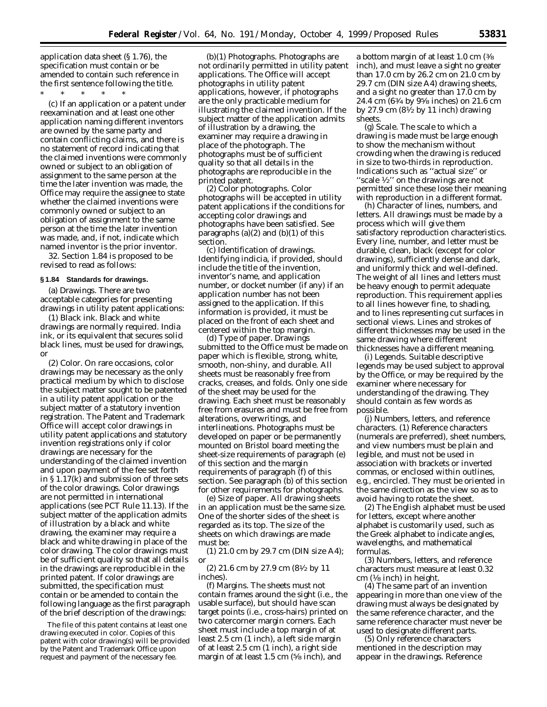application data sheet (§ 1.76), the specification must contain or be amended to contain such reference in the first sentence following the title.

\* \* \* \* \*

(c) If an application or a patent under reexamination and at least one other application naming different inventors are owned by the same party and contain conflicting claims, and there is no statement of record indicating that the claimed inventions were commonly owned or subject to an obligation of assignment to the same person at the time the later invention was made, the Office may require the assignee to state whether the claimed inventions were commonly owned or subject to an obligation of assignment to the same person at the time the later invention was made, and, if not, indicate which named inventor is the prior inventor.

32. Section 1.84 is proposed to be revised to read as follows:

## **§ 1.84 Standards for drawings.**

(a) *Drawings.* There are two acceptable categories for presenting drawings in utility patent applications:

(1) *Black ink.* Black and white drawings are normally required. India ink, or its equivalent that secures solid black lines, must be used for drawings, or

(2) *Color.* On rare occasions, color drawings may be necessary as the only practical medium by which to disclose the subject matter sought to be patented in a utility patent application or the subject matter of a statutory invention registration. The Patent and Trademark Office will accept color drawings in utility patent applications and statutory invention registrations only if color drawings are necessary for the understanding of the claimed invention and upon payment of the fee set forth in § 1.17(k) and submission of three sets of the color drawings. Color drawings are not permitted in international applications (see PCT Rule 11.13). If the subject matter of the application admits of illustration by a black and white drawing, the examiner may require a black and white drawing in place of the color drawing. The color drawings must be of sufficient quality so that all details in the drawings are reproducible in the printed patent. If color drawings are submitted, the specification must contain or be amended to contain the following language as the first paragraph of the brief description of the drawings:

The file of this patent contains at least one drawing executed in color. Copies of this patent with color drawing(s) will be provided by the Patent and Trademark Office upon request and payment of the necessary fee.

(b)(1) *Photographs.* Photographs are not ordinarily permitted in utility patent applications. The Office will accept photographs in utility patent applications, however, if photographs are the only practicable medium for illustrating the claimed invention. If the subject matter of the application admits of illustration by a drawing, the examiner may require a drawing in place of the photograph. The photographs must be of sufficient quality so that all details in the photographs are reproducible in the printed patent.

(2) *Color photographs.* Color photographs will be accepted in utility patent applications if the conditions for accepting color drawings and photographs have been satisfied. See paragraphs  $(a)(2)$  and  $(b)(1)$  of this section.

(c) *Identification of drawings.* Identifying indicia, if provided, should include the title of the invention, inventor's name, and application number, or docket number (if any) if an application number has not been assigned to the application. If this information is provided, it must be placed on the front of each sheet and centered within the top margin.

(d) *Type of paper.* Drawings submitted to the Office must be made on paper which is flexible, strong, white, smooth, non-shiny, and durable. All sheets must be reasonably free from cracks, creases, and folds. Only one side of the sheet may be used for the drawing. Each sheet must be reasonably free from erasures and must be free from alterations, overwritings, and interlineations. Photographs must be developed on paper or be permanently mounted on Bristol board meeting the sheet-size requirements of paragraph (e) of this section and the margin requirements of paragraph (f) of this section. See paragraph (b) of this section for other requirements for photographs.

(e) *Size of paper.* All drawing sheets in an application must be the same size. One of the shorter sides of the sheet is regarded as its top. The size of the sheets on which drawings are made must be:

(1) 21.0 cm by 29.7 cm (DIN size A4); or

(2) 21.6 cm by 27.9 cm (81⁄2 by 11 inches).

(f) *Margins.* The sheets must not contain frames around the sight (*i.e.*, the usable surface), but should have scan target points (*i.e.*, cross-hairs) printed on two catercorner margin corners. Each sheet must include a top margin of at least 2.5 cm (1 inch), a left side margin of at least 2.5 cm (1 inch), a right side margin of at least 1.5 cm (5⁄8 inch), and

a bottom margin of at least 1.0 cm (3⁄8 inch), and must leave a sight no greater than 17.0 cm by 26.2 cm on 21.0 cm by 29.7 cm (DIN size A4) drawing sheets, and a sight no greater than 17.0 cm by 24.4 cm (63⁄4 by 95⁄8 inches) on 21.6 cm by 27.9 cm (81⁄2 by 11 inch) drawing sheets.

(g) *Scale.* The scale to which a drawing is made must be large enough to show the mechanism without crowding when the drawing is reduced in size to two-thirds in reproduction. Indications such as ''actual size'' or "scale  $\frac{1}{2}$ " on the drawings are not permitted since these lose their meaning with reproduction in a different format.

(h) *Character of lines, numbers, and letters.* All drawings must be made by a process which will give them satisfactory reproduction characteristics. Every line, number, and letter must be durable, clean, black (except for color drawings), sufficiently dense and dark, and uniformly thick and well-defined. The weight of all lines and letters must be heavy enough to permit adequate reproduction. This requirement applies to all lines however fine, to shading, and to lines representing cut surfaces in sectional views. Lines and strokes of different thicknesses may be used in the same drawing where different thicknesses have a different meaning.

(i) *Legends.* Suitable descriptive legends may be used subject to approval by the Office, or may be required by the examiner where necessary for understanding of the drawing. They should contain as few words as possible.

(j) *Numbers, letters, and reference characters.* (1) Reference characters (numerals are preferred), sheet numbers, and view numbers must be plain and legible, and must not be used in association with brackets or inverted commas, or enclosed within outlines, *e.g.*, encircled. They must be oriented in the same direction as the view so as to avoid having to rotate the sheet.

(2) The English alphabet must be used for letters, except where another alphabet is customarily used, such as the Greek alphabet to indicate angles, wavelengths, and mathematical formulas.

(3) Numbers, letters, and reference characters must measure at least 0.32 cm (1⁄8 inch) in height.

(4) The same part of an invention appearing in more than one view of the drawing must always be designated by the same reference character, and the same reference character must never be used to designate different parts.

(5) Only reference characters mentioned in the description may appear in the drawings. Reference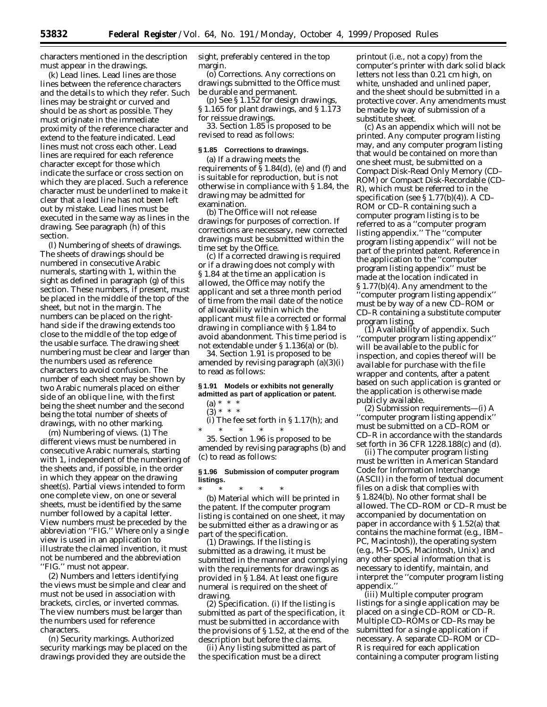characters mentioned in the description must appear in the drawings.

(k) *Lead lines.* Lead lines are those lines between the reference characters and the details to which they refer. Such lines may be straight or curved and should be as short as possible. They must originate in the immediate proximity of the reference character and extend to the feature indicated. Lead lines must not cross each other. Lead lines are required for each reference character except for those which indicate the surface or cross section on which they are placed. Such a reference character must be underlined to make it clear that a lead line has not been left out by mistake. Lead lines must be executed in the same way as lines in the drawing. See paragraph (h) of this section.

(l) *Numbering of sheets of drawings.* The sheets of drawings should be numbered in consecutive Arabic numerals, starting with 1, within the sight as defined in paragraph (g) of this section. These numbers, if present, must be placed in the middle of the top of the sheet, but not in the margin. The numbers can be placed on the righthand side if the drawing extends too close to the middle of the top edge of the usable surface. The drawing sheet numbering must be clear and larger than the numbers used as reference characters to avoid confusion. The number of each sheet may be shown by two Arabic numerals placed on either side of an oblique line, with the first being the sheet number and the second being the total number of sheets of drawings, with no other marking.

(m) *Numbering of views.* (1) The different views must be numbered in consecutive Arabic numerals, starting with 1, independent of the numbering of the sheets and, if possible, in the order in which they appear on the drawing sheet(s). Partial views intended to form one complete view, on one or several sheets, must be identified by the same number followed by a capital letter. View numbers must be preceded by the abbreviation ''FIG.'' Where only a single view is used in an application to illustrate the claimed invention, it must not be numbered and the abbreviation ''FIG.'' must not appear.

(2) Numbers and letters identifying the views must be simple and clear and must not be used in association with brackets, circles, or inverted commas. The view numbers must be larger than the numbers used for reference characters.

(n) *Security markings.* Authorized security markings may be placed on the drawings provided they are outside the

sight, preferably centered in the top margin.

(o) *Corrections.* Any corrections on drawings submitted to the Office must be durable and permanent.

(p) See § 1.152 for design drawings, § 1.165 for plant drawings, and § 1.173 for reissue drawings.

33. Section 1.85 is proposed to be revised to read as follows:

## **§ 1.85 Corrections to drawings.**

(a) If a drawing meets the requirements of § 1.84(d), (e) and (f) and is suitable for reproduction, but is not otherwise in compliance with § 1.84, the drawing may be admitted for examination.

(b) The Office will not release drawings for purposes of correction. If corrections are necessary, new corrected drawings must be submitted within the time set by the Office.

(c) If a corrected drawing is required or if a drawing does not comply with § 1.84 at the time an application is allowed, the Office may notify the applicant and set a three month period of time from the mail date of the notice of allowability within which the applicant must file a corrected or formal drawing in compliance with § 1.84 to avoid abandonment. This time period is not extendable under § 1.136(a) or (b).

34. Section 1.91 is proposed to be amended by revising paragraph (a)(3)(i) to read as follows:

## **§ 1.91 Models or exhibits not generally admitted as part of application or patent.**

(i) The fee set forth in  $\S 1.17(h)$ ; and \* \* \* \* \*

35. Section 1.96 is proposed to be amended by revising paragraphs (b) and (c) to read as follows:

# **§ 1.96 Submission of computer program listings.**

\* \* \* \* \* (b) *Material which will be printed in the patent.* If the computer program listing is contained on one sheet, it may be submitted either as a drawing or as part of the specification.

(1) *Drawings.* If the listing is submitted as a drawing, it must be submitted in the manner and complying with the requirements for drawings as provided in § 1.84. At least one figure numeral is required on the sheet of drawing.

(2) *Specification.* (i) If the listing is submitted as part of the specification, it must be submitted in accordance with the provisions of § 1.52, at the end of the description but before the claims.

(ii) Any listing submitted as part of the specification must be a direct

printout (*i.e.*, not a copy) from the computer's printer with dark solid black letters not less than 0.21 cm high, on white, unshaded and unlined paper, and the sheet should be submitted in a protective cover. Any amendments must be made by way of submission of a substitute sheet.

(c) *As an appendix which will not be printed.* Any computer program listing may, and any computer program listing that would be contained on more than one sheet must, be submitted on a Compact Disk-Read Only Memory (CD– ROM) or Compact Disk-Recordable (CD– R), which must be referred to in the specification (see § 1.77(b)(4)). A CD– ROM or CD–R containing such a computer program listing is to be referred to as a ''computer program listing appendix.'' The ''computer program listing appendix'' will not be part of the printed patent. Reference in the application to the ''computer program listing appendix'' must be made at the location indicated in § 1.77(b)(4). Any amendment to the ''computer program listing appendix'' must be by way of a new CD–ROM or CD–R containing a substitute computer program listing.

(1) *Availability of appendix.* Such ''computer program listing appendix'' will be available to the public for inspection, and copies thereof will be available for purchase with the file wrapper and contents, after a patent based on such application is granted or the application is otherwise made publicly available.

(2) *Submission requirements*—(i) A ''computer program listing appendix'' must be submitted on a CD–ROM or CD–R in accordance with the standards set forth in 36 CFR 1228.188(c) and (d).

(ii) The computer program listing must be written in American Standard Code for Information Interchange (ASCII) in the form of textual document files on a disk that complies with § 1.824(b). No other format shall be allowed. The CD–ROM or CD–R must be accompanied by documentation on paper in accordance with § 1.52(a) that contains the machine format (*e.g.,* IBM– PC, Macintosh)), the operating system (*e.g.,* MS–DOS, Macintosh, Unix) and any other special information that is necessary to identify, maintain, and interpret the ''computer program listing appendix.''

(iii) Multiple computer program listings for a single application may be placed on a single CD–ROM or CD–R. Multiple CD–ROMs or CD–Rs may be submitted for a single application if necessary. A separate CD–ROM or CD– R is required for each application containing a computer program listing

 $(a) * * * *$  $(3) * * * *$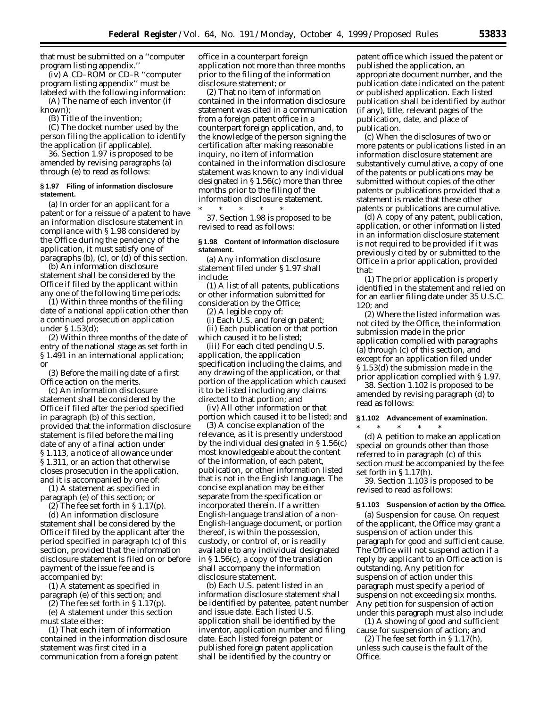that must be submitted on a ''computer program listing appendix.''

(iv) A CD–ROM or CD–R ''computer program listing appendix'' must be labeled with the following information:

(A) The name of each inventor (if known);

(B) Title of the invention;

(C) The docket number used by the person filing the application to identify the application (if applicable).

36. Section 1.97 is proposed to be amended by revising paragraphs (a) through (e) to read as follows:

## **§ 1.97 Filing of information disclosure statement.**

(a) In order for an applicant for a patent or for a reissue of a patent to have an information disclosure statement in compliance with § 1.98 considered by the Office during the pendency of the application, it must satisfy one of paragraphs (b), (c), or (d) of this section.

(b) An information disclosure statement shall be considered by the Office if filed by the applicant within any one of the following time periods:

(1) Within three months of the filing date of a national application other than a continued prosecution application under § 1.53(d);

(2) Within three months of the date of entry of the national stage as set forth in § 1.491 in an international application; or

(3) Before the mailing date of a first Office action on the merits.

(c) An information disclosure statement shall be considered by the Office if filed after the period specified in paragraph (b) of this section, provided that the information disclosure statement is filed before the mailing date of any of a final action under § 1.113, a notice of allowance under § 1.311, or an action that otherwise closes prosecution in the application, and it is accompanied by one of:

(1) A statement as specified in paragraph (e) of this section; or (2) The fee set forth in  $\S 1.17(p)$ .

(d) An information disclosure statement shall be considered by the Office if filed by the applicant after the period specified in paragraph (c) of this section, provided that the information disclosure statement is filed on or before payment of the issue fee and is accompanied by:

(1) A statement as specified in paragraph (e) of this section; and

(2) The fee set forth in  $\S 1.17(p)$ .

(e) A statement under this section must state either:

(1) That each item of information contained in the information disclosure statement was first cited in a communication from a foreign patent

office in a counterpart foreign application not more than three months prior to the filing of the information disclosure statement; or

(2) That no item of information contained in the information disclosure statement was cited in a communication from a foreign patent office in a counterpart foreign application, and, to the knowledge of the person signing the certification after making reasonable inquiry, no item of information contained in the information disclosure statement was known to any individual designated in § 1.56(c) more than three months prior to the filing of the information disclosure statement. \* \* \* \* \*

37. Section 1.98 is proposed to be revised to read as follows:

## **§ 1.98 Content of information disclosure statement.**

(a) Any information disclosure statement filed under § 1.97 shall include:

(1) A list of all patents, publications or other information submitted for consideration by the Office;

(2) A legible copy of:

(i) Each U.S. and foreign patent; (ii) Each publication or that portion which caused it to be listed;

(iii) For each cited pending U.S. application, the application specification including the claims, and any drawing of the application, or that portion of the application which caused it to be listed including any claims directed to that portion; and

(iv) All other information or that portion which caused it to be listed; and

(3) A concise explanation of the relevance, as it is presently understood by the individual designated in § 1.56(c) most knowledgeable about the content of the information, of each patent, publication, or other information listed that is not in the English language. The concise explanation may be either separate from the specification or incorporated therein. If a written English-language translation of a non-English-language document, or portion thereof, is within the possession, custody, or control of, or is readily available to any individual designated in § 1.56(c), a copy of the translation shall accompany the information disclosure statement.

(b) Each U.S. patent listed in an information disclosure statement shall be identified by patentee, patent number and issue date. Each listed U.S. application shall be identified by the inventor, application number and filing date. Each listed foreign patent or published foreign patent application shall be identified by the country or

patent office which issued the patent or published the application, an appropriate document number, and the publication date indicated on the patent or published application. Each listed publication shall be identified by author (if any), title, relevant pages of the publication, date, and place of publication.

(c) When the disclosures of two or more patents or publications listed in an information disclosure statement are substantively cumulative, a copy of one of the patents or publications may be submitted without copies of the other patents or publications provided that a statement is made that these other patents or publications are cumulative.

(d) A copy of any patent, publication, application, or other information listed in an information disclosure statement is not required to be provided if it was previously cited by or submitted to the Office in a prior application, provided that:

(1) The prior application is properly identified in the statement and relied on for an earlier filing date under 35 U.S.C. 120; and

(2) Where the listed information was not cited by the Office, the information submission made in the prior application complied with paragraphs (a) through (c) of this section, and except for an application filed under § 1.53(d) the submission made in the prior application complied with § 1.97.

38. Section 1.102 is proposed to be amended by revising paragraph (d) to read as follows:

# **§ 1.102 Advancement of examination.**

\* \* \* \* \* (d) A petition to make an application special on grounds other than those referred to in paragraph (c) of this section must be accompanied by the fee set forth in § 1.17(h).

39. Section 1.103 is proposed to be revised to read as follows:

#### **§ 1.103 Suspension of action by the Office.**

(a) *Suspension for cause.* On request of the applicant, the Office may grant a suspension of action under this paragraph for good and sufficient cause. The Office will not suspend action if a reply by applicant to an Office action is outstanding. Any petition for suspension of action under this paragraph must specify a period of suspension not exceeding six months. Any petition for suspension of action under this paragraph must also include:

(1) A showing of good and sufficient cause for suspension of action; and

(2) The fee set forth in  $\S 1.17(h)$ , unless such cause is the fault of the Office.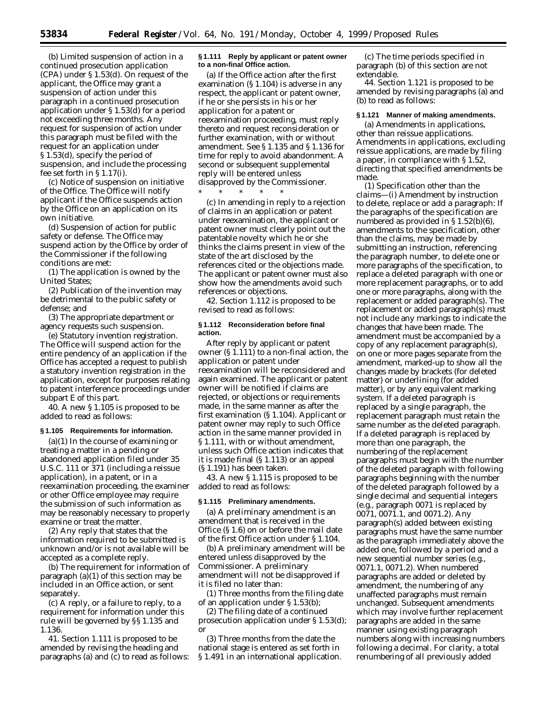(b) *Limited suspension of action in a continued prosecution application (CPA) under § 1.53(d).* On request of the applicant, the Office may grant a suspension of action under this paragraph in a continued prosecution application under § 1.53(d) for a period not exceeding three months. Any request for suspension of action under this paragraph must be filed with the request for an application under § 1.53(d), specify the period of suspension, and include the processing fee set forth in § 1.17(i).

(c) *Notice of suspension on initiative of the Office.* The Office will notify applicant if the Office suspends action by the Office on an application on its own initiative.

(d) *Suspension of action for public safety or defense.* The Office may suspend action by the Office by order of the Commissioner if the following conditions are met:

(1) The application is owned by the United States;

(2) Publication of the invention may be detrimental to the public safety or defense; and

(3) The appropriate department or agency requests such suspension.

(e) *Statutory invention registration.* The Office will suspend action for the entire pendency of an application if the Office has accepted a request to publish a statutory invention registration in the application, except for purposes relating to patent interference proceedings under subpart E of this part.

40. A new § 1.105 is proposed to be added to read as follows:

## **§ 1.105 Requirements for information.**

(a)(1) In the course of examining or treating a matter in a pending or abandoned application filed under 35 U.S.C. 111 or 371 (including a reissue application), in a patent, or in a reexamination proceeding, the examiner or other Office employee may require the submission of such information as may be reasonably necessary to properly examine or treat the matter.

(2) Any reply that states that the information required to be submitted is unknown and/or is not available will be accepted as a complete reply.

(b) The requirement for information of paragraph (a)(1) of this section may be included in an Office action, or sent separately.

(c) A reply, or a failure to reply, to a requirement for information under this rule will be governed by §§ 1.135 and 1.136.

41. Section 1.111 is proposed to be amended by revising the heading and paragraphs (a) and (c) to read as follows:

## **§ 1.111 Reply by applicant or patent owner to a non-final Office action.**

(a) If the Office action after the first examination (§ 1.104) is adverse in any respect, the applicant or patent owner, if he or she persists in his or her application for a patent or reexamination proceeding, must reply thereto and request reconsideration or further examination, with or without amendment. See § 1.135 and § 1.136 for time for reply to avoid abandonment. A second or subsequent supplemental reply will be entered unless disapproved by the Commissioner. \* \* \* \* \*

(c) In amending in reply to a rejection of claims in an application or patent under reexamination, the applicant or patent owner must clearly point out the patentable novelty which he or she thinks the claims present in view of the state of the art disclosed by the references cited or the objections made. The applicant or patent owner must also show how the amendments avoid such references or objections.

42. Section 1.112 is proposed to be revised to read as follows:

## **§ 1.112 Reconsideration before final action.**

After reply by applicant or patent owner (§ 1.111) to a non-final action, the application or patent under reexamination will be reconsidered and again examined. The applicant or patent owner will be notified if claims are rejected, or objections or requirements made, in the same manner as after the first examination (§ 1.104). Applicant or patent owner may reply to such Office action in the same manner provided in § 1.111, with or without amendment, unless such Office action indicates that it is made final (§ 1.113) or an appeal (§ 1.191) has been taken.

43. A new § 1.115 is proposed to be added to read as follows:

## **§ 1.115 Preliminary amendments.**

(a) A preliminary amendment is an amendment that is received in the Office (§ 1.6) on or before the mail date of the first Office action under § 1.104.

(b) A preliminary amendment will be entered unless disapproved by the Commissioner. A preliminary amendment will not be disapproved if it is filed no later than:

(1) Three months from the filing date of an application under § 1.53(b);

(2) The filing date of a continued prosecution application under § 1.53(d); or

(3) Three months from the date the national stage is entered as set forth in § 1.491 in an international application.

(c) The time periods specified in paragraph (b) of this section are not extendable.

44. Section 1.121 is proposed to be amended by revising paragraphs (a) and (b) to read as follows:

#### **§ 1.121 Manner of making amendments.**

(a) *Amendments in applications, other than reissue applications.* Amendments in applications, excluding reissue applications, are made by filing a paper, in compliance with § 1.52, directing that specified amendments be made.

(1) *Specification other than the claims—*(i) *Amendment by instruction to delete, replace or add a paragraph:* If the paragraphs of the specification are numbered as provided in § 1.52(b)(6), amendments to the specification, other than the claims, may be made by submitting an instruction, referencing the paragraph number, to delete one or more paragraphs of the specification, to replace a deleted paragraph with one or more replacement paragraphs, or to add one or more paragraphs, along with the replacement or added paragraph(s). The replacement or added paragraph(s) must not include any markings to indicate the changes that have been made. The amendment must be accompanied by a copy of any replacement paragraph(s), on one or more pages separate from the amendment, marked-up to show all the changes made by brackets (for deleted matter) or underlining (for added matter), or by any equivalent marking system. If a deleted paragraph is replaced by a single paragraph, the replacement paragraph must retain the same number as the deleted paragraph. If a deleted paragraph is replaced by more than one paragraph, the numbering of the replacement paragraphs must begin with the number of the deleted paragraph with following paragraphs beginning with the number of the deleted paragraph followed by a single decimal and sequential integers (*e.g.,* paragraph 0071 is replaced by 0071, 0071.1, and 0071.2). Any paragraph(s) added between existing paragraphs must have the same number as the paragraph immediately above the added one, followed by a period and a new sequential number series (*e.g.,* 0071.1, 0071.2). When numbered paragraphs are added or deleted by amendment, the numbering of any unaffected paragraphs must remain unchanged. Subsequent amendments which may involve further replacement paragraphs are added in the same manner using existing paragraph numbers along with increasing numbers following a decimal. For clarity, a total renumbering of all previously added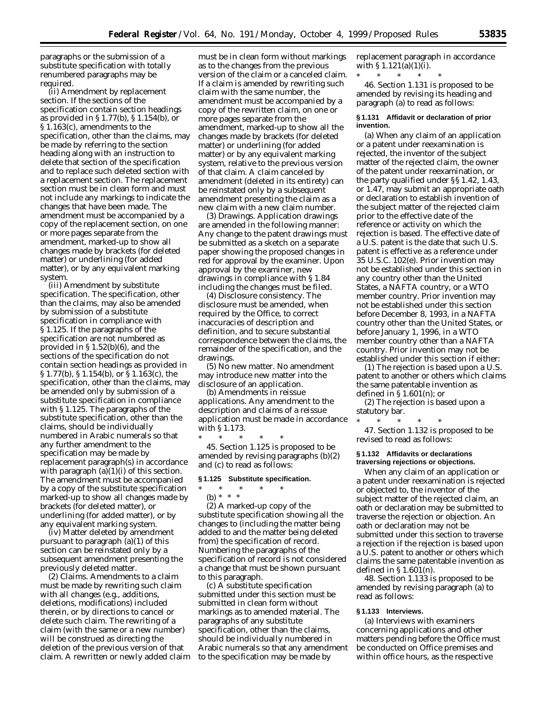paragraphs or the submission of a substitute specification with totally renumbered paragraphs may be required.

(ii) *Amendment by replacement section.* If the sections of the specification contain section headings as provided in § 1.77(b), § 1.154(b), or § 1.163(c), amendments to the specification, other than the claims, may be made by referring to the section heading along with an instruction to delete that section of the specification and to replace such deleted section with a replacement section. The replacement section must be in clean form and must not include any markings to indicate the changes that have been made. The amendment must be accompanied by a copy of the replacement section, on one or more pages separate from the amendment, marked-up to show all changes made by brackets (for deleted matter) or underlining (for added matter), or by any equivalent marking system.

(iii) *Amendment by substitute specification.* The specification, other than the claims, may also be amended by submission of a substitute specification in compliance with § 1.125. If the paragraphs of the specification are not numbered as provided in § 1.52(b)(6), and the sections of the specification do not contain section headings as provided in § 1.77(b), § 1.154(b), or § 1.163(c), the specification, other than the claims, may be amended only by submission of a substitute specification in compliance with § 1.125. The paragraphs of the substitute specification, other than the claims, should be individually numbered in Arabic numerals so that any further amendment to the specification may be made by replacement paragraph(s) in accordance with paragraph  $(a)(1)(i)$  of this section. The amendment must be accompanied by a copy of the substitute specification marked-up to show all changes made by brackets (for deleted matter), or underlining (for added matter), or by any equivalent marking system.

(iv) Matter deleted by amendment pursuant to paragraph (a)(1) of this section can be reinstated only by a subsequent amendment presenting the previously deleted matter.

(2) *Claims.* Amendments to a claim must be made by rewriting such claim with all changes (*e.g.,* additions, deletions, modifications) included therein, or by directions to cancel or delete such claim. The rewriting of a claim (with the same or a new number) will be construed as directing the deletion of the previous version of that claim. A rewritten or newly added claim

must be in clean form without markings as to the changes from the previous version of the claim or a canceled claim. If a claim is amended by rewriting such claim with the same number, the amendment must be accompanied by a copy of the rewritten claim, on one or more pages separate from the amendment, marked-up to show all the changes made by brackets (for deleted matter) or underlining (for added matter) or by any equivalent marking system, relative to the previous version of that claim. A claim canceled by amendment (deleted in its entirety) can be reinstated only by a subsequent amendment presenting the claim as a new claim with a new claim number.

(3) *Drawings.* Application drawings are amended in the following manner: Any change to the patent drawings must be submitted as a sketch on a separate paper showing the proposed changes in red for approval by the examiner. Upon approval by the examiner, new drawings in compliance with § 1.84 including the changes must be filed.

(4) *Disclosure consistency.* The disclosure must be amended, when required by the Office, to correct inaccuracies of description and definition, and to secure substantial correspondence between the claims, the remainder of the specification, and the drawings.

(5) *No new matter.* No amendment may introduce new matter into the disclosure of an application.

(b) *Amendments in reissue applications.* Any amendment to the description and claims of a reissue application must be made in accordance with § 1.173.

\* \* \* \* \* 45. Section 1.125 is proposed to be amended by revising paragraphs (b)(2) and (c) to read as follows:

## **§ 1.125 Substitute specification.**

- \* \* \* \* \*
	- (b) \* \* \*

(2) A marked-up copy of the substitute specification showing all the changes to (including the matter being added to and the matter being deleted from) the specification of record. Numbering the paragraphs of the specification of record is not considered a change that must be shown pursuant to this paragraph.

(c) A substitute specification submitted under this section must be submitted in clean form without markings as to amended material. The paragraphs of any substitute specification, other than the claims, should be individually numbered in Arabic numerals so that any amendment to the specification may be made by

replacement paragraph in accordance with  $\S 1.121(a)(1)(i)$ .

\* \* \* \* \* 46. Section 1.131 is proposed to be amended by revising its heading and paragraph (a) to read as follows:

## **§ 1.131 Affidavit or declaration of prior invention.**

(a) When any claim of an application or a patent under reexamination is rejected, the inventor of the subject matter of the rejected claim, the owner of the patent under reexamination, or the party qualified under §§ 1.42, 1.43, or 1.47, may submit an appropriate oath or declaration to establish invention of the subject matter of the rejected claim prior to the effective date of the reference or activity on which the rejection is based. The effective date of a U.S. patent is the date that such U.S. patent is effective as a reference under 35 U.S.C. 102(e). Prior invention may not be established under this section in any country other than the United States, a NAFTA country, or a WTO member country. Prior invention may not be established under this section before December 8, 1993, in a NAFTA country other than the United States, or before January 1, 1996, in a WTO member country other than a NAFTA country. Prior invention may not be established under this section if either:

(1) The rejection is based upon a U.S. patent to another or others which claims the same patentable invention as defined in § 1.601(n); or

(2) The rejection is based upon a statutory bar.

\* \* \* \* \* 47. Section 1.132 is proposed to be revised to read as follows:

## **§ 1.132 Affidavits or declarations traversing rejections or objections.**

When any claim of an application or a patent under reexamination is rejected or objected to, the inventor of the subject matter of the rejected claim, an oath or declaration may be submitted to traverse the rejection or objection. An oath or declaration may not be submitted under this section to traverse a rejection if the rejection is based upon a U.S. patent to another or others which claims the same patentable invention as defined in § 1.601(n).

48. Section 1.133 is proposed to be amended by revising paragraph (a) to read as follows:

#### **§ 1.133 Interviews.**

(a) Interviews with examiners concerning applications and other matters pending before the Office must be conducted on Office premises and within office hours, as the respective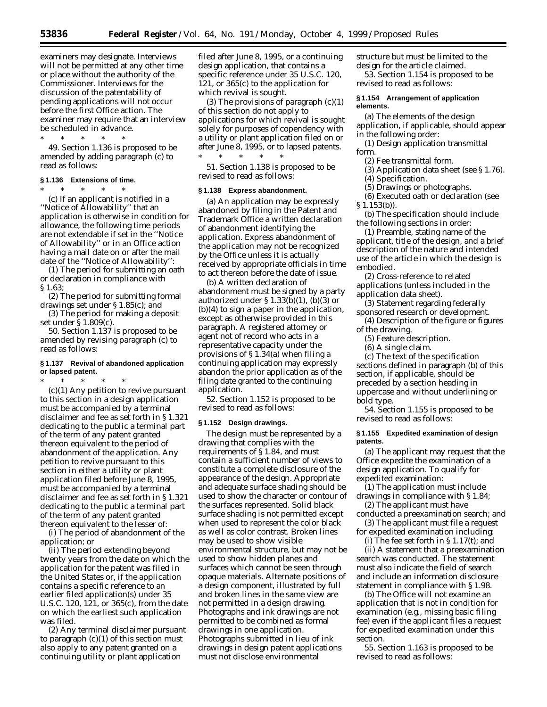examiners may designate. Interviews will not be permitted at any other time or place without the authority of the Commissioner. Interviews for the discussion of the patentability of pending applications will not occur before the first Office action. The examiner may require that an interview be scheduled in advance. \* \* \* \* \*

49. Section 1.136 is proposed to be amended by adding paragraph (c) to read as follows:

## **§ 1.136 Extensions of time.**

\* \* \* \* \* (c) If an applicant is notified in a ''Notice of Allowability'' that an application is otherwise in condition for allowance, the following time periods are not extendable if set in the ''Notice of Allowability'' or in an Office action having a mail date on or after the mail date of the ''Notice of Allowability'':

(1) The period for submitting an oath or declaration in compliance with § 1.63;

(2) The period for submitting formal drawings set under § 1.85(c); and

(3) The period for making a deposit set under § 1.809(c).

50. Section 1.137 is proposed to be amended by revising paragraph (c) to read as follows:

## **§ 1.137 Revival of abandoned application or lapsed patent.**

 $*$  \* \*

(c)(1) Any petition to revive pursuant to this section in a design application must be accompanied by a terminal disclaimer and fee as set forth in § 1.321 dedicating to the public a terminal part of the term of any patent granted thereon equivalent to the period of abandonment of the application. Any petition to revive pursuant to this section in either a utility or plant application filed before June 8, 1995, must be accompanied by a terminal disclaimer and fee as set forth in § 1.321 dedicating to the public a terminal part of the term of any patent granted thereon equivalent to the lesser of:

(i) The period of abandonment of the application; or

(ii) The period extending beyond twenty years from the date on which the application for the patent was filed in the United States or, if the application contains a specific reference to an earlier filed application(s) under 35 U.S.C. 120, 121, or 365(c), from the date on which the earliest such application was filed.

(2) Any terminal disclaimer pursuant to paragraph  $(c)(1)$  of this section must also apply to any patent granted on a continuing utility or plant application

filed after June 8, 1995, or a continuing design application, that contains a specific reference under 35 U.S.C. 120, 121, or 365(c) to the application for which revival is sought.

(3) The provisions of paragraph  $(c)(1)$ of this section do not apply to applications for which revival is sought solely for purposes of copendency with a utility or plant application filed on or after June 8, 1995, or to lapsed patents. \* \* \* \* \*

51. Section 1.138 is proposed to be revised to read as follows:

## **§ 1.138 Express abandonment.**

(a) An application may be expressly abandoned by filing in the Patent and Trademark Office a written declaration of abandonment identifying the application. Express abandonment of the application may not be recognized by the Office unless it is actually received by appropriate officials in time to act thereon before the date of issue.

(b) A written declaration of abandonment must be signed by a party authorized under § 1.33(b)(1), (b)(3) or (b)(4) to sign a paper in the application, except as otherwise provided in this paragraph. A registered attorney or agent not of record who acts in a representative capacity under the provisions of § 1.34(a) when filing a continuing application may expressly abandon the prior application as of the filing date granted to the continuing application.

52. Section 1.152 is proposed to be revised to read as follows:

#### **§ 1.152 Design drawings.**

The design must be represented by a drawing that complies with the requirements of § 1.84, and must contain a sufficient number of views to constitute a complete disclosure of the appearance of the design. Appropriate and adequate surface shading should be used to show the character or contour of the surfaces represented. Solid black surface shading is not permitted except when used to represent the color black as well as color contrast. Broken lines may be used to show visible environmental structure, but may not be used to show hidden planes and surfaces which cannot be seen through opaque materials. Alternate positions of a design component, illustrated by full and broken lines in the same view are not permitted in a design drawing. Photographs and ink drawings are not permitted to be combined as formal drawings in one application. Photographs submitted in lieu of ink drawings in design patent applications must not disclose environmental

structure but must be limited to the design for the article claimed.

53. Section 1.154 is proposed to be revised to read as follows:

## **§ 1.154 Arrangement of application elements.**

(a) The elements of the design application, if applicable, should appear in the following order:

(1) Design application transmittal form.

(2) Fee transmittal form.

(3) Application data sheet (see § 1.76).

(4) Specification.

(5) Drawings or photographs.

(6) Executed oath or declaration (see § 1.153(b)).

(b) The specification should include the following sections in order:

(1) Preamble, stating name of the applicant, title of the design, and a brief description of the nature and intended use of the article in which the design is embodied.

(2) Cross-reference to related applications (unless included in the application data sheet).

(3) Statement regarding federally sponsored research or development.

(4) Description of the figure or figures of the drawing.

(5) Feature description.

(6) A single claim.

(c) The text of the specification sections defined in paragraph (b) of this section, if applicable, should be preceded by a section heading in uppercase and without underlining or bold type.

54. Section 1.155 is proposed to be revised to read as follows:

## **§ 1.155 Expedited examination of design patents.**

(a) The applicant may request that the Office expedite the examination of a design application. To qualify for expedited examination:

(1) The application must include drawings in compliance with § 1.84;

(2) The applicant must have conducted a preexamination search; and

(3) The applicant must file a request for expedited examination including:

(i) The fee set forth in § 1.17(t); and

(ii) A statement that a preexamination search was conducted. The statement must also indicate the field of search and include an information disclosure statement in compliance with § 1.98.

(b) The Office will not examine an application that is not in condition for examination (*e.g.*, missing basic filing fee) even if the applicant files a request for expedited examination under this section.

55. Section 1.163 is proposed to be revised to read as follows: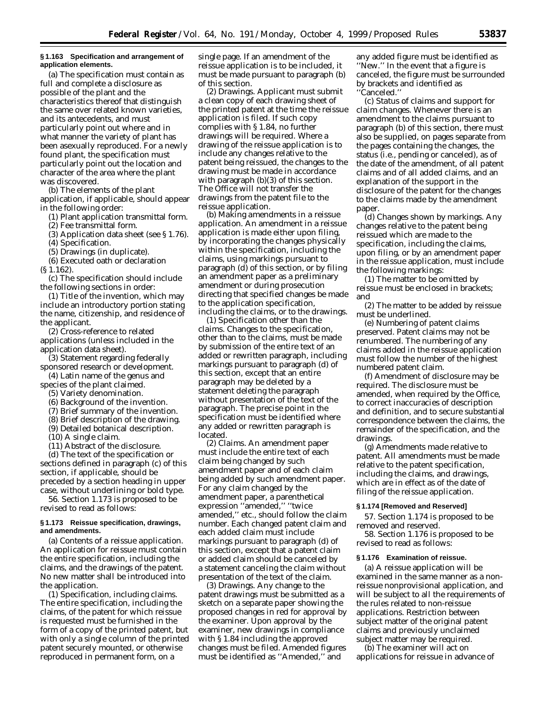## **§ 1.163 Specification and arrangement of application elements.**

(a) The specification must contain as full and complete a disclosure as possible of the plant and the characteristics thereof that distinguish the same over related known varieties, and its antecedents, and must particularly point out where and in what manner the variety of plant has been asexually reproduced. For a newly found plant, the specification must particularly point out the location and character of the area where the plant was discovered.

(b) The elements of the plant application, if applicable, should appear in the following order:

(1) Plant application transmittal form.

(2) Fee transmittal form.

(3) Application data sheet (see § 1.76).

(4) Specification.

(5) Drawings (in duplicate).

(6) Executed oath or declaration

(§ 1.162).

(c) The specification should include the following sections in order:

(1) Title of the invention, which may include an introductory portion stating the name, citizenship, and residence of the applicant.

(2) Cross-reference to related applications (unless included in the application data sheet).

(3) Statement regarding federally sponsored research or development.

(4) Latin name of the genus and species of the plant claimed.

(5) Variety denomination.

(6) Background of the invention.

(7) Brief summary of the invention.

(8) Brief description of the drawing.

(9) Detailed botanical description.

(10) A single claim.

(11) Abstract of the disclosure.

(d) The text of the specification or sections defined in paragraph (c) of this section, if applicable, should be preceded by a section heading in upper case, without underlining or bold type.

56. Section 1.173 is proposed to be revised to read as follows:

## **§ 1.173 Reissue specification, drawings, and amendments.**

(a) *Contents of a reissue application.* An application for reissue must contain the entire specification, including the claims, and the drawings of the patent. No new matter shall be introduced into the application.

(1) *Specification, including claims.* The entire specification, including the claims, of the patent for which reissue is requested must be furnished in the form of a copy of the printed patent, but with only a single column of the printed patent securely mounted, or otherwise reproduced in permanent form, on a

single page. If an amendment of the reissue application is to be included, it must be made pursuant to paragraph (b) of this section.

(2) *Drawings.* Applicant must submit a clean copy of each drawing sheet of the printed patent at the time the reissue application is filed. If such copy complies with § 1.84, no further drawings will be required. Where a drawing of the reissue application is to include any changes relative to the patent being reissued, the changes to the drawing must be made in accordance with paragraph (b)(3) of this section. The Office will not transfer the drawings from the patent file to the reissue application.

(b) *Making amendments in a reissue application.* An amendment in a reissue application is made either upon filing, by incorporating the changes physically within the specification, including the claims, using markings pursuant to paragraph (d) of this section, or by filing an amendment paper as a preliminary amendment or during prosecution directing that specified changes be made to the application specification, including the claims, or to the drawings.

(1) *Specification other than the claims.* Changes to the specification, other than to the claims, must be made by submission of the entire text of an added or rewritten paragraph, including markings pursuant to paragraph (d) of this section, except that an entire paragraph may be deleted by a statement deleting the paragraph without presentation of the text of the paragraph. The precise point in the specification must be identified where any added or rewritten paragraph is located.

(2) *Claims.* An amendment paper must include the entire text of each claim being changed by such amendment paper and of each claim being added by such amendment paper. For any claim changed by the amendment paper, a parenthetical expression ''amended,'' ''twice amended,'' *etc.,* should follow the claim number. Each changed patent claim and each added claim must include markings pursuant to paragraph (d) of this section, except that a patent claim or added claim should be canceled by a statement canceling the claim without presentation of the text of the claim.

(3) *Drawings.* Any change to the patent drawings must be submitted as a sketch on a separate paper showing the proposed changes in red for approval by the examiner. Upon approval by the examiner, new drawings in compliance with § 1.84 including the approved changes must be filed. Amended figures must be identified as ''Amended,'' and

any added figure must be identified as ''New.'' In the event that a figure is canceled, the figure must be surrounded by brackets and identified as ''Canceled.''

(c) *Status of claims and support for claim changes.* Whenever there is an amendment to the claims pursuant to paragraph (b) of this section, there must also be supplied, on pages separate from the pages containing the changes, the status (*i.e.*, pending or canceled), as of the date of the amendment, of all patent claims and of all added claims, and an explanation of the support in the disclosure of the patent for the changes to the claims made by the amendment paper.

(d) *Changes shown by markings.* Any changes relative to the patent being reissued which are made to the specification, including the claims, upon filing, or by an amendment paper in the reissue application, must include the following markings:

(1) The matter to be omitted by reissue must be enclosed in brackets; and

(2) The matter to be added by reissue must be underlined.

(e) *Numbering of patent claims preserved.* Patent claims may not be renumbered. The numbering of any claims added in the reissue application must follow the number of the highest numbered patent claim.

(f) *Amendment of disclosure may be required.* The disclosure must be amended, when required by the Office, to correct inaccuracies of description and definition, and to secure substantial correspondence between the claims, the remainder of the specification, and the drawings.

(g) *Amendments made relative to patent.* All amendments must be made relative to the patent specification, including the claims, and drawings, which are in effect as of the date of filing of the reissue application.

#### **§ 1.174 [Removed and Reserved]**

57. Section 1.174 is proposed to be removed and reserved.

58. Section 1.176 is proposed to be revised to read as follows:

# **§ 1.176 Examination of reissue.**

(a) A reissue application will be examined in the same manner as a nonreissue nonprovisional application, and will be subject to all the requirements of the rules related to non-reissue applications. Restriction between subject matter of the original patent claims and previously unclaimed subject matter may be required.

(b) The examiner will act on applications for reissue in advance of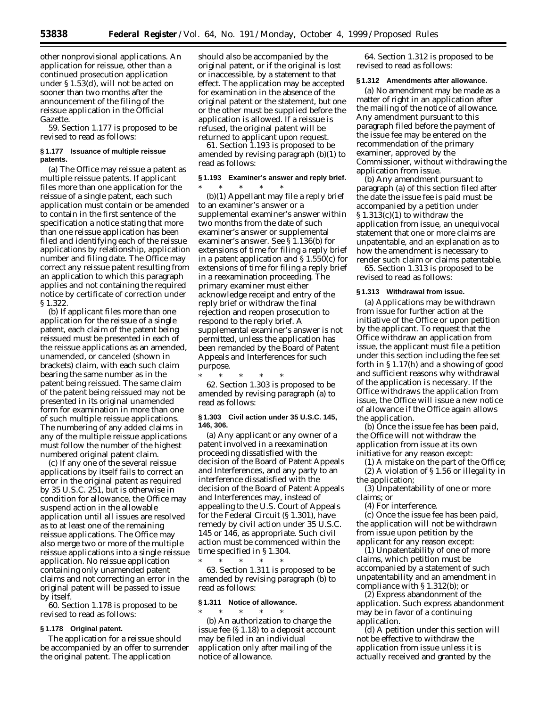other nonprovisional applications. An application for reissue, other than a continued prosecution application under § 1.53(d), will not be acted on sooner than two months after the announcement of the filing of the reissue application in the *Official Gazette.*

59. Section 1.177 is proposed to be revised to read as follows:

## **§ 1.177 Issuance of multiple reissue patents.**

(a) The Office may reissue a patent as multiple reissue patents. If applicant files more than one application for the reissue of a single patent, each such application must contain or be amended to contain in the first sentence of the specification a notice stating that more than one reissue application has been filed and identifying each of the reissue applications by relationship, application number and filing date. The Office may correct any reissue patent resulting from an application to which this paragraph applies and not containing the required notice by certificate of correction under § 1.322.

(b) If applicant files more than one application for the reissue of a single patent, each claim of the patent being reissued must be presented in each of the reissue applications as an amended, unamended, or canceled (shown in brackets) claim, with each such claim bearing the same number as in the patent being reissued. The same claim of the patent being reissued may not be presented in its original unamended form for examination in more than one of such multiple reissue applications. The numbering of any added claims in any of the multiple reissue applications must follow the number of the highest numbered original patent claim.

(c) If any one of the several reissue applications by itself fails to correct an error in the original patent as required by 35 U.S.C. 251, but is otherwise in condition for allowance, the Office may suspend action in the allowable application until all issues are resolved as to at least one of the remaining reissue applications. The Office may also merge two or more of the multiple reissue applications into a single reissue application. No reissue application containing only unamended patent claims and not correcting an error in the original patent will be passed to issue by itself.

60. Section 1.178 is proposed to be revised to read as follows:

## **§ 1.178 Original patent.**

The application for a reissue should be accompanied by an offer to surrender the original patent. The application

should also be accompanied by the original patent, or if the original is lost or inaccessible, by a statement to that effect. The application may be accepted for examination in the absence of the original patent or the statement, but one or the other must be supplied before the application is allowed. If a reissue is refused, the original patent will be returned to applicant upon request.

61. Section 1.193 is proposed to be amended by revising paragraph (b)(1) to read as follows:

## **§ 1.193 Examiner's answer and reply brief.**

\* \* \* \* \* (b)(1) Appellant may file a reply brief to an examiner's answer or a supplemental examiner's answer within two months from the date of such examiner's answer or supplemental examiner's answer. See § 1.136(b) for extensions of time for filing a reply brief in a patent application and  $\S 1.550(c)$  for extensions of time for filing a reply brief in a reexamination proceeding. The primary examiner must either acknowledge receipt and entry of the reply brief or withdraw the final rejection and reopen prosecution to respond to the reply brief. A supplemental examiner's answer is not permitted, unless the application has been remanded by the Board of Patent Appeals and Interferences for such purpose.

\* \* \* \* \* 62. Section 1.303 is proposed to be amended by revising paragraph (a) to read as follows:

## **§ 1.303 Civil action under 35 U.S.C. 145, 146, 306.**

(a) Any applicant or any owner of a patent involved in a reexamination proceeding dissatisfied with the decision of the Board of Patent Appeals and Interferences, and any party to an interference dissatisfied with the decision of the Board of Patent Appeals and Interferences may, instead of appealing to the U.S. Court of Appeals for the Federal Circuit (§ 1.301), have remedy by civil action under 35 U.S.C. 145 or 146, as appropriate. Such civil action must be commenced within the time specified in § 1.304.

\* \* \* \* \* 63. Section 1.311 is proposed to be amended by revising paragraph (b) to read as follows:

## **§ 1.311 Notice of allowance.**

\* \* \* \* \* (b) An authorization to charge the issue fee (§ 1.18) to a deposit account may be filed in an individual application only after mailing of the notice of allowance.

64. Section 1.312 is proposed to be revised to read as follows:

#### **§ 1.312 Amendments after allowance.**

(a) No amendment may be made as a matter of right in an application after the mailing of the notice of allowance. Any amendment pursuant to this paragraph filed before the payment of the issue fee may be entered on the recommendation of the primary examiner, approved by the Commissioner, without withdrawing the application from issue.

(b) Any amendment pursuant to paragraph (a) of this section filed after the date the issue fee is paid must be accompanied by a petition under  $$1.313(c)(1)$  to withdraw the application from issue, an unequivocal statement that one or more claims are unpatentable, and an explanation as to how the amendment is necessary to render such claim or claims patentable.

65. Section 1.313 is proposed to be revised to read as follows:

#### **§ 1.313 Withdrawal from issue.**

(a) Applications may be withdrawn from issue for further action at the initiative of the Office or upon petition by the applicant. To request that the Office withdraw an application from issue, the applicant must file a petition under this section including the fee set forth in § 1.17(h) and a showing of good and sufficient reasons why withdrawal of the application is necessary. If the Office withdraws the application from issue, the Office will issue a new notice of allowance if the Office again allows the application.

(b) Once the issue fee has been paid, the Office will not withdraw the application from issue at its own initiative for any reason except:

(1) A mistake on the part of the Office; (2) A violation of § 1.56 or illegality in the application;

(3) Unpatentability of one or more claims; or

(4) For interference.

(c) Once the issue fee has been paid, the application will not be withdrawn from issue upon petition by the applicant for any reason except:

(1) Unpatentability of one of more claims, which petition must be accompanied by a statement of such unpatentability and an amendment in compliance with § 1.312(b); or

(2) Express abandonment of the application. Such express abandonment may be in favor of a continuing application.

(d) A petition under this section will not be effective to withdraw the application from issue unless it is actually received and granted by the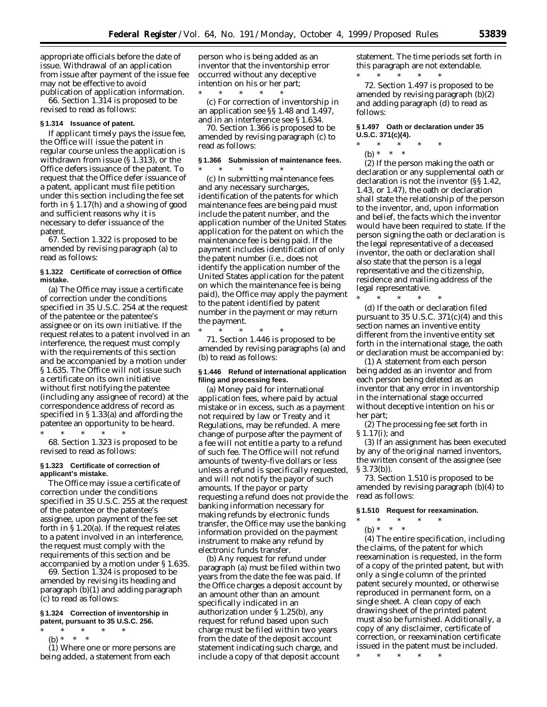appropriate officials before the date of issue. Withdrawal of an application from issue after payment of the issue fee may not be effective to avoid publication of application information.

66. Section 1.314 is proposed to be revised to read as follows:

#### **§ 1.314 Issuance of patent.**

If applicant timely pays the issue fee, the Office will issue the patent in regular course unless the application is withdrawn from issue (§ 1.313), or the Office defers issuance of the patent. To request that the Office defer issuance of a patent, applicant must file petition under this section including the fee set forth in § 1.17(h) and a showing of good and sufficient reasons why it is necessary to defer issuance of the patent.

67. Section 1.322 is proposed to be amended by revising paragraph (a) to read as follows:

## **§ 1.322 Certificate of correction of Office mistake.**

(a) The Office may issue a certificate of correction under the conditions specified in 35 U.S.C. 254 at the request of the patentee or the patentee's assignee or on its own initiative. If the request relates to a patent involved in an interference, the request must comply with the requirements of this section and be accompanied by a motion under § 1.635. The Office will not issue such a certificate on its own initiative without first notifying the patentee (including any assignee of record) at the correspondence address of record as specified in § 1.33(a) and affording the patentee an opportunity to be heard.

\* \* \* \* \* 68. Section 1.323 is proposed to be

revised to read as follows: **§ 1.323 Certificate of correction of**

# **applicant's mistake.**

The Office may issue a certificate of correction under the conditions specified in 35 U.S.C. 255 at the request of the patentee or the patentee's assignee, upon payment of the fee set forth in § 1.20(a). If the request relates to a patent involved in an interference, the request must comply with the requirements of this section and be accompanied by a motion under § 1.635.

69. Section 1.324 is proposed to be amended by revising its heading and paragraph (b)(1) and adding paragraph (c) to read as follows:

## **§ 1.324 Correction of inventorship in patent, pursuant to 35 U.S.C. 256.**

- \* \* \* \* \*
	- (b) \* \* \*

(1) Where one or more persons are being added, a statement from each

person who is being added as an inventor that the inventorship error occurred without any deceptive intention on his or her part;

\* \* \* \* \* (c) For correction of inventorship in an application see §§ 1.48 and 1.497, and in an interference see § 1.634.

70. Section 1.366 is proposed to be amended by revising paragraph (c) to read as follows:

# **§ 1.366 Submission of maintenance fees.**

\* \* \* \* \* (c) In submitting maintenance fees and any necessary surcharges, identification of the patents for which maintenance fees are being paid must include the patent number, and the application number of the United States application for the patent on which the maintenance fee is being paid. If the payment includes identification of only the patent number (*i.e.,* does not identify the application number of the United States application for the patent on which the maintenance fee is being paid), the Office may apply the payment to the patent identified by patent number in the payment or may return the payment.

\* \* \* \* \* 71. Section 1.446 is proposed to be amended by revising paragraphs (a) and (b) to read as follows:

## **§ 1.446 Refund of international application filing and processing fees.**

(a) Money paid for international application fees, where paid by actual mistake or in excess, such as a payment not required by law or Treaty and it Regulations, may be refunded. A mere change of purpose after the payment of a fee will not entitle a party to a refund of such fee. The Office will not refund amounts of twenty-five dollars or less unless a refund is specifically requested, and will not notify the payor of such amounts. If the payor or party requesting a refund does not provide the banking information necessary for making refunds by electronic funds transfer, the Office may use the banking information provided on the payment instrument to make any refund by electronic funds transfer.

(b) Any request for refund under paragraph (a) must be filed within two years from the date the fee was paid. If the Office charges a deposit account by an amount other than an amount specifically indicated in an authorization under § 1.25(b), any request for refund based upon such charge must be filed within two years from the date of the deposit account statement indicating such charge, and include a copy of that deposit account

statement. The time periods set forth in this paragraph are not extendable. \* \* \* \* \*

72. Section 1.497 is proposed to be amended by revising paragraph (b)(2) and adding paragraph (d) to read as follows:

# **§ 1.497 Oath or declaration under 35 U.S.C. 371(c)(4).**

\* \* \* \* \*

(b) \* \* \*

(2) If the person making the oath or declaration or any supplemental oath or declaration is not the inventor (§§ 1.42, 1.43, or 1.47), the oath or declaration shall state the relationship of the person to the inventor, and, upon information and belief, the facts which the inventor would have been required to state. If the person signing the oath or declaration is the legal representative of a deceased inventor, the oath or declaration shall also state that the person is a legal representative and the citizenship, residence and mailing address of the legal representative.

(d) If the oath or declaration filed pursuant to 35 U.S.C.  $371(c)(4)$  and this section names an inventive entity different from the inventive entity set forth in the international stage, the oath or declaration must be accompanied by:

\* \* \* \* \*

(1) A statement from each person being added as an inventor and from each person being deleted as an inventor that any error in inventorship in the international stage occurred without deceptive intention on his or her part;

(2) The processing fee set forth in § 1.17(i); and

(3) If an assignment has been executed by any of the original named inventors, the written consent of the assignee (see § 3.73(b)).

73. Section 1.510 is proposed to be amended by revising paragraph (b)(4) to read as follows:

# **§ 1.510 Request for reexamination.**

- \* \* \* \* \*
	- (b) \* \* \*

(4) The entire specification, including the claims, of the patent for which reexamination is requested, in the form of a copy of the printed patent, but with only a single column of the printed patent securely mounted, or otherwise reproduced in permanent form, on a single sheet. A clean copy of each drawing sheet of the printed patent must also be furnished. Additionally, a copy of any disclaimer, certificate of correction, or reexamination certificate issued in the patent must be included.

\* \* \* \* \*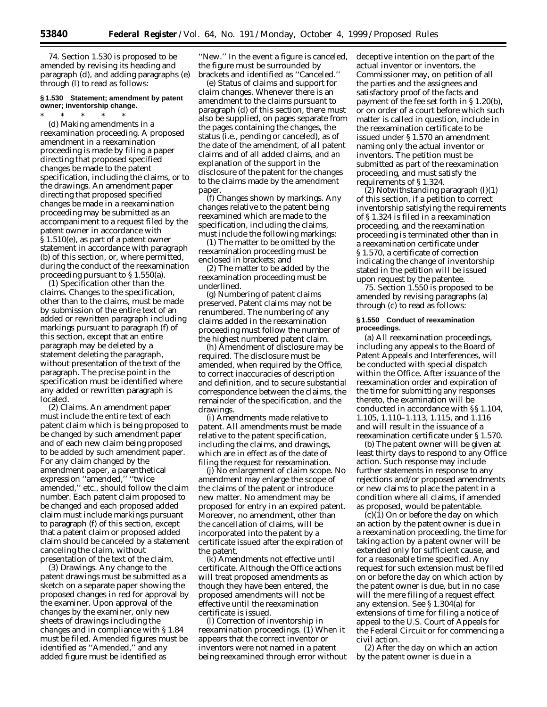74. Section 1.530 is proposed to be amended by revising its heading and paragraph (d), and adding paragraphs (e) through (l) to read as follows:

# **§ 1.530 Statement; amendment by patent owner; inventorship change.**

## \* \* \* \* \*

(d) *Making amendments in a reexamination proceeding.* A proposed amendment in a reexamination proceeding is made by filing a paper directing that proposed specified changes be made to the patent specification, including the claims, or to the drawings. An amendment paper directing that proposed specified changes be made in a reexamination proceeding may be submitted as an accompaniment to a request filed by the patent owner in accordance with § 1.510(e), as part of a patent owner statement in accordance with paragraph (b) of this section, or, where permitted, during the conduct of the reexamination proceeding pursuant to § 1.550(a).

(1) *Specification other than the claims.* Changes to the specification, other than to the claims, must be made by submission of the entire text of an added or rewritten paragraph including markings pursuant to paragraph (f) of this section, except that an entire paragraph may be deleted by a statement deleting the paragraph, without presentation of the text of the paragraph. The precise point in the specification must be identified where any added or rewritten paragraph is located.

(2) *Claims.* An amendment paper must include the entire text of each patent claim which is being proposed to be changed by such amendment paper and of each new claim being proposed to be added by such amendment paper. For any claim changed by the amendment paper, a parenthetical expression ''amended,'' ''twice amended,'' *etc.,* should follow the claim number. Each patent claim proposed to be changed and each proposed added claim must include markings pursuant to paragraph (f) of this section, except that a patent claim or proposed added claim should be canceled by a statement canceling the claim, without presentation of the text of the claim.

(3) *Drawings.* Any change to the patent drawings must be submitted as a sketch on a separate paper showing the proposed changes in red for approval by the examiner. Upon approval of the changes by the examiner, only new sheets of drawings including the changes and in compliance with § 1.84 must be filed. Amended figures must be identified as ''Amended,'' and any added figure must be identified as

''New.'' In the event a figure is canceled, the figure must be surrounded by brackets and identified as ''Canceled.''

(e) *Status of claims and support for claim changes.* Whenever there is an amendment to the claims pursuant to paragraph (d) of this section, there must also be supplied, on pages separate from the pages containing the changes, the status (*i.e.,* pending or canceled), as of the date of the amendment, of all patent claims and of all added claims, and an explanation of the support in the disclosure of the patent for the changes to the claims made by the amendment paper.

(f) *Changes shown by markings.* Any changes relative to the patent being reexamined which are made to the specification, including the claims, must include the following markings:

(1) The matter to be omitted by the reexamination proceeding must be enclosed in brackets; and

(2) The matter to be added by the reexamination proceeding must be underlined.

(g) *Numbering of patent claims preserved*. Patent claims may not be renumbered. The numbering of any claims added in the reexamination proceeding must follow the number of the highest numbered patent claim.

(h) *Amendment of disclosure may be required*. The disclosure must be amended, when required by the Office, to correct inaccuracies of description and definition, and to secure substantial correspondence between the claims, the remainder of the specification, and the drawings.

(i) *Amendments made relative to patent*. All amendments must be made relative to the patent specification, including the claims, and drawings, which are in effect as of the date of filing the request for reexamination.

(j) *No enlargement of claim scope*. No amendment may enlarge the scope of the claims of the patent or introduce new matter. No amendment may be proposed for entry in an expired patent. Moreover, no amendment, other than the cancellation of claims, will be incorporated into the patent by a certificate issued after the expiration of the patent.

(k) *Amendments not effective until certificate*. Although the Office actions will treat proposed amendments as though they have been entered, the proposed amendments will not be effective until the reexamination certificate is issued.

(l) *Correction of inventorship in reexamination proceedings*. (1) When it appears that the correct inventor or inventors were not named in a patent being reexamined through error without deceptive intention on the part of the actual inventor or inventors, the Commissioner may, on petition of all the parties and the assignees and satisfactory proof of the facts and payment of the fee set forth in § 1.20(b), or on order of a court before which such matter is called in question, include in the reexamination certificate to be issued under § 1.570 an amendment naming only the actual inventor or inventors. The petition must be submitted as part of the reexamination proceeding, and must satisfy the requirements of § 1.324.

 $(2)$  Notwithstanding paragraph  $(l)(1)$ of this section, if a petition to correct inventorship satisfying the requirements of § 1.324 is filed in a reexamination proceeding, and the reexamination proceeding is terminated other than in a reexamination certificate under § 1.570, a certificate of correction indicating the change of inventorship stated in the petition will be issued upon request by the patentee.

75. Section 1.550 is proposed to be amended by revising paragraphs (a) through (c) to read as follows:

## **§ 1.550 Conduct of reexamination proceedings.**

(a) All reexamination proceedings, including any appeals to the Board of Patent Appeals and Interferences, will be conducted with special dispatch within the Office. After issuance of the reexamination order and expiration of the time for submitting any responses thereto, the examination will be conducted in accordance with §§ 1.104, 1.105, 1.110–1.113, 1.115, and 1.116 and will result in the issuance of a reexamination certificate under § 1.570.

(b) The patent owner will be given at least thirty days to respond to any Office action. Such response may include further statements in response to any rejections and/or proposed amendments or new claims to place the patent in a condition where all claims, if amended as proposed, would be patentable.

(c)(1) On or before the day on which an action by the patent owner is due in a reexamination proceeding, the time for taking action by a patent owner will be extended only for sufficient cause, and for a reasonable time specified. Any request for such extension must be filed on or before the day on which action by the patent owner is due, but in no case will the mere filing of a request effect any extension. See § 1.304(a) for extensions of time for filing a notice of appeal to the U.S. Court of Appeals for the Federal Circuit or for commencing a civil action.

(2) After the day on which an action by the patent owner is due in a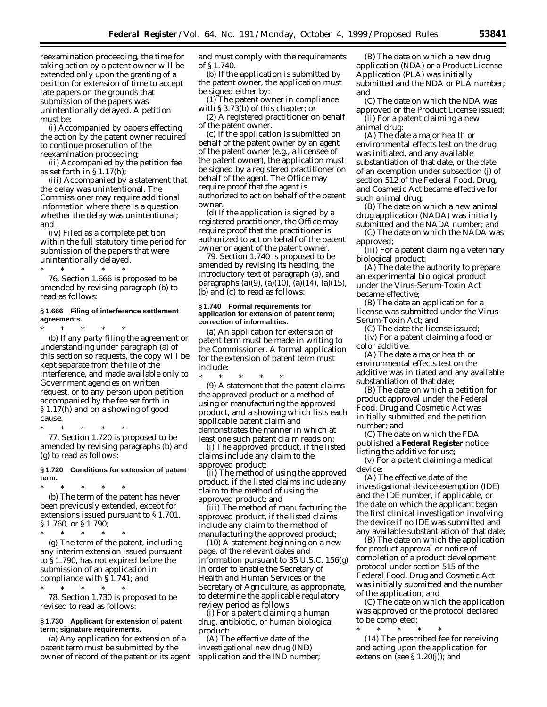reexamination proceeding, the time for taking action by a patent owner will be extended only upon the granting of a petition for extension of time to accept late papers on the grounds that submission of the papers was unintentionally delayed. A petition must be:

(i) Accompanied by papers effecting the action by the patent owner required to continue prosecution of the reexamination proceeding;

(ii) Accompanied by the petition fee as set forth in § 1.17(h);

(iii) Accompanied by a statement that the delay was unintentional. The Commissioner may require additional information where there is a question whether the delay was unintentional; and

(iv) Filed as a complete petition within the full statutory time period for submission of the papers that were unintentionally delayed.

 $*$  \* 76. Section 1.666 is proposed to be amended by revising paragraph (b) to read as follows:

## **§ 1.666 Filing of interference settlement agreements.**

\* \* \* \* \* (b) If any party filing the agreement or understanding under paragraph (a) of this section so requests, the copy will be kept separate from the file of the interference, and made available only to Government agencies on written request, or to any person upon petition accompanied by the fee set forth in § 1.17(h) and on a showing of good cause.

\* \* \* \* \* 77. Section 1.720 is proposed to be amended by revising paragraphs (b) and (g) to read as follows:

## **§ 1.720 Conditions for extension of patent term.**

\* \* \* \* \* (b) The term of the patent has never been previously extended, except for extensions issued pursuant to § 1.701, § 1.760, or § 1.790;

\* \* \* \* \* (g) The term of the patent, including any interim extension issued pursuant to § 1.790, has not expired before the submission of an application in compliance with § 1.741; and

 $*$  \* \*

78. Section 1.730 is proposed to be revised to read as follows:

## **§ 1.730 Applicant for extension of patent term; signature requirements.**

(a) Any application for extension of a patent term must be submitted by the owner of record of the patent or its agent and must comply with the requirements of § 1.740.

(b) If the application is submitted by the patent owner, the application must be signed either by:

(1) The patent owner in compliance with § 3.73(b) of this chapter; or

(2) A registered practitioner on behalf of the patent owner.

(c) If the application is submitted on behalf of the patent owner by an agent of the patent owner (*e.g.*, a licensee of the patent owner), the application must be signed by a registered practitioner on behalf of the agent. The Office may require proof that the agent is authorized to act on behalf of the patent owner.

(d) If the application is signed by a registered practitioner, the Office may require proof that the practitioner is authorized to act on behalf of the patent owner or agent of the patent owner.

79. Section 1.740 is proposed to be amended by revising its heading, the introductory text of paragraph (a), and paragraphs (a)(9), (a)(10), (a)(14), (a)(15), (b) and (c) to read as follows:

## **§ 1.740 Formal requirements for application for extension of patent term; correction of informalities.**

(a) An application for extension of patent term must be made in writing to the Commissioner. A formal application for the extension of patent term must include:

\* \* \* \* \*

(9) A statement that the patent claims the approved product or a method of using or manufacturing the approved product, and a showing which lists each applicable patent claim and demonstrates the manner in which at least one such patent claim reads on:

(i) The approved product, if the listed claims include any claim to the approved product;

(ii) The method of using the approved product, if the listed claims include any claim to the method of using the approved product; and

(iii) The method of manufacturing the approved product, if the listed claims include any claim to the method of manufacturing the approved product;

(10) A statement beginning on a new page, of the relevant dates and information pursuant to 35 U.S.C. 156(g) in order to enable the Secretary of Health and Human Services or the Secretary of Agriculture, as appropriate, to determine the applicable regulatory review period as follows:

(i) For a patent claiming a human drug, antibiotic, or human biological product:

(A) The effective date of the investigational new drug (IND) application and the IND number;

(B) The date on which a new drug application (NDA) or a Product License Application (PLA) was initially submitted and the NDA or PLA number; and

(C) The date on which the NDA was approved or the Product License issued; (ii) For a patent claiming a new animal drug:

(A) The date a major health or environmental effects test on the drug was initiated, and any available substantiation of that date, or the date of an exemption under subsection (j) of section 512 of the Federal Food, Drug, and Cosmetic Act became effective for such animal drug;

(B) The date on which a new animal drug application (NADA) was initially submitted and the NADA number; and

(C) The date on which the NADA was approved;

(iii) For a patent claiming a veterinary biological product:

(A) The date the authority to prepare an experimental biological product under the Virus-Serum-Toxin Act became effective;

(B) The date an application for a license was submitted under the Virus-Serum-Toxin Act; and

(C) The date the license issued; (iv) For a patent claiming a food or color additive:

(A) The date a major health or environmental effects test on the additive was initiated and any available substantiation of that date;

(B) The date on which a petition for product approval under the Federal Food, Drug and Cosmetic Act was initially submitted and the petition number; and

(C) The date on which the FDA published a **Federal Register** notice listing the additive for use;

(v) For a patent claiming a medical device:

(A) The effective date of the investigational device exemption (IDE) and the IDE number, if applicable, or the date on which the applicant began the first clinical investigation involving the device if no IDE was submitted and any available substantiation of that date;

(B) The date on which the application for product approval or notice of completion of a product development protocol under section 515 of the Federal Food, Drug and Cosmetic Act was initially submitted and the number of the application; and

(C) The date on which the application was approved or the protocol declared to be completed;

\* \* \* \* \* (14) The prescribed fee for receiving and acting upon the application for extension (see § 1.20(j)); and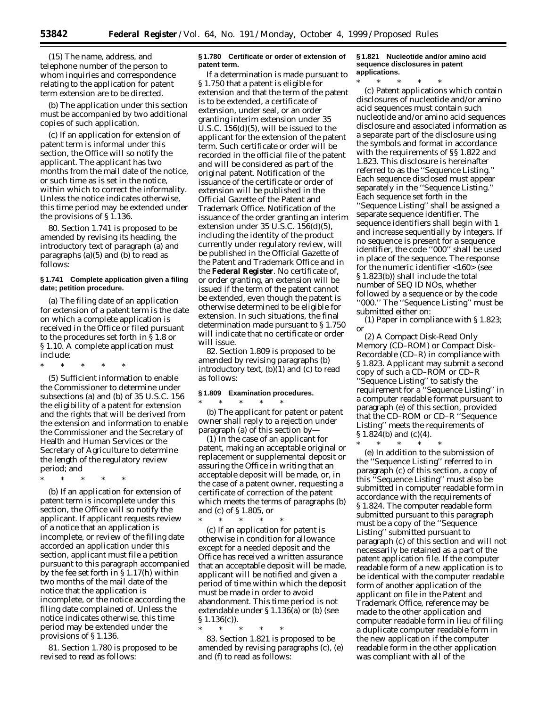(15) The name, address, and telephone number of the person to whom inquiries and correspondence relating to the application for patent term extension are to be directed.

(b) The application under this section must be accompanied by two additional copies of such application.

(c) If an application for extension of patent term is informal under this section, the Office will so notify the applicant. The applicant has two months from the mail date of the notice, or such time as is set in the notice, within which to correct the informality. Unless the notice indicates otherwise, this time period may be extended under the provisions of § 1.136.

80. Section 1.741 is proposed to be amended by revising its heading, the introductory text of paragraph (a) and paragraphs (a)(5) and (b) to read as follows:

## **§ 1.741 Complete application given a filing date; petition procedure.**

(a) The filing date of an application for extension of a patent term is the date on which a complete application is received in the Office or filed pursuant to the procedures set forth in § 1.8 or § 1.10. A complete application must include:

\* \* \* \* \*

(5) Sufficient information to enable the Commissioner to determine under subsections (a) and (b) of 35 U.S.C. 156 the eligibility of a patent for extension and the rights that will be derived from the extension and information to enable the Commissioner and the Secretary of Health and Human Services or the Secretary of Agriculture to determine the length of the regulatory review period; and

\* \* \* \* \*

(b) If an application for extension of patent term is incomplete under this section, the Office will so notify the applicant. If applicant requests review of a notice that an application is incomplete, or review of the filing date accorded an application under this section, applicant must file a petition pursuant to this paragraph accompanied by the fee set forth in § 1.17(h) within two months of the mail date of the notice that the application is incomplete, or the notice according the filing date complained of. Unless the notice indicates otherwise, this time period may be extended under the provisions of § 1.136.

81. Section 1.780 is proposed to be revised to read as follows:

# **§ 1.780 Certificate or order of extension of patent term.**

If a determination is made pursuant to § 1.750 that a patent is eligible for extension and that the term of the patent is to be extended, a certificate of extension, under seal, or an order granting interim extension under 35 U.S.C. 156(d)(5), will be issued to the applicant for the extension of the patent term. Such certificate or order will be recorded in the official file of the patent and will be considered as part of the original patent. Notification of the issuance of the certificate or order of extension will be published in the *Official Gazette* of the Patent and Trademark Office. Notification of the issuance of the order granting an interim extension under 35 U.S.C. 156(d)(5), including the identity of the product currently under regulatory review, will be published in the *Official Gazette* of the Patent and Trademark Office and in the **Federal Register**. No certificate of, or order granting, an extension will be issued if the term of the patent cannot be extended, even though the patent is otherwise determined to be eligible for extension. In such situations, the final determination made pursuant to § 1.750 will indicate that no certificate or order will issue.

82. Section 1.809 is proposed to be amended by revising paragraphs (b) introductory text, (b)(1) and (c) to read as follows:

## **§ 1.809 Examination procedures.**

\* \* \* \* \* (b) The applicant for patent or patent owner shall reply to a rejection under paragraph (a) of this section by—

(1) In the case of an applicant for patent, making an acceptable original or replacement or supplemental deposit or assuring the Office in writing that an acceptable deposit will be made, or, in the case of a patent owner, requesting a certificate of correction of the patent which meets the terms of paragraphs (b) and (c) of § 1.805, or

\* \* \* \* \* (c) If an application for patent is otherwise in condition for allowance except for a needed deposit and the Office has received a written assurance that an acceptable deposit will be made, applicant will be notified and given a period of time within which the deposit must be made in order to avoid abandonment. This time period is not extendable under § 1.136(a) or (b) (see § 1.136(c)).

\* \* \* \* \*

83. Section 1.821 is proposed to be amended by revising paragraphs (c), (e) and (f) to read as follows:

**§ 1.821 Nucleotide and/or amino acid sequence disclosures in patent applications.**

\* \* \* \* \* (c) Patent applications which contain disclosures of nucleotide and/or amino acid sequences must contain such nucleotide and/or amino acid sequences disclosure and associated information as a separate part of the disclosure using the symbols and format in accordance with the requirements of §§ 1.822 and 1.823. This disclosure is hereinafter referred to as the ''Sequence Listing.'' Each sequence disclosed must appear separately in the ''Sequence Listing.'' Each sequence set forth in the ''Sequence Listing'' shall be assigned a separate sequence identifier. The sequence identifiers shall begin with 1 and increase sequentially by integers. If no sequence is present for a sequence identifier, the code ''000'' shall be used in place of the sequence. The response for the numeric identifier <160> (see § 1.823(b)) shall include the total number of SEQ ID NOs, whether followed by a sequence or by the code ''000.'' The ''Sequence Listing'' must be submitted either on:

(1) Paper in compliance with § 1.823; or

(2) A Compact Disk-Read Only Memory (CD–ROM) or Compact Disk-Recordable (CD–R) in compliance with § 1.823. Applicant may submit a second copy of such a CD–ROM or CD–R ''Sequence Listing'' to satisfy the requirement for a ''Sequence Listing'' in a computer readable format pursuant to paragraph (e) of this section, provided that the CD–ROM or CD–R ''Sequence Listing'' meets the requirements of § 1.824(b) and (c)(4).

\* \* \* \* \*

(e) In addition to the submission of the ''Sequence Listing'' referred to in paragraph (c) of this section, a copy of this ''Sequence Listing'' must also be submitted in computer readable form in accordance with the requirements of § 1.824. The computer readable form submitted pursuant to this paragraph must be a copy of the ''Sequence Listing'' submitted pursuant to paragraph (c) of this section and will not necessarily be retained as a part of the patent application file. If the computer readable form of a new application is to be identical with the computer readable form of another application of the applicant on file in the Patent and Trademark Office, reference may be made to the other application and computer readable form in lieu of filing a duplicate computer readable form in the new application if the computer readable form in the other application was compliant with all of the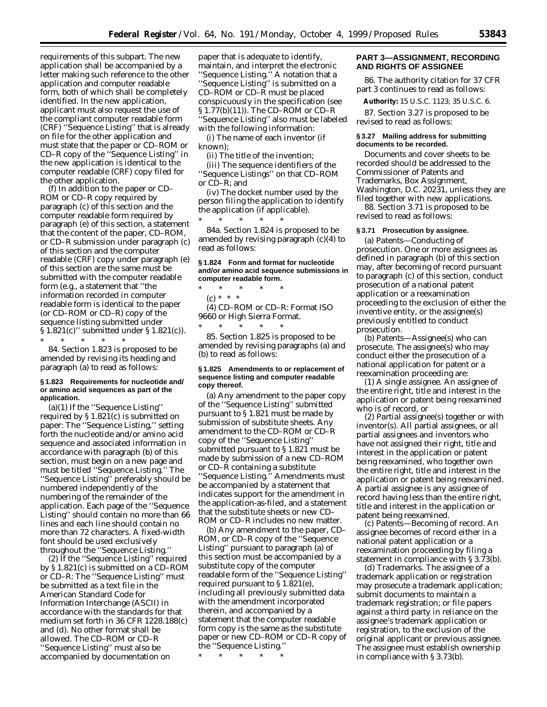requirements of this subpart. The new application shall be accompanied by a letter making such reference to the other application and computer readable form, both of which shall be completely identified. In the new application, applicant must also request the use of the compliant computer readable form (CRF) ''Sequence Listing'' that is already on file for the other application and must state that the paper or CD–ROM or CD–R copy of the ''Sequence Listing'' in the new application is identical to the computer readable (CRF) copy filed for the other application.

(f) In addition to the paper or CD– ROM or CD–R copy required by paragraph (c) of this section and the computer readable form required by paragraph (e) of this section, a statement that the content of the paper, CD–ROM, or CD–R submission under paragraph (c) of this section and the computer readable (CRF) copy under paragraph (e) of this section are the same must be submitted with the computer readable form (*e.g.,* a statement that ''the information recorded in computer readable form is identical to the paper (or CD–ROM or CD–R) copy of the sequence listing submitted under § 1.821(c)'' submitted under § 1.821(c)).

\* \* \* \* \* 84. Section 1.823 is proposed to be amended by revising its heading and paragraph (a) to read as follows:

### **§ 1.823 Requirements for nucleotide and/ or amino acid sequences as part of the application.**

(a)(1) If the ''Sequence Listing'' required by § 1.821(c) is submitted on paper: The ''Sequence Listing,'' setting forth the nucleotide and/or amino acid sequence and associated information in accordance with paragraph (b) of this section, must begin on a new page and<br>must be titled "Sequence Listing." The must be titled "Sequence Listing." ''Sequence Listing'' preferably should be numbered independently of the numbering of the remainder of the application. Each page of the ''Sequence Listing'' should contain no more than 66 lines and each line should contain no more than 72 characters. A fixed-width font should be used exclusively throughout the ''Sequence Listing.''

(2) If the ''Sequence Listing'' required by § 1.821(c) is submitted on a CD–ROM or CD–R: The ''Sequence Listing'' must be submitted as a text file in the American Standard Code for Information Interchange (ASCII) in accordance with the standards for that medium set forth in 36 CFR 1228.188(c) and (d). No other format shall be allowed. The CD–ROM or CD–R ''Sequence Listing'' must also be accompanied by documentation on

paper that is adequate to identify, maintain, and interpret the electronic ''Sequence Listing.'' A notation that a ''Sequence Listing'' is submitted on a CD–ROM or CD–R must be placed conspicuously in the specification (see § 1.77(b)(11)). The CD–ROM or CD–R ''Sequence Listing'' also must be labeled with the following information:

(i) The name of each inventor (if known);

(ii) The title of the invention;

(iii) The sequence identifiers of the ''Sequence Listings'' on that CD–ROM or CD–R; and

(iv) The docket number used by the person filing the application to identify the application (if applicable).

\* \* \* \* \* 84a. Section 1.824 is proposed to be amended by revising paragraph (c)(4) to read as follows:

### **§ 1.824 Form and format for nucleotide and/or amino acid sequence submissions in computer readable form.**

\* \* \* \* \* (c) \* \* \*

(4) CD–ROM or CD–R: Format ISO 9660 or High Sierra Format.  $*$  \* \*

85. Section 1.825 is proposed to be amended by revising paragraphs (a) and (b) to read as follows:

#### **§ 1.825 Amendments to or replacement of sequence listing and computer readable copy thereof.**

(a) Any amendment to the paper copy of the ''Sequence Listing'' submitted pursuant to § 1.821 must be made by submission of substitute sheets. Any amendment to the CD–ROM or CD–R copy of the ''Sequence Listing'' submitted pursuant to § 1.821 must be made by submission of a new CD–ROM or CD–R containing a substitute ''Sequence Listing.'' Amendments must be accompanied by a statement that indicates support for the amendment in the application-as-filed, and a statement that the substitute sheets or new CD– ROM or CD–R includes no new matter.

(b) Any amendment to the paper, CD– ROM, or CD–R copy of the ''Sequence Listing'' pursuant to paragraph (a) of this section must be accompanied by a substitute copy of the computer readable form of the ''Sequence Listing'' required pursuant to § 1.821(e), including all previously submitted data with the amendment incorporated therein, and accompanied by a statement that the computer readable form copy is the same as the substitute paper or new CD–ROM or CD–R copy of the ''Sequence Listing.''

\* \* \* \* \*

### **PART 3—ASSIGNMENT, RECORDING AND RIGHTS OF ASSIGNEE**

86. The authority citation for 37 CFR part 3 continues to read as follows:

**Authority:** 15 U.S.C. 1123; 35 U.S.C. 6.

87. Section 3.27 is proposed to be revised to read as follows:

### **§ 3.27 Mailing address for submitting documents to be recorded.**

Documents and cover sheets to be recorded should be addressed to the Commissioner of Patents and Trademarks, Box Assignment, Washington, D.C. 20231, unless they are filed together with new applications. 88. Section 3.71 is proposed to be

revised to read as follows:

## **§ 3.71 Prosecution by assignee.**

(a) *Patents—Conducting of prosecution.* One or more assignees as defined in paragraph (b) of this section may, after becoming of record pursuant to paragraph (c) of this section, conduct prosecution of a national patent application or a reexamination proceeding to the exclusion of either the inventive entity, or the assignee(s) previously entitled to conduct prosecution.

(b) *Patents—Assignee(s) who can prosecute.* The assignee(s) who may conduct either the prosecution of a national application for patent or a reexamination proceeding are:

(1) *A single assignee.* An assignee of the entire right, title and interest in the application or patent being reexamined who is of record, or

(2) *Partial assignee(s) together or with inventor(s).* All partial assignees, or all partial assignees and inventors who have not assigned their right, title and interest in the application or patent being reexamined, who together own the entire right, title and interest in the application or patent being reexamined. A partial assignee is any assignee of record having less than the entire right, title and interest in the application or patent being reexamined.

(c) *Patents—Becoming of record.* An assignee becomes of record either in a national patent application or a reexamination proceeding by filing a statement in compliance with § 3.73(b).

(d) *Trademarks.* The assignee of a trademark application or registration may prosecute a trademark application; submit documents to maintain a trademark registration; or file papers against a third party in reliance on the assignee's trademark application or registration, to the exclusion of the original applicant or previous assignee. The assignee must establish ownership in compliance with § 3.73(b).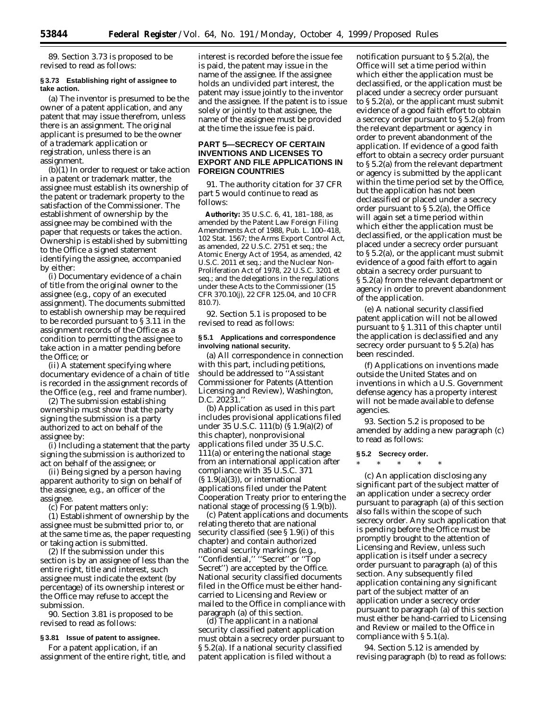89. Section 3.73 is proposed to be revised to read as follows:

### **§ 3.73 Establishing right of assignee to take action.**

(a) The inventor is presumed to be the owner of a patent application, and any patent that may issue therefrom, unless there is an assignment. The original applicant is presumed to be the owner of a trademark application or registration, unless there is an assignment.

(b)(1) In order to request or take action in a patent or trademark matter, the assignee must establish its ownership of the patent or trademark property to the satisfaction of the Commissioner. The establishment of ownership by the assignee may be combined with the paper that requests or takes the action. Ownership is established by submitting to the Office a signed statement identifying the assignee, accompanied by either:

(i) Documentary evidence of a chain of title from the original owner to the assignee (*e.g.,* copy of an executed assignment). The documents submitted to establish ownership may be required to be recorded pursuant to § 3.11 in the assignment records of the Office as a condition to permitting the assignee to take action in a matter pending before the Office; or

(ii) A statement specifying where documentary evidence of a chain of title is recorded in the assignment records of the Office (*e.g.,* reel and frame number).

(2) The submission establishing ownership must show that the party signing the submission is a party authorized to act on behalf of the assignee by:

(i) Including a statement that the party signing the submission is authorized to act on behalf of the assignee; or

(ii) Being signed by a person having apparent authority to sign on behalf of the assignee, *e.g.,* an officer of the assignee.

(c) For patent matters only:

(1) Establishment of ownership by the assignee must be submitted prior to, or at the same time as, the paper requesting or taking action is submitted.

(2) If the submission under this section is by an assignee of less than the entire right, title and interest, such assignee must indicate the extent (by percentage) of its ownership interest or the Office may refuse to accept the submission.

90. Section 3.81 is proposed to be revised to read as follows:

#### **§ 3.81 Issue of patent to assignee.**

For a patent application, if an assignment of the entire right, title, and

interest is recorded before the issue fee is paid, the patent may issue in the name of the assignee. If the assignee holds an undivided part interest, the patent may issue jointly to the inventor and the assignee. If the patent is to issue solely or jointly to that assignee, the name of the assignee must be provided at the time the issue fee is paid.

## **PART 5—SECRECY OF CERTAIN INVENTIONS AND LICENSES TO EXPORT AND FILE APPLICATIONS IN FOREIGN COUNTRIES**

91. The authority citation for 37 CFR part 5 would continue to read as follows:

**Authority:** 35 U.S.C. 6, 41, 181–188, as amended by the Patent Law Foreign Filing Amendments Act of 1988, Pub. L. 100–418, 102 Stat. 1567; the Arms Export Control Act, as amended, 22 U.S.C. 2751 *et seq.*; the Atomic Energy Act of 1954, as amended, 42 U.S.C. 2011 *et seq.*; and the Nuclear Non-Proliferation Act of 1978, 22 U.S.C. 3201 *et seq.*; and the delegations in the regulations under these Acts to the Commissioner (15 CFR 370.10(j), 22 CFR 125.04, and 10 CFR 810.7).

92. Section 5.1 is proposed to be revised to read as follows:

### **§ 5.1 Applications and correspondence involving national security.**

(a) All correspondence in connection with this part, including petitions, should be addressed to ''Assistant Commissioner for Patents (Attention Licensing and Review), Washington, D.C. 20231.''

(b) Application as used in this part includes provisional applications filed under 35 U.S.C. 111(b) (§ 1.9(a)(2) of this chapter), nonprovisional applications filed under 35 U.S.C. 111(a) or entering the national stage from an international application after compliance with 35 U.S.C. 371  $(S 1.9(a)(3))$ , or international applications filed under the Patent Cooperation Treaty prior to entering the national stage of processing (§ 1.9(b)).

(c) Patent applications and documents relating thereto that are national security classified (see § 1.9(i) of this chapter) and contain authorized national security markings (*e.g.,* ''Confidential,'' ''Secret'' or ''Top Secret'') are accepted by the Office. National security classified documents filed in the Office must be either handcarried to Licensing and Review or mailed to the Office in compliance with paragraph (a) of this section.

(d) The applicant in a national security classified patent application must obtain a secrecy order pursuant to § 5.2(a). If a national security classified patent application is filed without a

notification pursuant to § 5.2(a), the Office will set a time period within which either the application must be declassified, or the application must be placed under a secrecy order pursuant to § 5.2(a), or the applicant must submit evidence of a good faith effort to obtain a secrecy order pursuant to § 5.2(a) from the relevant department or agency in order to prevent abandonment of the application. If evidence of a good faith effort to obtain a secrecy order pursuant to § 5.2(a) from the relevant department or agency is submitted by the applicant within the time period set by the Office, but the application has not been declassified or placed under a secrecy order pursuant to § 5.2(a), the Office will again set a time period within which either the application must be declassified, or the application must be placed under a secrecy order pursuant to § 5.2(a), or the applicant must submit evidence of a good faith effort to again obtain a secrecy order pursuant to § 5.2(a) from the relevant department or agency in order to prevent abandonment of the application.

(e) A national security classified patent application will not be allowed pursuant to § 1.311 of this chapter until the application is declassified and any secrecy order pursuant to § 5.2(a) has been rescinded.

(f) Applications on inventions made outside the United States and on inventions in which a U.S. Government defense agency has a property interest will not be made available to defense agencies.

93. Section 5.2 is proposed to be amended by adding a new paragraph (c) to read as follows:

#### **§ 5.2 Secrecy order.**

\* \* \* \* \*

(c) An application disclosing any significant part of the subject matter of an application under a secrecy order pursuant to paragraph (a) of this section also falls within the scope of such secrecy order. Any such application that is pending before the Office must be promptly brought to the attention of Licensing and Review, unless such application is itself under a secrecy order pursuant to paragraph (a) of this section. Any subsequently filed application containing any significant part of the subject matter of an application under a secrecy order pursuant to paragraph (a) of this section must either be hand-carried to Licensing and Review or mailed to the Office in compliance with § 5.1(a).

94. Section 5.12 is amended by revising paragraph (b) to read as follows: